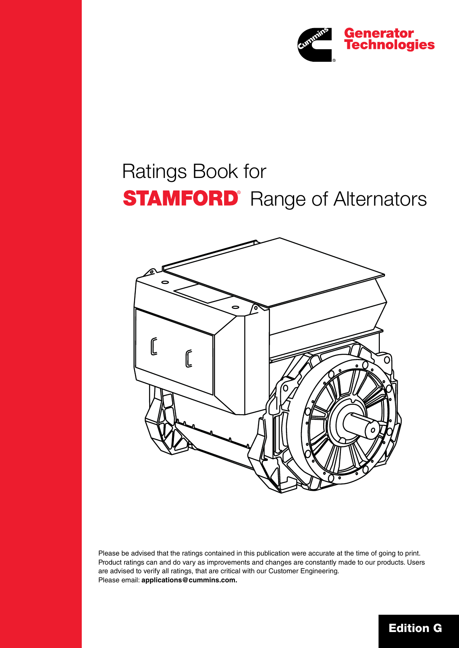

# Ratings Book for **STAMFORD** Range of Alternators



Please be advised that the ratings contained in this publication were accurate at the time of going to print. Product ratings can and do vary as improvements and changes are constantly made to our products. Users are advised to verify all ratings, that are critical with our Customer Engineering. Please email: **applications@cummins.com.**

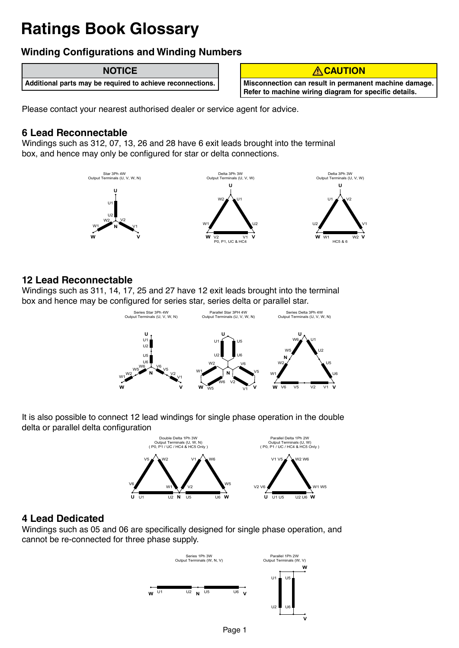## **Ratings Book Glossary**

### **Winding Configurations and Winding Numbers**

#### **NOTICE**

**Additional parts may be required to achieve reconnections.**



**Misconnection can result in permanent machine damage. Refer to machine wiring diagram for specific details.** 

Please contact your nearest authorised dealer or service agent for advice.

#### **6 Lead Reconnectable**

Windings such as 312, 07, 13, 26 and 28 have 6 exit leads brought into the terminal box, and hence may only be configured for star or delta connections.



#### **12 Lead Reconnectable**

Windings such as 311, 14, 17, 25 and 27 have 12 exit leads brought into the terminal box and hence may be configured for series star, series delta or parallel star.



It is also possible to connect 12 lead windings for single phase operation in the double delta or parallel delta configuration



#### **4 Lead Dedicated**

Windings such as 05 and 06 are specifically designed for single phase operation, and cannot be re-connected for three phase supply.

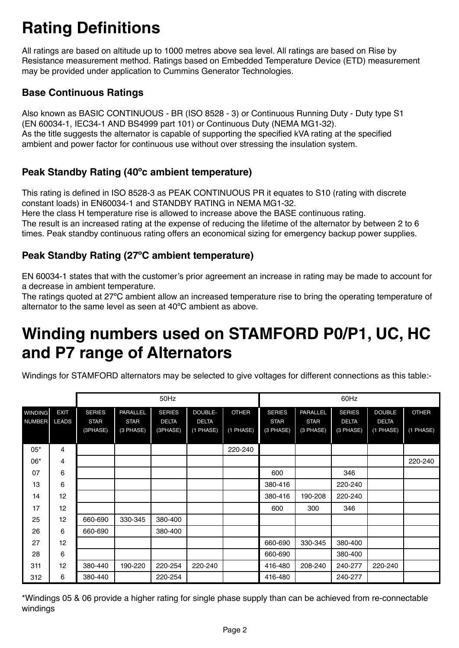# **Rating Definitions**

All ratings are based on altitude up to 1000 metres above sea level. All ratings are based on Rise by Resistance measurement method. Ratings based on Embedded Temperature Device (ETD) measurement may be provided under application to Cummins Generator Technologies.

#### **Base Continuous Ratings**

Also known as BASIC CONTINUOUS - BR (ISO 8528 - 3) or Continuous Running Duty - Duty type S1 (EN 60034-1, IEC34-1 AND BS4999 part 101) or Continuous Duty (NEMA MG1-32). As the title suggests the alternator is capable of supporting the specified kVA rating at the specified ambient and power factor for continuous use without over stressing the insulation system.

#### **Peak Standby Rating (40ºc ambient temperature)**

This rating is defined in ISO 8528-3 as PEAK CONTINUOUS PR it equates to S10 (rating with discrete constant loads) in EN60034-1 and STANDBY RATING in NEMA MG1-32.

Here the class H temperature rise is allowed to increase above the BASE continuous rating.

The result is an increased rating at the expense of reducing the lifetime of the alternator by between 2 to 6 times. Peak standby continuous rating offers an economical sizing for emergency backup power supplies.

#### **Peak Standby Rating (27ºC ambient temperature)**

EN 60034-1 states that with the customer's prior agreement an increase in rating may be made to account for a decrease in ambient temperature.

The ratings quoted at 27ºC ambient allow an increased temperature rise to bring the operating temperature of alternator to the same level as seen at 40ºC ambient as above.

### **Winding numbers used on STAMFORD P0/P1, UC, HC and P7 range of Alternators**

Windings for STAMFORD alternators may be selected to give voltages for different connections as this table:-

|                |              |               |                 | 50Hz          |              |              | 60Hz          |                 |               |               |              |  |  |  |
|----------------|--------------|---------------|-----------------|---------------|--------------|--------------|---------------|-----------------|---------------|---------------|--------------|--|--|--|
| <b>WINDING</b> | <b>EXIT</b>  | <b>SERIES</b> | <b>PARALLEL</b> | <b>SERIES</b> | DOUBLE-      | <b>OTHER</b> | <b>SERIES</b> | <b>PARALLEL</b> | <b>SERIES</b> | <b>DOUBLE</b> | <b>OTHER</b> |  |  |  |
| <b>NUMBER</b>  | <b>LEADS</b> | <b>STAR</b>   | <b>STAR</b>     | <b>DELTA</b>  | <b>DELTA</b> |              | <b>STAR</b>   | <b>STAR</b>     | <b>DELTA</b>  | <b>DELTA</b>  |              |  |  |  |
|                |              | (3PHASE)      | (3 PHASE)       | (3PHASE)      | (1 PHASE)    | $(1$ PHASE)  | (3 PHASE)     | (3 PHASE)       | (3 PHASE)     | (1 PHASE)     | (1 PHASE)    |  |  |  |
|                |              |               |                 |               |              |              |               |                 |               |               |              |  |  |  |
| $05*$          | 4            |               |                 |               |              | 220-240      |               |                 |               |               |              |  |  |  |
| 06*            | 4            |               |                 |               |              |              |               |                 |               |               | 220-240      |  |  |  |
| 07             | 6            |               |                 |               |              |              | 600           |                 | 346           |               |              |  |  |  |
| 13             | 6            |               |                 |               |              |              | 380-416       |                 | 220-240       |               |              |  |  |  |
| 14             | 12           |               |                 |               |              |              | 380-416       | 190-208         | 220-240       |               |              |  |  |  |
| 17             | 12           |               |                 |               |              |              | 600           | 300             | 346           |               |              |  |  |  |
| 25             | 12           | 660-690       | 330-345         | 380-400       |              |              |               |                 |               |               |              |  |  |  |
| 26             | 6            | 660-690       |                 | 380-400       |              |              |               |                 |               |               |              |  |  |  |
| 27             | 12           |               |                 |               |              |              | 660-690       | 330-345         | 380-400       |               |              |  |  |  |
| 28             | 6            |               |                 |               |              |              | 660-690       |                 | 380-400       |               |              |  |  |  |
| 311            | 12           | 380-440       | 190-220         | 220-254       | 220-240      |              | 416-480       | 208-240         | 240-277       | 220-240       |              |  |  |  |
| 312            | 6            | 380-440       |                 | 220-254       |              |              | 416-480       |                 | 240-277       |               |              |  |  |  |

\*Windings 05 & 06 provide a higher rating for single phase supply than can be achieved from re-connectable windings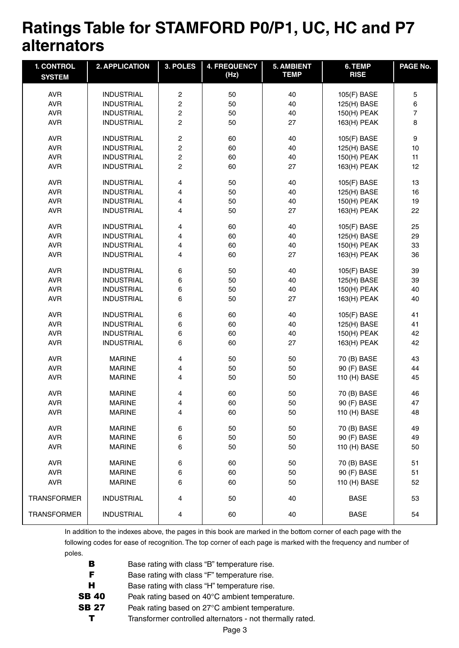### **Ratings Table for STAMFORD P0/P1, UC, HC and P7 alternators**

| <b>1. CONTROL</b><br><b>SYSTEM</b> | 2. APPLICATION    | 3. POLES                | <b>4. FREQUENCY</b><br>(Hz) | <b>5. AMBIENT</b><br><b>TEMP</b> | 6. TEMP<br><b>RISE</b> | PAGE No.       |
|------------------------------------|-------------------|-------------------------|-----------------------------|----------------------------------|------------------------|----------------|
| <b>AVR</b>                         | <b>INDUSTRIAL</b> | $\sqrt{2}$              | 50                          | 40                               | 105(F) BASE            | 5              |
| <b>AVR</b>                         | <b>INDUSTRIAL</b> | $\sqrt{2}$              | 50                          | 40                               | 125(H) BASE            | 6              |
| <b>AVR</b>                         | <b>INDUSTRIAL</b> | $\overline{\mathbf{c}}$ | 50                          | 40                               | 150(H) PEAK            | $\overline{7}$ |
| <b>AVR</b>                         | <b>INDUSTRIAL</b> | $\overline{c}$          | 50                          | 27                               | 163(H) PEAK            | 8              |
|                                    |                   |                         |                             |                                  |                        |                |
| <b>AVR</b>                         | <b>INDUSTRIAL</b> | $\boldsymbol{2}$        | 60                          | 40                               | 105(F) BASE            | 9              |
| <b>AVR</b>                         | <b>INDUSTRIAL</b> | $\overline{c}$          | 60                          | 40                               | 125(H) BASE            | 10             |
| <b>AVR</b>                         | <b>INDUSTRIAL</b> | $\overline{c}$          | 60                          | 40                               | 150(H) PEAK            | 11             |
| <b>AVR</b>                         | <b>INDUSTRIAL</b> | $\overline{c}$          | 60                          | 27                               | 163(H) PEAK            | 12             |
| <b>AVR</b>                         | <b>INDUSTRIAL</b> | 4                       | 50                          | 40                               | 105(F) BASE            | 13             |
| <b>AVR</b>                         | <b>INDUSTRIAL</b> | 4                       | 50                          | 40                               | 125(H) BASE            | 16             |
| <b>AVR</b>                         | <b>INDUSTRIAL</b> | 4                       | 50                          | 40                               | 150(H) PEAK            | 19             |
| <b>AVR</b>                         | <b>INDUSTRIAL</b> | 4                       | 50                          | 27                               | 163(H) PEAK            | 22             |
| <b>AVR</b>                         | <b>INDUSTRIAL</b> | 4                       | 60                          | 40                               | 105(F) BASE            | 25             |
| <b>AVR</b>                         | <b>INDUSTRIAL</b> | 4                       | 60                          | 40                               | 125(H) BASE            | 29             |
| <b>AVR</b>                         | <b>INDUSTRIAL</b> | 4                       | 60                          | 40                               | 150(H) PEAK            | 33             |
| <b>AVR</b>                         | <b>INDUSTRIAL</b> | 4                       | 60                          | 27                               | 163(H) PEAK            | 36             |
| <b>AVR</b>                         | <b>INDUSTRIAL</b> | 6                       | 50                          | 40                               | 105(F) BASE            | 39             |
| <b>AVR</b>                         | <b>INDUSTRIAL</b> | 6                       | 50                          | 40                               | 125(H) BASE            | 39             |
| <b>AVR</b>                         | <b>INDUSTRIAL</b> | 6                       | 50                          | 40                               | 150(H) PEAK            | 40             |
| <b>AVR</b>                         | <b>INDUSTRIAL</b> | 6                       | 50                          | 27                               | 163(H) PEAK            | 40             |
| <b>AVR</b>                         | <b>INDUSTRIAL</b> | 6                       | 60                          | 40                               | 105(F) BASE            | 41             |
| <b>AVR</b>                         | <b>INDUSTRIAL</b> | 6                       | 60                          | 40                               | 125(H) BASE            | 41             |
| <b>AVR</b>                         | <b>INDUSTRIAL</b> | 6                       | 60                          | 40                               | 150(H) PEAK            | 42             |
| <b>AVR</b>                         | <b>INDUSTRIAL</b> | 6                       | 60                          | 27                               | 163(H) PEAK            | 42             |
|                                    |                   |                         |                             |                                  |                        |                |
| <b>AVR</b>                         | <b>MARINE</b>     | 4                       | 50                          | 50                               | 70 (B) BASE            | 43             |
| <b>AVR</b>                         | <b>MARINE</b>     | 4                       | 50                          | 50                               | 90 (F) BASE            | 44             |
| <b>AVR</b>                         | <b>MARINE</b>     | 4                       | 50                          | 50                               | 110 (H) BASE           | 45             |
| <b>AVR</b>                         | <b>MARINE</b>     | 4                       | 60                          | 50                               | 70 (B) BASE            | 46             |
| <b>AVR</b>                         | <b>MARINE</b>     | 4                       | 60                          | 50                               | 90 (F) BASE            | 47             |
| <b>AVR</b>                         | <b>MARINE</b>     | 4                       | 60                          | 50                               | 110 (H) BASE           | 48             |
| <b>AVR</b>                         | <b>MARINE</b>     | 6                       | 50                          | 50                               | 70 (B) BASE            | 49             |
| <b>AVR</b>                         | <b>MARINE</b>     | 6                       | 50                          | 50                               | 90 (F) BASE            | 49             |
| <b>AVR</b>                         | <b>MARINE</b>     | 6                       | 50                          | 50                               | 110 (H) BASE           | 50             |
| <b>AVR</b>                         | <b>MARINE</b>     | 6                       | 60                          | 50                               | 70 (B) BASE            | 51             |
| <b>AVR</b>                         | <b>MARINE</b>     | 6                       | 60                          | 50                               | 90 (F) BASE            | 51             |
| <b>AVR</b>                         | <b>MARINE</b>     | 6                       | 60                          | 50                               | 110 (H) BASE           | 52             |
|                                    |                   |                         |                             |                                  |                        |                |
| <b>TRANSFORMER</b>                 | <b>INDUSTRIAL</b> | 4                       | 50                          | 40                               | <b>BASE</b>            | 53             |
| <b>TRANSFORMER</b>                 | <b>INDUSTRIAL</b> | 4                       | 60                          | 40                               | <b>BASE</b>            | 54             |

In addition to the indexes above, the pages in this book are marked in the bottom corner of each page with the following codes for ease of recognition. The top corner of each page is marked with the frequency and number of poles.

| Base rating with class "B" temperature rise.              |
|-----------------------------------------------------------|
| Base rating with class "F" temperature rise.              |
| Base rating with class "H" temperature rise.              |
| Peak rating based on 40°C ambient temperature.            |
| Peak rating based on 27°C ambient temperature.            |
| Transformer controlled alternators - not thermally rated. |
|                                                           |

Page 3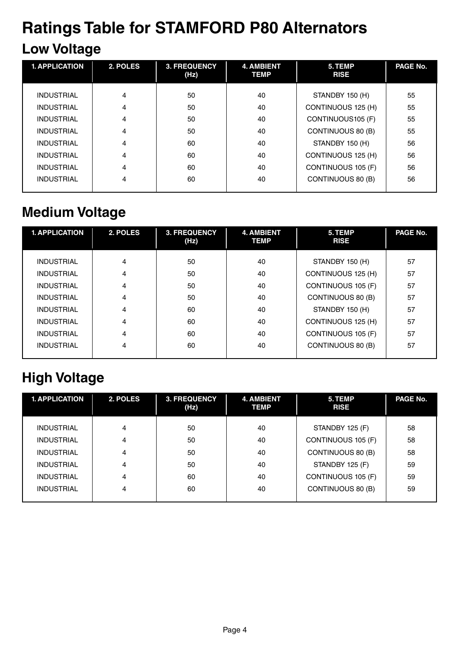# **Ratings Table for STAMFORD P80 Alternators**

### **Low Voltage**

| <b>1. APPLICATION</b> | 2. POLES | <b>3. FREQUENCY</b><br>(Hz) | <b>4. AMBIENT</b><br><b>TEMP</b> | 5. TEMP<br><b>RISE</b> | PAGE No. |
|-----------------------|----------|-----------------------------|----------------------------------|------------------------|----------|
|                       |          |                             |                                  |                        |          |
| <b>INDUSTRIAL</b>     | 4        | 50                          | 40                               | STANDBY 150 (H)        | 55       |
| <b>INDUSTRIAL</b>     | 4        | 50                          | 40                               | CONTINUOUS 125 (H)     | 55       |
| <b>INDUSTRIAL</b>     | 4        | 50                          | 40                               | CONTINUOUS105 (F)      | 55       |
| <b>INDUSTRIAL</b>     | 4        | 50                          | 40                               | CONTINUOUS 80 (B)      | 55       |
| <b>INDUSTRIAL</b>     | 4        | 60                          | 40                               | STANDBY 150 (H)        | 56       |
| <b>INDUSTRIAL</b>     | 4        | 60                          | 40                               | CONTINUOUS 125 (H)     | 56       |
| <b>INDUSTRIAL</b>     | 4        | 60                          | 40                               | CONTINUOUS 105 (F)     | 56       |
| <b>INDUSTRIAL</b>     | 4        | 60                          | 40                               | CONTINUOUS 80 (B)      | 56       |
|                       |          |                             |                                  |                        |          |

### **Medium Voltage**

| <b>1. APPLICATION</b> | 2. POLES | <b>3. FREQUENCY</b><br>(Hz) | <b>4. AMBIENT</b><br><b>TEMP</b> | 5. TEMP<br><b>RISE</b> | PAGE No. |
|-----------------------|----------|-----------------------------|----------------------------------|------------------------|----------|
|                       |          |                             |                                  |                        |          |
| <b>INDUSTRIAL</b>     | 4        | 50                          | 40                               | STANDBY 150 (H)        | 57       |
| <b>INDUSTRIAL</b>     | 4        | 50                          | 40                               | CONTINUOUS 125 (H)     | 57       |
| <b>INDUSTRIAL</b>     | 4        | 50                          | 40                               | CONTINUOUS 105 (F)     | 57       |
| <b>INDUSTRIAL</b>     | 4        | 50                          | 40                               | CONTINUOUS 80 (B)      | 57       |
| <b>INDUSTRIAL</b>     | 4        | 60                          | 40                               | STANDBY 150 (H)        | 57       |
| <b>INDUSTRIAL</b>     | 4        | 60                          | 40                               | CONTINUOUS 125 (H)     | 57       |
| <b>INDUSTRIAL</b>     | 4        | 60                          | 40                               | CONTINUOUS 105 (F)     | 57       |
| <b>INDUSTRIAL</b>     | 4        | 60                          | 40                               | CONTINUOUS 80 (B)      | 57       |
|                       |          |                             |                                  |                        |          |

### **High Voltage**

| <b>1. APPLICATION</b> | 2. POLES       | <b>3. FREQUENCY</b><br>(Hz) | <b>4. AMBIENT</b><br><b>TEMP</b> | 5. TEMP<br><b>RISE</b> | PAGE No. |
|-----------------------|----------------|-----------------------------|----------------------------------|------------------------|----------|
|                       |                |                             |                                  |                        |          |
| <b>INDUSTRIAL</b>     | 4              | 50                          | 40                               | STANDBY 125 (F)        | 58       |
| <b>INDUSTRIAL</b>     | $\overline{4}$ | 50                          | 40                               | CONTINUOUS 105 (F)     | 58       |
| <b>INDUSTRIAL</b>     | $\overline{4}$ | 50                          | 40                               | CONTINUOUS 80 (B)      | 58       |
| <b>INDUSTRIAL</b>     | 4              | 50                          | 40                               | STANDBY 125 (F)        | 59       |
| <b>INDUSTRIAL</b>     | 4              | 60                          | 40                               | CONTINUOUS 105 (F)     | 59       |
| <b>INDUSTRIAL</b>     | 4              | 60                          | 40                               | CONTINUOUS 80 (B)      | 59       |
|                       |                |                             |                                  |                        |          |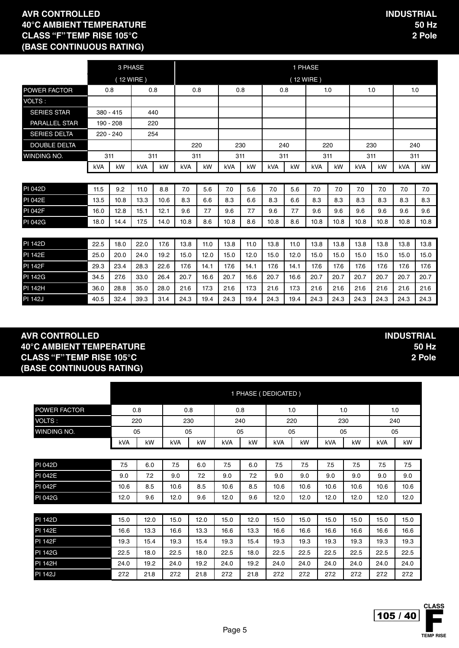3 PHASE 1 PHASE 1 PHASE ( 12 WIRE ) ( 12 WIRE ) POWER FACTOR 0.8 0.8 0.8 0.8 0.8 0.8 1.0 1.0 1.0 VOLTS : SERIES STAR 380 - 415 440 PARALLEL STAR 190 - 208 220 SERIES DELTA 220 - 240 254 DOUBLE DELTA 220 230 240 220 230 240 WINDING NO. 311 311 311 311 311 311 311 311 kVA | kW | kVA | kW | kVA | kW | kW | kVA | kW | kVA | kW | kVA | kW | kVA | kW PI 042D 11.5 | 9.2 | 11.0 | 8.8 | 7.0 | 5.6 | 7.0 | 5.6 | 7.0 | 7.0 | 7.0 | 7.0 | 7.0 | 7.0 | 7.0 | 7.0 PI 042E 13.5 | 10.8 | 13.3 | 10.6 | 8.3 | 6.6 | 8.3 | 6.6 | 8.3 | 8.3 | 8.3 | 8.3 | 8.3 | 8.3 | 8.3 PI 042F 16.0 12.8 15.1 12.1 9.6 7.7 9.6 7.7 9.6 7.7 9.6 9.6 9.6 9.6 9.6 9.6 PI 042G 18.0 14.4 17.5 14.0 10.8 8.6 10.8 8.6 10.8 8.6 10.8 10.8 10.8 10.8 10.8 10.8 PI 142D 22.5 18.0 22.0 17.6 13.8 11.0 13.8 11.0 13.8 11.0 13.8 13.8 13.8 13.8 13.8 13.8 PI 142E 25.0 20.0 24.0 19.2 15.0 12.0 15.0 12.0 15.0 12.0 15.0 15.0 15.0 15.0 15.0 15.0 PI 142F 29.3 23.4 28.3 22.6 17.6 14.1 17.6 14.1 17.6 14.1 17.6 17.6 17.6 17.6 17.6 17.6 PI 142G 34.5 | 27.6 | 33.0 | 26.4 | 20.7 | 16.6 | 20.7 | 16.6 | 20.7 | 16.6 | 20.7 | 20.7 | 20.7 | 20.7 | 20.7

**AVR CONTROLLED 40°C AMBIENT TEMPERATURE CLASS "F" TEMP RISE 105°C (BASE CONTINUOUS RATING)**

|                     |      |      |      | 1 PHASE (DEDICATED) |      |      |      |      |      |      |      |      |
|---------------------|------|------|------|---------------------|------|------|------|------|------|------|------|------|
| <b>POWER FACTOR</b> |      | 0.8  |      | 0.8                 |      | 0.8  |      | 1.0  |      | 1.0  |      | 1.0  |
| VOLTS:              | 220  |      | 230  |                     | 240  |      | 220  |      | 230  |      |      | 240  |
| WINDING NO.         |      | 05   | 05   |                     | 05   |      | 05   |      | 05   |      | 05   |      |
|                     | kVA  | kW   |      | kW                  | kVA  | kW   | kVA  | kW   | kVA  | kW   | kVA  | kW   |
|                     |      |      |      |                     |      |      |      |      |      |      |      |      |
| <b>PI 042D</b>      | 7.5  | 6.0  | 7.5  | 6.0                 | 7.5  | 6.0  | 7.5  | 7.5  | 7.5  | 7.5  | 7.5  | 7.5  |
| <b>PI 042E</b>      | 9.0  | 7.2  | 9.0  | 7.2                 | 9.0  | 7.2  | 9.0  | 9.0  | 9.0  | 9.0  | 9.0  | 9.0  |
| <b>PI 042F</b>      | 10.6 | 8.5  | 10.6 | 8.5                 | 10.6 | 8.5  | 10.6 | 10.6 | 10.6 | 10.6 | 10.6 | 10.6 |
| <b>PI 042G</b>      | 12.0 | 9.6  | 12.0 | 9.6                 | 12.0 | 9.6  | 12.0 | 12.0 | 12.0 | 12.0 | 12.0 | 12.0 |
|                     |      |      |      |                     |      |      |      |      |      |      |      |      |
| <b>PI 142D</b>      | 15.0 | 12.0 | 15.0 | 12.0                | 15.0 | 12.0 | 15.0 | 15.0 | 15.0 | 15.0 | 15.0 | 15.0 |
| <b>PI 142E</b>      | 16.6 | 13.3 | 16.6 | 13.3                | 16.6 | 13.3 | 16.6 | 16.6 | 16.6 | 16.6 | 16.6 | 16.6 |
| <b>PI 142F</b>      | 19.3 | 15.4 | 19.3 | 15.4                | 19.3 | 15.4 | 19.3 | 19.3 | 19.3 | 19.3 | 19.3 | 19.3 |
| <b>PI 142G</b>      | 22.5 | 18.0 | 22.5 | 18.0                | 22.5 | 18.0 | 22.5 | 22.5 | 22.5 | 22.5 | 22.5 | 22.5 |
| <b>PI 142H</b>      | 24.0 | 19.2 |      | 19.2                | 24.0 | 19.2 | 24.0 | 24.0 | 24.0 | 24.0 | 24.0 | 24.0 |
| <b>PI 142J</b>      | 27.2 | 21.8 | 27.2 | 21.8                | 27.2 | 21.8 | 27.2 | 27.2 | 27.2 | 27.2 | 27.2 | 27.2 |

PI 142H 36.0 | 28.8 | 35.0 | 28.0 | 21.6 | 17.3 | 21.6 | 17.3 | 21.6 | 21.6 | 21.6 | 21.6 | 21.6 | 21.6 | 21.6 PI 142J 40.5 32.4 39.3 31.4 24.3 19.4 24.3 19.4 24.3 19.4 24.3 24.3 24.3 24.3 24.3 24.3

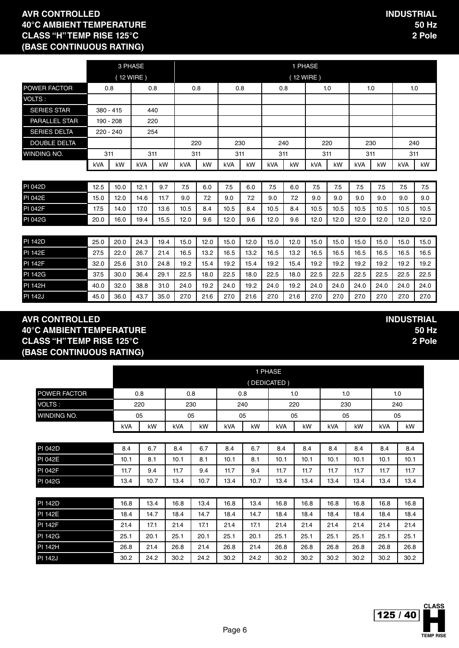|                     |             | 3 PHASE    |            |      | 1 PHASE    |      |      |      |            |      |            |      |            |      |      |      |
|---------------------|-------------|------------|------------|------|------------|------|------|------|------------|------|------------|------|------------|------|------|------|
|                     |             |            | (12 WIRE)  |      |            |      |      |      |            |      | (12 WIRE)  |      |            |      |      |      |
| POWER FACTOR        | 0.8         |            | 0.8        |      | 0.8        |      | 0.8  |      | 0.8        |      |            | 1.0  | 1.0        |      | 1.0  |      |
| VOLTS:              |             |            |            |      |            |      |      |      |            |      |            |      |            |      |      |      |
| <b>SERIES STAR</b>  | $380 - 415$ |            |            | 440  |            |      |      |      |            |      |            |      |            |      |      |      |
| PARALLEL STAR       | 190 - 208   |            |            | 220  |            |      |      |      |            |      |            |      |            |      |      |      |
| <b>SERIES DELTA</b> | $220 - 240$ |            |            | 254  |            |      |      |      |            |      |            |      |            |      |      |      |
| <b>DOUBLE DELTA</b> |             |            |            |      |            | 220  |      | 230  | 240        |      | 220        |      | 230        |      | 240  |      |
| <b>WINDING NO.</b>  |             | 311<br>311 |            | 311  |            | 311  |      | 311  |            | 311  |            | 311  |            | 311  |      |      |
|                     | <b>kVA</b>  | kW         | <b>kVA</b> | kW   | <b>kVA</b> | kW   | kVA  | kW   | <b>kVA</b> | kW   | <b>kVA</b> | kW   | <b>kVA</b> | kW   | kVA  | kW   |
|                     |             |            |            |      |            |      |      |      |            |      |            |      |            |      |      |      |
| <b>PI 042D</b>      | 12.5        | 10.0       | 12.1       | 9.7  | 7.5        | 6.0  | 7.5  | 6.0  | 7.5        | 6.0  | 7.5        | 7.5  | 7.5        | 7.5  | 7.5  | 7.5  |
| <b>PI 042E</b>      | 15.0        | 12.0       | 14.6       | 11.7 | 9.0        | 7.2  | 9.0  | 7.2  | 9.0        | 7.2  | 9.0        | 9.0  | 9.0        | 9.0  | 9.0  | 9.0  |
| <b>PI 042F</b>      | 17.5        | 14.0       | 17.0       | 13.6 | 10.5       | 8.4  | 10.5 | 8.4  | 10.5       | 8.4  | 10.5       | 10.5 | 10.5       | 10.5 | 10.5 | 10.5 |
| <b>PI 042G</b>      | 20.0        | 16.0       | 19.4       | 15.5 | 12.0       | 9.6  | 12.0 | 9.6  | 12.0       | 9.6  | 12.0       | 12.0 | 12.0       | 12.0 | 12.0 | 12.0 |
|                     |             |            |            |      |            |      |      |      |            |      |            |      |            |      |      |      |
| <b>PI 142D</b>      | 25.0        | 20.0       | 24.3       | 19.4 | 15.0       | 12.0 | 15.0 | 12.0 | 15.0       | 12.0 | 15.0       | 15.0 | 15.0       | 15.0 | 15.0 | 15.0 |
| <b>PI 142E</b>      | 27.5        | 22.0       | 26.7       | 21.4 | 16.5       | 13.2 | 16.5 | 13.2 | 16.5       | 13.2 | 16.5       | 16.5 | 16.5       | 16.5 | 16.5 | 16.5 |
| <b>PI 142F</b>      | 32.0        | 25.6       | 31.0       | 24.8 | 19.2       | 15.4 | 19.2 | 15.4 | 19.2       | 15.4 | 19.2       | 19.2 | 19.2       | 19.2 | 19.2 | 19.2 |
| PI 142G             | 37.5        | 30.0       | 36.4       | 29.1 | 22.5       | 18.0 | 22.5 | 18.0 | 22.5       | 18.0 | 22.5       | 22.5 | 22.5       | 22.5 | 22.5 | 22.5 |
| <b>PI 142H</b>      | 40.0        | 32.0       | 38.8       | 31.0 | 24.0       | 19.2 | 24.0 | 19.2 | 24.0       | 19.2 | 24.0       | 24.0 | 24.0       | 24.0 | 24.0 | 24.0 |

PI 142J 45.0 36.0 43.7 35.0 27.0 21.6 27.0 21.6 27.0 21.6 27.0 27.0 27.0 27.0 27.0 27.0

#### **AVR CONTROLLED 40°C AMBIENT TEMPERATURE CLASS "H" TEMP RISE 125°C (BASE CONTINUOUS RATING)**

|                |      | 1 PHASE |      |      |      |      |             |      |      |      |      |      |
|----------------|------|---------|------|------|------|------|-------------|------|------|------|------|------|
|                |      |         |      |      |      |      | (DEDICATED) |      |      |      |      |      |
| POWER FACTOR   |      | 0.8     |      | 0.8  |      | 0.8  |             | 1.0  | 1.0  |      |      | 1.0  |
| VOLTS:         |      | 220     |      | 230  |      | 240  |             | 220  |      | 230  |      | 240  |
| WINDING NO.    |      | 05      |      | 05   |      | 05   | 05          |      |      | 05   |      | 05   |
|                | kVA  | kW      | kVA  | kW   | kVA  | kW   | kVA         | kW   | kVA  | kW   | kVA  | kW   |
|                |      |         |      |      |      |      |             |      |      |      |      |      |
| <b>PI 042D</b> | 8.4  | 6.7     | 8.4  | 6.7  | 8.4  | 6.7  | 8.4         | 8.4  | 8.4  | 8.4  | 8.4  | 8.4  |
| <b>PI 042E</b> | 10.1 | 8.1     | 10.1 | 8.1  | 10.1 | 8.1  | 10.1        | 10.1 | 10.1 | 10.1 | 10.1 | 10.1 |
| PI 042F        | 11.7 | 9.4     | 11.7 | 9.4  | 11.7 | 9.4  | 11.7        | 11.7 | 11.7 | 11.7 | 11.7 | 11.7 |
| PI 042G        | 13.4 | 10.7    | 13.4 | 10.7 | 13.4 | 10.7 | 13.4        | 13.4 | 13.4 | 13.4 | 13.4 | 13.4 |
|                |      |         |      |      |      |      |             |      |      |      |      |      |
| <b>PI 142D</b> | 16.8 | 13.4    | 16.8 | 13.4 | 16.8 | 13.4 | 16.8        | 16.8 | 16.8 | 16.8 | 16.8 | 16.8 |
| <b>PI 142E</b> | 18.4 | 14.7    | 18.4 | 14.7 | 18.4 | 14.7 | 18.4        | 18.4 | 18.4 | 18.4 | 18.4 | 18.4 |
| <b>PI 142F</b> | 21.4 | 17.1    | 21.4 | 17.1 | 21.4 | 17.1 | 21.4        | 21.4 | 21.4 | 21.4 | 21.4 | 21.4 |
| <b>PI 142G</b> | 25.1 | 20.1    | 25.1 | 20.1 | 25.1 | 20.1 | 25.1        | 25.1 | 25.1 | 25.1 | 25.1 | 25.1 |
| <b>PI 142H</b> | 26.8 | 21.4    | 26.8 | 21.4 | 26.8 | 21.4 | 26.8        | 26.8 | 26.8 | 26.8 | 26.8 | 26.8 |
| <b>PI 142J</b> | 30.2 | 24.2    | 30.2 | 24.2 | 30.2 | 24.2 | 30.2        | 30.2 | 30.2 | 30.2 | 30.2 | 30.2 |

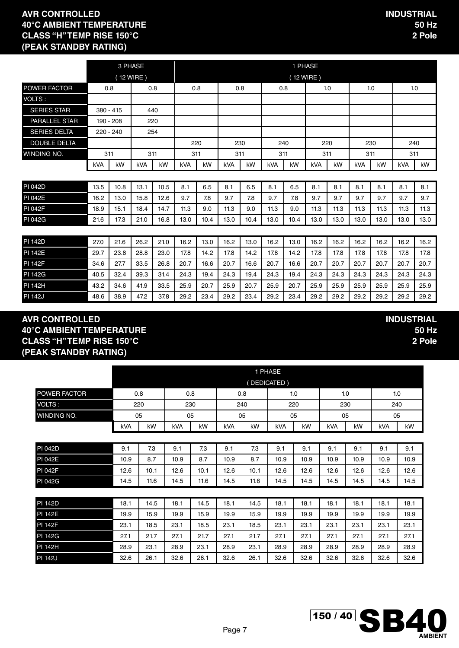|                      | 3 PHASE     |      |            |      |            | 1 PHASE |            |      |            |           |            |      |            |      |            |      |
|----------------------|-------------|------|------------|------|------------|---------|------------|------|------------|-----------|------------|------|------------|------|------------|------|
|                      |             |      | (12 WIRE)  |      |            |         |            |      |            | (12 WIRE) |            |      |            |      |            |      |
| POWER FACTOR         | 0.8         |      |            | 0.8  | 0.8        |         |            | 0.8  | 0.8        |           | 1.0        |      |            | 1.0  | 1.0        |      |
| VOLTS:               |             |      |            |      |            |         |            |      |            |           |            |      |            |      |            |      |
| <b>SERIES STAR</b>   | $380 - 415$ |      |            | 440  |            |         |            |      |            |           |            |      |            |      |            |      |
| <b>PARALLEL STAR</b> | 190 - 208   |      |            | 220  |            |         |            |      |            |           |            |      |            |      |            |      |
| <b>SERIES DELTA</b>  | 220 - 240   |      |            | 254  |            |         |            |      |            |           |            |      |            |      |            |      |
| <b>DOUBLE DELTA</b>  |             |      |            |      |            | 220     |            | 230  | 240        |           | 220        |      |            | 230  | 240        |      |
| WINDING NO.          | 311         |      | 311        |      | 311        |         | 311        |      | 311        |           | 311        |      | 311        |      | 311        |      |
|                      | kVA         | kW   | <b>kVA</b> | kW   | <b>kVA</b> | kW      | <b>kVA</b> | kW   | <b>kVA</b> | kW        | <b>kVA</b> | kW   | <b>kVA</b> | kW   | <b>kVA</b> | kW   |
|                      |             |      |            |      |            |         |            |      |            |           |            |      |            |      |            |      |
| <b>PI 042D</b>       | 13.5        | 10.8 | 13.1       | 10.5 | 8.1        | 6.5     | 8.1        | 6.5  | 8.1        | 6.5       | 8.1        | 8.1  | 8.1        | 8.1  | 8.1        | 8.1  |
| <b>PI 042E</b>       | 16.2        | 13.0 | 15.8       | 12.6 | 9.7        | 7.8     | 9.7        | 7.8  | 9.7        | 7.8       | 9.7        | 9.7  | 9.7        | 9.7  | 9.7        | 9.7  |
| <b>PI 042F</b>       | 18.9        | 15.1 | 18.4       | 14.7 | 11.3       | 9.0     | 11.3       | 9.0  | 11.3       | 9.0       | 11.3       | 11.3 | 11.3       | 11.3 | 11.3       | 11.3 |
| PI 042G              | 21.6        | 17.3 | 21.0       | 16.8 | 13.0       | 10.4    | 13.0       | 10.4 | 13.0       | 10.4      | 13.0       | 13.0 | 13.0       | 13.0 | 13.0       | 13.0 |
|                      |             |      |            |      |            |         |            |      |            |           |            |      |            |      |            |      |
| <b>PI 142D</b>       | 27.0        | 21.6 | 26.2       | 21.0 | 16.2       | 13.0    | 16.2       | 13.0 | 16.2       | 13.0      | 16.2       | 16.2 | 16.2       | 16.2 | 16.2       | 16.2 |
| <b>PI 142E</b>       | 29.7        | 23.8 | 28.8       | 23.0 | 17.8       | 14.2    | 17.8       | 14.2 | 17.8       | 14.2      | 17.8       | 17.8 | 17.8       | 17.8 | 17.8       | 17.8 |
| <b>PI 142F</b>       | 34.6        | 27.7 | 33.5       | 26.8 | 20.7       | 16.6    | 20.7       | 16.6 | 20.7       | 16.6      | 20.7       | 20.7 | 20.7       | 20.7 | 20.7       | 20.7 |
| <b>PI 142G</b>       | 40.5        | 32.4 | 39.3       | 31.4 | 24.3       | 19.4    | 24.3       | 19.4 | 24.3       | 19.4      | 24.3       | 24.3 | 24.3       | 24.3 | 24.3       | 24.3 |
| <b>PI 142H</b>       | 43.2        | 34.6 | 41.9       | 33.5 | 25.9       | 20.7    | 25.9       | 20.7 | 25.9       | 20.7      | 25.9       | 25.9 | 25.9       | 25.9 | 25.9       | 25.9 |

PI 142J 48.6 | 38.9 | 47.2 | 37.8 | 29.2 | 23.4 | 29.2 | 29.2 | 29.2 | 29.2 | 29.2 | 29.2 | 29.2 | 29.2 | 29.2 | 29.2 |

#### **AVR CONTROLLED 40°C AMBIENT TEMPERATURE CLASS "H" TEMP RISE 150°C (PEAK STANDBY RATING)**

|                | 1 PHASE |      |      |      |      |      |             |      |      |      |      |      |  |
|----------------|---------|------|------|------|------|------|-------------|------|------|------|------|------|--|
|                |         |      |      |      |      |      | (DEDICATED) |      |      |      |      |      |  |
| POWER FACTOR   |         | 0.8  |      | 0.8  |      | 0.8  | 1.0         |      | 1.0  |      |      | 1.0  |  |
| <b>VOLTS:</b>  |         | 220  |      | 230  | 240  |      |             | 220  |      | 230  | 240  |      |  |
| WINDING NO.    |         | 05   |      | 05   |      | 05   |             | 05   |      | 05   |      | 05   |  |
|                | kVA     | kW   | kVA  | kW   | kVA  | kW   | kVA         | kW   | kVA  | kW   | kVA  | kW   |  |
|                |         |      |      |      |      |      |             |      |      |      |      |      |  |
| <b>PI 042D</b> | 9.1     | 7.3  | 9.1  | 7.3  | 9.1  | 7.3  | 9.1         | 9.1  | 9.1  | 9.1  | 9.1  | 9.1  |  |
| <b>PI 042E</b> | 10.9    | 8.7  | 10.9 | 8.7  | 10.9 | 8.7  | 10.9        | 10.9 | 10.9 | 10.9 | 10.9 | 10.9 |  |
| <b>PI 042F</b> | 12.6    | 10.1 | 12.6 | 10.1 | 12.6 | 10.1 | 12.6        | 12.6 | 12.6 | 12.6 | 12.6 | 12.6 |  |
| PI 042G        | 14.5    | 11.6 | 14.5 | 11.6 | 14.5 | 11.6 | 14.5        | 14.5 | 14.5 | 14.5 | 14.5 | 14.5 |  |
|                |         |      |      |      |      |      |             |      |      |      |      |      |  |
| PI 142D        | 18.1    | 14.5 | 18.1 | 14.5 | 18.1 | 14.5 | 18.1        | 18.1 | 18.1 | 18.1 | 18.1 | 18.1 |  |
| <b>PI 142E</b> | 19.9    | 15.9 | 19.9 | 15.9 | 19.9 | 15.9 | 19.9        | 19.9 | 19.9 | 19.9 | 19.9 | 19.9 |  |
| <b>PI 142F</b> | 23.1    | 18.5 | 23.1 | 18.5 | 23.1 | 18.5 | 23.1        | 23.1 | 23.1 | 23.1 | 23.1 | 23.1 |  |
| <b>PI 142G</b> | 27.1    | 21.7 | 27.1 | 21.7 | 27.1 | 21.7 | 27.1        | 27.1 | 27.1 | 27.1 | 27.1 | 27.1 |  |
| PI 142H        | 28.9    | 23.1 | 28.9 | 23.1 | 28.9 | 23.1 | 28.9        | 28.9 | 28.9 | 28.9 | 28.9 | 28.9 |  |
| <b>PI 142J</b> | 32.6    | 26.1 | 32.6 | 26.1 | 32.6 | 26.1 | 32.6        | 32.6 | 32.6 | 32.6 | 32.6 | 32.6 |  |

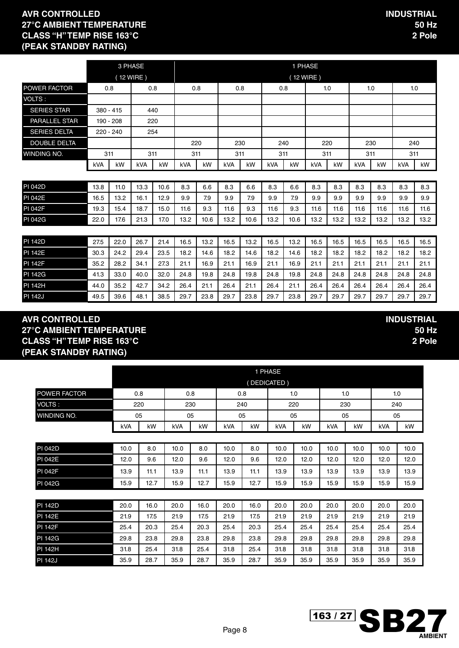|                      | 3 PHASE     |           |            |      | 1 PHASE    |      |            |      |            |           |            |      |            |      |      |      |
|----------------------|-------------|-----------|------------|------|------------|------|------------|------|------------|-----------|------------|------|------------|------|------|------|
|                      |             |           | (12 WIRE)  |      |            |      |            |      |            | (12 WIRE) |            |      |            |      |      |      |
| POWER FACTOR         | 0.8         |           | 0.8        |      | 0.8        |      | 0.8        |      | 0.8        |           |            | 1.0  | 1.0        |      | 1.0  |      |
| VOLTS:               |             |           |            |      |            |      |            |      |            |           |            |      |            |      |      |      |
| <b>SERIES STAR</b>   | $380 - 415$ |           | 440        |      |            |      |            |      |            |           |            |      |            |      |      |      |
| <b>PARALLEL STAR</b> | 190 - 208   |           | 220        |      |            |      |            |      |            |           |            |      |            |      |      |      |
| <b>SERIES DELTA</b>  |             | 220 - 240 | 254        |      |            |      |            |      |            |           |            |      |            |      |      |      |
| <b>DOUBLE DELTA</b>  |             |           |            |      |            | 220  |            | 230  |            | 240       |            | 220  | 230        |      | 240  |      |
| WINDING NO.          | 311         |           | 311        |      | 311        |      | 311        |      | 311        |           | 311        |      | 311        |      | 311  |      |
|                      | kVA         | kW        | <b>kVA</b> | kW   | <b>kVA</b> | kW   | <b>kVA</b> | kW   | <b>kVA</b> | kW        | <b>kVA</b> | kW   | <b>kVA</b> | kW   | kVA  | kW   |
|                      |             |           |            |      |            |      |            |      |            |           |            |      |            |      |      |      |
| <b>PI 042D</b>       | 13.8        | 11.0      | 13.3       | 10.6 | 8.3        | 6.6  | 8.3        | 6.6  | 8.3        | 6.6       | 8.3        | 8.3  | 8.3        | 8.3  | 8.3  | 8.3  |
| <b>PI 042E</b>       | 16.5        | 13.2      | 16.1       | 12.9 | 9.9        | 7.9  | 9.9        | 7.9  | 9.9        | 7.9       | 9.9        | 9.9  | 9.9        | 9.9  | 9.9  | 9.9  |
| PI 042F              | 19.3        | 15.4      | 18.7       | 15.0 | 11.6       | 9.3  | 11.6       | 9.3  | 11.6       | 9.3       | 11.6       | 11.6 | 11.6       | 11.6 | 11.6 | 11.6 |
| <b>PI 042G</b>       | 22.0        | 17.6      | 21.3       | 17.0 | 13.2       | 10.6 | 13.2       | 10.6 | 13.2       | 10.6      | 13.2       | 13.2 | 13.2       | 13.2 | 13.2 | 13.2 |
|                      |             |           |            |      |            |      |            |      |            |           |            |      |            |      |      |      |
| <b>PI 142D</b>       | 27.5        | 22.0      | 26.7       | 21.4 | 16.5       | 13.2 | 16.5       | 13.2 | 16.5       | 13.2      | 16.5       | 16.5 | 16.5       | 16.5 | 16.5 | 16.5 |
| <b>PI 142E</b>       | 30.3        | 24.2      | 29.4       | 23.5 | 18.2       | 14.6 | 18.2       | 14.6 | 18.2       | 14.6      | 18.2       | 18.2 | 18.2       | 18.2 | 18.2 | 18.2 |
| <b>PI 142F</b>       | 35.2        | 28.2      | 34.1       | 27.3 | 21.1       | 16.9 | 21.1       | 16.9 | 21.1       | 16.9      | 21.1       | 21.1 | 21.1       | 21.1 | 21.1 | 21.1 |
| <b>PI 142G</b>       | 41.3        | 33.0      | 40.0       | 32.0 | 24.8       | 19.8 | 24.8       | 19.8 | 24.8       | 19.8      | 24.8       | 24.8 | 24.8       | 24.8 | 24.8 | 24.8 |
| PI 142H              | 44.0        | 35.2      | 42.7       | 34.2 | 26.4       | 21.1 | 26.4       | 21.1 | 26.4       | 21.1      | 26.4       | 26.4 | 26.4       | 26.4 | 26.4 | 26.4 |

PI 142J 49.5 | 39.6 | 48.1 | 38.5 | 29.7 | 23.8 | 29.7 | 23.8 | 29.7 | 29.7 | 29.7 | 29.7 | 29.7 | 29.7 | 29.7 | 29.7 | 29.7 | 29.7 | 29.7 | 29.7 | 29.7 | 29.7 | 29.7 | 29.7 | 29.7 | 29.7 | 29.7 |

#### **AVR CONTROLLED 27°C AMBIENT TEMPERATURE CLASS "H" TEMP RISE 163°C (PEAK STANDBY RATING)**

|                |      |      |      |      |      |      | 1 PHASE     |      |      |      |      |      |
|----------------|------|------|------|------|------|------|-------------|------|------|------|------|------|
|                |      |      |      |      |      |      | (DEDICATED) |      |      |      |      |      |
| POWER FACTOR   |      | 0.8  |      | 0.8  |      | 0.8  |             | 1.0  |      | 1.0  |      | 1.0  |
| VOLTS:         |      | 220  |      | 230  |      | 240  |             | 220  |      | 230  |      | 240  |
| WINDING NO.    |      | 05   |      | 05   | 05   |      |             | 05   | 05   |      |      | 05   |
|                | kVA  | kW   | kVA  | kW   | kVA  | kW   | kVA         | kW   | kVA  | kW   | kVA  | kW   |
|                |      |      |      |      |      |      |             |      |      |      |      |      |
| <b>PI 042D</b> | 10.0 | 8.0  | 10.0 | 8.0  | 10.0 | 8.0  | 10.0        | 10.0 | 10.0 | 10.0 | 10.0 | 10.0 |
| <b>PI 042E</b> | 12.0 | 9.6  | 12.0 | 9.6  | 12.0 | 9.6  | 12.0        | 12.0 | 12.0 | 12.0 | 12.0 | 12.0 |
| <b>PI 042F</b> | 13.9 | 11.1 | 13.9 | 11.1 | 13.9 | 11.1 | 13.9        | 13.9 | 13.9 | 13.9 | 13.9 | 13.9 |
| PI 042G        | 15.9 | 12.7 | 15.9 | 12.7 | 15.9 | 12.7 | 15.9        | 15.9 | 15.9 | 15.9 | 15.9 | 15.9 |
|                |      |      |      |      |      |      |             |      |      |      |      |      |
| <b>PI</b> 142D | 20.0 | 16.0 | 20.0 | 16.0 | 20.0 | 16.0 | 20.0        | 20.0 | 20.0 | 20.0 | 20.0 | 20.0 |
| <b>PI 142E</b> | 21.9 | 17.5 | 21.9 | 17.5 | 21.9 | 17.5 | 21.9        | 21.9 | 21.9 | 21.9 | 21.9 | 21.9 |
| <b>PI 142F</b> | 25.4 | 20.3 | 25.4 | 20.3 | 25.4 | 20.3 | 25.4        | 25.4 | 25.4 | 25.4 | 25.4 | 25.4 |
| <b>PI 142G</b> | 29.8 | 23.8 | 29.8 | 23.8 | 29.8 | 23.8 | 29.8        | 29.8 | 29.8 | 29.8 | 29.8 | 29.8 |
| <b>PI 142H</b> | 31.8 | 25.4 | 31.8 | 25.4 | 31.8 | 25.4 | 31.8        | 31.8 | 31.8 | 31.8 | 31.8 | 31.8 |
| <b>PI 142J</b> | 35.9 | 28.7 | 35.9 | 28.7 | 35.9 | 28.7 | 35.9        | 35.9 | 35.9 | 35.9 | 35.9 | 35.9 |

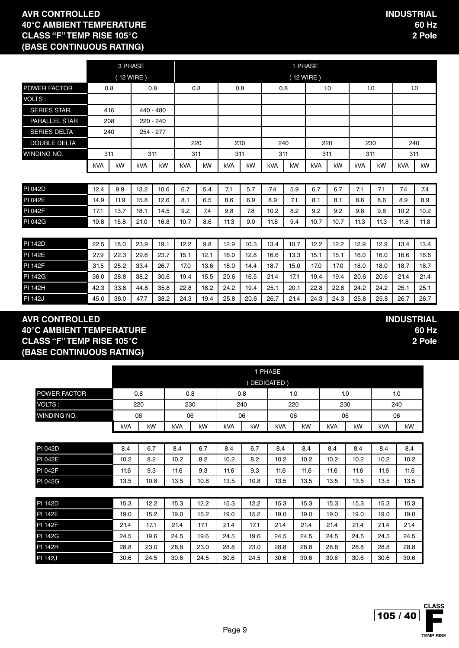|                     |      |      | 3 PHASE     |      |      |      |      |      |      |      | 1 PHASE   |      |      |      |      |      |
|---------------------|------|------|-------------|------|------|------|------|------|------|------|-----------|------|------|------|------|------|
|                     |      |      | (12 WIRE)   |      |      |      |      |      |      |      | (12 WIRE) |      |      |      |      |      |
| POWER FACTOR        | 0.8  |      | 0.8         |      |      | 0.8  | 0.8  |      | 0.8  |      |           | 1.0  | 1.0  |      |      | 1.0  |
| VOLTS:              |      |      |             |      |      |      |      |      |      |      |           |      |      |      |      |      |
| <b>SERIES STAR</b>  | 416  |      | 440 - 480   |      |      |      |      |      |      |      |           |      |      |      |      |      |
| PARALLEL STAR       | 208  |      | $220 - 240$ |      |      |      |      |      |      |      |           |      |      |      |      |      |
| <b>SERIES DELTA</b> | 240  |      | 254 - 277   |      |      |      |      |      |      |      |           |      |      |      |      |      |
| <b>DOUBLE DELTA</b> |      |      |             |      |      | 220  |      | 230  |      | 240  |           | 220  | 230  |      | 240  |      |
| <b>WINDING NO.</b>  | 311  |      | 311         |      | 311  |      | 311  |      | 311  |      | 311       |      | 311  |      | 311  |      |
|                     | kVA  | kW   | kVA         | kW   | kVA  | kW   | kVA  | kW   | kVA  | kW   | kVA       | kW   | kVA  | kW   | kVA  | kW   |
|                     |      |      |             |      |      |      |      |      |      |      |           |      |      |      |      |      |
| <b>PI 042D</b>      | 12.4 | 9.9  | 13.2        | 10.6 | 6.7  | 5.4  | 7.1  | 5.7  | 7.4  | 5.9  | 6.7       | 6.7  | 7.1  | 7.1  | 7.4  | 7.4  |
| <b>PI 042E</b>      | 14.9 | 11.9 | 15.8        | 12.6 | 8.1  | 6.5  | 8.6  | 6.9  | 8.9  | 7.1  | 8.1       | 8.1  | 8.6  | 8.6  | 8.9  | 8.9  |
| <b>PI 042F</b>      | 17.1 | 13.7 | 18.1        | 14.5 | 9.2  | 7.4  | 9.8  | 7.8  | 10.2 | 8.2  | 9.2       | 9.2  | 9.8  | 9.8  | 10.2 | 10.2 |
| <b>PI 042G</b>      | 19.8 | 15.8 | 21.0        | 16.8 | 10.7 | 8.6  | 11.3 | 9.0  | 11.8 | 9.4  | 10.7      | 10.7 | 11.3 | 11.3 | 11.8 | 11.8 |
|                     |      |      |             |      |      |      |      |      |      |      |           |      |      |      |      |      |
| <b>PI 142D</b>      | 22.5 | 18.0 | 23.9        | 19.1 | 12.2 | 9.8  | 12.9 | 10.3 | 13.4 | 10.7 | 12.2      | 12.2 | 12.9 | 12.9 | 13.4 | 13.4 |
| <b>PI 142E</b>      | 27.9 | 22.3 | 29.6        | 23.7 | 15.1 | 12.1 | 16.0 | 12.8 | 16.6 | 13.3 | 15.1      | 15.1 | 16.0 | 16.0 | 16.6 | 16.6 |
| <b>PI 142F</b>      | 31.5 | 25.2 | 33.4        | 26.7 | 17.0 | 13.6 | 18.0 | 14.4 | 18.7 | 15.0 | 17.0      | 17.0 | 18.0 | 18.0 | 18.7 | 18.7 |

PI 142G 36.0 28.8 38.2 30.6 19.4 15.5 20.6 16.5 21.4 17.1 19.4 19.4 20.6 20.6 21.4 21.4 PI 142H 42.3 33.8 44.8 35.8 22.8 18.2 24.2 19.4 25.1 20.1 22.8 22.8 24.2 24.2 25.1 25.1 PI 142J 45.0 | 36.0 | 47.7 | 38.2 | 24.3 | 19.4 | 25.8 | 20.6 | 26.7 | 21.4 | 24.3 | 24.3 | 25.8 | 25.8 | 26.7 | 26.7 |

#### **AVR CONTROLLED 40°C AMBIENT TEMPERATURE CLASS "F" TEMP RISE 105°C (BASE CONTINUOUS RATING)**

|                |      |      |      |      |      |      | 1 PHASE     |      |      |      |      |      |
|----------------|------|------|------|------|------|------|-------------|------|------|------|------|------|
|                |      |      |      |      |      |      | (DEDICATED) |      |      |      |      |      |
| POWER FACTOR   |      | 0.8  |      | 0.8  |      | 0.8  |             | 1.0  |      | 1.0  | 1.0  |      |
| VOLTS :        |      | 220  |      | 230  |      | 240  |             | 220  |      | 230  | 240  |      |
| winding No.    |      | 06   |      | 06   | 06   |      |             | 06   |      | 06   | 06   |      |
|                | kVA  | kW   | kVA  | kW   | kVA  | kW   | kVA         | kW   | kVA  | kW   | kVA  | kW   |
|                |      |      |      |      |      |      |             |      |      |      |      |      |
| <b>PI 042D</b> | 8.4  | 6.7  | 8.4  | 6.7  | 8.4  | 6.7  | 8.4         | 8.4  | 8.4  | 8.4  | 8.4  | 8.4  |
| <b>PI 042E</b> | 10.2 | 8.2  | 10.2 | 8.2  | 10.2 | 8.2  | 10.2        | 10.2 | 10.2 | 10.2 | 10.2 | 10.2 |
| <b>PI 042F</b> | 11.6 | 9.3  | 11.6 | 9.3  | 11.6 | 9.3  | 11.6        | 11.6 | 11.6 | 11.6 | 11.6 | 11.6 |
| <b>PI 042G</b> | 13.5 | 10.8 | 13.5 | 10.8 | 13.5 | 10.8 | 13.5        | 13.5 | 13.5 | 13.5 | 13.5 | 13.5 |
|                |      |      |      |      |      |      |             |      |      |      |      |      |
| <b>PI 142D</b> | 15.3 | 12.2 | 15.3 | 12.2 | 15.3 | 12.2 | 15.3        | 15.3 | 15.3 | 15.3 | 15.3 | 15.3 |
| <b>PI 142E</b> | 19.0 | 15.2 | 19.0 | 15.2 | 19.0 | 15.2 | 19.0        | 19.0 | 19.0 | 19.0 | 19.0 | 19.0 |
| <b>PI 142F</b> | 21.4 | 17.1 | 21.4 | 17.1 | 21.4 | 17.1 | 21.4        | 21.4 | 21.4 | 21.4 | 21.4 | 21.4 |
| PI 142G        | 24.5 | 19.6 | 24.5 | 19.6 | 24.5 | 19.6 | 24.5        | 24.5 | 24.5 | 24.5 | 24.5 | 24.5 |
| PI 142H        | 28.8 | 23.0 | 28.8 | 23.0 | 28.8 | 23.0 | 28.8        | 28.8 | 28.8 | 28.8 | 28.8 | 28.8 |
| <b>PI 142J</b> | 30.6 | 24.5 | 30.6 | 24.5 | 30.6 | 24.5 | 30.6        | 30.6 | 30.6 | 30.6 | 30.6 | 30.6 |

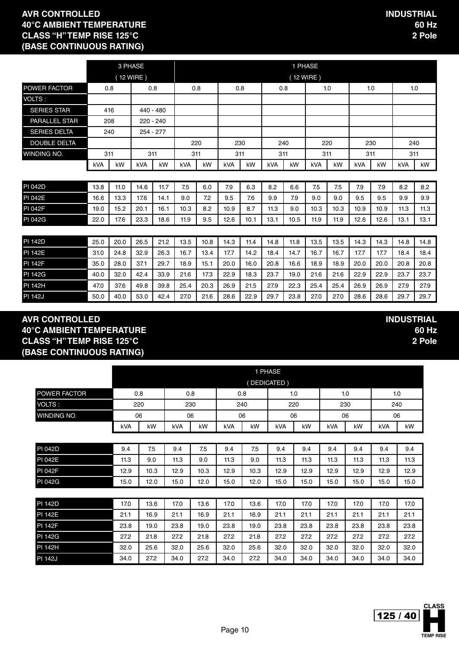**INDUSTRIAL**

**60 Hz 2 Pole**

|                     |      | 3 PHASE |             |      |            |      |      |      |            | 1 PHASE   |            |      |            |      |            |      |
|---------------------|------|---------|-------------|------|------------|------|------|------|------------|-----------|------------|------|------------|------|------------|------|
|                     |      |         | (12 WIRE)   |      |            |      |      |      |            | (12 WIRE) |            |      |            |      |            |      |
| POWER FACTOR        | 0.8  |         | 0.8         |      | 0.8        |      | 0.8  |      | 0.8        |           |            | 1.0  | 1.0        |      | 1.0        |      |
| VOLTS:              |      |         |             |      |            |      |      |      |            |           |            |      |            |      |            |      |
| <b>SERIES STAR</b>  | 416  |         | $440 - 480$ |      |            |      |      |      |            |           |            |      |            |      |            |      |
| PARALLEL STAR       | 208  |         | 220 - 240   |      |            |      |      |      |            |           |            |      |            |      |            |      |
| <b>SERIES DELTA</b> | 240  |         | $254 - 277$ |      |            |      |      |      |            |           |            |      |            |      |            |      |
| <b>DOUBLE DELTA</b> |      |         |             |      |            | 220  | 230  |      | 240        |           | 220        |      | 230        |      | 240        |      |
| <b>WINDING NO.</b>  | 311  |         | 311         |      | 311        |      | 311  |      | 311        |           | 311        |      | 311        |      | 311        |      |
|                     | kVA  | kW      | <b>kVA</b>  | kW   | <b>kVA</b> | kW   | kVA  | kW   | <b>kVA</b> | kW        | <b>kVA</b> | kW   | <b>kVA</b> | kW   | <b>kVA</b> | kW   |
|                     |      |         |             |      |            |      |      |      |            |           |            |      |            |      |            |      |
| <b>PI 042D</b>      | 13.8 | 11.0    | 14.6        | 11.7 | 7.5        | 6.0  | 7.9  | 6.3  | 8.2        | 6.6       | 7.5        | 7.5  | 7.9        | 7.9  | 8.2        | 8.2  |
| <b>PI 042E</b>      | 16.6 | 13.3    | 17.6        | 14.1 | 9.0        | 7.2  | 9.5  | 7.6  | 9.9        | 7.9       | 9.0        | 9.0  | 9.5        | 9.5  | 9.9        | 9.9  |
| <b>PI 042F</b>      | 19.0 | 15.2    | 20.1        | 16.1 | 10.3       | 8.2  | 10.9 | 8.7  | 11.3       | 9.0       | 10.3       | 10.3 | 10.9       | 10.9 | 11.3       | 11.3 |
| PI 042G             | 22.0 | 17.6    | 23.3        | 18.6 | 11.9       | 9.5  | 12.6 | 10.1 | 13.1       | 10.5      | 11.9       | 11.9 | 12.6       | 12.6 | 13.1       | 13.1 |
|                     |      |         |             |      |            |      |      |      |            |           |            |      |            |      |            |      |
| <b>PI 142D</b>      | 25.0 | 20.0    | 26.5        | 21.2 | 13.5       | 10.8 | 14.3 | 11.4 | 14.8       | 11.8      | 13.5       | 13.5 | 14.3       | 14.3 | 14.8       | 14.8 |
| <b>PI 142E</b>      | 31.0 | 24.8    | 32.9        | 26.3 | 16.7       | 13.4 | 17.7 | 14.2 | 18.4       | 14.7      | 16.7       | 16.7 | 17.7       | 17.7 | 18.4       | 18.4 |
| <b>PI 142F</b>      | 35.0 | 28.0    | 37.1        | 29.7 | 18.9       | 15.1 | 20.0 | 16.0 | 20.8       | 16.6      | 18.9       | 18.9 | 20.0       | 20.0 | 20.8       | 20.8 |
| <b>PI 142G</b>      | 40.0 | 32.0    | 42.4        | 33.9 | 21.6       | 17.3 | 22.9 | 18.3 | 23.7       | 19.0      | 21.6       | 21.6 | 22.9       | 22.9 | 23.7       | 23.7 |
| <b>PI 142H</b>      | 47.0 | 37.6    | 49.8        | 39.8 | 25.4       | 20.3 | 26.9 | 21.5 | 27.9       | 22.3      | 25.4       | 25.4 | 26.9       | 26.9 | 27.9       | 27.9 |

PI 142J 50.0 40.0 53.0 42.4 27.0 21.6 28.6 22.9 29.7 23.8 27.0 27.0 28.6 28.6 29.7 29.7

#### **AVR CONTROLLED 40°C AMBIENT TEMPERATURE CLASS "H" TEMP RISE 125°C (BASE CONTINUOUS RATING)**

|                |      |      |      |      |      |      | 1 PHASE     |      |      |      |      |      |
|----------------|------|------|------|------|------|------|-------------|------|------|------|------|------|
|                |      |      |      |      |      |      | (DEDICATED) |      |      |      |      |      |
| POWER FACTOR   |      | 0.8  |      | 0.8  | 0.8  |      |             | 1.0  |      | 1.0  |      | 1.0  |
| <b>VOLTS:</b>  |      | 220  |      | 230  |      | 240  | 220         |      |      | 230  | 240  |      |
| WINDING NO.    |      | 06   |      | 06   | 06   |      | 06          |      |      | 06   | 06   |      |
|                | kVA  | kW   | kVA  | kW   | kVA  | kW   | kVA         | kW   | kVA  | kW   | kVA  | kW   |
|                |      |      |      |      |      |      |             |      |      |      |      |      |
| <b>PI 042D</b> | 9.4  | 7.5  | 9.4  | 7.5  | 9.4  | 7.5  | 9.4         | 9.4  | 9.4  | 9.4  | 9.4  | 9.4  |
| <b>PI 042E</b> | 11.3 | 9.0  | 11.3 | 9.0  | 11.3 | 9.0  | 11.3        | 11.3 | 11.3 | 11.3 | 11.3 | 11.3 |
| <b>PI 042F</b> | 12.9 | 10.3 | 12.9 | 10.3 | 12.9 | 10.3 | 12.9        | 12.9 | 12.9 | 12.9 | 12.9 | 12.9 |
| <b>PI 042G</b> | 15.0 | 12.0 | 15.0 | 12.0 | 15.0 | 12.0 | 15.0        | 15.0 | 15.0 | 15.0 | 15.0 | 15.0 |
|                |      |      |      |      |      |      |             |      |      |      |      |      |
| <b>PI 142D</b> | 17.0 | 13.6 | 17.0 | 13.6 | 17.0 | 13.6 | 17.0        | 17.0 | 17.0 | 17.0 | 17.0 | 17.0 |
| <b>PI 142E</b> | 21.1 | 16.9 | 21.1 | 16.9 | 21.1 | 16.9 | 21.1        | 21.1 | 21.1 | 21.1 | 21.1 | 21.1 |
| <b>PI 142F</b> | 23.8 | 19.0 | 23.8 | 19.0 | 23.8 | 19.0 | 23.8        | 23.8 | 23.8 | 23.8 | 23.8 | 23.8 |
| <b>PI 142G</b> | 27.2 | 21.8 | 27.2 | 21.8 | 27.2 | 21.8 | 27.2        | 27.2 | 27.2 | 27.2 | 27.2 | 27.2 |
| <b>PI 142H</b> | 32.0 | 25.6 | 32.0 | 25.6 | 32.0 | 25.6 | 32.0        | 32.0 | 32.0 | 32.0 | 32.0 | 32.0 |
| <b>PI 142J</b> | 34.0 | 27.2 | 34.0 | 27.2 | 34.0 | 27.2 | 34.0        | 34.0 | 34.0 | 34.0 | 34.0 | 34.0 |

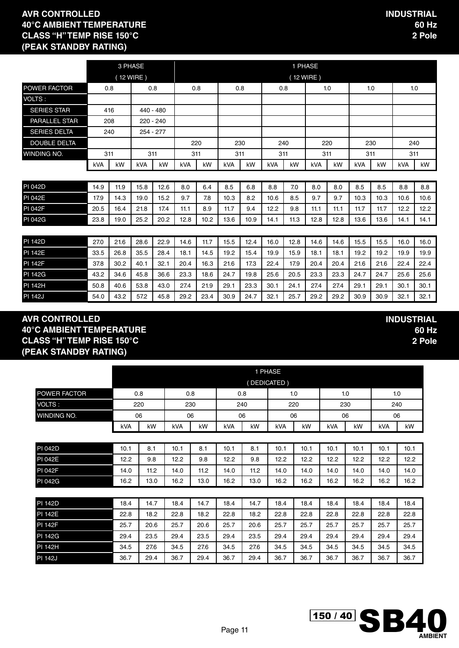|                     |            |      | 3 PHASE    |           |            |      |            |      |            | 1 PHASE   |            |      |            |      |            |      |
|---------------------|------------|------|------------|-----------|------------|------|------------|------|------------|-----------|------------|------|------------|------|------------|------|
|                     |            |      | (12 WIRE)  |           |            |      |            |      |            | (12 WIRE) |            |      |            |      |            |      |
| POWER FACTOR        | 0.8        |      | 0.8        |           | 0.8        |      | 0.8        |      | 0.8        |           |            | 1.0  |            | 1.0  | 1.0        |      |
| VOLTS:              |            |      |            |           |            |      |            |      |            |           |            |      |            |      |            |      |
| <b>SERIES STAR</b>  |            | 416  | 440 - 480  |           |            |      |            |      |            |           |            |      |            |      |            |      |
| PARALLEL STAR       |            | 208  |            | 220 - 240 |            |      |            |      |            |           |            |      |            |      |            |      |
| <b>SERIES DELTA</b> |            | 240  |            | 254 - 277 |            |      |            |      |            |           |            |      |            |      |            |      |
| <b>DOUBLE DELTA</b> |            |      |            |           |            | 220  |            | 230  |            | 240       | 220        |      | 230        |      | 240        |      |
| WINDING NO.         | 311        |      | 311        |           | 311        |      | 311        |      | 311        |           | 311        |      | 311        |      | 311        |      |
|                     | <b>kVA</b> | kW   | <b>kVA</b> | kW        | <b>kVA</b> | kW   | <b>kVA</b> | kW   | <b>kVA</b> | kW        | <b>kVA</b> | kW   | <b>kVA</b> | kW   | <b>kVA</b> | kW   |
|                     |            |      |            |           |            |      |            |      |            |           |            |      |            |      |            |      |
| <b>PI 042D</b>      | 14.9       | 11.9 | 15.8       | 12.6      | 8.0        | 6.4  | 8.5        | 6.8  | 8.8        | 7.0       | 8.0        | 8.0  | 8.5        | 8.5  | 8.8        | 8.8  |
| <b>PI 042E</b>      | 17.9       | 14.3 | 19.0       | 15.2      | 9.7        | 7.8  | 10.3       | 8.2  | 10.6       | 8.5       | 9.7        | 9.7  | 10.3       | 10.3 | 10.6       | 10.6 |
| <b>PI 042F</b>      | 20.5       | 16.4 | 21.8       | 17.4      | 11.1       | 8.9  | 11.7       | 9.4  | 12.2       | 9.8       | 11.1       | 11.1 | 11.7       | 11.7 | 12.2       | 12.2 |
| <b>PI 042G</b>      | 23.8       | 19.0 | 25.2       | 20.2      | 12.8       | 10.2 | 13.6       | 10.9 | 14.1       | 11.3      | 12.8       | 12.8 | 13.6       | 13.6 | 14.1       | 14.1 |
|                     |            |      |            |           |            |      |            |      |            |           |            |      |            |      |            |      |
| <b>PI 142D</b>      | 27.0       | 21.6 | 28.6       | 22.9      | 14.6       | 11.7 | 15.5       | 12.4 | 16.0       | 12.8      | 14.6       | 14.6 | 15.5       | 15.5 | 16.0       | 16.0 |
| <b>PI 142E</b>      | 33.5       | 26.8 | 35.5       | 28.4      | 18.1       | 14.5 | 19.2       | 15.4 | 19.9       | 15.9      | 18.1       | 18.1 | 19.2       | 19.2 | 19.9       | 19.9 |
| <b>PI 142F</b>      | 37.8       | 30.2 | 40.1       | 32.1      | 20.4       | 16.3 | 21.6       | 17.3 | 22.4       | 17.9      | 20.4       | 20.4 | 21.6       | 21.6 | 22.4       | 22.4 |
| <b>PI 142G</b>      | 43.2       | 34.6 | 45.8       | 36.6      | 23.3       | 18.6 | 24.7       | 19.8 | 25.6       | 20.5      | 23.3       | 23.3 | 24.7       | 24.7 | 25.6       | 25.6 |
| <b>PI 142H</b>      | 50.8       | 40.6 | 53.8       | 43.0      | 27.4       | 21.9 | 29.1       | 23.3 | 30.1       | 24.1      | 27.4       | 27.4 | 29.1       | 29.1 | 30.1       | 30.1 |

PI 142J 54.0 43.2 57.2 45.8 29.2 23.4 30.9 24.7 32.1 25.7 29.2 29.2 30.9 30.9 32.1 32.1

#### **AVR CONTROLLED 40°C AMBIENT TEMPERATURE CLASS "H" TEMP RISE 150°C (PEAK STANDBY RATING)**

|                     |      |      |      |      |      |      | 1 PHASE     |      |      |      |      |      |
|---------------------|------|------|------|------|------|------|-------------|------|------|------|------|------|
|                     |      |      |      |      |      |      | (DEDICATED) |      |      |      |      |      |
| <b>POWER FACTOR</b> |      | 0.8  |      | 0.8  | 0.8  |      |             | 1.0  |      | 1.0  |      | 1.0  |
| VOLTS:              |      | 220  |      | 230  |      | 240  |             | 220  |      | 230  | 240  |      |
| WINDING NO.         |      | 06   |      | 06   | 06   |      |             | 06   |      | 06   | 06   |      |
|                     | kVA  | kW   | kVA  | kW   | kVA  | kW   | kVA         | kW   | kVA  | kW   | kVA  | kW   |
|                     |      |      |      |      |      |      |             |      |      |      |      |      |
| PI 042D             | 10.1 | 8.1  | 10.1 | 8.1  | 10.1 | 8.1  | 10.1        | 10.1 | 10.1 | 10.1 | 10.1 | 10.1 |
| <b>PI 042E</b>      | 12.2 | 9.8  | 12.2 | 9.8  | 12.2 | 9.8  | 12.2        | 12.2 | 12.2 | 12.2 | 12.2 | 12.2 |
| <b>PI 042F</b>      | 14.0 | 11.2 | 14.0 | 11.2 | 14.0 | 11.2 | 14.0        | 14.0 | 14.0 | 14.0 | 14.0 | 14.0 |
| <b>PI 042G</b>      | 16.2 | 13.0 | 16.2 | 13.0 | 16.2 | 13.0 | 16.2        | 16.2 | 16.2 | 16.2 | 16.2 | 16.2 |
|                     |      |      |      |      |      |      |             |      |      |      |      |      |
| <b>PI 142D</b>      | 18.4 | 14.7 | 18.4 | 14.7 | 18.4 | 14.7 | 18.4        | 18.4 | 18.4 | 18.4 | 18.4 | 18.4 |
| <b>PI 142E</b>      | 22.8 | 18.2 | 22.8 | 18.2 | 22.8 | 18.2 | 22.8        | 22.8 | 22.8 | 22.8 | 22.8 | 22.8 |
| <b>PI 142F</b>      | 25.7 | 20.6 | 25.7 | 20.6 | 25.7 | 20.6 | 25.7        | 25.7 | 25.7 | 25.7 | 25.7 | 25.7 |
| <b>PI 142G</b>      | 29.4 | 23.5 | 29.4 | 23.5 | 29.4 | 23.5 | 29.4        | 29.4 | 29.4 | 29.4 | 29.4 | 29.4 |
| PI 142H             | 34.5 | 27.6 | 34.5 | 27.6 | 34.5 | 27.6 | 34.5        | 34.5 | 34.5 | 34.5 | 34.5 | 34.5 |
| <b>PI 142J</b>      | 36.7 | 29.4 | 36.7 | 29.4 | 36.7 | 29.4 | 36.7        | 36.7 | 36.7 | 36.7 | 36.7 | 36.7 |

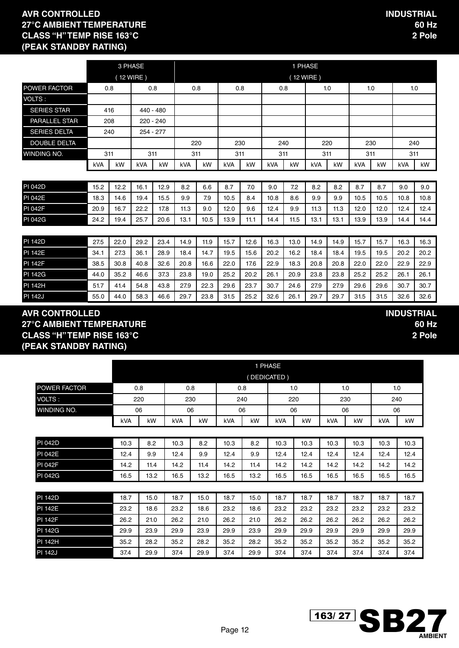**INDUSTRIAL**

**60 Hz 2 Pole**

|                      |      | 3 PHASE |            |           |            |      |            |      |      | 1 PHASE |            |      |            |      |      |      |
|----------------------|------|---------|------------|-----------|------------|------|------------|------|------|---------|------------|------|------------|------|------|------|
|                      |      |         | (12 WIRE)  |           |            |      |            |      |      |         | (12 WIRE)  |      |            |      |      |      |
| POWER FACTOR         | 0.8  |         | 0.8        |           | 0.8        |      | 0.8        |      | 0.8  |         | 1.0        |      |            | 1.0  | 1.0  |      |
| VOLTS:               |      |         |            |           |            |      |            |      |      |         |            |      |            |      |      |      |
| <b>SERIES STAR</b>   | 416  |         | 440 - 480  |           |            |      |            |      |      |         |            |      |            |      |      |      |
| <b>PARALLEL STAR</b> | 208  |         |            | 220 - 240 |            |      |            |      |      |         |            |      |            |      |      |      |
| <b>SERIES DELTA</b>  | 240  |         | 254 - 277  |           |            |      |            |      |      |         |            |      |            |      |      |      |
| <b>DOUBLE DELTA</b>  |      |         |            |           | 220        |      | 230        |      | 240  |         | 220        |      | 230        |      | 240  |      |
| WINDING NO.          | 311  |         | 311        |           | 311        |      | 311        |      | 311  |         | 311        |      | 311        |      | 311  |      |
|                      | kVA  | kW      | <b>kVA</b> | kW        | <b>kVA</b> | kW   | <b>kVA</b> | kW   | kVA  | kW      | <b>kVA</b> | kW   | <b>kVA</b> | kW   | kVA  | kW   |
|                      |      |         |            |           |            |      |            |      |      |         |            |      |            |      |      |      |
| <b>PI 042D</b>       | 15.2 | 12.2    | 16.1       | 12.9      | 8.2        | 6.6  | 8.7        | 7.0  | 9.0  | 7.2     | 8.2        | 8.2  | 8.7        | 8.7  | 9.0  | 9.0  |
| <b>PI 042E</b>       | 18.3 | 14.6    | 19.4       | 15.5      | 9.9        | 7.9  | 10.5       | 8.4  | 10.8 | 8.6     | 9.9        | 9.9  | 10.5       | 10.5 | 10.8 | 10.8 |
| <b>PI 042F</b>       | 20.9 | 16.7    | 22.2       | 17.8      | 11.3       | 9.0  | 12.0       | 9.6  | 12.4 | 9.9     | 11.3       | 11.3 | 12.0       | 12.0 | 12.4 | 12.4 |
| PI 042G              | 24.2 | 19.4    | 25.7       | 20.6      | 13.1       | 10.5 | 13.9       | 11.1 | 14.4 | 11.5    | 13.1       | 13.1 | 13.9       | 13.9 | 14.4 | 14.4 |
|                      |      |         |            |           |            |      |            |      |      |         |            |      |            |      |      |      |
| <b>PI 142D</b>       | 27.5 | 22.0    | 29.2       | 23.4      | 14.9       | 11.9 | 15.7       | 12.6 | 16.3 | 13.0    | 14.9       | 14.9 | 15.7       | 15.7 | 16.3 | 16.3 |
| <b>PI 142E</b>       | 34.1 | 27.3    | 36.1       | 28.9      | 18.4       | 14.7 | 19.5       | 15.6 | 20.2 | 16.2    | 18.4       | 18.4 | 19.5       | 19.5 | 20.2 | 20.2 |
| <b>PI 142F</b>       | 38.5 | 30.8    | 40.8       | 32.6      | 20.8       | 16.6 | 22.0       | 17.6 | 22.9 | 18.3    | 20.8       | 20.8 | 22.0       | 22.0 | 22.9 | 22.9 |
| <b>PI 142G</b>       | 44.0 | 35.2    | 46.6       | 37.3      | 23.8       | 19.0 | 25.2       | 20.2 | 26.1 | 20.9    | 23.8       | 23.8 | 25.2       | 25.2 | 26.1 | 26.1 |
| PI 142H              | 51.7 | 41.4    | 54.8       | 43.8      | 27.9       | 22.3 | 29.6       | 23.7 | 30.7 | 24.6    | 27.9       | 27.9 | 29.6       | 29.6 | 30.7 | 30.7 |

PI 142J 55.0 | 44.0 | 58.3 | 46.6 | 29.7 | 23.8 | 31.5 | 25.2 | 32.6 | 26.1 | 29.7 | 29.7 | 31.5 | 31.5 | 32.6 | 32.6 |

#### **AVR CONTROLLED 27°C AMBIENT TEMPERATURE CLASS "H" TEMP RISE 163°C (PEAK STANDBY RATING)**

|                |      |      |      |      |      |      | 1 PHASE     |      |      |      |      |      |
|----------------|------|------|------|------|------|------|-------------|------|------|------|------|------|
|                |      |      |      |      |      |      | (DEDICATED) |      |      |      |      |      |
| POWER FACTOR   |      | 0.8  |      | 0.8  |      | 0.8  |             | 1.0  |      | 1.0  |      | 1.0  |
| VOLTS:         |      | 220  |      | 230  |      | 240  |             | 220  |      | 230  |      | 240  |
| WINDING NO.    |      | 06   |      | 06   |      | 06   |             | 06   |      | 06   |      | 06   |
|                | kVA  | kW   | kVA  | kW   | kVA  | kW   | kVA         | kW   | kVA  | kW   | kVA  | kW   |
|                |      |      |      |      |      |      |             |      |      |      |      |      |
| PI 042D        | 10.3 | 8.2  | 10.3 | 8.2  | 10.3 | 8.2  | 10.3        | 10.3 | 10.3 | 10.3 | 10.3 | 10.3 |
| <b>PI 042E</b> | 12.4 | 9.9  | 12.4 | 9.9  | 12.4 | 9.9  | 12.4        | 12.4 | 12.4 | 12.4 | 12.4 | 12.4 |
| <b>PI 042F</b> | 14.2 | 11.4 | 14.2 | 11.4 | 14.2 | 11.4 | 14.2        | 14.2 | 14.2 | 14.2 | 14.2 | 14.2 |
| <b>PI 042G</b> | 16.5 | 13.2 | 16.5 | 13.2 | 16.5 | 13.2 | 16.5        | 16.5 | 16.5 | 16.5 | 16.5 | 16.5 |
|                |      |      |      |      |      |      |             |      |      |      |      |      |
| PI 142D        | 18.7 | 15.0 | 18.7 | 15.0 | 18.7 | 15.0 | 18.7        | 18.7 | 18.7 | 18.7 | 18.7 | 18.7 |
| <b>PI 142E</b> | 23.2 | 18.6 | 23.2 | 18.6 | 23.2 | 18.6 | 23.2        | 23.2 | 23.2 | 23.2 | 23.2 | 23.2 |
| <b>PI 142F</b> | 26.2 | 21.0 | 26.2 | 21.0 | 26.2 | 21.0 | 26.2        | 26.2 | 26.2 | 26.2 | 26.2 | 26.2 |
| <b>PI 142G</b> | 29.9 | 23.9 | 29.9 | 23.9 | 29.9 | 23.9 | 29.9        | 29.9 | 29.9 | 29.9 | 29.9 | 29.9 |
| <b>PI 142H</b> | 35.2 | 28.2 | 35.2 | 28.2 | 35.2 | 28.2 | 35.2        | 35.2 | 35.2 | 35.2 | 35.2 | 35.2 |
| <b>PI 142J</b> | 37.4 | 29.9 | 37.4 | 29.9 | 37.4 | 29.9 | 37.4        | 37.4 | 37.4 | 37.4 | 37.4 | 37.4 |

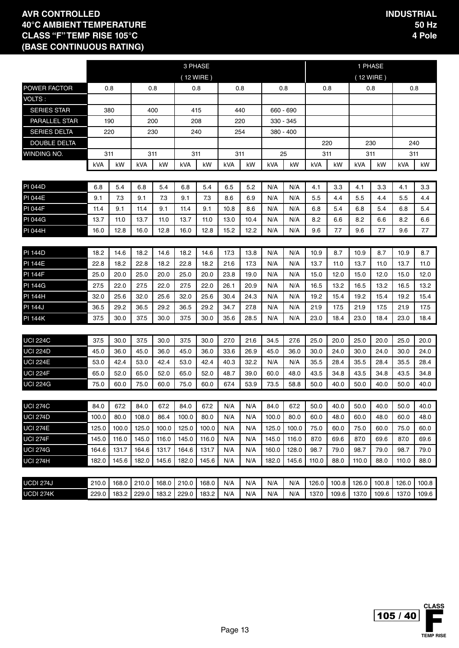|                      |       |       |       |       | 3 PHASE |           |            |      |           |           |       |       | 1 PHASE     |       |       |       |
|----------------------|-------|-------|-------|-------|---------|-----------|------------|------|-----------|-----------|-------|-------|-------------|-------|-------|-------|
|                      |       |       |       |       |         | (12 WIRE) |            |      |           |           |       |       | $(12$ WIRE) |       |       |       |
| POWER FACTOR         |       | 0.8   | 0.8   |       | 0.8     |           |            | 0.8  | 0.8       |           | 0.8   |       | 0.8         |       | 0.8   |       |
| VOLTS:               |       |       |       |       |         |           |            |      |           |           |       |       |             |       |       |       |
| <b>SERIES STAR</b>   |       | 380   | 400   |       |         | 415       |            | 440  |           | 660 - 690 |       |       |             |       |       |       |
| <b>PARALLEL STAR</b> |       | 190   | 200   |       |         | 208       |            | 220  | 330 - 345 |           |       |       |             |       |       |       |
| <b>SERIES DELTA</b>  |       | 220   | 230   |       |         | 240       |            | 254  |           | 380 - 400 |       |       |             |       |       |       |
| <b>DOUBLE DELTA</b>  |       |       |       |       |         |           |            |      |           |           | 220   |       | 230         |       | 240   |       |
| WINDING NO.          | 311   |       | 311   |       | 311     |           | 311        |      |           | 25        | 311   |       | 311         |       | 311   |       |
|                      | kVA   | kW    | kVA   | kW    | kVA     | kW        | <b>kVA</b> | kW   | kVA       | kW        | kVA   | kW    | <b>kVA</b>  | kW    | kVA   | kW    |
|                      |       |       |       |       |         |           |            |      |           |           |       |       |             |       |       |       |
| <b>PI 044D</b>       | 6.8   | 5.4   | 6.8   | 5.4   | 6.8     | 5.4       | 6.5        | 5.2  | N/A       | N/A       | 4.1   | 3.3   | 4.1         | 3.3   | 4.1   | 3.3   |
| <b>PI 044E</b>       | 9.1   | 7.3   | 9.1   | 7.3   | 9.1     | 7.3       | 8.6        | 6.9  | N/A       | N/A       | 5.5   | 4.4   | 5.5         | 4.4   | 5.5   | 4.4   |
| <b>PI 044F</b>       | 11.4  | 9.1   | 11.4  | 9.1   | 11.4    | 9.1       | 10.8       | 8.6  | N/A       | N/A       | 6.8   | 5.4   | 6.8         | 5.4   | 6.8   | 5.4   |
| <b>PI 044G</b>       | 13.7  | 11.0  | 13.7  | 11.0  | 13.7    | 11.0      | 13.0       | 10.4 | N/A       | N/A       | 8.2   | 6.6   | 8.2         | 6.6   | 8.2   | 6.6   |
| PI 044H              | 16.0  | 12.8  | 16.0  | 12.8  | 16.0    | 12.8      | 15.2       | 12.2 | N/A       | N/A       | 9.6   | 7.7   | 9.6         | 7.7   | 9.6   | 7.7   |
|                      |       |       |       |       |         |           |            |      |           |           |       |       |             |       |       |       |
| <b>PI 144D</b>       | 18.2  | 14.6  | 18.2  | 14.6  | 18.2    | 14.6      | 17.3       | 13.8 | N/A       | N/A       | 10.9  | 8.7   | 10.9        | 8.7   | 10.9  | 8.7   |
| <b>PI 144E</b>       | 22.8  | 18.2  | 22.8  | 18.2  | 22.8    | 18.2      | 21.6       | 17.3 | N/A       | N/A       | 13.7  | 11.0  | 13.7        | 11.0  | 13.7  | 11.0  |
| <b>PI 144F</b>       | 25.0  | 20.0  | 25.0  | 20.0  | 25.0    | 20.0      | 23.8       | 19.0 | N/A       | N/A       | 15.0  | 12.0  | 15.0        | 12.0  | 15.0  | 12.0  |
| <b>PI 144G</b>       | 27.5  | 22.0  | 27.5  | 22.0  | 27.5    | 22.0      | 26.1       | 20.9 | N/A       | N/A       | 16.5  | 13.2  | 16.5        | 13.2  | 16.5  | 13.2  |
| <b>PI 144H</b>       | 32.0  | 25.6  | 32.0  | 25.6  | 32.0    | 25.6      | 30.4       | 24.3 | N/A       | N/A       | 19.2  | 15.4  | 19.2        | 15.4  | 19.2  | 15.4  |
| <b>PI 144J</b>       | 36.5  | 29.2  | 36.5  | 29.2  | 36.5    | 29.2      | 34.7       | 27.8 | N/A       | N/A       | 21.9  | 17.5  | 21.9        | 17.5  | 21.9  | 17.5  |
| <b>PI 144K</b>       | 37.5  | 30.0  | 37.5  | 30.0  | 37.5    | 30.0      | 35.6       | 28.5 | N/A       | N/A       | 23.0  | 18.4  | 23.0        | 18.4  | 23.0  | 18.4  |
|                      |       |       |       |       |         |           |            |      |           |           |       |       |             |       |       |       |
| <b>UCI 224C</b>      | 37.5  | 30.0  | 37.5  | 30.0  | 37.5    | 30.0      | 27.0       | 21.6 | 34.5      | 27.6      | 25.0  | 20.0  | 25.0        | 20.0  | 25.0  | 20.0  |
| <b>UCI 224D</b>      | 45.0  | 36.0  | 45.0  | 36.0  | 45.0    | 36.0      | 33.6       | 26.9 | 45.0      | 36.0      | 30.0  | 24.0  | 30.0        | 24.0  | 30.0  | 24.0  |
| <b>UCI 224E</b>      | 53.0  | 42.4  | 53.0  | 42.4  | 53.0    | 42.4      | 40.3       | 32.2 | N/A       | N/A       | 35.5  | 28.4  | 35.5        | 28.4  | 35.5  | 28.4  |
| <b>UCI 224F</b>      | 65.0  | 52.0  | 65.0  | 52.0  | 65.0    | 52.0      | 48.7       | 39.0 | 60.0      | 48.0      | 43.5  | 34.8  | 43.5        | 34.8  | 43.5  | 34.8  |
| <b>UCI 224G</b>      | 75.0  | 60.0  | 75.0  | 60.0  | 75.0    | 60.0      | 67.4       | 53.9 | 73.5      | 58.8      | 50.0  | 40.0  | 50.0        | 40.0  | 50.0  | 40.0  |
|                      |       |       |       |       |         |           |            |      |           |           |       |       |             |       |       |       |
| <b>UCI 274C</b>      | 84.0  | 67.2  | 84.0  | 67.2  | 84.0    | 67.2      | N/A        | N/A  | 84.0      | 67.2      | 50.0  | 40.0  | 50.0        | 40.0  | 50.0  | 40.0  |
| <b>UCI 274D</b>      | 100.0 | 80.0  | 108.0 | 86.4  | 100.0   | 80.0      | N/A        | N/A  | 100.0     | 80.0      | 60.0  | 48.0  | 60.0        | 48.0  | 60.0  | 48.0  |
| <b>UCI 274E</b>      | 125.0 | 100.0 | 125.0 | 100.0 | 125.0   | 100.0     | N/A        | N/A  | 125.0     | 100.0     | 75.0  | 60.0  | 75.0        | 60.0  | 75.0  | 60.0  |
| <b>UCI 274F</b>      | 145.0 | 116.0 | 145.0 | 116.0 | 145.0   | 116.0     | N/A        | N/A  | 145.0     | 116.0     | 87.0  | 69.6  | 87.0        | 69.6  | 87.0  | 69.6  |
| <b>UCI 274G</b>      | 164.6 | 131.7 | 164.6 | 131.7 | 164.6   | 131.7     | N/A        | N/A  | 160.0     | 128.0     | 98.7  | 79.0  | 98.7        | 79.0  | 98.7  | 79.0  |
| <b>UCI 274H</b>      | 182.0 | 145.6 | 182.0 | 145.6 | 182.0   | 145.6     | N/A        | N/A  | 182.0     | 145.6     | 110.0 | 88.0  | 110.0       | 88.0  | 110.0 | 88.0  |
|                      |       |       |       |       |         |           |            |      |           |           |       |       |             |       |       |       |
| UCDI 274J            | 210.0 | 168.0 | 210.0 | 168.0 | 210.0   | 168.0     | N/A        | N/A  | N/A       | N/A       | 126.0 | 100.8 | 126.0       | 100.8 | 126.0 | 100.8 |
| UCDI 274K            | 229.0 | 183.2 | 229.0 | 183.2 | 229.0   | 183.2     | N/A        | N/A  | N/A       | N/A       | 137.0 | 109.6 | 137.0       | 109.6 | 137.0 | 109.6 |

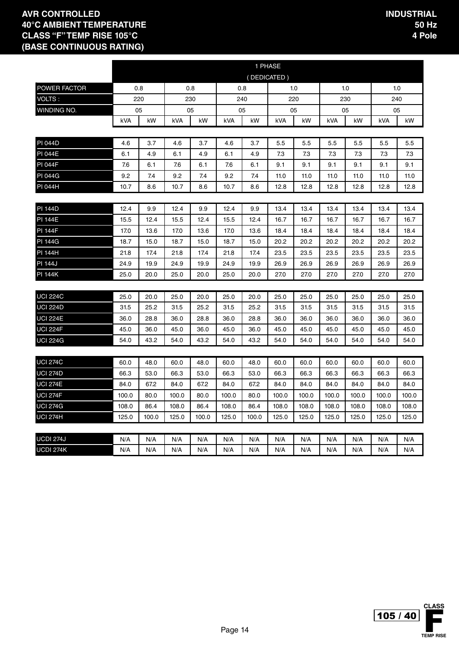|                     |       |       |       |       |       |       | 1 PHASE     |       |       |       |       |       |
|---------------------|-------|-------|-------|-------|-------|-------|-------------|-------|-------|-------|-------|-------|
|                     |       |       |       |       |       |       | (DEDICATED) |       |       |       |       |       |
| <b>POWER FACTOR</b> | 0.8   |       | 0.8   |       |       | 0.8   |             | 1.0   |       | 1.0   | 1.0   |       |
| <b>VOLTS:</b>       |       | 220   | 230   |       | 240   |       |             | 220   |       | 230   | 240   |       |
| WINDING NO.         |       | 05    | 05    |       |       | 05    |             | 05    |       | 05    | 05    |       |
|                     | kVA   | kW    | kVA   | kW    | kVA   | kW    | kVA         | kW    | kVA   | kW    | kVA   | kW    |
|                     |       |       |       |       |       |       |             |       |       |       |       |       |
| PI 044D             | 4.6   | 3.7   | 4.6   | 3.7   | 4.6   | 3.7   | 5.5         | 5.5   | 5.5   | 5.5   | 5.5   | 5.5   |
| <b>PI 044E</b>      | 6.1   | 4.9   | 6.1   | 4.9   | 6.1   | 4.9   | 7.3         | 7.3   | 7.3   | 7.3   | 7.3   | 7.3   |
| <b>PI 044F</b>      | 7.6   | 6.1   | 7.6   | 6.1   | 7.6   | 6.1   | 9.1         | 9.1   | 9.1   | 9.1   | 9.1   | 9.1   |
| <b>PI 044G</b>      | 9.2   | 7.4   | 9.2   | 7.4   | 9.2   | 7.4   | 11.0        | 11.0  | 11.0  | 11.0  | 11.0  | 11.0  |
| PI 044H             | 10.7  | 8.6   | 10.7  | 8.6   | 10.7  | 8.6   | 12.8        | 12.8  | 12.8  | 12.8  | 12.8  | 12.8  |
|                     |       |       |       |       |       |       |             |       |       |       |       |       |
| <b>PI 144D</b>      | 12.4  | 9.9   | 12.4  | 9.9   | 12.4  | 9.9   | 13.4        | 13.4  | 13.4  | 13.4  | 13.4  | 13.4  |
| <b>PI 144E</b>      | 15.5  | 12.4  | 15.5  | 12.4  | 15.5  | 12.4  | 16.7        | 16.7  | 16.7  | 16.7  | 16.7  | 16.7  |
| <b>PI 144F</b>      | 17.0  | 13.6  | 17.0  | 13.6  | 17.0  | 13.6  | 18.4        | 18.4  | 18.4  | 18.4  | 18.4  | 18.4  |
| <b>PI 144G</b>      | 18.7  | 15.0  | 18.7  | 15.0  | 18.7  | 15.0  | 20.2        | 20.2  | 20.2  | 20.2  | 20.2  | 20.2  |
| <b>PI 144H</b>      | 21.8  | 17.4  | 21.8  | 17.4  | 21.8  | 17.4  | 23.5        | 23.5  | 23.5  | 23.5  | 23.5  | 23.5  |
| <b>PI 144J</b>      | 24.9  | 19.9  | 24.9  | 19.9  | 24.9  | 19.9  | 26.9        | 26.9  | 26.9  | 26.9  | 26.9  | 26.9  |
| <b>PI 144K</b>      | 25.0  | 20.0  | 25.0  | 20.0  | 25.0  | 20.0  | 27.0        | 27.0  | 27.0  | 27.0  | 27.0  | 27.0  |
|                     |       |       |       |       |       |       |             |       |       |       |       |       |
| <b>UCI 224C</b>     | 25.0  | 20.0  | 25.0  | 20.0  | 25.0  | 20.0  | 25.0        | 25.0  | 25.0  | 25.0  | 25.0  | 25.0  |
| <b>UCI 224D</b>     | 31.5  | 25.2  | 31.5  | 25.2  | 31.5  | 25.2  | 31.5        | 31.5  | 31.5  | 31.5  | 31.5  | 31.5  |
| <b>UCI 224E</b>     | 36.0  | 28.8  | 36.0  | 28.8  | 36.0  | 28.8  | 36.0        | 36.0  | 36.0  | 36.0  | 36.0  | 36.0  |
| <b>UCI 224F</b>     | 45.0  | 36.0  | 45.0  | 36.0  | 45.0  | 36.0  | 45.0        | 45.0  | 45.0  | 45.0  | 45.0  | 45.0  |
| <b>UCI 224G</b>     | 54.0  | 43.2  | 54.0  | 43.2  | 54.0  | 43.2  | 54.0        | 54.0  | 54.0  | 54.0  | 54.0  | 54.0  |
|                     |       |       |       |       |       |       |             |       |       |       |       |       |
| <b>UCI 274C</b>     | 60.0  | 48.0  | 60.0  | 48.0  | 60.0  | 48.0  | 60.0        | 60.0  | 60.0  | 60.0  | 60.0  | 60.0  |
| <b>UCI 274D</b>     | 66.3  | 53.0  | 66.3  | 53.0  | 66.3  | 53.0  | 66.3        | 66.3  | 66.3  | 66.3  | 66.3  | 66.3  |
| <b>UCI 274E</b>     | 84.0  | 67.2  | 84.0  | 67.2  | 84.0  | 67.2  | 84.0        | 84.0  | 84.0  | 84.0  | 84.0  | 84.0  |
| <b>UCI 274F</b>     | 100.0 | 80.0  | 100.0 | 80.0  | 100.0 | 80.0  | 100.0       | 100.0 | 100.0 | 100.0 | 100.0 | 100.0 |
| <b>UCI 274G</b>     | 108.0 | 86.4  | 108.0 | 86.4  | 108.0 | 86.4  | 108.0       | 108.0 | 108.0 | 108.0 | 108.0 | 108.0 |
| <b>UCI 274H</b>     | 125.0 | 100.0 | 125.0 | 100.0 | 125.0 | 100.0 | 125.0       | 125.0 | 125.0 | 125.0 | 125.0 | 125.0 |
|                     |       |       |       |       |       |       |             |       |       |       |       |       |
| <b>UCDI 274J</b>    | N/A   | N/A   | N/A   | N/A   | N/A   | N/A   | N/A         | N/A   | N/A   | N/A   | N/A   | N/A   |
| <b>UCDI 274K</b>    | N/A   | N/A   | N/A   | N/A   | N/A   | N/A   | N/A         | N/A   | N/A   | N/A   | N/A   | N/A   |

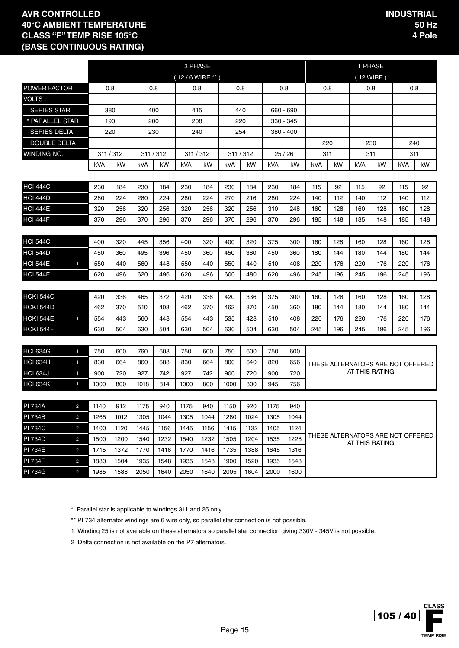|                     |                |      |           |      |           |                  | 3 PHASE   |      |           |            |             |     |     |                                   | 1 PHASE |     |     |  |
|---------------------|----------------|------|-----------|------|-----------|------------------|-----------|------|-----------|------------|-------------|-----|-----|-----------------------------------|---------|-----|-----|--|
|                     |                |      |           |      |           | $(12/6$ WIRE **) |           |      |           |            |             |     |     | $(12$ WIRE)                       |         |     |     |  |
| POWER FACTOR        |                |      | 0.8       |      | 0.8       |                  | 0.8       | 0.8  |           |            | 0.8         |     | 0.8 |                                   | 0.8     |     | 0.8 |  |
| VOLTS:              |                |      |           |      |           |                  |           |      |           |            |             |     |     |                                   |         |     |     |  |
| <b>SERIES STAR</b>  |                |      | 380       |      | 400       |                  | 415       |      | 440       |            | 660 - 690   |     |     |                                   |         |     |     |  |
| * PARALLEL STAR     |                |      | 190       |      | 200       |                  | 208       | 220  |           |            | 330 - 345   |     |     |                                   |         |     |     |  |
| <b>SERIES DELTA</b> |                |      | 220       |      | 230       |                  | 240       |      | 254       |            | $380 - 400$ |     |     |                                   |         |     |     |  |
| <b>DOUBLE DELTA</b> |                |      |           |      |           |                  |           |      |           |            |             |     | 220 |                                   | 230     |     | 240 |  |
| WINDING NO.         |                |      | 311 / 312 |      | 311 / 312 |                  | 311 / 312 |      | 311 / 312 |            | 25/26       | 311 |     |                                   | 311     | 311 |     |  |
|                     |                | kVA  | kW        | kVA  | kW        | kVA              | kW        | kVA  | kW        | <b>kVA</b> | kW          | kVA | kW  | kVA                               | kW      | kVA | kW  |  |
|                     |                |      |           |      |           |                  |           |      |           |            |             |     |     |                                   |         |     |     |  |
| <b>HCI 444C</b>     |                | 230  | 184       | 230  | 184       | 230              | 184       | 230  | 184       | 230        | 184         | 115 | 92  | 115                               | 92      | 115 | 92  |  |
| <b>HCI 444D</b>     |                | 280  | 224       | 280  | 224       | 280              | 224       | 270  | 216       | 280        | 224         | 140 | 112 | 140                               | 112     | 140 | 112 |  |
| <b>HCI 444E</b>     |                | 320  | 256       | 320  | 256       | 320              | 256       | 320  | 256       | 310        | 248         | 160 | 128 | 160                               | 128     | 160 | 128 |  |
| <b>HCI 444F</b>     |                | 370  | 296       | 370  | 296       | 370              | 296       | 370  | 296       | 370        | 296         | 185 | 148 | 185                               | 148     | 185 | 148 |  |
|                     |                |      |           |      |           |                  |           |      |           |            |             |     |     | 160<br>128<br>160<br>128          |         |     |     |  |
| <b>HCI 544C</b>     |                | 400  | 320       | 445  | 356       | 400              | 320       | 400  | 320       | 375        | 300         | 160 | 128 | 144                               |         |     |     |  |
| <b>HCI 544D</b>     |                | 450  | 360       | 495  | 396       | 450              | 360       | 450  | 360       | 450        | 360         | 180 | 144 | 180<br>144<br>180                 |         |     |     |  |
| <b>HCI 544E</b>     | $\mathbf{1}$   | 550  | 440       | 560  | 448       | 550              | 440       | 550  | 440       | 510        | 408         | 220 | 176 | 220<br>220<br>176<br>176          |         |     |     |  |
| <b>HCI 544F</b>     |                | 620  | 496       | 620  | 496       | 620              | 496       | 600  | 480       | 620        | 496         | 245 | 196 | 245                               | 196     | 245 | 196 |  |
|                     |                |      |           |      |           |                  |           |      |           |            |             |     |     |                                   |         |     |     |  |
| <b>HCKI 544C</b>    |                | 420  | 336       | 465  | 372       | 420              | 336       | 420  | 336       | 375        | 300         | 160 | 128 | 160                               | 128     | 160 | 128 |  |
| <b>HCKI 544D</b>    |                | 462  | 370       | 510  | 408       | 462              | 370       | 462  | 370       | 450        | 360         | 180 | 144 | 180                               | 144     | 180 | 144 |  |
| HCKI 544E           | $\mathbf{1}$   | 554  | 443       | 560  | 448       | 554              | 443       | 535  | 428       | 510        | 408         | 220 | 176 | 220                               | 176     | 220 | 176 |  |
| HCKI 544F           |                | 630  | 504       | 630  | 504       | 630              | 504       | 630  | 504       | 630        | 504         | 245 | 196 | 245                               | 196     | 245 | 196 |  |
|                     |                |      |           |      |           |                  |           |      |           |            |             |     |     |                                   |         |     |     |  |
| <b>HCI 634G</b>     | $\mathbf{1}$   | 750  | 600       | 760  | 608       | 750              | 600       | 750  | 600       | 750        | 600         |     |     |                                   |         |     |     |  |
| <b>HCI 634H</b>     | $\mathbf{1}$   | 830  | 664       | 860  | 688       | 830              | 664       | 800  | 640       | 820        | 656         |     |     | THESE ALTERNATORS ARE NOT OFFERED |         |     |     |  |
| <b>HCI 634J</b>     | 1              | 900  | 720       | 927  | 742       | 927              | 742       | 900  | 720       | 900        | 720         |     |     | AT THIS RATING                    |         |     |     |  |
| <b>HCI 634K</b>     | $\mathbf{1}$   | 1000 | 800       | 1018 | 814       | 1000             | 800       | 1000 | 800       | 945        | 756         |     |     |                                   |         |     |     |  |
|                     |                |      |           |      |           |                  |           |      |           |            |             |     |     |                                   |         |     |     |  |
| <b>PI 734A</b>      | $\overline{c}$ | 1140 | 912       | 1175 | 940       | 1175             | 940       | 1150 | 920       | 1175       | 940         |     |     |                                   |         |     |     |  |
| <b>PI 734B</b>      | $\overline{2}$ | 1265 | 1012      | 1305 | 1044      | 1305             | 1044      | 1280 | 1024      | 1305       | 1044        |     |     |                                   |         |     |     |  |
| <b>PI 734C</b>      | $\overline{c}$ | 1400 | 1120      | 1445 | 1156      | 1445             | 1156      | 1415 | 1132      | 1405       | 1124        |     |     | THESE ALTERNATORS ARE NOT OFFERED |         |     |     |  |
| <b>PI 734D</b>      | $\overline{a}$ | 1500 | 1200      | 1540 | 1232      | 1540             | 1232      | 1505 | 1204      | 1535       | 1228        |     |     | AT THIS RATING                    |         |     |     |  |
| <b>PI 734E</b>      | $\overline{2}$ | 1715 | 1372      | 1770 | 1416      | 1770             | 1416      | 1735 | 1388      | 1645       | 1316        |     |     |                                   |         |     |     |  |
| <b>PI 734F</b>      | $\overline{a}$ | 1880 | 1504      | 1935 | 1548      | 1935             | 1548      | 1900 | 1520      | 1935       | 1548        |     |     |                                   |         |     |     |  |
| <b>PI 734G</b>      | $\overline{2}$ | 1985 | 1588      | 2050 | 1640      | 2050             | 1640      | 2005 | 1604      | 2000       | 1600        |     |     |                                   |         |     |     |  |

\* Parallel star is applicable to windings 311 and 25 only.

\*\* PI 734 alternator windings are 6 wire only, so parallel star connection is not possible.

1 Winding 25 is not available on these alternators so parallel star connection giving 330V - 345V is not possible.

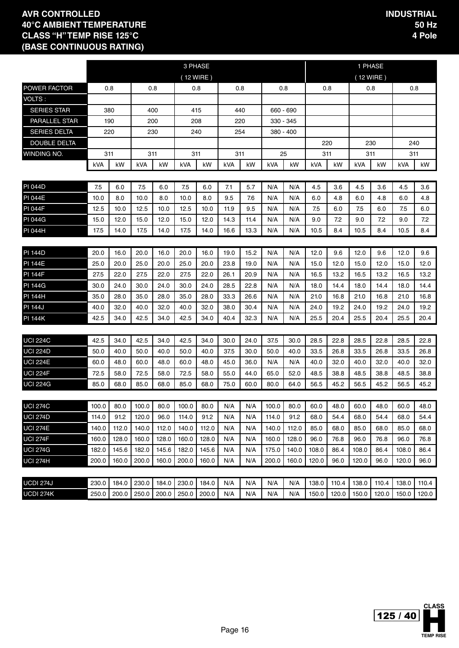|                      |            |       |       |       |       | 3 PHASE   |      |      |       |           |       |       | 1 PHASE   |       |       |       |
|----------------------|------------|-------|-------|-------|-------|-----------|------|------|-------|-----------|-------|-------|-----------|-------|-------|-------|
|                      |            |       |       |       |       | (12 WIRE) |      |      |       |           |       |       | (12 WIRE) |       |       |       |
| <b>POWER FACTOR</b>  | 0.8<br>0.8 |       |       |       |       | 0.8       |      | 0.8  | 0.8   |           | 0.8   |       | 0.8       |       | 0.8   |       |
| VOLTS:               |            |       |       |       |       |           |      |      |       |           |       |       |           |       |       |       |
| <b>SERIES STAR</b>   |            | 380   | 400   |       |       | 415       |      | 440  |       | 660 - 690 |       |       |           |       |       |       |
| <b>PARALLEL STAR</b> |            | 190   | 200   |       |       | 208       |      | 220  |       | 330 - 345 |       |       |           |       |       |       |
| <b>SERIES DELTA</b>  |            | 220   |       | 230   |       | 240       |      | 254  |       | 380 - 400 |       |       |           |       |       |       |
| <b>DOUBLE DELTA</b>  |            |       |       |       |       |           |      |      |       |           | 220   |       | 230       |       | 240   |       |
| WINDING NO.          |            | 311   | 311   |       |       | 311       | 311  |      |       | 25        | 311   |       | 311       |       | 311   |       |
|                      | kVA        | kW    | kVA   | kW    | kVA   | kW        | kVA  | kW   | kVA   | kW        | kVA   | kW    | kVA       | kW    | kVA   | kW    |
|                      |            |       |       |       |       |           |      |      |       |           |       |       |           |       |       |       |
| <b>PI 044D</b>       | 7.5        | 6.0   | 7.5   | 6.0   | 7.5   | 6.0       | 7.1  | 5.7  | N/A   | N/A       | 4.5   | 3.6   | 4.5       | 3.6   | 4.5   | 3.6   |
| <b>PI 044E</b>       | 10.0       | 8.0   | 10.0  | 8.0   | 10.0  | 8.0       | 9.5  | 7.6  | N/A   | N/A       | 6.0   | 4.8   | 6.0       | 4.8   | 6.0   | 4.8   |
| <b>PI 044F</b>       | 12.5       | 10.0  | 12.5  | 10.0  | 12.5  | 10.0      | 11.9 | 9.5  | N/A   | N/A       | 7.5   | 6.0   | 7.5       | 6.0   | 7.5   | 6.0   |
| <b>PI 044G</b>       | 15.0       | 12.0  | 15.0  | 12.0  | 15.0  | 12.0      | 14.3 | 11.4 | N/A   | N/A       | 9.0   | 7.2   | 9.0       | 7.2   | 9.0   | 7.2   |
| PI 044H              | 17.5       | 14.0  | 17.5  | 14.0  | 17.5  | 14.0      | 16.6 | 13.3 | N/A   | N/A       | 10.5  | 8.4   | 10.5      | 8.4   | 10.5  | 8.4   |
|                      |            |       |       |       |       |           |      |      |       |           |       |       |           |       |       |       |
| <b>PI 144D</b>       | 20.0       | 16.0  | 20.0  | 16.0  | 20.0  | 16.0      | 19.0 | 15.2 | N/A   | N/A       | 12.0  | 9.6   | 12.0      | 9.6   | 12.0  | 9.6   |
| <b>PI 144E</b>       | 25.0       | 20.0  | 25.0  | 20.0  | 25.0  | 20.0      | 23.8 | 19.0 | N/A   | N/A       | 15.0  | 12.0  | 15.0      | 12.0  | 15.0  | 12.0  |
| <b>PI 144F</b>       | 27.5       | 22.0  | 27.5  | 22.0  | 27.5  | 22.0      | 26.1 | 20.9 | N/A   | N/A       | 16.5  | 13.2  | 16.5      | 13.2  | 16.5  | 13.2  |
| <b>PI 144G</b>       | 30.0       | 24.0  | 30.0  | 24.0  | 30.0  | 24.0      | 28.5 | 22.8 | N/A   | N/A       | 18.0  | 14.4  | 18.0      | 14.4  | 18.0  | 14.4  |
| <b>PI 144H</b>       | 35.0       | 28.0  | 35.0  | 28.0  | 35.0  | 28.0      | 33.3 | 26.6 | N/A   | N/A       | 21.0  | 16.8  | 21.0      | 16.8  | 21.0  | 16.8  |
| <b>PI 144J</b>       | 40.0       | 32.0  | 40.0  | 32.0  | 40.0  | 32.0      | 38.0 | 30.4 | N/A   | N/A       | 24.0  | 19.2  | 24.0      | 19.2  | 24.0  | 19.2  |
| <b>PI 144K</b>       | 42.5       | 34.0  | 42.5  | 34.0  | 42.5  | 34.0      | 40.4 | 32.3 | N/A   | N/A       | 25.5  | 20.4  | 25.5      | 20.4  | 25.5  | 20.4  |
|                      |            |       |       |       |       |           |      |      |       |           |       |       |           |       |       |       |
| <b>UCI 224C</b>      | 42.5       | 34.0  | 42.5  | 34.0  | 42.5  | 34.0      | 30.0 | 24.0 | 37.5  | 30.0      | 28.5  | 22.8  | 28.5      | 22.8  | 28.5  | 22.8  |
| <b>UCI 224D</b>      | 50.0       | 40.0  | 50.0  | 40.0  | 50.0  | 40.0      | 37.5 | 30.0 | 50.0  | 40.0      | 33.5  | 26.8  | 33.5      | 26.8  | 33.5  | 26.8  |
| <b>UCI 224E</b>      | 60.0       | 48.0  | 60.0  | 48.0  | 60.0  | 48.0      | 45.0 | 36.0 | N/A   | N/A       | 40.0  | 32.0  | 40.0      | 32.0  | 40.0  | 32.0  |
| <b>UCI 224F</b>      | 72.5       | 58.0  | 72.5  | 58.0  | 72.5  | 58.0      | 55.0 | 44.0 | 65.0  | 52.0      | 48.5  | 38.8  | 48.5      | 38.8  | 48.5  | 38.8  |
| <b>UCI 224G</b>      | 85.0       | 68.0  | 85.0  | 68.0  | 85.0  | 68.0      | 75.0 | 60.0 | 80.0  | 64.0      | 56.5  | 45.2  | 56.5      | 45.2  | 56.5  | 45.2  |
|                      |            |       |       |       |       |           |      |      |       |           |       |       |           |       |       |       |
| <b>UCI 274C</b>      | 100.0      | 80.0  | 100.0 | 80.0  | 100.0 | 80.0      | N/A  | N/A  | 100.0 | 80.0      | 60.0  | 48.0  | 60.0      | 48.0  | 60.0  | 48.0  |
| <b>UCI 274D</b>      | 114.0      | 91.2  | 120.0 | 96.0  | 114.0 | 91.2      | N/A  | N/A  | 114.0 | 91.2      | 68.0  | 54.4  | 68.0      | 54.4  | 68.0  | 54.4  |
| <b>UCI 274E</b>      | 140.0      | 112.0 | 140.0 | 112.0 | 140.0 | 112.0     | N/A  | N/A  | 140.0 | 112.0     | 85.0  | 68.0  | 85.0      | 68.0  | 85.0  | 68.0  |
| <b>UCI 274F</b>      | 160.0      | 128.0 | 160.0 | 128.0 | 160.0 | 128.0     | N/A  | N/A  | 160.0 | 128.0     | 96.0  | 76.8  | 96.0      | 76.8  | 96.0  | 76.8  |
| <b>UCI 274G</b>      | 182.0      | 145.6 | 182.0 | 145.6 | 182.0 | 145.6     | N/A  | N/A  | 175.0 | 140.0     | 108.0 | 86.4  | 108.0     | 86.4  | 108.0 | 86.4  |
| <b>UCI 274H</b>      | 200.0      | 160.0 | 200.0 | 160.0 | 200.0 | 160.0     | N/A  | N/A  | 200.0 | 160.0     | 120.0 | 96.0  | 120.0     | 96.0  | 120.0 | 96.0  |
|                      |            |       |       |       |       |           |      |      |       |           |       |       |           |       |       |       |
| <b>UCDI 274J</b>     | 230.0      | 184.0 | 230.0 | 184.0 | 230.0 | 184.0     | N/A  | N/A  | N/A   | N/A       | 138.0 | 110.4 | 138.0     | 110.4 | 138.0 | 110.4 |
| <b>UCDI 274K</b>     | 250.0      | 200.0 | 250.0 | 200.0 | 250.0 | 200.0     | N/A  | N/A  | N/A   | N/A       | 150.0 | 120.0 | 150.0     | 120.0 | 150.0 | 120.0 |

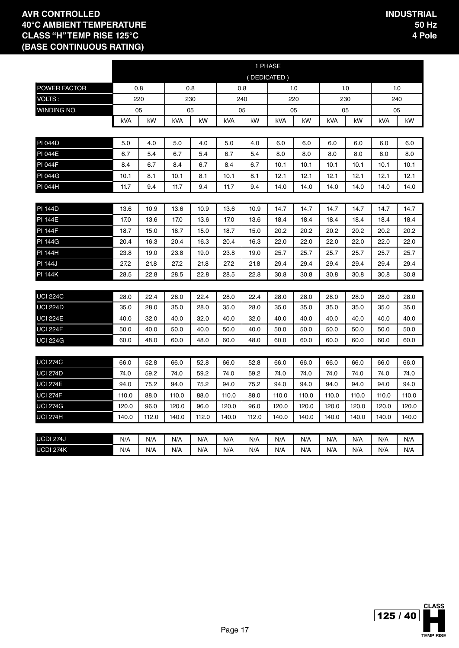|                  |            |       |       |       |       |       | 1 PHASE     |       |            |       |       |       |
|------------------|------------|-------|-------|-------|-------|-------|-------------|-------|------------|-------|-------|-------|
|                  |            |       |       |       |       |       | (DEDICATED) |       |            |       |       |       |
| POWER FACTOR     | 0.8        |       | 0.8   |       |       | 0.8   |             | 1.0   |            | 1.0   | 1.0   |       |
| VOLTS:           |            | 220   | 230   |       | 240   |       |             | 220   |            | 230   | 240   |       |
| WINDING NO.      |            | 05    |       | 05    |       | 05    |             | 05    |            | 05    | 05    |       |
|                  | <b>kVA</b> | kW    | kVA   | kW    | kVA   | kW    | kVA         | kW    | <b>kVA</b> | kW    | kVA   | kW    |
|                  |            |       |       |       |       |       |             |       |            |       |       |       |
| <b>PI 044D</b>   | 5.0        | 4.0   | 5.0   | 4.0   | 5.0   | 4.0   | 6.0         | 6.0   | 6.0        | 6.0   | 6.0   | 6.0   |
| <b>PI 044E</b>   | 6.7        | 5.4   | 6.7   | 5.4   | 6.7   | 5.4   | 8.0         | 8.0   | 8.0        | 8.0   | 8.0   | 8.0   |
| <b>PI 044F</b>   | 8.4        | 6.7   | 8.4   | 6.7   | 8.4   | 6.7   | 10.1        | 10.1  | 10.1       | 10.1  | 10.1  | 10.1  |
| <b>PI 044G</b>   | 10.1       | 8.1   | 10.1  | 8.1   | 10.1  | 8.1   | 12.1        | 12.1  | 12.1       | 12.1  | 12.1  | 12.1  |
| PI 044H          | 11.7       | 9.4   | 11.7  | 9.4   | 11.7  | 9.4   | 14.0        | 14.0  | 14.0       | 14.0  | 14.0  | 14.0  |
|                  |            |       |       |       |       |       |             |       |            |       |       |       |
| <b>PI 144D</b>   | 13.6       | 10.9  | 13.6  | 10.9  | 13.6  | 10.9  | 14.7        | 14.7  | 14.7       | 14.7  | 14.7  | 14.7  |
| <b>PI 144E</b>   | 17.0       | 13.6  | 17.0  | 13.6  | 17.0  | 13.6  | 18.4        | 18.4  | 18.4       | 18.4  | 18.4  | 18.4  |
| <b>PI 144F</b>   | 18.7       | 15.0  | 18.7  | 15.0  | 18.7  | 15.0  | 20.2        | 20.2  | 20.2       | 20.2  | 20.2  | 20.2  |
| <b>PI 144G</b>   | 20.4       | 16.3  | 20.4  | 16.3  | 20.4  | 16.3  | 22.0        | 22.0  | 22.0       | 22.0  | 22.0  | 22.0  |
| <b>PI 144H</b>   | 23.8       | 19.0  | 23.8  | 19.0  | 23.8  | 19.0  | 25.7        | 25.7  | 25.7       | 25.7  | 25.7  | 25.7  |
| <b>PI 144J</b>   | 27.2       | 21.8  | 27.2  | 21.8  | 27.2  | 21.8  | 29.4        | 29.4  | 29.4       | 29.4  | 29.4  | 29.4  |
| PI 144K          | 28.5       | 22.8  | 28.5  | 22.8  | 28.5  | 22.8  | 30.8        | 30.8  | 30.8       | 30.8  | 30.8  | 30.8  |
|                  |            |       |       |       |       |       |             |       |            |       |       |       |
| <b>UCI 224C</b>  | 28.0       | 22.4  | 28.0  | 22.4  | 28.0  | 22.4  | 28.0        | 28.0  | 28.0       | 28.0  | 28.0  | 28.0  |
| <b>UCI 224D</b>  | 35.0       | 28.0  | 35.0  | 28.0  | 35.0  | 28.0  | 35.0        | 35.0  | 35.0       | 35.0  | 35.0  | 35.0  |
| <b>UCI 224E</b>  | 40.0       | 32.0  | 40.0  | 32.0  | 40.0  | 32.0  | 40.0        | 40.0  | 40.0       | 40.0  | 40.0  | 40.0  |
| <b>UCI 224F</b>  | 50.0       | 40.0  | 50.0  | 40.0  | 50.0  | 40.0  | 50.0        | 50.0  | 50.0       | 50.0  | 50.0  | 50.0  |
| <b>UCI 224G</b>  | 60.0       | 48.0  | 60.0  | 48.0  | 60.0  | 48.0  | 60.0        | 60.0  | 60.0       | 60.0  | 60.0  | 60.0  |
|                  |            |       |       |       |       |       |             |       |            |       |       |       |
| <b>UCI 274C</b>  | 66.0       | 52.8  | 66.0  | 52.8  | 66.0  | 52.8  | 66.0        | 66.0  | 66.0       | 66.0  | 66.0  | 66.0  |
| <b>UCI 274D</b>  | 74.0       | 59.2  | 74.0  | 59.2  | 74.0  | 59.2  | 74.0        | 74.0  | 74.0       | 74.0  | 74.0  | 74.0  |
| <b>UCI 274E</b>  | 94.0       | 75.2  | 94.0  | 75.2  | 94.0  | 75.2  | 94.0        | 94.0  | 94.0       | 94.0  | 94.0  | 94.0  |
| <b>UCI 274F</b>  | 110.0      | 88.0  | 110.0 | 88.0  | 110.0 | 88.0  | 110.0       | 110.0 | 110.0      | 110.0 | 110.0 | 110.0 |
| <b>UCI 274G</b>  | 120.0      | 96.0  | 120.0 | 96.0  | 120.0 | 96.0  | 120.0       | 120.0 | 120.0      | 120.0 | 120.0 | 120.0 |
| <b>UCI 274H</b>  | 140.0      | 112.0 | 140.0 | 112.0 | 140.0 | 112.0 | 140.0       | 140.0 | 140.0      | 140.0 | 140.0 | 140.0 |
|                  |            |       |       |       |       |       |             |       |            |       |       |       |
| <b>UCDI 274J</b> | N/A        | N/A   | N/A   | N/A   | N/A   | N/A   | N/A         | N/A   | N/A        | N/A   | N/A   | N/A   |
| <b>UCDI 274K</b> | N/A        | N/A   | N/A   | N/A   | N/A   | N/A   | N/A         | N/A   | N/A        | N/A   | N/A   | N/A   |

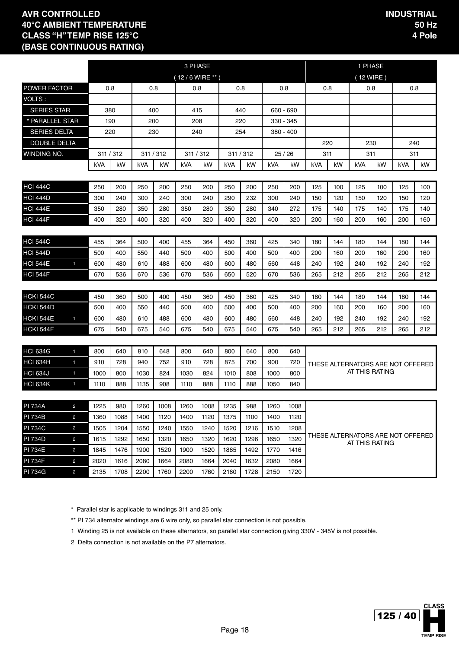|                     |                |      |           |           |      |                   | 3 PHASE   |      |           |      |           |     |                   |                                   | 1 PHASE |     |     |
|---------------------|----------------|------|-----------|-----------|------|-------------------|-----------|------|-----------|------|-----------|-----|-------------------|-----------------------------------|---------|-----|-----|
|                     |                |      |           |           |      | $(12/6$ WIRE ** ) |           |      |           |      |           |     |                   | (12 WIRE)                         |         |     |     |
| POWER FACTOR        |                |      | 0.8       |           | 0.8  |                   | 0.8       |      | 0.8       |      | 0.8       |     | 0.8               |                                   | 0.8     |     | 0.8 |
| VOLTS:              |                |      |           |           |      |                   |           |      |           |      |           |     |                   |                                   |         |     |     |
| <b>SERIES STAR</b>  |                |      | 380       | 400       |      |                   | 415       |      | 440       |      | 660 - 690 |     |                   |                                   |         |     |     |
| * PARALLEL STAR     |                |      | 190       | 200       |      |                   | 208       |      | 220       |      | 330 - 345 |     |                   |                                   |         |     |     |
| <b>SERIES DELTA</b> |                |      | 220       | 230       |      |                   | 240       |      | 254       |      | 380 - 400 |     |                   |                                   |         |     |     |
| <b>DOUBLE DELTA</b> |                |      |           |           |      |                   |           |      |           |      |           |     | 220               |                                   | 230     |     | 240 |
| WINDING NO.         |                |      | 311 / 312 | 311 / 312 |      |                   | 311 / 312 |      | 311 / 312 |      | 25/26     |     | 311               |                                   | 311     |     | 311 |
|                     |                | kVA  | kW        | kVA       | kW   | kVA               | kW        | kVA  | kW        | kVA  | kW        | kVA | kW                | kVA                               | kW      | kVA | kW  |
|                     |                |      |           |           |      |                   |           |      |           |      |           |     |                   |                                   |         |     |     |
| <b>HCI 444C</b>     |                | 250  | 200       | 250       | 200  | 250               | 200       | 250  | 200       | 250  | 200       | 125 | 100               | 125                               | 100     | 125 | 100 |
| <b>HCI 444D</b>     |                | 300  | 240       | 300       | 240  | 300               | 240       | 290  | 232       | 300  | 240       | 150 | 120               | 150                               | 120     | 150 | 120 |
| <b>HCI 444E</b>     |                | 350  | 280       | 350       | 280  | 350               | 280       | 350  | 280       | 340  | 272       | 175 | 140               | 175                               | 140     | 175 | 140 |
| <b>HCI 444F</b>     |                | 400  | 320       | 400       | 320  | 400               | 320       | 400  | 320       | 400  | 320       | 200 | 160               | 160                               |         |     |     |
|                     |                |      |           |           |      |                   |           |      |           |      |           |     |                   |                                   |         |     |     |
| <b>HCI 544C</b>     |                | 455  | 364       | 500       | 400  | 455               | 364       | 450  | 360       | 425  | 340       | 180 | 144               | 180                               | 144     | 180 | 144 |
| <b>HCI 544D</b>     |                | 500  | 400       | 550       | 440  | 500               | 400       | 500  | 400       | 500  | 400       | 200 | 160<br>200<br>160 |                                   |         |     | 160 |
| <b>HCI 544E</b>     | $\blacksquare$ | 600  | 480       | 610       | 488  | 600               | 480       | 600  | 480       | 560  | 448       | 240 | 192<br>240<br>192 |                                   |         |     | 192 |
| <b>HCI 544F</b>     |                | 670  | 536       | 670       | 536  | 670               | 536       | 650  | 520       | 670  | 536       | 265 | 212               | 265                               | 212     | 265 | 212 |
|                     |                |      |           |           |      |                   |           |      |           |      |           |     |                   |                                   |         |     |     |
| <b>HCKI 544C</b>    |                | 450  | 360       | 500       | 400  | 450               | 360       | 450  | 360       | 425  | 340       | 180 | 144               | 180                               | 144     | 180 | 144 |
| <b>HCKI 544D</b>    |                | 500  | 400       | 550       | 440  | 500               | 400       | 500  | 400       | 500  | 400       | 200 | 160               | 200                               | 160     | 200 | 160 |
| <b>HCKI 544E</b>    | $\blacksquare$ | 600  | 480       | 610       | 488  | 600               | 480       | 600  | 480       | 560  | 448       | 240 | 192               | 240                               | 192     | 240 | 192 |
| HCKI 544F           |                | 675  | 540       | 675       | 540  | 675               | 540       | 675  | 540       | 675  | 540       | 265 | 212               | 265                               | 212     | 265 | 212 |
|                     |                |      |           |           |      |                   |           |      |           |      |           |     |                   |                                   |         |     |     |
| <b>HCI 634G</b>     | $\blacksquare$ | 800  | 640       | 810       | 648  | 800               | 640       | 800  | 640       | 800  | 640       |     |                   |                                   |         |     |     |
| <b>HCI 634H</b>     | $\blacksquare$ | 910  | 728       | 940       | 752  | 910               | 728       | 875  | 700       | 900  | 720       |     |                   | THESE ALTERNATORS ARE NOT OFFERED |         |     |     |
| <b>HCI 634J</b>     | $\blacksquare$ | 1000 | 800       | 1030      | 824  | 1030              | 824       | 1010 | 808       | 1000 | 800       |     |                   | AT THIS RATING                    |         |     |     |
| <b>HCI 634K</b>     | $\mathbf{1}$   | 1110 | 888       | 1135      | 908  | 1110              | 888       | 1110 | 888       | 1050 | 840       |     |                   |                                   |         |     |     |
|                     |                |      |           |           |      |                   |           |      |           |      |           |     |                   |                                   |         |     |     |
| <b>PI 734A</b>      | $\overline{c}$ | 1225 | 980       | 1260      | 1008 | 1260              | 1008      | 1235 | 988       | 1260 | 1008      |     |                   |                                   |         |     |     |
| <b>PI 734B</b>      | 2              | 1360 | 1088      | 1400      | 1120 | 1400              | 1120      | 1375 | 1100      | 1400 | 1120      |     |                   |                                   |         |     |     |
| <b>PI 734C</b>      | $\overline{c}$ | 1505 | 1204      | 1550      | 1240 | 1550              | 1240      | 1520 | 1216      | 1510 | 1208      |     |                   | THESE ALTERNATORS ARE NOT OFFERED |         |     |     |
| <b>PI 734D</b>      | $\overline{c}$ | 1615 | 1292      | 1650      | 1320 | 1650              | 1320      | 1620 | 1296      | 1650 | 1320      |     |                   | AT THIS RATING                    |         |     |     |
| <b>PI 734E</b>      | $\overline{c}$ | 1845 | 1476      | 1900      | 1520 | 1900              | 1520      | 1865 | 1492      | 1770 | 1416      |     |                   |                                   |         |     |     |
| <b>PI 734F</b>      | $\overline{c}$ | 2020 | 1616      | 2080      | 1664 | 2080              | 1664      | 2040 | 1632      | 2080 | 1664      |     |                   |                                   |         |     |     |
| <b>PI 734G</b>      | $\overline{c}$ | 2135 | 1708      | 2200      | 1760 | 2200              | 1760      | 2160 | 1728      | 2150 | 1720      |     |                   |                                   |         |     |     |

\* Parallel star is applicable to windings 311 and 25 only.

\*\* PI 734 alternator windings are 6 wire only, so parallel star connection is not possible.

1 Winding 25 is not available on these alternators, so parallel star connection giving 330V - 345V is not possible.

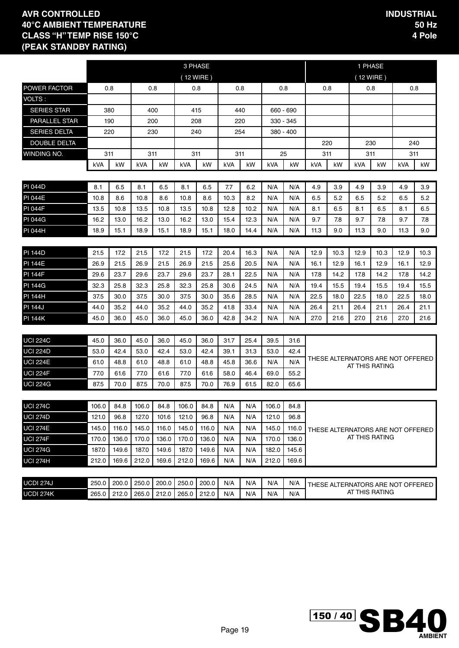|                                    |                |                |                |                |                | 3 PHASE        |            |            |                |                |                                      |      | 1 PHASE                                             |      |      |      |
|------------------------------------|----------------|----------------|----------------|----------------|----------------|----------------|------------|------------|----------------|----------------|--------------------------------------|------|-----------------------------------------------------|------|------|------|
|                                    |                |                |                |                | (12 WIRE)      |                |            |            |                |                |                                      |      | (12 WIRE)                                           |      |      |      |
| <b>POWER FACTOR</b>                |                | 0.8            | 0.8            |                | 0.8            |                | 0.8        |            | 0.8            |                |                                      | 0.8  | 0.8                                                 |      | 0.8  |      |
| VOLTS:                             |                |                |                |                |                |                |            |            |                |                |                                      |      |                                                     |      |      |      |
| <b>SERIES STAR</b>                 | 380            |                | 400            |                | 415            |                | 440        |            |                | 660 - 690      |                                      |      |                                                     |      |      |      |
| <b>PARALLEL STAR</b>               |                | 190            | 200            |                | 208            |                | 220        |            |                | 330 - 345      |                                      |      |                                                     |      |      |      |
| <b>SERIES DELTA</b>                | 220            |                | 230            |                | 240            |                | 254        |            |                | 380 - 400      |                                      |      |                                                     |      |      |      |
| <b>DOUBLE DELTA</b>                |                |                |                |                |                |                |            |            |                |                |                                      | 220  |                                                     | 230  | 240  |      |
| WINDING NO.                        | 311            |                | 311            |                | 311            |                | 311        |            |                | 25             |                                      | 311  | 311                                                 |      | 311  |      |
|                                    | kVA            | kW             | kVA            | kW             | kVA            | kW             | kVA        | kW         | kVA            | kW             | kVA                                  | kW   | kVA                                                 | kW   | kVA  | kW.  |
|                                    |                |                |                |                |                |                |            |            |                |                |                                      |      |                                                     |      |      |      |
| <b>PI 044D</b>                     | 8.1            | 6.5            | 8.1            | 6.5            | 8.1            | 6.5            | 7.7        | 6.2        | N/A            | N/A            | 4.9                                  | 3.9  | 4.9                                                 | 3.9  | 4.9  | 3.9  |
| <b>PI 044E</b>                     | 10.8           | 8.6            | 10.8           | 8.6            | 10.8           | 8.6            | 10.3       | 8.2        | N/A            | N/A            | 6.5                                  | 5.2  | 6.5                                                 | 5.2  | 6.5  | 5.2  |
| <b>PI 044F</b>                     | 13.5           | 10.8           | 13.5           | 10.8           | 13.5           | 10.8           | 12.8       | 10.2       | N/A            | N/A            | 8.1                                  | 6.5  | 8.1                                                 | 6.5  | 8.1  | 6.5  |
| <b>PI 044G</b>                     | 16.2           | 13.0           | 16.2           | 13.0           | 16.2           | 13.0           | 15.4       | 12.3       | N/A            | N/A            | 9.7                                  | 7.8  | 7.8                                                 |      |      |      |
| PI 044H                            | 18.9           | 15.1           | 18.9           | 15.1           | 18.9           | 15.1           | 18.0       | 14.4       | N/A            | N/A            | 11.3                                 | 9.0  | 11.3                                                | 9.0  |      |      |
|                                    |                |                |                |                |                |                |            |            |                |                | 12.9<br>12.9<br>12.9<br>10.3<br>10.3 |      |                                                     |      |      |      |
| <b>PI 144D</b>                     | 21.5           | 17.2           | 21.5           | 17.2           | 21.5           | 17.2           | 20.4       | 16.3       | N/A            | N/A            |                                      |      |                                                     |      |      | 10.3 |
| <b>PI 144E</b>                     | 26.9           | 21.5           | 26.9           | 21.5           | 26.9           | 21.5           | 25.6       | 20.5       | N/A            | N/A            | 16.1                                 | 12.9 | 16.1                                                | 12.9 | 16.1 | 12.9 |
| <b>PI 144F</b>                     | 29.6           | 23.7           | 29.6           | 23.7           | 29.6           | 23.7           | 28.1       | 22.5       | N/A            | N/A            | 17.8                                 | 14.2 | 17.8                                                | 14.2 | 17.8 | 14.2 |
| <b>PI 144G</b>                     | 32.3           | 25.8           | 32.3           | 25.8           | 32.3           | 25.8           | 30.6       | 24.5       | N/A            | N/A            | 19.4                                 | 15.5 | 19.4                                                | 15.5 | 19.4 | 15.5 |
| <b>PI 144H</b>                     | 37.5           | 30.0           | 37.5           | 30.0           | 37.5           | 30.0           | 35.6       | 28.5       | N/A            | N/A            | 22.5                                 | 18.0 | 22.5                                                | 18.0 | 22.5 | 18.0 |
| <b>PI 144J</b>                     | 44.0           | 35.2           | 44.0           | 35.2           | 44.0           | 35.2           | 41.8       | 33.4       | N/A            | N/A            | 26.4                                 | 21.1 | 26.4                                                | 21.1 | 26.4 | 21.1 |
| <b>PI 144K</b>                     | 45.0           | 36.0           | 45.0           | 36.0           | 45.0           | 36.0           | 42.8       | 34.2       | N/A            | N/A            | 27.0                                 | 21.6 | 27.0                                                | 21.6 | 27.0 | 21.6 |
|                                    |                |                |                |                |                |                |            |            |                |                |                                      |      |                                                     |      |      |      |
| <b>UCI 224C</b>                    | 45.0           | 36.0           | 45.0           | 36.0           | 45.0           | 36.0           | 31.7       | 25.4       | 39.5           | 31.6           |                                      |      |                                                     |      |      |      |
| <b>UCI 224D</b>                    | 53.0           | 42.4           | 53.0           | 42.4           | 53.0           | 42.4           | 39.1       | 31.3       | 53.0           | 42.4           |                                      |      | THESE ALTERNATORS ARE NOT OFFERED                   |      |      |      |
| <b>UCI 224E</b>                    | 61.0           | 48.8           | 61.0           | 48.8           | 61.0           | 48.8           | 45.8       | 36.6       | N/A            | N/A            |                                      |      | AT THIS RATING                                      |      |      |      |
| <b>UCI 224F</b>                    | 77.0           | 61.6           | 77.0           | 61.6           | 77.0           | 61.6           | 58.0       | 46.4       | 69.0           | 55.2           |                                      |      |                                                     |      |      |      |
| <b>UCI 224G</b>                    | 87.5           | 70.0           | 87.5           | 70.0           | 87.5           | 70.0           | 76.9       | 61.5       | 82.0           | 65.6           |                                      |      |                                                     |      |      |      |
|                                    |                |                |                |                |                |                |            |            |                |                |                                      |      |                                                     |      |      |      |
| <b>UCI 274C</b>                    | 106.0          | 84.8<br>96.8   | 106.0          | 84.8<br>101.6  | 106.0          | 84.8<br>96.8   | N/A<br>N/A | N/A<br>N/A | 106.0          | 84.8<br>96.8   |                                      |      |                                                     |      |      |      |
| <b>UCI 274D</b>                    | 121.0          |                | 127.0          |                | 121.0          |                |            |            | 121.0          |                |                                      |      |                                                     |      |      |      |
| <b>UCI 274E</b><br><b>UCI 274F</b> | 145.0          | 116.0          | 145.0<br>170.0 | 116.0<br>136.0 | 145.0<br>170.0 | 116.0<br>136.0 | N/A        | N/A        | 145.0<br>170.0 | 116.0<br>136.0 |                                      |      | THESE ALTERNATORS ARE NOT OFFERED<br>AT THIS RATING |      |      |      |
|                                    | 170.0          | 136.0          |                |                |                | 149.6          | N/A        | N/A        |                |                |                                      |      |                                                     |      |      |      |
| <b>UCI 274G</b>                    | 187.0<br>212.0 | 149.6<br>169.6 | 187.0<br>212.0 | 149.6<br>169.6 | 187.0<br>212.0 | 169.6          | N/A<br>N/A | N/A<br>N/A | 182.0<br>212.0 | 145.6<br>169.6 |                                      |      |                                                     |      |      |      |
| <b>UCI 274H</b>                    |                |                |                |                |                |                |            |            |                |                |                                      |      |                                                     |      |      |      |
| <b>UCDI 274J</b>                   | 250.0          | 200.0          | 250.0          | 200.0          | 250.0          | 200.0          | N/A        | N/A        | N/A            | N/A            |                                      |      |                                                     |      |      |      |
| <b>UCDI 274K</b>                   | 265.0          | 212.0          | 265.0          | 212.0          | 265.0          | 212.0          | N/A        | N/A        | N/A            | N/A            |                                      |      | THESE ALTERNATORS ARE NOT OFFERED<br>AT THIS RATING |      |      |      |

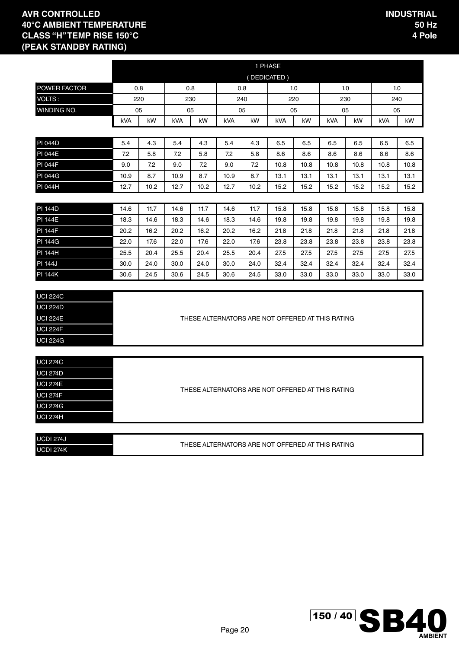|                 |      |      |            |      |                                                  | 1 PHASE     |            |      |      |      |            |      |
|-----------------|------|------|------------|------|--------------------------------------------------|-------------|------------|------|------|------|------------|------|
|                 |      |      |            |      |                                                  | (DEDICATED) |            |      |      |      |            |      |
| POWER FACTOR    | 0.8  |      |            | 0.8  | 0.8                                              |             | 1.0        |      |      | 1.0  | 1.0        |      |
| VOLTS:          | 220  |      |            | 230  | 240                                              |             | 220        |      |      | 230  | 240        |      |
| WINDING NO.     | 05   |      |            | 05   | 05                                               |             | 05         |      |      | 05   | 05         |      |
|                 | kVA  | kW   | <b>kVA</b> | kW   | <b>kVA</b>                                       | kW          | <b>kVA</b> | kW   | kVA  | kW   | <b>kVA</b> | kW   |
|                 |      |      |            |      |                                                  |             |            |      |      |      |            |      |
| <b>PI 044D</b>  | 5.4  | 4.3  | 5.4        | 4.3  | 5.4                                              | 4.3         | 6.5        | 6.5  | 6.5  | 6.5  | 6.5        | 6.5  |
| <b>PI 044E</b>  | 7.2  | 5.8  | 7.2        | 5.8  | 7.2                                              | 5.8         | 8.6        | 8.6  | 8.6  | 8.6  | 8.6        | 8.6  |
| <b>PI 044F</b>  | 9.0  | 7.2  | 9.0        | 7.2  | 9.0                                              | 7.2         | 10.8       | 10.8 | 10.8 | 10.8 | 10.8       | 10.8 |
| <b>PI 044G</b>  | 10.9 | 8.7  | 10.9       | 8.7  | 10.9                                             | 8.7         | 13.1       | 13.1 | 13.1 | 13.1 | 13.1       | 13.1 |
| <b>PI 044H</b>  | 12.7 | 10.2 | 12.7       | 10.2 | 12.7                                             | 10.2        | 15.2       | 15.2 | 15.2 | 15.2 | 15.2       | 15.2 |
|                 |      |      |            |      |                                                  |             |            |      |      |      |            |      |
| <b>PI 144D</b>  | 14.6 | 11.7 | 14.6       | 11.7 | 14.6                                             | 11.7        | 15.8       | 15.8 | 15.8 | 15.8 | 15.8       | 15.8 |
| <b>PI 144E</b>  | 18.3 | 14.6 | 18.3       | 14.6 | 18.3                                             | 14.6        | 19.8       | 19.8 | 19.8 | 19.8 | 19.8       | 19.8 |
| <b>PI 144F</b>  | 20.2 | 16.2 | 20.2       | 16.2 | 20.2                                             | 16.2        | 21.8       | 21.8 | 21.8 | 21.8 | 21.8       | 21.8 |
| <b>PI 144G</b>  | 22.0 | 17.6 | 22.0       | 17.6 | 22.0                                             | 17.6        | 23.8       | 23.8 | 23.8 | 23.8 | 23.8       | 23.8 |
| <b>PI 144H</b>  | 25.5 | 20.4 | 25.5       | 20.4 | 25.5                                             | 20.4        | 27.5       | 27.5 | 27.5 | 27.5 | 27.5       | 27.5 |
| <b>PI 144J</b>  | 30.0 | 24.0 | 30.0       | 24.0 | 30.0                                             | 24.0        | 32.4       | 32.4 | 32.4 | 32.4 | 32.4       | 32.4 |
| <b>PI 144K</b>  | 30.6 | 24.5 | 30.6       | 24.5 | 30.6                                             | 24.5        | 33.0       | 33.0 | 33.0 | 33.0 | 33.0       | 33.0 |
|                 |      |      |            |      |                                                  |             |            |      |      |      |            |      |
| <b>UCI 224C</b> |      |      |            |      |                                                  |             |            |      |      |      |            |      |
| <b>UCI 224D</b> |      |      |            |      |                                                  |             |            |      |      |      |            |      |
| <b>UCI 224E</b> |      |      |            |      | THESE ALTERNATORS ARE NOT OFFERED AT THIS RATING |             |            |      |      |      |            |      |
| <b>UCI 224F</b> |      |      |            |      |                                                  |             |            |      |      |      |            |      |
| <b>UCI 224G</b> |      |      |            |      |                                                  |             |            |      |      |      |            |      |
|                 |      |      |            |      |                                                  |             |            |      |      |      |            |      |
| <b>UCI 274C</b> |      |      |            |      |                                                  |             |            |      |      |      |            |      |
| <b>UCI 274D</b> |      |      |            |      |                                                  |             |            |      |      |      |            |      |
| <b>UCI 274E</b> |      |      |            |      | THESE ALTERNATORS ARE NOT OFFERED AT THIS RATING |             |            |      |      |      |            |      |
| <b>UCI 274F</b> |      |      |            |      |                                                  |             |            |      |      |      |            |      |
| <b>UCI 274G</b> |      |      |            |      |                                                  |             |            |      |      |      |            |      |
| <b>UCI 274H</b> |      |      |            |      |                                                  |             |            |      |      |      |            |      |
|                 |      |      |            |      |                                                  |             |            |      |      |      |            |      |

| <b>UCDI 274J</b> | THESE ALTERNATORS ARE NOT OFFERED AT THIS RATING |
|------------------|--------------------------------------------------|
| <b>UCDI 274K</b> |                                                  |

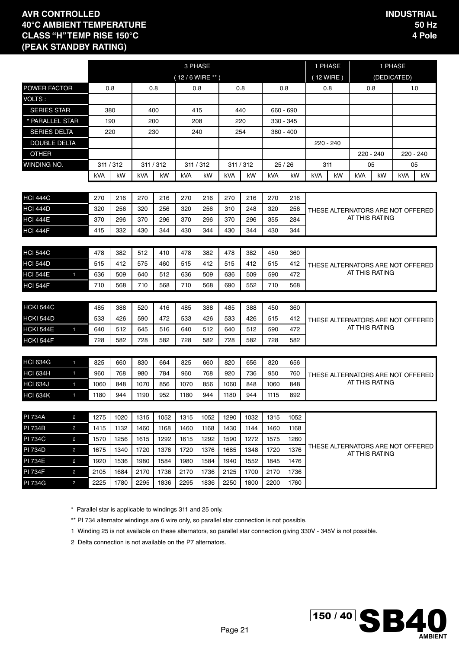|                     |                |           |      |            |      |                  | 3 PHASE   |      |           |            |             | 1 PHASE    |    |                                                     | 1 PHASE     |            |           |
|---------------------|----------------|-----------|------|------------|------|------------------|-----------|------|-----------|------------|-------------|------------|----|-----------------------------------------------------|-------------|------------|-----------|
|                     |                |           |      |            |      | $(12/6$ WIRE **) |           |      |           |            |             | (12 WIRE)  |    |                                                     | (DEDICATED) |            |           |
| <b>POWER FACTOR</b> |                | 0.8       |      | 0.8        |      |                  | 0.8       |      | 0.8       |            | 0.8         | 0.8        |    | 0.8                                                 |             |            | 1.0       |
| VOLTS:              |                |           |      |            |      |                  |           |      |           |            |             |            |    |                                                     |             |            |           |
| <b>SERIES STAR</b>  |                | 380       |      | 400        |      |                  | 415       |      | 440       |            | 660 - 690   |            |    |                                                     |             |            |           |
| * PARALLEL STAR     |                |           | 190  | 200        |      | 208              |           |      | 220       |            | $330 - 345$ |            |    |                                                     |             |            |           |
| <b>SERIES DELTA</b> |                | 220       |      | 230        |      |                  | 240       |      | 254       |            | 380 - 400   |            |    |                                                     |             |            |           |
| <b>DOUBLE DELTA</b> |                |           |      |            |      |                  |           |      |           |            |             | 220 - 240  |    |                                                     |             |            |           |
| <b>OTHER</b>        |                |           |      |            |      |                  |           |      |           |            |             |            |    | 220 - 240                                           |             |            | 220 - 240 |
| WINDING NO.         |                | 311 / 312 |      | 311 / 312  |      |                  | 311 / 312 |      | 311 / 312 |            | 25/26       | 311        |    | 05                                                  |             |            | 05        |
|                     |                | kVA       | kW   | <b>kVA</b> | kW   | kVA              | kW        | kVA  | kW        | <b>kVA</b> | kW          | <b>kVA</b> | kW | <b>kVA</b>                                          | kW          | <b>kVA</b> | kW        |
| <b>HCI 444C</b>     |                | 270       | 216  | 270        | 216  | 270              | 216       | 270  | 216       | 270        | 216         |            |    |                                                     |             |            |           |
| <b>HCI 444D</b>     |                | 320       | 256  | 320        | 256  | 320              | 256       | 310  | 248       | 320        | 256         |            |    | THESE ALTERNATORS ARE NOT OFFERED                   |             |            |           |
| <b>HCI 444E</b>     |                | 370       | 296  | 370        | 296  | 370              | 296       | 370  | 296       | 355        | 284         |            |    | AT THIS RATING                                      |             |            |           |
| <b>HCI 444F</b>     |                | 415       | 332  | 430        | 344  | 430              | 344       | 430  | 344       | 430        | 344         |            |    |                                                     |             |            |           |
|                     |                |           |      |            |      |                  |           |      |           |            |             |            |    |                                                     |             |            |           |
| <b>HCI 544C</b>     |                | 478       | 382  | 512        | 410  | 478              | 382       | 478  | 382       | 450        | 360         |            |    |                                                     |             |            |           |
| <b>HCI 544D</b>     |                | 515       | 412  | 575        | 460  | 515              | 412       | 515  | 412       | 515        | 412         |            |    | THESE ALTERNATORS ARE NOT OFFERED                   |             |            |           |
| <b>HCI 544E</b>     | $\mathbf{1}$   | 636       | 509  | 640        | 512  | 636              | 509       | 636  | 509       | 590        | 472         |            |    | AT THIS RATING                                      |             |            |           |
| <b>HCI 544F</b>     |                | 710       | 568  | 710        | 568  | 710              | 568       | 690  | 552       | 710        | 568         |            |    |                                                     |             |            |           |
|                     |                |           |      |            |      |                  |           |      |           |            |             |            |    |                                                     |             |            |           |
| HCKI 544C           |                | 485       | 388  | 520        | 416  | 485              | 388       | 485  | 388       | 450        | 360         |            |    |                                                     |             |            |           |
| HCKI 544D           |                | 533       | 426  | 590        | 472  | 533              | 426       | 533  | 426       | 515        | 412         |            |    | THESE ALTERNATORS ARE NOT OFFERED<br>AT THIS RATING |             |            |           |
| <b>HCKI 544E</b>    | $\blacksquare$ | 640       | 512  | 645        | 516  | 640              | 512       | 640  | 512       | 590        | 472         |            |    |                                                     |             |            |           |
| HCKI 544F           |                | 728       | 582  | 728        | 582  | 728              | 582       | 728  | 582       | 728        | 582         |            |    |                                                     |             |            |           |
| <b>HCI 634G</b>     | $\blacksquare$ | 825       | 660  | 830        | 664  | 825              | 660       | 820  | 656       | 820        | 656         |            |    |                                                     |             |            |           |
| <b>HCI 634H</b>     | $\blacksquare$ | 960       | 768  | 980        | 784  | 960              | 768       | 920  | 736       | 950        | 760         |            |    |                                                     |             |            |           |
| <b>HCI 634J</b>     | $\mathbf{1}$   | 1060      | 848  | 1070       | 856  | 1070             | 856       | 1060 | 848       | 1060       | 848         |            |    | THESE ALTERNATORS ARE NOT OFFERED<br>AT THIS RATING |             |            |           |
| HCI 634K            | $\mathbf{1}$   | 1180      | 944  | 1190       | 952  | 1180             | 944       | 1180 | 944       | 1115       | 892         |            |    |                                                     |             |            |           |
|                     |                |           |      |            |      |                  |           |      |           |            |             |            |    |                                                     |             |            |           |
| <b>PI 734A</b>      | $\overline{c}$ | 1275      | 1020 | 1315       | 1052 | 1315             | 1052      | 1290 | 1032      | 1315       | 1052        |            |    |                                                     |             |            |           |
| <b>PI 734B</b>      | 2              | 1415      | 1132 | 1460       | 1168 | 1460             | 1168      | 1430 | 1144      | 1460       | 1168        |            |    |                                                     |             |            |           |
| <b>PI 734C</b>      | $\overline{c}$ | 1570      | 1256 | 1615       | 1292 | 1615             | 1292      | 1590 | 1272      | 1575       | 1260        |            |    |                                                     |             |            |           |
| <b>PI 734D</b>      | $\overline{c}$ | 1675      | 1340 | 1720       | 1376 | 1720             | 1376      | 1685 | 1348      | 1720       | 1376        |            |    | THESE ALTERNATORS ARE NOT OFFERED<br>AT THIS RATING |             |            |           |
| <b>PI 734E</b>      | $\overline{c}$ | 1920      | 1536 | 1980       | 1584 | 1980             | 1584      | 1940 | 1552      | 1845       | 1476        |            |    |                                                     |             |            |           |
| <b>PI 734F</b>      | $\overline{c}$ | 2105      | 1684 | 2170       | 1736 | 2170             | 1736      | 2125 | 1700      | 2170       | 1736        |            |    |                                                     |             |            |           |
| <b>PI 734G</b>      | $\overline{2}$ | 2225      | 1780 | 2295       | 1836 | 2295             | 1836      | 2250 | 1800      | 2200       | 1760        |            |    |                                                     |             |            |           |

\* Parallel star is applicable to windings 311 and 25 only.

\*\* PI 734 alternator windings are 6 wire only, so parallel star connection is not possible.

1 Winding 25 is not available on these alternators, so parallel star connection giving 330V - 345V is not possible.

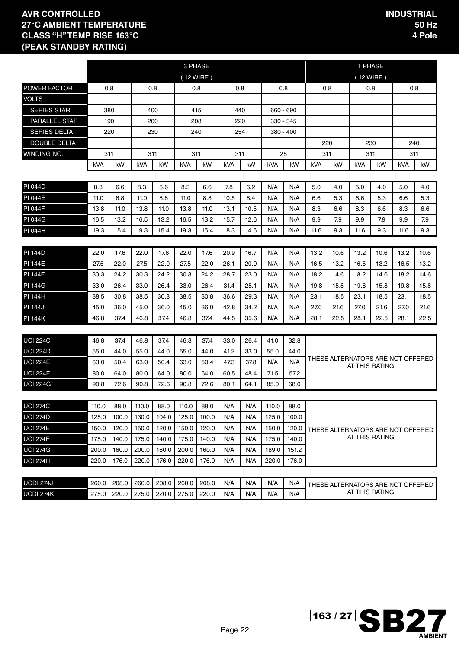|                      |       |       |       |       |       | 3 PHASE   |      |      |       |           |      |                                                               | 1 PHASE                                             |      |            |      |  |
|----------------------|-------|-------|-------|-------|-------|-----------|------|------|-------|-----------|------|---------------------------------------------------------------|-----------------------------------------------------|------|------------|------|--|
|                      |       |       |       |       |       | (12 WIRE) |      |      |       |           |      |                                                               | (12 WIRE)                                           |      |            |      |  |
| <b>POWER FACTOR</b>  |       | 0.8   | 0.8   |       |       | 0.8       | 0.8  |      | 0.8   |           |      | 0.8                                                           | 0.8                                                 |      | 0.8        |      |  |
| VOLTS:               |       |       |       |       |       |           |      |      |       |           |      |                                                               |                                                     |      |            |      |  |
| <b>SERIES STAR</b>   |       | 380   | 400   |       |       | 415       | 440  |      |       | 660 - 690 |      |                                                               |                                                     |      |            |      |  |
| <b>PARALLEL STAR</b> |       | 190   | 200   |       |       | 208       | 220  |      |       | 330 - 345 |      |                                                               |                                                     |      |            |      |  |
| <b>SERIES DELTA</b>  |       | 220   | 230   |       |       | 240       | 254  |      |       | 380 - 400 |      |                                                               |                                                     |      |            |      |  |
| <b>DOUBLE DELTA</b>  |       |       |       |       |       |           |      |      |       |           |      | 220                                                           |                                                     | 230  | 240        |      |  |
| WINDING NO.          |       | 311   | 311   |       | 311   |           | 311  |      |       | 25        |      | 311                                                           | 311                                                 |      |            | 311  |  |
|                      | kVA   | kW    | kVA   | kW    | kVA   | kW        | kVA  | kW   | kVA   | kW        | kVA  | kW                                                            | <b>kVA</b>                                          | kW   | <b>kVA</b> | kW.  |  |
|                      |       |       |       |       |       |           |      |      |       |           |      |                                                               |                                                     |      |            |      |  |
| <b>PI 044D</b>       | 8.3   | 6.6   | 8.3   | 6.6   | 8.3   | 6.6       | 7.8  | 6.2  | N/A   | N/A       | 5.0  | 4.0                                                           | 5.0                                                 | 4.0  | 5.0        | 4.0  |  |
| <b>PI 044E</b>       | 11.0  | 8.8   | 11.0  | 8.8   | 11.0  | 8.8       | 10.5 | 8.4  | N/A   | N/A       | 6.6  | 5.3                                                           | 6.6                                                 | 5.3  | 6.6        | 5.3  |  |
| <b>PI 044F</b>       | 13.8  | 11.0  | 13.8  | 11.0  | 13.8  | 11.0      | 13.1 | 10.5 | N/A   | N/A       | 8.3  | 6.6                                                           | 8.3                                                 | 6.6  | 8.3        | 6.6  |  |
| <b>PI 044G</b>       | 16.5  | 13.2  | 16.5  | 13.2  | 16.5  | 13.2      | 15.7 | 12.6 | N/A   | N/A       | 9.9  | 7.9<br>9.9<br>7.9<br>9.9<br>9.3<br>9.3<br>11.6<br>9.3<br>11.6 |                                                     |      |            |      |  |
| <b>PI 044H</b>       | 19.3  | 15.4  | 19.3  | 15.4  | 19.3  | 15.4      | 18.3 | 14.6 | N/A   | N/A       | 11.6 |                                                               |                                                     |      |            |      |  |
|                      |       |       |       |       |       |           |      |      |       |           |      |                                                               |                                                     |      |            |      |  |
| <b>PI 144D</b>       | 22.0  | 17.6  | 22.0  | 17.6  | 22.0  | 17.6      | 20.9 | 16.7 | N/A   | N/A       | 13.2 | 10.6                                                          | 13.2                                                | 10.6 | 13.2       | 10.6 |  |
| <b>PI 144E</b>       | 27.5  | 22.0  | 27.5  | 22.0  | 27.5  | 22.0      | 26.1 | 20.9 | N/A   | N/A       | 16.5 | 13.2                                                          | 16.5                                                | 13.2 | 16.5       | 13.2 |  |
| <b>PI 144F</b>       | 30.3  | 24.2  | 30.3  | 24.2  | 30.3  | 24.2      | 28.7 | 23.0 | N/A   | N/A       | 18.2 | 14.6                                                          | 18.2                                                | 14.6 | 18.2       | 14.6 |  |
| <b>PI 144G</b>       | 33.0  | 26.4  | 33.0  | 26.4  | 33.0  | 26.4      | 31.4 | 25.1 | N/A   | N/A       | 19.8 | 15.8                                                          | 19.8                                                | 15.8 | 19.8       | 15.8 |  |
| <b>PI 144H</b>       | 38.5  | 30.8  | 38.5  | 30.8  | 38.5  | 30.8      | 36.6 | 29.3 | N/A   | N/A       | 23.1 | 18.5                                                          | 23.1                                                | 18.5 | 23.1       | 18.5 |  |
| <b>PI 144J</b>       | 45.0  | 36.0  | 45.0  | 36.0  | 45.0  | 36.0      | 42.8 | 34.2 | N/A   | N/A       | 27.0 | 21.6                                                          | 27.0                                                | 21.6 | 27.0       | 21.6 |  |
| <b>PI 144K</b>       | 46.8  | 37.4  | 46.8  | 37.4  | 46.8  | 37.4      | 44.5 | 35.6 | N/A   | N/A       | 28.1 | 22.5                                                          | 28.1                                                | 22.5 | 28.1       | 22.5 |  |
|                      |       |       |       |       |       |           |      |      |       |           |      |                                                               |                                                     |      |            |      |  |
| <b>UCI 224C</b>      | 46.8  | 37.4  | 46.8  | 37.4  | 46.8  | 37.4      | 33.0 | 26.4 | 41.0  | 32.8      |      |                                                               |                                                     |      |            |      |  |
| <b>UCI 224D</b>      | 55.0  | 44.0  | 55.0  | 44.0  | 55.0  | 44.0      | 41.2 | 33.0 | 55.0  | 44.0      |      |                                                               |                                                     |      |            |      |  |
| <b>UCI 224E</b>      | 63.0  | 50.4  | 63.0  | 50.4  | 63.0  | 50.4      | 47.3 | 37.8 | N/A   | N/A       |      |                                                               | THESE ALTERNATORS ARE NOT OFFERED<br>AT THIS RATING |      |            |      |  |
| <b>UCI 224F</b>      | 80.0  | 64.0  | 80.0  | 64.0  | 80.0  | 64.0      | 60.5 | 48.4 | 71.5  | 57.2      |      |                                                               |                                                     |      |            |      |  |
| <b>UCI 224G</b>      | 90.8  | 72.6  | 90.8  | 72.6  | 90.8  | 72.6      | 80.1 | 64.1 | 85.0  | 68.0      |      |                                                               |                                                     |      |            |      |  |
|                      |       |       |       |       |       |           |      |      |       |           |      |                                                               |                                                     |      |            |      |  |
| <b>UCI 274C</b>      | 110.0 | 88.0  | 110.0 | 88.0  | 110.0 | 88.0      | N/A  | N/A  | 110.0 | 88.0      |      |                                                               |                                                     |      |            |      |  |
| <b>UCI 274D</b>      | 125.0 | 100.0 | 130.0 | 104.0 | 125.0 | 100.0     | N/A  | N/A  | 125.0 | 100.0     |      |                                                               |                                                     |      |            |      |  |
| <b>UCI 274E</b>      | 150.0 | 120.0 | 150.0 | 120.0 | 150.0 | 120.0     | N/A  | N/A  | 150.0 | 120.0     |      |                                                               | THESE ALTERNATORS ARE NOT OFFERED                   |      |            |      |  |
| <b>UCI 274F</b>      | 175.0 | 140.0 | 175.0 | 140.0 | 175.0 | 140.0     | N/A  | N/A  | 175.0 | 140.0     |      |                                                               | AT THIS RATING                                      |      |            |      |  |
| <b>UCI 274G</b>      | 200.0 | 160.0 | 200.0 | 160.0 | 200.0 | 160.0     | N/A  | N/A  | 189.0 | 151.2     |      |                                                               |                                                     |      |            |      |  |
| <b>UCI 274H</b>      | 220.0 | 176.0 | 220.0 | 176.0 | 220.0 | 176.0     | N/A  | N/A  | 220.0 | 176.0     |      |                                                               |                                                     |      |            |      |  |
|                      |       |       |       |       |       |           |      |      |       |           |      |                                                               |                                                     |      |            |      |  |
| <b>UCDI 274J</b>     | 260.0 | 208.0 | 260.0 | 208.0 | 260.0 | 208.0     | N/A  | N/A  | N/A   | N/A       |      |                                                               | THESE ALTERNATORS ARE NOT OFFERED                   |      |            |      |  |
| UCDI 274K            | 275.0 | 220.0 | 275.0 | 220.0 | 275.0 | 220.0     | N/A  | N/A  | N/A   | N/A       |      |                                                               | AT THIS RATING                                      |      |            |      |  |

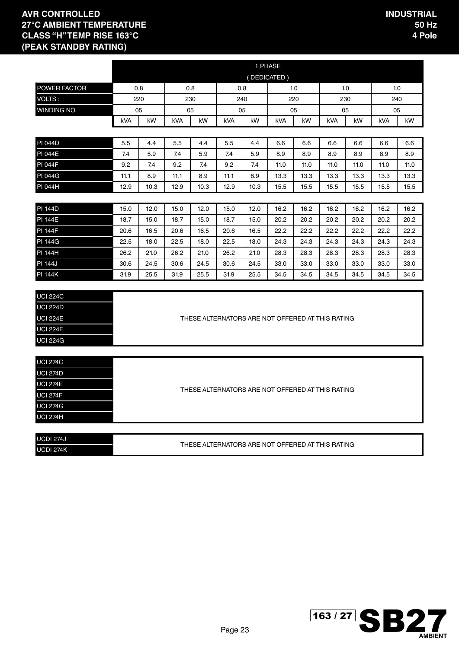UCDI 274K

|                  |      |      |      |      |      | 1 PHASE                                          |      |      |      |      |      |      |
|------------------|------|------|------|------|------|--------------------------------------------------|------|------|------|------|------|------|
|                  |      |      |      |      |      | (DEDICATED)                                      |      |      |      |      |      |      |
| POWER FACTOR     | 0.8  |      | 0.8  |      | 0.8  |                                                  |      | 1.0  |      | 1.0  |      | 1.0  |
| VOLTS:           |      | 220  |      | 230  |      | 240                                              |      | 220  |      | 230  |      | 240  |
| WINDING NO.      | 05   |      |      | 05   | 05   |                                                  | 05   |      |      | 05   |      | 05   |
|                  | kVA  | kW   | kVA  | kW   | kVA  | kW                                               | kVA  | kW   | kVA  | kW   | kVA  | kW   |
|                  |      |      |      |      |      |                                                  |      |      |      |      |      |      |
| <b>PI 044D</b>   | 5.5  | 4.4  | 5.5  | 4.4  | 5.5  | 4.4                                              | 6.6  | 6.6  | 6.6  | 6.6  | 6.6  | 6.6  |
| <b>PI 044E</b>   | 7.4  | 5.9  | 7.4  | 5.9  | 7.4  | 5.9                                              | 8.9  | 8.9  | 8.9  | 8.9  | 8.9  | 8.9  |
| PI 044F          | 9.2  | 7.4  | 9.2  | 7.4  | 9.2  | 7.4                                              | 11.0 | 11.0 | 11.0 | 11.0 | 11.0 | 11.0 |
| <b>PI 044G</b>   | 11.1 | 8.9  | 11.1 | 8.9  | 11.1 | 8.9                                              | 13.3 | 13.3 | 13.3 | 13.3 | 13.3 | 13.3 |
| PI 044H          | 12.9 | 10.3 | 12.9 | 10.3 | 12.9 | 10.3                                             | 15.5 | 15.5 | 15.5 | 15.5 | 15.5 | 15.5 |
|                  |      |      |      |      |      |                                                  |      |      |      |      |      |      |
| <b>PI 144D</b>   | 15.0 | 12.0 | 15.0 | 12.0 | 15.0 | 12.0                                             | 16.2 | 16.2 | 16.2 | 16.2 | 16.2 | 16.2 |
| <b>PI 144E</b>   | 18.7 | 15.0 | 18.7 | 15.0 | 18.7 | 15.0                                             | 20.2 | 20.2 | 20.2 | 20.2 | 20.2 | 20.2 |
| <b>PI 144F</b>   | 20.6 | 16.5 | 20.6 | 16.5 | 20.6 | 16.5                                             | 22.2 | 22.2 | 22.2 | 22.2 | 22.2 | 22.2 |
| <b>PI 144G</b>   | 22.5 | 18.0 | 22.5 | 18.0 | 22.5 | 18.0                                             | 24.3 | 24.3 | 24.3 | 24.3 | 24.3 | 24.3 |
| <b>PI 144H</b>   | 26.2 | 21.0 | 26.2 | 21.0 | 26.2 | 21.0                                             | 28.3 | 28.3 | 28.3 | 28.3 | 28.3 | 28.3 |
| <b>PI 144J</b>   | 30.6 | 24.5 | 30.6 | 24.5 | 30.6 | 24.5                                             | 33.0 | 33.0 | 33.0 | 33.0 | 33.0 | 33.0 |
| <b>PI 144K</b>   | 31.9 | 25.5 | 31.9 | 25.5 | 31.9 | 25.5                                             | 34.5 | 34.5 | 34.5 | 34.5 | 34.5 | 34.5 |
|                  |      |      |      |      |      |                                                  |      |      |      |      |      |      |
| <b>UCI 224C</b>  |      |      |      |      |      |                                                  |      |      |      |      |      |      |
| <b>UCI 224D</b>  |      |      |      |      |      |                                                  |      |      |      |      |      |      |
| <b>UCI 224E</b>  |      |      |      |      |      | THESE ALTERNATORS ARE NOT OFFERED AT THIS RATING |      |      |      |      |      |      |
| <b>UCI 224F</b>  |      |      |      |      |      |                                                  |      |      |      |      |      |      |
| <b>UCI 224G</b>  |      |      |      |      |      |                                                  |      |      |      |      |      |      |
|                  |      |      |      |      |      |                                                  |      |      |      |      |      |      |
| <b>UCI 274C</b>  |      |      |      |      |      |                                                  |      |      |      |      |      |      |
| <b>UCI 274D</b>  |      |      |      |      |      |                                                  |      |      |      |      |      |      |
| <b>UCI 274E</b>  |      |      |      |      |      | THESE ALTERNATORS ARE NOT OFFERED AT THIS RATING |      |      |      |      |      |      |
| <b>UCI 274F</b>  |      |      |      |      |      |                                                  |      |      |      |      |      |      |
| <b>UCI 274G</b>  |      |      |      |      |      |                                                  |      |      |      |      |      |      |
| <b>UCI 274H</b>  |      |      |      |      |      |                                                  |      |      |      |      |      |      |
|                  |      |      |      |      |      |                                                  |      |      |      |      |      |      |
| <b>UCDI 274J</b> |      |      |      |      |      | THESE ALTERNATORS ARE NOT OFFERED AT THIS RATING |      |      |      |      |      |      |

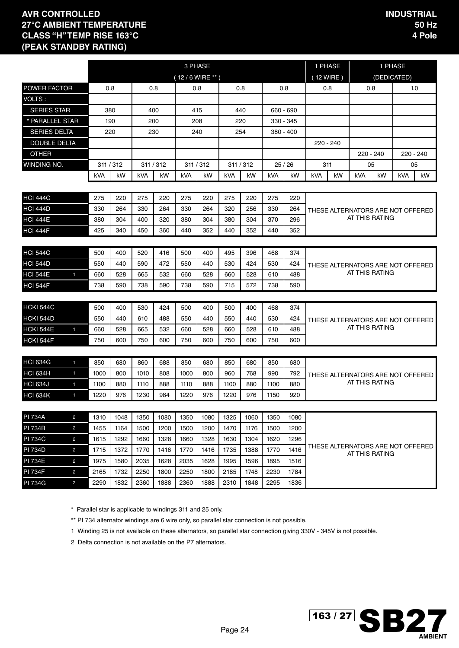|                     |                |            |            |            |           |                  | 3 PHASE   |            |            |            |             |             | 1 PHASE |                                                     | 1 PHASE     |            |           |
|---------------------|----------------|------------|------------|------------|-----------|------------------|-----------|------------|------------|------------|-------------|-------------|---------|-----------------------------------------------------|-------------|------------|-----------|
|                     |                |            |            |            |           | $(12/6$ WIRE **) |           |            |            |            |             | $(12$ WIRE) |         |                                                     | (DEDICATED) |            |           |
| <b>POWER FACTOR</b> |                | 0.8        |            |            | 0.8       |                  | 0.8       |            | 0.8        |            | 0.8         | 0.8         |         | 0.8                                                 |             |            | 1.0       |
| VOLTS:              |                |            |            |            |           |                  |           |            |            |            |             |             |         |                                                     |             |            |           |
| <b>SERIES STAR</b>  |                | 380        |            |            | 400       |                  | 415       |            | 440        |            | 660 - 690   |             |         |                                                     |             |            |           |
| * PARALLEL STAR     |                | 190        |            |            | 200       | 208              |           |            | 220        |            | 330 - 345   |             |         |                                                     |             |            |           |
| <b>SERIES DELTA</b> |                | 220        |            |            | 230       | 240              |           |            | 254        |            | $380 - 400$ |             |         |                                                     |             |            |           |
| <b>DOUBLE DELTA</b> |                |            |            |            |           |                  |           |            |            |            |             | $220 - 240$ |         |                                                     |             |            |           |
| <b>OTHER</b>        |                |            |            |            |           |                  |           |            |            |            |             |             |         | 220 - 240                                           |             |            | 220 - 240 |
| WINDING NO.         |                | 311 / 312  |            |            | 311 / 312 |                  | 311 / 312 |            | 311 / 312  |            | 25/26       | 311         |         | 05                                                  |             |            | 05        |
|                     |                | kVA        | kW         | <b>kVA</b> | kW        | kVA              | kW        | kVA        | kW         | <b>kVA</b> | kW          | <b>kVA</b>  | kW      | <b>kVA</b>                                          | kW          | <b>kVA</b> | kW        |
| <b>HCI 444C</b>     |                |            |            |            | 220       | 275              | 220       |            |            |            | 220         |             |         |                                                     |             |            |           |
| <b>HCI 444D</b>     |                | 275<br>330 | 220<br>264 | 275<br>330 | 264       | 330              | 264       | 275<br>320 | 220<br>256 | 275<br>330 | 264         |             |         |                                                     |             |            |           |
| <b>HCI 444E</b>     |                | 380        | 304        | 400        | 320       | 380              | 304       | 380        | 304        | 370        | 296         |             |         | THESE ALTERNATORS ARE NOT OFFERED<br>AT THIS RATING |             |            |           |
| <b>HCI 444F</b>     |                | 425        | 340        | 450        | 360       | 440              | 352       | 440        | 352        | 440        | 352         |             |         |                                                     |             |            |           |
|                     |                |            |            |            |           |                  |           |            |            |            |             |             |         |                                                     |             |            |           |
| <b>HCI 544C</b>     |                | 500        | 400        | 520        | 416       | 500              | 400       | 495        | 396        | 468        | 374         |             |         |                                                     |             |            |           |
| <b>HCI 544D</b>     |                | 550        | 440        | 590        | 472       | 550              | 440       | 530        | 424        | 530        | 424         |             |         | THESE ALTERNATORS ARE NOT OFFERED                   |             |            |           |
| <b>HCI 544E</b>     | $\mathbf{1}$   | 660        | 528        | 665        | 532       | 660              | 528       | 660        | 528        | 610        | 488         |             |         | AT THIS RATING                                      |             |            |           |
| <b>HCI 544F</b>     |                | 738        | 590        | 738        | 590       | 738              | 590       | 715        | 572        | 738        | 590         |             |         |                                                     |             |            |           |
|                     |                |            |            |            |           |                  |           |            |            |            |             |             |         |                                                     |             |            |           |
| HCKI 544C           |                | 500        | 400        | 530        | 424       | 500              | 400       | 500        | 400        | 468        | 374         |             |         |                                                     |             |            |           |
| HCKI 544D           |                | 550        | 440        | 610        | 488       | 550              | 440       | 550        | 440        | 530        | 424         |             |         | THESE ALTERNATORS ARE NOT OFFERED<br>AT THIS RATING |             |            |           |
| <b>HCKI 544E</b>    | $\blacksquare$ | 660        | 528        | 665        | 532       | 660              | 528       | 660        | 528        | 610        | 488         |             |         |                                                     |             |            |           |
| HCKI 544F           |                | 750        | 600        | 750        | 600       | 750              | 600       | 750        | 600        | 750        | 600         |             |         |                                                     |             |            |           |
| <b>HCI 634G</b>     | $\blacksquare$ | 850        | 680        | 860        | 688       | 850              | 680       | 850        | 680        | 850        | 680         |             |         |                                                     |             |            |           |
| <b>HCI 634H</b>     | $\blacksquare$ | 1000       | 800        | 1010       | 808       | 1000             | 800       | 960        | 768        | 990        | 792         |             |         | THESE ALTERNATORS ARE NOT OFFERED                   |             |            |           |
| <b>HCI 634J</b>     | $\mathbf{1}$   | 1100       | 880        | 1110       | 888       | 1110             | 888       | 1100       | 880        | 1100       | 880         |             |         | AT THIS RATING                                      |             |            |           |
| HCI 634K            | $\mathbf{1}$   | 1220       | 976        | 1230       | 984       | 1220             | 976       | 1220       | 976        | 1150       | 920         |             |         |                                                     |             |            |           |
|                     |                |            |            |            |           |                  |           |            |            |            |             |             |         |                                                     |             |            |           |
| <b>PI 734A</b>      | $\overline{c}$ | 1310       | 1048       | 1350       | 1080      | 1350             | 1080      | 1325       | 1060       | 1350       | 1080        |             |         |                                                     |             |            |           |
| <b>PI 734B</b>      | 2              | 1455       | 1164       | 1500       | 1200      | 1500             | 1200      | 1470       | 1176       | 1500       | 1200        |             |         |                                                     |             |            |           |
| <b>PI 734C</b>      | $\overline{c}$ | 1615       | 1292       | 1660       | 1328      | 1660             | 1328      | 1630       | 1304       | 1620       | 1296        |             |         |                                                     |             |            |           |
| <b>PI 734D</b>      | $\overline{c}$ | 1715       | 1372       | 1770       | 1416      | 1770             | 1416      | 1735       | 1388       | 1770       | 1416        |             |         | THESE ALTERNATORS ARE NOT OFFERED<br>AT THIS RATING |             |            |           |
| <b>PI 734E</b>      | $\overline{c}$ | 1975       | 1580       | 2035       | 1628      | 2035             | 1628      | 1995       | 1596       | 1895       | 1516        |             |         |                                                     |             |            |           |
| <b>PI 734F</b>      | $\overline{c}$ | 2165       | 1732       | 2250       | 1800      | 2250             | 1800      | 2185       | 1748       | 2230       | 1784        |             |         |                                                     |             |            |           |
| <b>PI 734G</b>      | $\overline{2}$ | 2290       | 1832       | 2360       | 1888      | 2360             | 1888      | 2310       | 1848       | 2295       | 1836        |             |         |                                                     |             |            |           |

\* Parallel star is applicable to windings 311 and 25 only.

\*\* PI 734 alternator windings are 6 wire only, so parallel star connection is not possible.

1 Winding 25 is not available on these alternators, so parallel star connection giving 330V - 345V is not possible.

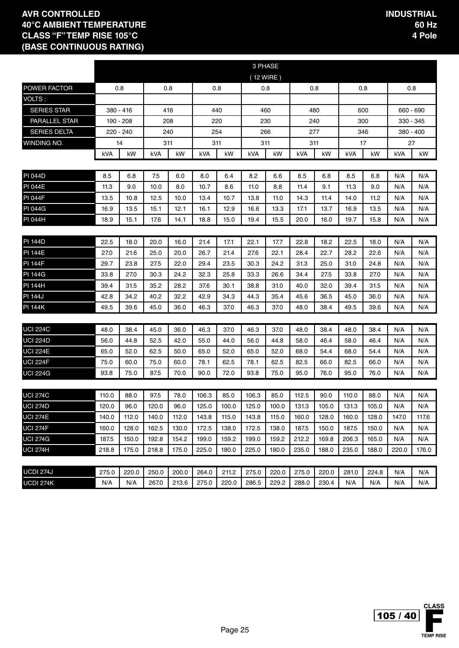|                     |       |           |       |       |       |       |           | 3 PHASE |       |       |       |       |           |           |
|---------------------|-------|-----------|-------|-------|-------|-------|-----------|---------|-------|-------|-------|-------|-----------|-----------|
|                     |       |           |       |       |       |       | (12 WIRE) |         |       |       |       |       |           |           |
| POWER FACTOR        |       | 0.8       |       | 0.8   | 0.8   |       |           | 0.8     |       | 0.8   |       | 0.8   |           | 0.8       |
| VOLTS:              |       |           |       |       |       |       |           |         |       |       |       |       |           |           |
| <b>SERIES STAR</b>  |       | 380 - 416 |       | 416   | 440   |       |           | 460     |       | 480   |       | 600   | 660 - 690 |           |
| PARALLEL STAR       |       | 190 - 208 |       | 208   | 220   |       |           | 230     |       | 240   |       | 300   | 330 - 345 |           |
| <b>SERIES DELTA</b> |       | 220 - 240 |       | 240   | 254   |       |           | 266     |       | 277   |       | 346   |           | 380 - 400 |
| WINDING NO.         |       | 14        | 311   |       | 311   |       |           | 311     |       | 311   |       | 17    | 27        |           |
|                     | kVA   | kW        | kVA   | kW    | kVA   | kW    | kVA       | kW      | kVA   | kW    | kVA   | kW    | kVA       | kW        |
|                     |       |           |       |       |       |       |           |         |       |       |       |       |           |           |
| <b>PI 044D</b>      | 8.5   | 6.8       | 7.5   | 6.0   | 8.0   | 6.4   | 8.2       | 6.6     | 8.5   | 6.8   | 8.5   | 6.8   | N/A       | N/A       |
| <b>PI 044E</b>      | 11.3  | 9.0       | 10.0  | 8.0   | 10.7  | 8.6   | 11.0      | 8.8     | 11.4  | 9.1   | 11.3  | 9.0   | N/A       | N/A       |
| <b>PI 044F</b>      | 13.5  | 10.8      | 12.5  | 10.0  | 13.4  | 10.7  | 13.8      | 11.0    | 14.3  | 11.4  | 14.0  | 11.2  | N/A       | N/A       |
| <b>PI 044G</b>      | 16.9  | 13.5      | 15.1  | 12.1  | 16.1  | 12.9  | 16.6      | 13.3    | 17.1  | 13.7  | 16.9  | 13.5  | N/A       | N/A       |
| <b>PI 044H</b>      | 18.9  | 15.1      | 17.6  | 14.1  | 18.8  | 15.0  | 19.4      | 15.5    | 20.0  | 16.0  | 19.7  | 15.8  | N/A       | N/A       |
|                     |       |           |       |       |       |       |           |         |       |       |       |       |           |           |
| <b>PI 144D</b>      | 22.5  | 18.0      | 20.0  | 16.0  | 21.4  | 17.1  | 22.1      | 17.7    | 22.8  | 18.2  | 22.5  | 18.0  | N/A       | N/A       |
| <b>PI 144E</b>      | 27.0  | 21.6      | 25.0  | 20.0  | 26.7  | 21.4  | 27.6      | 22.1    | 28.4  | 22.7  | 28.2  | 22.6  | N/A       | N/A       |
| <b>PI 144F</b>      | 29.7  | 23.8      | 27.5  | 22.0  | 29.4  | 23.5  | 30.3      | 24.2    | 31.3  | 25.0  | 31.0  | 24.8  | N/A       | N/A       |
| <b>PI 144G</b>      | 33.8  | 27.0      | 30.3  | 24.2  | 32.3  | 25.8  | 33.3      | 26.6    | 34.4  | 27.5  | 33.8  | 27.0  | N/A       | N/A       |
| <b>PI 144H</b>      | 39.4  | 31.5      | 35.2  | 28.2  | 37.6  | 30.1  | 38.8      | 31.0    | 40.0  | 32.0  | 39.4  | 31.5  | N/A       | N/A       |
| <b>PI 144J</b>      | 42.8  | 34.2      | 40.2  | 32.2  | 42.9  | 34.3  | 44.3      | 35.4    | 45.6  | 36.5  | 45.0  | 36.0  | N/A       | N/A       |
| <b>PI 144K</b>      | 49.5  | 39.6      | 45.0  | 36.0  | 46.3  | 37.0  | 46.3      | 37.0    | 48.0  | 38.4  | 49.5  | 39.6  | N/A       | N/A       |
|                     |       |           |       |       |       |       |           |         |       |       |       |       |           |           |
| <b>UCI 224C</b>     | 48.0  | 38.4      | 45.0  | 36.0  | 46.3  | 37.0  | 46.3      | 37.0    | 48.0  | 38.4  | 48.0  | 38.4  | N/A       | N/A       |
| <b>UCI 224D</b>     | 56.0  | 44.8      | 52.5  | 42.0  | 55.0  | 44.0  | 56.0      | 44.8    | 58.0  | 46.4  | 58.0  | 46.4  | N/A       | N/A       |
| <b>UCI 224E</b>     | 65.0  | 52.0      | 62.5  | 50.0  | 65.0  | 52.0  | 65.0      | 52.0    | 68.0  | 54.4  | 68.0  | 54.4  | N/A       | N/A       |
| <b>UCI 224F</b>     | 75.0  | 60.0      | 75.0  | 60.0  | 78.1  | 62.5  | 78.1      | 62.5    | 82.5  | 66.0  | 82.5  | 66.0  | N/A       | N/A       |
| <b>UCI 224G</b>     | 93.8  | 75.0      | 87.5  | 70.0  | 90.0  | 72.0  | 93.8      | 75.0    | 95.0  | 76.0  | 95.0  | 76.0  | N/A       | N/A       |
|                     |       |           |       |       |       |       |           |         |       |       |       |       |           |           |
| <b>UCI 274C</b>     | 110.0 | 88.0      | 97.5  | 78.0  | 106.3 | 85.0  | 106.3     | 85.0    | 112.5 | 90.0  | 110.0 | 88.0  | N/A       | N/A       |
| <b>UCI 274D</b>     | 120.0 | 96.0      | 120.0 | 96.0  | 125.0 | 100.0 | 125.0     | 100.0   | 131.3 | 105.0 | 131.3 | 105.0 | N/A       | N/A       |
| <b>UCI 274E</b>     | 140.0 | 112.0     | 140.0 | 112.0 | 143.8 | 115.0 | 143.8     | 115.0   | 160.0 | 128.0 | 160.0 | 128.0 | 147.0     | 117.6     |
| <b>UCI 274F</b>     | 160.0 | 128.0     | 162.5 | 130.0 | 172.5 | 138.0 | 172.5     | 138.0   | 187.5 | 150.0 | 187.5 | 150.0 | N/A       | N/A       |
| <b>UCI 274G</b>     | 187.5 | 150.0     | 192.8 | 154.2 | 199.0 | 159.2 | 199.0     | 159.2   | 212.2 | 169.8 | 206.3 | 165.0 | N/A       | N/A       |
| <b>UCI 274H</b>     | 218.8 | 175.0     | 218.8 | 175.0 | 225.0 | 180.0 | 225.0     | 180.0   | 235.0 | 188.0 | 235.0 | 188.0 | 220.0     | 176.0     |
|                     |       |           |       |       |       |       |           |         |       |       |       |       |           |           |
| <b>UCDI 274J</b>    | 275.0 | 220.0     | 250.0 | 200.0 | 264.0 | 211.2 | 275.0     | 220.0   | 275.0 | 220.0 | 281.0 | 224.8 | N/A       | N/A       |
| UCDI 274K           | N/A   | N/A       | 267.0 | 213.6 | 275.0 | 220.0 | 286.5     | 229.2   | 288.0 | 230.4 | N/A   | N/A   | N/A       | N/A       |

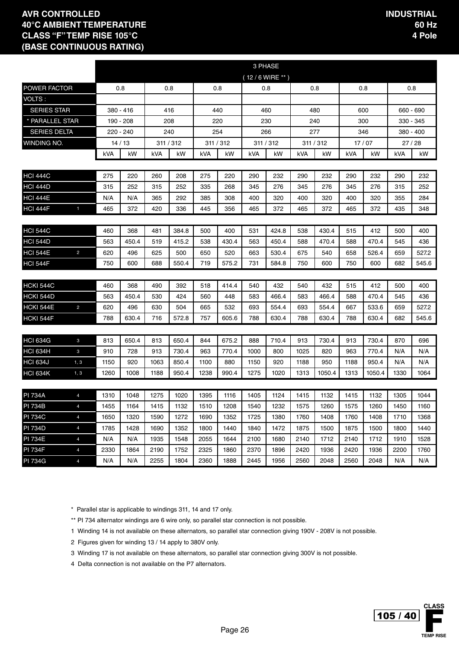|                     |                |            |           |      |           |      |           |      | 3 PHASE          |      |           |      |        |      |           |
|---------------------|----------------|------------|-----------|------|-----------|------|-----------|------|------------------|------|-----------|------|--------|------|-----------|
|                     |                |            |           |      |           |      |           |      | $(12/6$ WIRE **) |      |           |      |        |      |           |
| POWER FACTOR        |                |            | 0.8       |      | 0.8       |      | 0.8       |      | 0.8              |      | 0.8       |      | 0.8    |      | 0.8       |
| VOLTS:              |                |            |           |      |           |      |           |      |                  |      |           |      |        |      |           |
| <b>SERIES STAR</b>  |                |            | 380 - 416 |      | 416       |      | 440       |      | 460              |      | 480       |      | 600    |      | 660 - 690 |
| * PARALLEL STAR     |                |            | 190 - 208 |      | 208       |      | 220       |      | 230              |      | 240       |      | 300    |      | 330 - 345 |
| <b>SERIES DELTA</b> |                |            | 220 - 240 |      | 240       |      | 254       |      | 266              |      | 277       |      | 346    |      | 380 - 400 |
| WINDING NO.         |                |            | 14/13     |      | 311 / 312 |      | 311 / 312 |      | 311 / 312        |      | 311 / 312 |      | 17/07  |      | 27 / 28   |
|                     |                | <b>kVA</b> | kW        | kVA  | kW        | kVA  | kW        | kVA  | kW               | kVA  | kW        | kVA  | kW     | kVA  | kW        |
| <b>HCI 444C</b>     |                | 275        | 220       | 260  | 208       | 275  | 220       | 290  | 232              | 290  | 232       | 290  | 232    | 290  | 232       |
| <b>HCI 444D</b>     |                | 315        | 252       | 315  | 252       | 335  | 268       | 345  | 276              | 345  | 276       | 345  | 276    | 315  | 252       |
| <b>HCI 444E</b>     |                | N/A        | N/A       | 365  | 292       | 385  | 308       | 400  | 320              | 400  | 320       | 400  | 320    | 355  | 284       |
| <b>HCI 444F</b>     | $\mathbf{1}$   | 465        | 372       | 420  | 336       | 445  | 356       | 465  | 372              | 465  | 372       | 465  | 372    | 435  | 348       |
|                     |                |            |           |      |           |      |           |      |                  |      |           |      |        |      |           |
| <b>HCI 544C</b>     |                | 460        | 368       | 481  | 384.8     | 500  | 400       | 531  | 424.8            | 538  | 430.4     | 515  | 412    | 500  | 400       |
| <b>HCI 544D</b>     |                | 563        | 450.4     | 519  | 415.2     | 538  | 430.4     | 563  | 450.4            | 588  | 470.4     | 588  | 470.4  | 545  | 436       |
| <b>HCI 544E</b>     | $\overline{2}$ | 620        | 496       | 625  | 500       | 650  | 520       | 663  | 530.4            | 675  | 540       | 658  | 526.4  | 659  | 527.2     |
| <b>HCI 544F</b>     |                | 750        | 600       | 688  | 550.4     | 719  | 575.2     | 731  | 584.8            | 750  | 600       | 750  | 600    | 682  | 545.6     |
|                     |                |            |           |      |           |      |           |      |                  |      |           |      |        |      |           |
| <b>HCKI 544C</b>    |                | 460        | 368       | 490  | 392       | 518  | 414.4     | 540  | 432              | 540  | 432       | 515  | 412    | 500  | 400       |
| HCKI 544D           |                | 563        | 450.4     | 530  | 424       | 560  | 448       | 583  | 466.4            | 583  | 466.4     | 588  | 470.4  | 545  | 436       |
| <b>HCKI 544E</b>    | $\overline{2}$ | 620        | 496       | 630  | 504       | 665  | 532       | 693  | 554.4            | 693  | 554.4     | 667  | 533.6  | 659  | 527.2     |
| HCKI 544F           |                | 788        | 630.4     | 716  | 572.8     | 757  | 605.6     | 788  | 630.4            | 788  | 630.4     | 788  | 630.4  | 682  | 545.6     |
|                     |                |            |           |      |           |      |           |      |                  |      |           |      |        |      |           |
| <b>HCI 634G</b>     | 3              | 813        | 650.4     | 813  | 650.4     | 844  | 675.2     | 888  | 710.4            | 913  | 730.4     | 913  | 730.4  | 870  | 696       |
| <b>HCI 634H</b>     | 3              | 910        | 728       | 913  | 730.4     | 963  | 770.4     | 1000 | 800              | 1025 | 820       | 963  | 770.4  | N/A  | N/A       |
| <b>HCI 634J</b>     | 1, 3           | 1150       | 920       | 1063 | 850.4     | 1100 | 880       | 1150 | 920              | 1188 | 950       | 1188 | 950.4  | N/A  | N/A       |
| <b>HCI 634K</b>     | 1, 3           | 1260       | 1008      | 1188 | 950.4     | 1238 | 990.4     | 1275 | 1020             | 1313 | 1050.4    | 1313 | 1050.4 | 1330 | 1064      |
| <b>PI 734A</b>      | $\overline{4}$ | 1310       | 1048      | 1275 | 1020      | 1395 | 1116      | 1405 | 1124             | 1415 | 1132      | 1415 | 1132   | 1305 | 1044      |
| PI 734B             | 4              | 1455       | 1164      | 1415 | 1132      | 1510 | 1208      | 1540 | 1232             | 1575 | 1260      | 1575 | 1260   | 1450 | 1160      |
| <b>PI 734C</b>      | $\overline{4}$ | 1650       | 1320      | 1590 | 1272      | 1690 | 1352      | 1725 | 1380             | 1760 | 1408      | 1760 | 1408   | 1710 | 1368      |
| <b>PI 734D</b>      | $\overline{4}$ | 1785       | 1428      | 1690 | 1352      | 1800 | 1440      | 1840 | 1472             | 1875 | 1500      | 1875 | 1500   | 1800 | 1440      |
| <b>PI 734E</b>      | $\overline{4}$ | N/A        | N/A       | 1935 | 1548      | 2055 | 1644      | 2100 | 1680             | 2140 | 1712      | 2140 | 1712   | 1910 | 1528      |
| <b>PI 734F</b>      | $\overline{4}$ | 2330       | 1864      | 2190 | 1752      | 2325 | 1860      | 2370 | 1896             | 2420 | 1936      | 2420 | 1936   | 2200 | 1760      |
| <b>PI 734G</b>      | $\overline{4}$ | N/A        | N/A       | 2255 | 1804      | 2360 | 1888      | 2445 | 1956             | 2560 | 2048      | 2560 | 2048   | N/A  | N/A       |

\* Parallel star is applicable to windings 311, 14 and 17 only.

\*\* PI 734 alternator windings are 6 wire only, so parallel star connection is not possible.

1 Winding 14 is not available on these alternators, so parallel star connection giving 190V - 208V is not possible.

2 Figures given for winding 13 / 14 apply to 380V only.

3 Winding 17 is not available on these alternators, so parallel star connection giving 300V is not possible.

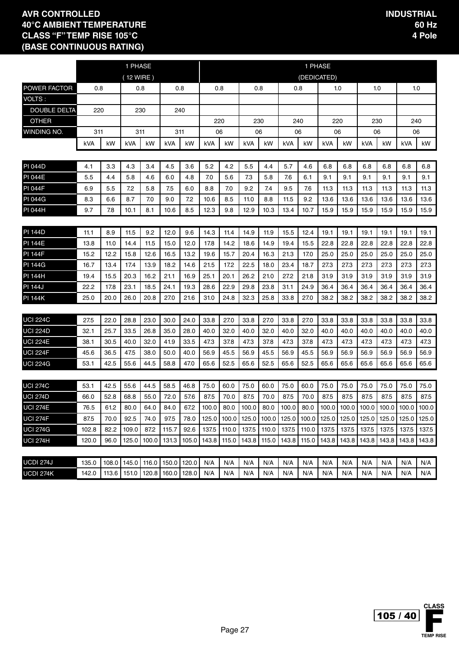|                     |       |       | 1 PHASE                       |       |       |       |       |       |            |       |       | 1 PHASE     |       |       |                       |       |                                                      |       |
|---------------------|-------|-------|-------------------------------|-------|-------|-------|-------|-------|------------|-------|-------|-------------|-------|-------|-----------------------|-------|------------------------------------------------------|-------|
|                     |       |       | (12 WIRE)                     |       |       |       |       |       |            |       |       | (DEDICATED) |       |       |                       |       |                                                      |       |
| <b>POWER FACTOR</b> | 0.8   |       | 0.8                           |       | 0.8   |       | 0.8   |       | 0.8        |       |       | 0.8         | 1.0   |       |                       | 1.0   | 1.0                                                  |       |
| VOLTS:              |       |       |                               |       |       |       |       |       |            |       |       |             |       |       |                       |       |                                                      |       |
| <b>DOUBLE DELTA</b> | 220   |       | 230                           |       |       | 240   |       |       |            |       |       |             |       |       |                       |       |                                                      |       |
| <b>OTHER</b>        |       |       |                               |       |       |       | 220   |       |            | 230   |       | 240         | 220   |       | 230                   |       | 240                                                  |       |
| WINDING NO.         | 311   |       | 311                           |       | 311   |       | 06    |       |            | 06    |       | 06          | 06    |       | 06                    |       | 06                                                   |       |
|                     | kVA   | kW    | kVA                           | kW    | kVA   | kW    | kVA   | kW    | kVA        | kW    | kVA   | kW          | kVA   | kW    | kVA                   | kW    | kVA                                                  | kW    |
|                     |       |       |                               |       |       |       |       |       |            |       |       |             |       |       |                       |       |                                                      |       |
| <b>PI 044D</b>      | 4.1   | 3.3   | 4.3                           | 3.4   | 4.5   | 3.6   | 5.2   | 4.2   | 5.5        | 4.4   | 5.7   | 4.6         | 6.8   | 6.8   | 6.8                   | 6.8   | 6.8                                                  | 6.8   |
| <b>PI 044E</b>      | 5.5   | 4.4   | 5.8                           | 4.6   | 6.0   | 4.8   | 7.0   | 5.6   | 7.3        | 5.8   | 7.6   | 6.1         | 9.1   | 9.1   | 9.1                   | 9.1   | 9.1                                                  | 9.1   |
| <b>PI 044F</b>      | 6.9   | 5.5   | 7.2                           | 5.8   | 7.5   | 6.0   | 8.8   | 7.0   | 9.2        | 7.4   | 9.5   | 7.6         | 11.3  | 11.3  | 11.3                  | 11.3  | 11.3                                                 | 11.3  |
| <b>PI 044G</b>      | 8.3   | 6.6   | 8.7                           | 7.0   | 9.0   | 7.2   | 10.6  | 8.5   | 11.0       | 8.8   | 11.5  | 9.2         | 13.6  | 13.6  | 13.6                  | 13.6  | 13.6                                                 | 13.6  |
| <b>PI 044H</b>      | 9.7   | 7.8   | 10.1                          | 8.1   | 10.6  | 8.5   | 12.3  | 9.8   | 12.9       | 10.3  | 13.4  | 10.7        | 15.9  | 15.9  | 15.9                  | 15.9  | 15.9                                                 | 15.9  |
|                     |       |       |                               |       |       |       |       |       |            |       |       |             |       |       |                       |       |                                                      |       |
| <b>PI 144D</b>      | 11.1  | 8.9   | 11.5                          | 9.2   | 12.0  | 9.6   | 14.3  | 11.4  | 14.9       | 11.9  | 15.5  | 12.4        | 19.1  | 19.1  | 19.1                  | 19.1  | 19.1                                                 | 19.1  |
| <b>PI 144E</b>      | 13.8  | 11.0  | 14.4                          | 11.5  | 15.0  | 12.0  | 17.8  | 14.2  | 18.6       | 14.9  | 19.4  | 15.5        | 22.8  | 22.8  | 22.8                  | 22.8  | 22.8                                                 | 22.8  |
| <b>PI 144F</b>      | 15.2  | 12.2  | 15.8                          | 12.6  | 16.5  | 13.2  | 19.6  | 15.7  | 20.4       | 16.3  | 21.3  | 17.0        | 25.0  | 25.0  | 25.0                  | 25.0  | 25.0                                                 | 25.0  |
| <b>PI 144G</b>      | 16.7  | 13.4  | 17.4                          | 13.9  | 18.2  | 14.6  | 21.5  | 17.2  | 22.5       | 18.0  | 23.4  | 18.7        | 27.3  | 27.3  | 27.3                  | 27.3  | 27.3                                                 | 27.3  |
| <b>PI 144H</b>      | 19.4  | 15.5  | 20.3                          | 16.2  | 21.1  | 16.9  | 25.1  | 20.1  | 26.2       | 21.0  | 27.2  | 21.8        | 31.9  | 31.9  | 31.9                  | 31.9  | 31.9                                                 | 31.9  |
| <b>PI 144J</b>      | 22.2  | 17.8  | 23.1                          | 18.5  | 24.1  | 19.3  | 28.6  | 22.9  | 29.8       | 23.8  | 31.1  | 24.9        | 36.4  | 36.4  | 36.4                  | 36.4  | 36.4                                                 | 36.4  |
| <b>PI 144K</b>      | 25.0  | 20.0  | 26.0                          | 20.8  | 27.0  | 21.6  | 31.0  | 24.8  | 32.3       | 25.8  | 33.8  | 27.0        | 38.2  | 38.2  | 38.2                  | 38.2  | 38.2                                                 | 38.2  |
|                     |       |       |                               |       |       |       |       |       |            |       |       |             |       |       |                       |       |                                                      |       |
| <b>UCI 224C</b>     | 27.5  | 22.0  | 28.8                          | 23.0  | 30.0  | 24.0  | 33.8  | 27.0  | 33.8       | 27.0  | 33.8  | 27.0        | 33.8  | 33.8  | 33.8                  | 33.8  | 33.8                                                 | 33.8  |
| <b>UCI 224D</b>     | 32.1  | 25.7  | 33.5                          | 26.8  | 35.0  | 28.0  | 40.0  | 32.0  | 40.0       | 32.0  | 40.0  | 32.0        | 40.0  | 40.0  | 40.0                  | 40.0  | 40.0                                                 | 40.0  |
| <b>UCI 224E</b>     | 38.1  | 30.5  | 40.0                          | 32.0  | 41.9  | 33.5  | 47.3  | 37.8  | 47.3       | 37.8  | 47.3  | 37.8        | 47.3  | 47.3  | 47.3                  | 47.3  | 47.3                                                 | 47.3  |
| <b>UCI 224F</b>     | 45.6  | 36.5  | 47.5                          | 38.0  | 50.0  | 40.0  | 56.9  | 45.5  | 56.9       | 45.5  | 56.9  | 45.5        | 56.9  | 56.9  | 56.9                  | 56.9  | 56.9                                                 | 56.9  |
| <b>UCI 224G</b>     | 53.1  | 42.5  | 55.6                          | 44.5  | 58.8  | 47.0  | 65.6  | 52.5  | 65.6       | 52.5  | 65.6  | 52.5        | 65.6  | 65.6  | 65.6                  | 65.6  | 65.6                                                 | 65.6  |
|                     |       |       |                               |       |       |       |       |       |            |       |       |             |       |       |                       |       |                                                      |       |
| <b>UCI 274C</b>     | 53.1  | 42.5  | 55.6                          | 44.5  | 58.5  | 46.8  | 75.0  | 60.0  | 75.0       | 60.0  | 75.0  | 60.0        | 75.0  | 75.0  | 75.0                  | 75.0  | 75.0                                                 | 75.0  |
| <b>UCI 274D</b>     | 66.0  | 52.8  | 68.8                          | 55.0  | 72.0  | 57.6  | 87.5  | 70.0  | 87.5       | 70.0  | 87.5  | 70.0        | 87.5  | 87.5  | 87.5                  | 87.5  | 87.5                                                 | 87.5  |
| <b>UCI 274E</b>     | 76.5  | 61.2  | 80.0                          | 64.0  | 84.0  | 67.2  | 100.0 | 80.0  | 100.0 80.0 |       | 100.0 |             |       |       |                       |       | 80.0   100.0   100.0   100.0   100.0   100.0   100.0 |       |
| <b>UCI 274F</b>     | 87.5  | 70.0  | 92.5                          | 74.0  | 97.5  | 78.0  | 125.0 | 100.0 | 125.0      | 100.0 | 125.0 | 100.0       |       |       | 125.0 125.0 125.0     | 125.0 | 125.0                                                | 125.0 |
| <b>UCI 274G</b>     | 102.8 | 82.2  | 109.0                         | 87.2  | 115.7 | 92.6  | 137.5 | 110.0 | 137.5      | 110.0 | 137.5 | 110.0       | 137.5 | 137.5 | 137.5                 | 137.5 | 137.5                                                | 137.5 |
| <b>UCI 274H</b>     | 120.0 | 96.0  | 125.0                         | 100.0 | 131.3 | 105.0 | 143.8 | 115.0 | 143.8      | 115.0 | 143.8 | 115.0       |       |       | 143.8   143.8   143.8 | 143.8 | 143.8                                                | 143.8 |
|                     |       |       |                               |       |       |       |       |       |            |       |       |             |       |       |                       |       |                                                      |       |
| UCDI 274J           | 135.0 | 108.0 | 145.0   116.0   150.0   120.0 |       |       |       | N/A   | N/A   | N/A        | N/A   | N/A   | N/A         | N/A   | N/A   | N/A                   | N/A   | N/A                                                  | N/A   |
| UCDI 274K           | 142.0 |       | 113.6 151.0 120.8 160.0 128.0 |       |       |       | N/A   | N/A   | N/A        | N/A   | N/A   | N/A         | N/A   | N/A   | N/A                   | N/A   | N/A                                                  | N/A   |

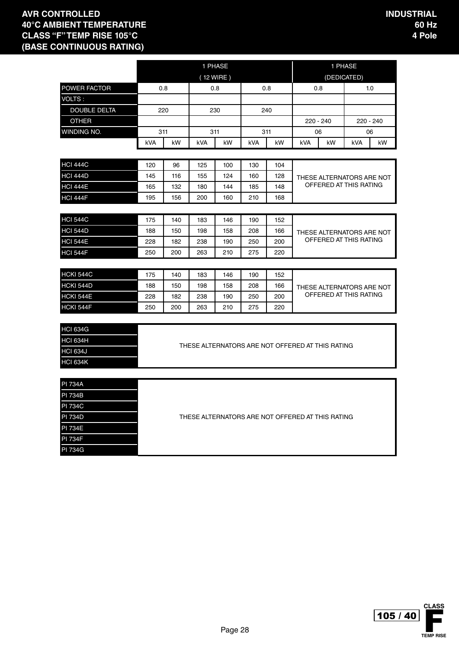PI 734G

|                     |     |     |            | 1 PHASE   |            |     |            |                                                  | 1 PHASE                   |     |
|---------------------|-----|-----|------------|-----------|------------|-----|------------|--------------------------------------------------|---------------------------|-----|
|                     |     |     |            | (12 WIRE) |            |     |            |                                                  | (DEDICATED)               |     |
| POWER FACTOR        |     | 0.8 |            | 0.8       |            | 0.8 |            | 0.8                                              |                           | 1.0 |
| VOLTS:              |     |     |            |           |            |     |            |                                                  |                           |     |
| <b>DOUBLE DELTA</b> |     | 220 |            | 230       |            | 240 |            |                                                  |                           |     |
| <b>OTHER</b>        |     |     |            |           |            |     |            | $220 - 240$                                      | 220 - 240                 |     |
| WINDING NO.         |     | 311 |            | 311       |            | 311 |            | 06                                               | 06                        |     |
|                     | kVA | kW  | <b>kVA</b> | kW        | <b>kVA</b> | kW  | <b>kVA</b> | kW                                               | <b>kVA</b>                | kW  |
|                     |     |     |            |           |            |     |            |                                                  |                           |     |
| <b>HCI 444C</b>     | 120 | 96  | 125        | 100       | 130        | 104 |            |                                                  |                           |     |
| <b>HCI 444D</b>     | 145 | 116 | 155        | 124       | 160        | 128 |            |                                                  | THESE ALTERNATORS ARE NOT |     |
| <b>HCI 444E</b>     | 165 | 132 | 180        | 144       | 185        | 148 |            |                                                  | OFFERED AT THIS RATING    |     |
| <b>HCI 444F</b>     | 195 | 156 | 200        | 160       | 210        | 168 |            |                                                  |                           |     |
|                     |     |     |            |           |            |     |            |                                                  |                           |     |
| <b>HCI 544C</b>     | 175 | 140 | 183        | 146       | 190        | 152 |            |                                                  |                           |     |
| <b>HCI 544D</b>     | 188 | 150 | 198        | 158       | 208        | 166 |            |                                                  | THESE ALTERNATORS ARE NOT |     |
| <b>HCI 544E</b>     | 228 | 182 | 238        | 190       | 250        | 200 |            |                                                  | OFFERED AT THIS RATING    |     |
| <b>HCI 544F</b>     | 250 | 200 | 263        | 210       | 275        | 220 |            |                                                  |                           |     |
|                     |     |     |            |           |            |     |            |                                                  |                           |     |
| <b>HCKI 544C</b>    | 175 | 140 | 183        | 146       | 190        | 152 |            |                                                  |                           |     |
| <b>HCKI 544D</b>    | 188 | 150 | 198        | 158       | 208        | 166 |            |                                                  | THESE ALTERNATORS ARE NOT |     |
| <b>HCKI 544E</b>    | 228 | 182 | 238        | 190       | 250        | 200 |            |                                                  | OFFERED AT THIS RATING    |     |
| HCKI 544F           | 250 | 200 | 263        | 210       | 275        | 220 |            |                                                  |                           |     |
|                     |     |     |            |           |            |     |            |                                                  |                           |     |
| <b>HCI 634G</b>     |     |     |            |           |            |     |            |                                                  |                           |     |
| <b>HCI 634H</b>     |     |     |            |           |            |     |            | THESE ALTERNATORS ARE NOT OFFERED AT THIS RATING |                           |     |
| <b>HCI 634J</b>     |     |     |            |           |            |     |            |                                                  |                           |     |
| <b>HCI 634K</b>     |     |     |            |           |            |     |            |                                                  |                           |     |
|                     |     |     |            |           |            |     |            |                                                  |                           |     |
| <b>PI 734A</b>      |     |     |            |           |            |     |            |                                                  |                           |     |
| <b>PI 734B</b>      |     |     |            |           |            |     |            |                                                  |                           |     |
| <b>PI 734C</b>      |     |     |            |           |            |     |            |                                                  |                           |     |
| <b>PI 734D</b>      |     |     |            |           |            |     |            | THESE ALTERNATORS ARE NOT OFFERED AT THIS RATING |                           |     |
| <b>PI 734E</b>      |     |     |            |           |            |     |            |                                                  |                           |     |
| <b>PI 734F</b>      |     |     |            |           |            |     |            |                                                  |                           |     |

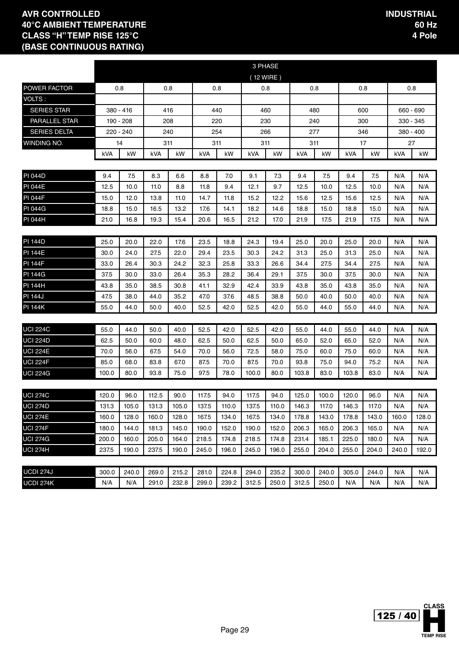|                      |            |           |       |       |       |       | 3 PHASE   |       |       |       |       |       |           |           |
|----------------------|------------|-----------|-------|-------|-------|-------|-----------|-------|-------|-------|-------|-------|-----------|-----------|
|                      |            |           |       |       |       |       | (12 WIRE) |       |       |       |       |       |           |           |
| <b>POWER FACTOR</b>  |            | 0.8       |       | 0.8   |       | 0.8   |           | 0.8   | 0.8   |       |       | 0.8   |           | 0.8       |
| <b>VOLTS:</b>        |            |           |       |       |       |       |           |       |       |       |       |       |           |           |
| <b>SERIES STAR</b>   |            | 380 - 416 |       | 416   | 440   |       |           | 460   |       | 480   |       | 600   |           | 660 - 690 |
| <b>PARALLEL STAR</b> |            | 190 - 208 |       | 208   |       | 220   |           | 230   | 240   |       |       | 300   | 330 - 345 |           |
| <b>SERIES DELTA</b>  |            | 220 - 240 |       | 240   | 254   |       |           | 266   |       | 277   |       | 346   |           | 380 - 400 |
| WINDING NO.          |            | 14        |       | 311   | 311   |       |           | 311   | 311   |       |       | 17    |           | 27        |
|                      | <b>kVA</b> | kW        | kVA   | kW    | kVA   | kW    | kVA       | kW    | kVA   | kW    | kVA   | kW    | kVA       | kW        |
|                      |            |           |       |       |       |       |           |       |       |       |       |       |           |           |
| <b>PI 044D</b>       | 9.4        | 7.5       | 8.3   | 6.6   | 8.8   | 7.0   | 9.1       | 7.3   | 9.4   | 7.5   | 9.4   | 7.5   | N/A       | N/A       |
| <b>PI 044E</b>       | 12.5       | 10.0      | 11.0  | 8.8   | 11.8  | 9.4   | 12.1      | 9.7   | 12.5  | 10.0  | 12.5  | 10.0  | N/A       | N/A       |
| <b>PI 044F</b>       | 15.0       | 12.0      | 13.8  | 11.0  | 14.7  | 11.8  | 15.2      | 12.2  | 15.6  | 12.5  | 15.6  | 12.5  | N/A       | N/A       |
| <b>PI 044G</b>       | 18.8       | 15.0      | 16.5  | 13.2  | 17.6  | 14.1  | 18.2      | 14.6  | 18.8  | 15.0  | 18.8  | 15.0  | N/A       | N/A       |
| PI 044H              | 21.0       | 16.8      | 19.3  | 15.4  | 20.6  | 16.5  | 21.2      | 17.0  | 21.9  | 17.5  | 21.9  | 17.5  | N/A       | N/A       |
|                      |            |           |       |       |       |       |           |       |       |       |       |       |           |           |
| <b>PI 144D</b>       | 25.0       | 20.0      | 22.0  | 17.6  | 23.5  | 18.8  | 24.3      | 19.4  | 25.0  | 20.0  | 25.0  | 20.0  | N/A       | N/A       |
| <b>PI 144E</b>       | 30.0       | 24.0      | 27.5  | 22.0  | 29.4  | 23.5  | 30.3      | 24.2  | 31.3  | 25.0  | 31.3  | 25.0  | N/A       | N/A       |
| <b>PI 144F</b>       | 33.0       | 26.4      | 30.3  | 24.2  | 32.3  | 25.8  | 33.3      | 26.6  | 34.4  | 27.5  | 34.4  | 27.5  | N/A       | N/A       |
| <b>PI 144G</b>       | 37.5       | 30.0      | 33.0  | 26.4  | 35.3  | 28.2  | 36.4      | 29.1  | 37.5  | 30.0  | 37.5  | 30.0  | N/A       | N/A       |
| <b>PI 144H</b>       | 43.8       | 35.0      | 38.5  | 30.8  | 41.1  | 32.9  | 42.4      | 33.9  | 43.8  | 35.0  | 43.8  | 35.0  | N/A       | N/A       |
| <b>PI 144J</b>       | 47.5       | 38.0      | 44.0  | 35.2  | 47.0  | 37.6  | 48.5      | 38.8  | 50.0  | 40.0  | 50.0  | 40.0  | N/A       | N/A       |
| <b>PI 144K</b>       | 55.0       | 44.0      | 50.0  | 40.0  | 52.5  | 42.0  | 52.5      | 42.0  | 55.0  | 44.0  | 55.0  | 44.0  | N/A       | N/A       |
|                      |            |           |       |       |       |       |           |       |       |       |       |       |           |           |
| <b>UCI 224C</b>      | 55.0       | 44.0      | 50.0  | 40.0  | 52.5  | 42.0  | 52.5      | 42.0  | 55.0  | 44.0  | 55.0  | 44.0  | N/A       | N/A       |
| <b>UCI 224D</b>      | 62.5       | 50.0      | 60.0  | 48.0  | 62.5  | 50.0  | 62.5      | 50.0  | 65.0  | 52.0  | 65.0  | 52.0  | N/A       | N/A       |
| <b>UCI 224E</b>      | 70.0       | 56.0      | 67.5  | 54.0  | 70.0  | 56.0  | 72.5      | 58.0  | 75.0  | 60.0  | 75.0  | 60.0  | N/A       | N/A       |
| <b>UCI 224F</b>      | 85.0       | 68.0      | 83.8  | 67.0  | 87.5  | 70.0  | 87.5      | 70.0  | 93.8  | 75.0  | 94.0  | 75.2  | N/A       | N/A       |
| <b>UCI 224G</b>      | 100.0      | 80.0      | 93.8  | 75.0  | 97.5  | 78.0  | 100.0     | 80.0  | 103.8 | 83.0  | 103.8 | 83.0  | N/A       | N/A       |
|                      |            |           |       |       |       |       |           |       |       |       |       |       |           |           |
| <b>UCI 274C</b>      | 120.0      | 96.0      | 112.5 | 90.0  | 117.5 | 94.0  | 117.5     | 94.0  | 125.0 | 100.0 | 120.0 | 96.0  | N/A       | N/A       |
| UCI 274D             | 131.3      | 105.0     | 131.3 | 105.0 | 137.5 | 110.0 | 137.5     | 110.0 | 146.3 | 117.0 | 146.3 | 117.0 | N/A       | N/A       |
| <b>UCI 274E</b>      | 160.0      | 128.0     | 160.0 | 128.0 | 167.5 | 134.0 | 167.5     | 134.0 | 178.8 | 143.0 | 178.8 | 143.0 | 160.0     | 128.0     |
| <b>UCI 274F</b>      | 180.0      | 144.0     | 181.3 | 145.0 | 190.0 | 152.0 | 190.0     | 152.0 | 206.3 | 165.0 | 206.3 | 165.0 | N/A       | N/A       |
| <b>UCI 274G</b>      | 200.0      | 160.0     | 205.0 | 164.0 | 218.5 | 174.8 | 218.5     | 174.8 | 231.4 | 185.1 | 225.0 | 180.0 | N/A       | N/A       |
| <b>UCI 274H</b>      | 237.5      | 190.0     | 237.5 | 190.0 | 245.0 | 196.0 | 245.0     | 196.0 | 255.0 | 204.0 | 255.0 | 204.0 | 240.0     | 192.0     |
|                      |            |           |       |       |       |       |           |       |       |       |       |       |           |           |
| UCDI 274J            | 300.0      | 240.0     | 269.0 | 215.2 | 281.0 | 224.8 | 294.0     | 235.2 | 300.0 | 240.0 | 305.0 | 244.0 | N/A       | N/A       |
| UCDI 274K            | N/A        | N/A       | 291.0 | 232.8 | 299.0 | 239.2 | 312.5     | 250.0 | 312.5 | 250.0 | N/A   | N/A   | N/A       | N/A       |

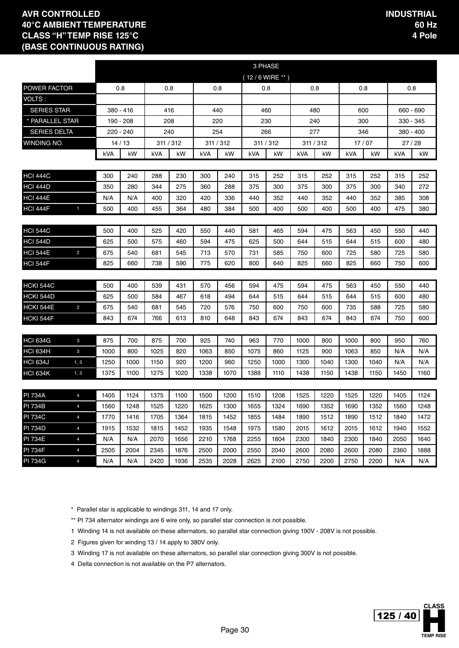|                     |                |            |           |           |      |      |           | 3 PHASE          |      |      |           |      |       |           |           |
|---------------------|----------------|------------|-----------|-----------|------|------|-----------|------------------|------|------|-----------|------|-------|-----------|-----------|
|                     |                |            |           |           |      |      |           | $(12/6$ WIRE **) |      |      |           |      |       |           |           |
| POWER FACTOR        |                |            | 0.8       | 0.8       |      |      | 0.8       | 0.8              |      | 0.8  |           | 0.8  |       |           | 0.8       |
| VOLTS:              |                |            |           |           |      |      |           |                  |      |      |           |      |       |           |           |
| <b>SERIES STAR</b>  |                |            | 380 - 416 | 416       |      |      | 440       | 460              |      | 480  |           | 600  |       | 660 - 690 |           |
| * PARALLEL STAR     |                |            | 190 - 208 | 208       |      |      | 220       | 230              |      | 240  |           |      | 300   |           | 330 - 345 |
| <b>SERIES DELTA</b> |                |            | 220 - 240 | 240       |      |      | 254       | 266              |      | 277  |           | 346  |       |           | 380 - 400 |
| WINDING NO.         |                |            | 14/13     | 311 / 312 |      |      | 311 / 312 | 311 / 312        |      |      | 311 / 312 |      | 17/07 |           | 27 / 28   |
|                     |                | <b>kVA</b> | kW        | kVA       | kW   | kVA  | kW        | kVA              | kW   | kVA  | kW        | kVA  | kW    | kVA       | kW        |
| <b>HCI 444C</b>     |                | 300        | 240       | 288       | 230  | 300  | 240       | 315              | 252  | 315  | 252       | 315  | 252   | 315       | 252       |
| <b>HCI 444D</b>     |                | 350        | 280       | 344       | 275  | 360  | 288       | 375              | 300  | 375  | 300       | 375  | 300   | 340       | 272       |
| <b>HCI 444E</b>     |                | N/A        | N/A       | 400       | 320  | 420  | 336       | 440              | 352  | 440  | 352       | 440  | 352   | 385       | 308       |
| <b>HCI 444F</b>     | $\mathbf{1}$   | 500        | 400       | 455       | 364  | 480  | 384       | 500              | 400  | 500  | 400       | 500  | 400   | 475       | 380       |
|                     |                |            |           |           |      |      |           |                  |      |      |           |      |       |           |           |
| <b>HCI 544C</b>     |                | 500        | 400       | 525       | 420  | 550  | 440       | 581              | 465  | 594  | 475       | 563  | 450   | 550       | 440       |
| <b>HCI 544D</b>     |                | 625        | 500       | 575       | 460  | 594  | 475       | 625              | 500  | 644  | 515       | 644  | 515   | 600       | 480       |
| <b>HCI 544E</b>     | $\overline{2}$ | 675        | 540       | 681       | 545  | 713  | 570       | 731              | 585  | 750  | 600       | 725  | 580   | 725       | 580       |
| <b>HCI 544F</b>     |                | 825        | 660       | 738       | 590  | 775  | 620       | 800              | 640  | 825  | 660       | 825  | 660   | 750       | 600       |
|                     |                |            |           |           |      |      |           |                  |      |      |           |      |       |           |           |
| <b>HCKI 544C</b>    |                | 500        | 400       | 539       | 431  | 570  | 456       | 594              | 475  | 594  | 475       | 563  | 450   | 550       | 440       |
| HCKI 544D           |                | 625        | 500       | 584       | 467  | 618  | 494       | 644              | 515  | 644  | 515       | 644  | 515   | 600       | 480       |
| <b>HCKI 544E</b>    | $\overline{2}$ | 675        | 540       | 681       | 545  | 720  | 576       | 750              | 600  | 750  | 600       | 735  | 588   | 725       | 580       |
| HCKI 544F           |                | 843        | 674       | 766       | 613  | 810  | 648       | 843              | 674  | 843  | 674       | 843  | 674   | 750       | 600       |
|                     |                |            |           |           |      |      |           |                  |      |      |           |      |       |           |           |
| <b>HCI 634G</b>     | 3              | 875        | 700       | 875       | 700  | 925  | 740       | 963              | 770  | 1000 | 800       | 1000 | 800   | 950       | 760       |
| <b>HCI 634H</b>     | 3              | 1000       | 800       | 1025      | 820  | 1063 | 850       | 1075             | 860  | 1125 | 900       | 1063 | 850   | N/A       | N/A       |
| <b>HCI 634J</b>     | 1, 3           | 1250       | 1000      | 1150      | 920  | 1200 | 960       | 1250             | 1000 | 1300 | 1040      | 1300 | 1040  | N/A       | N/A       |
| <b>HCI 634K</b>     | 1, 3           | 1375       | 1100      | 1275      | 1020 | 1338 | 1070      | 1388             | 1110 | 1438 | 1150      | 1438 | 1150  | 1450      | 1160      |
| <b>PI 734A</b>      | $\overline{4}$ | 1405       | 1124      | 1375      | 1100 | 1500 | 1200      | 1510             | 1208 | 1525 | 1220      | 1525 | 1220  | 1405      | 1124      |
| PI 734B             | 4              | 1560       | 1248      | 1525      | 1220 | 1625 | 1300      | 1655             | 1324 | 1690 | 1352      | 1690 | 1352  | 1560      | 1248      |
| <b>PI 734C</b>      | $\overline{4}$ | 1770       | 1416      | 1705      | 1364 | 1815 | 1452      | 1855             | 1484 | 1890 | 1512      | 1890 | 1512  | 1840      | 1472      |
| <b>PI 734D</b>      | $\overline{4}$ | 1915       | 1532      | 1815      | 1452 | 1935 | 1548      | 1975             | 1580 | 2015 | 1612      | 2015 | 1612  | 1940      | 1552      |
| <b>PI 734E</b>      | $\overline{4}$ | N/A        | N/A       | 2070      | 1656 | 2210 | 1768      | 2255             | 1804 | 2300 | 1840      | 2300 | 1840  | 2050      | 1640      |
| <b>PI 734F</b>      | $\overline{4}$ | 2505       | 2004      | 2345      | 1876 | 2500 | 2000      | 2550             | 2040 | 2600 | 2080      | 2600 | 2080  | 2360      | 1888      |
| <b>PI 734G</b>      | $\overline{4}$ | N/A        | N/A       | 2420      | 1936 | 2535 | 2028      | 2625             | 2100 | 2750 | 2200      | 2750 | 2200  | N/A       | N/A       |

\* Parallel star is applicable to windings 311, 14 and 17 only.

\*\* PI 734 alternator windings are 6 wire only, so parallel star connection is not possible.

1 Winding 14 is not available on these alternators, so parallel star connection giving 190V - 208V is not possible.

2 Figures given for winding 13 / 14 apply to 380V only.

3 Winding 17 is not available on these alternators, so parallel star connection giving 300V is not possible.

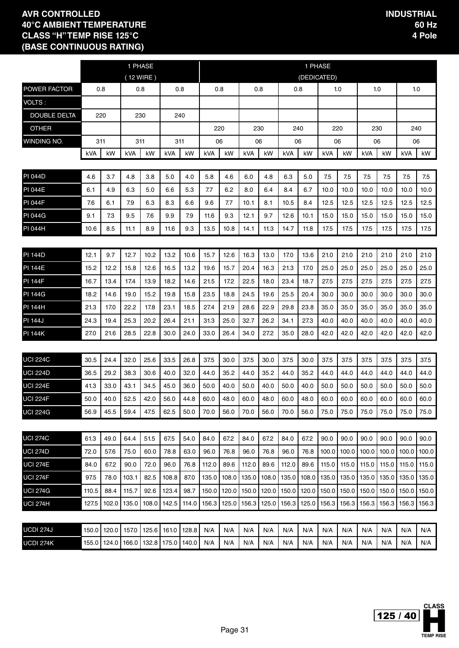|                     |       |       |       | 1 PHASE<br>(12 WIRE) |       |       |       |       |       |       |       | 1 PHASE<br>(DEDICATED) |                               |       |       |       |       |       |
|---------------------|-------|-------|-------|----------------------|-------|-------|-------|-------|-------|-------|-------|------------------------|-------------------------------|-------|-------|-------|-------|-------|
| POWER FACTOR        |       | 0.8   | 0.8   |                      | 0.8   |       |       | 0.8   | 0.8   |       | 0.8   |                        |                               | 1.0   |       | 1.0   | 1.0   |       |
| <b>VOLTS:</b>       |       |       |       |                      |       |       |       |       |       |       |       |                        |                               |       |       |       |       |       |
| <b>DOUBLE DELTA</b> |       | 220   |       | 230                  | 240   |       |       |       |       |       |       |                        |                               |       |       |       |       |       |
| <b>OTHER</b>        |       |       |       |                      |       |       |       | 220   |       | 230   | 240   |                        |                               | 220   | 230   |       | 240   |       |
| WINDING NO.         |       | 311   |       | 311                  | 311   |       |       | 06    | 06    |       | 06    |                        |                               | 06    |       | 06    | 06    |       |
|                     | kVA   | kW    | kVA   | kW                   | kVA   | kW    | kVA   | kW    | kVA   | kW    | kVA   | kW                     | kVA                           | kW    | kVA   | kW    | kVA   | kW    |
| <b>PI 044D</b>      | 4.6   | 3.7   | 4.8   | 3.8                  | 5.0   | 4.0   | 5.8   | 4.6   | 6.0   | 4.8   | 6.3   | 5.0                    | 7.5                           | 7.5   | 7.5   | 7.5   | 7.5   | 7.5   |
| <b>PI 044E</b>      | 6.1   | 4.9   | 6.3   | 5.0                  | 6.6   | 5.3   | 7.7   | 6.2   | 8.0   | 6.4   | 8.4   | 6.7                    | 10.0                          | 10.0  | 10.0  | 10.0  | 10.0  | 10.0  |
| <b>PI 044F</b>      | 7.6   | 6.1   | 7.9   | 6.3                  | 8.3   | 6.6   | 9.6   | 7.7   | 10.1  | 8.1   | 10.5  | 8.4                    | 12.5                          | 12.5  | 12.5  | 12.5  | 12.5  | 12.5  |
| <b>PI 044G</b>      | 9.1   | 7.3   | 9.5   | 7.6                  | 9.9   | 7.9   | 11.6  | 9.3   | 12.1  | 9.7   | 12.6  | 10.1                   | 15.0                          | 15.0  | 15.0  | 15.0  | 15.0  | 15.0  |
| <b>PI 044H</b>      | 10.6  | 8.5   | 11.1  | 8.9                  | 11.6  | 9.3   | 13.5  | 10.8  | 14.1  | 11.3  | 14.7  | 11.8                   | 17.5                          | 17.5  | 17.5  | 17.5  | 17.5  | 17.5  |
|                     |       |       |       |                      |       |       |       |       |       |       |       |                        |                               |       |       |       |       |       |
| <b>PI 144D</b>      | 12.1  | 9.7   | 12.7  | 10.2                 | 13.2  | 10.6  | 15.7  | 12.6  | 16.3  | 13.0  | 17.0  | 13.6                   | 21.0                          | 21.0  | 21.0  | 21.0  | 21.0  | 21.0  |
| <b>PI 144E</b>      | 15.2  | 12.2  | 15.8  | 12.6                 | 16.5  | 13.2  | 19.6  | 15.7  | 20.4  | 16.3  | 21.3  | 17.0                   | 25.0                          | 25.0  | 25.0  | 25.0  | 25.0  | 25.0  |
| <b>PI 144F</b>      | 16.7  | 13.4  | 17.4  | 13.9                 | 18.2  | 14.6  | 21.5  | 17.2  | 22.5  | 18.0  | 23.4  | 18.7                   | 27.5                          | 27.5  | 27.5  | 27.5  | 27.5  | 27.5  |
| <b>PI 144G</b>      | 18.2  | 14.6  | 19.0  | 15.2                 | 19.8  | 15.8  | 23.5  | 18.8  | 24.5  | 19.6  | 25.5  | 20.4                   | 30.0                          | 30.0  | 30.0  | 30.0  | 30.0  | 30.0  |
| <b>PI 144H</b>      | 21.3  | 17.0  | 22.2  | 17.8                 | 23.1  | 18.5  | 27.4  | 21.9  | 28.6  | 22.9  | 29.8  | 23.8                   | 35.0                          | 35.0  | 35.0  | 35.0  | 35.0  | 35.0  |
| <b>PI 144J</b>      | 24.3  | 19.4  | 25.3  | 20.2                 | 26.4  | 21.1  | 31.3  | 25.0  | 32.7  | 26.2  | 34.1  | 27.3                   | 40.0                          | 40.0  | 40.0  | 40.0  | 40.0  | 40.0  |
| <b>PI 144K</b>      | 27.0  | 21.6  | 28.5  | 22.8                 | 30.0  | 24.0  | 33.0  | 26.4  | 34.0  | 27.2  | 35.0  | 28.0                   | 42.0                          | 42.0  | 42.0  | 42.0  | 42.0  | 42.0  |
|                     |       |       |       |                      |       |       |       |       |       |       |       |                        |                               |       |       |       |       |       |
| <b>UCI 224C</b>     | 30.5  | 24.4  | 32.0  | 25.6                 | 33.5  | 26.8  | 37.5  | 30.0  | 37.5  | 30.0  | 37.5  | 30.0                   | 37.5                          | 37.5  | 37.5  | 37.5  | 37.5  | 37.5  |
| <b>UCI 224D</b>     | 36.5  | 29.2  | 38.3  | 30.6                 | 40.0  | 32.0  | 44.0  | 35.2  | 44.0  | 35.2  | 44.0  | 35.2                   | 44.0                          | 44.0  | 44.0  | 44.0  | 44.0  | 44.0  |
| <b>UCI 224E</b>     | 41.3  | 33.0  | 43.1  | 34.5                 | 45.0  | 36.0  | 50.0  | 40.0  | 50.0  | 40.0  | 50.0  | 40.0                   | 50.0                          | 50.0  | 50.0  | 50.0  | 50.0  | 50.0  |
| UCI 224F            | 50.0  | 40.0  | 52.5  | 42.0                 | 56.0  | 44.8  | 60.0  | 48.0  | 60.0  | 48.0  | 60.0  | 48.0                   | 60.0                          | 60.0  | 60.0  | 60.0  | 60.0  | 60.0  |
| <b>UCI 224G</b>     | 56.9  | 45.5  | 59.4  | 47.5                 | 62.5  | 50.0  | 70.0  | 56.0  | 70.0  | 56.0  | 70.0  | 56.0                   | 75.0                          | 75.0  | 75.0  | 75.0  | 75.0  | 75.0  |
|                     |       |       |       |                      |       |       |       |       |       |       |       |                        |                               |       |       |       |       |       |
| <b>UCI 274C</b>     | 61.3  | 49.0  | 64.4  | 51.5                 | 67.5  | 54.0  | 84.0  | 67.2  | 84.0  | 67.2  | 84.0  | 67.2                   | 90.0                          | 90.0  | 90.0  | 90.0  | 90.0  | 90.0  |
| <b>UCI 274D</b>     | 72.0  | 57.6  | 75.0  | 60.0                 | 78.8  | 63.0  | 96.0  | 76.8  | 96.0  | 76.8  | 96.0  | 76.8                   | 100.0                         | 100.0 | 100.0 | 100.0 | 100.0 | 100.0 |
| <b>UCI 274E</b>     | 84.0  | 67.2  | 90.0  | 72.0                 | 96.0  | 76.8  | 112.0 | 89.6  | 112.0 | 89.6  | 112.0 | 89.6                   | 115.0                         | 115.0 | 115.0 | 115.0 | 115.0 | 115.0 |
| <b>UCI 274F</b>     | 97.5  | 78.0  | 103.1 | 82.5                 | 108.8 | 87.0  | 135.0 | 108.0 | 135.0 | 108.0 | 135.0 | 108.0                  | 135.0                         | 135.0 | 135.0 | 135.0 | 135.0 | 135.0 |
| <b>UCI 274G</b>     | 110.5 | 88.4  | 115.7 | 92.6                 | 123.4 | 98.7  | 150.0 | 120.0 | 150.0 | 120.0 | 150.0 | 120.0                  | 150.0                         | 150.0 | 150.0 | 150.0 | 150.0 | 150.0 |
| <b>UCI 274H</b>     | 127.5 | 102.0 | 135.0 | 108.0 142.5          |       | 114.0 | 156.3 | 125.0 | 156.3 | 125.0 |       |                        | 156.3   125.0   156.3   156.3 |       | 156.3 | 156.3 | 156.3 | 156.3 |
| UCDI 274J           | 150.0 | 120.0 | 157.0 | 125.6                | 161.0 | 128.8 | N/A   | N/A   | N/A   | N/A   | N/A   | N/A                    | N/A                           | N/A   | N/A   | N/A   | N/A   | N/A   |
| UCDI 274K           | 155.0 | 124.0 | 166.0 | 132.8                | 175.0 | 140.0 | N/A   | N/A   | N/A   | N/A   | N/A   | N/A                    | N/A                           | N/A   | N/A   | N/A   | N/A   | N/A   |
|                     |       |       |       |                      |       |       |       |       |       |       |       |                        |                               |       |       |       |       |       |

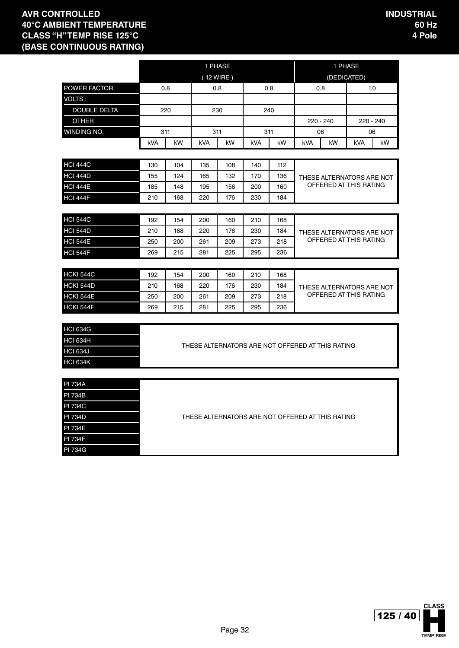|                     |     |     |     | 1 PHASE   |            |     |     | 1 PHASE                                          |             |     |
|---------------------|-----|-----|-----|-----------|------------|-----|-----|--------------------------------------------------|-------------|-----|
|                     |     |     |     | (12 WIRE) |            |     |     |                                                  | (DEDICATED) |     |
| <b>POWER FACTOR</b> |     | 0.8 |     | 0.8       |            | 0.8 |     | 0.8                                              |             | 1.0 |
| VOLTS:              |     |     |     |           |            |     |     |                                                  |             |     |
| <b>DOUBLE DELTA</b> |     | 220 |     | 230       |            | 240 |     |                                                  |             |     |
| <b>OTHER</b>        |     |     |     |           |            |     |     | 220 - 240                                        | 220 - 240   |     |
| WINDING NO.         |     | 311 |     | 311       |            | 311 |     | 06                                               | 06          |     |
|                     | kVA | kW  | kVA | kW        | <b>kVA</b> | kW  | kVA | kW                                               | kVA         | kW  |
|                     |     |     |     |           |            |     |     |                                                  |             |     |
| <b>HCI 444C</b>     | 130 | 104 | 135 | 108       | 140        | 112 |     |                                                  |             |     |
| <b>HCI 444D</b>     | 155 | 124 | 165 | 132       | 170        | 136 |     | THESE ALTERNATORS ARE NOT                        |             |     |
| <b>HCI 444E</b>     | 185 | 148 | 195 | 156       | 200        | 160 |     | OFFERED AT THIS RATING                           |             |     |
| <b>HCI 444F</b>     | 210 | 168 | 220 | 176       | 230        | 184 |     |                                                  |             |     |
|                     |     |     |     |           |            |     |     |                                                  |             |     |
| <b>HCI 544C</b>     | 192 | 154 | 200 | 160       | 210        | 168 |     |                                                  |             |     |
| <b>HCI 544D</b>     | 210 | 168 | 220 | 176       | 230        | 184 |     | THESE ALTERNATORS ARE NOT                        |             |     |
| <b>HCI 544E</b>     | 250 | 200 | 261 | 209       | 273        | 218 |     | OFFERED AT THIS RATING                           |             |     |
| <b>HCI 544F</b>     | 269 | 215 | 281 | 225       | 295        | 236 |     |                                                  |             |     |
|                     |     |     |     |           |            |     |     |                                                  |             |     |
| <b>HCKI 544C</b>    | 192 | 154 | 200 | 160       | 210        | 168 |     |                                                  |             |     |
| HCKI 544D           | 210 | 168 | 220 | 176       | 230        | 184 |     | THESE ALTERNATORS ARE NOT                        |             |     |
| HCKI 544E           | 250 | 200 | 261 | 209       | 273        | 218 |     | OFFERED AT THIS RATING                           |             |     |
| HCKI 544F           | 269 | 215 | 281 | 225       | 295        | 236 |     |                                                  |             |     |
|                     |     |     |     |           |            |     |     |                                                  |             |     |
| <b>HCI 634G</b>     |     |     |     |           |            |     |     |                                                  |             |     |
| <b>HCI 634H</b>     |     |     |     |           |            |     |     | THESE ALTERNATORS ARE NOT OFFERED AT THIS RATING |             |     |
| <b>HCI 634J</b>     |     |     |     |           |            |     |     |                                                  |             |     |
| <b>HCI 634K</b>     |     |     |     |           |            |     |     |                                                  |             |     |
|                     |     |     |     |           |            |     |     |                                                  |             |     |
| <b>PI 734A</b>      |     |     |     |           |            |     |     |                                                  |             |     |
| PI 734B             |     |     |     |           |            |     |     |                                                  |             |     |
| <b>PI 734C</b>      |     |     |     |           |            |     |     |                                                  |             |     |
| <b>PI 734D</b>      |     |     |     |           |            |     |     | THESE ALTERNATORS ARE NOT OFFERED AT THIS RATING |             |     |
| <b>PI 734E</b>      |     |     |     |           |            |     |     |                                                  |             |     |
| $\overline{a}$      |     |     |     |           |            |     |     |                                                  |             |     |

PI 734F

PI 734G

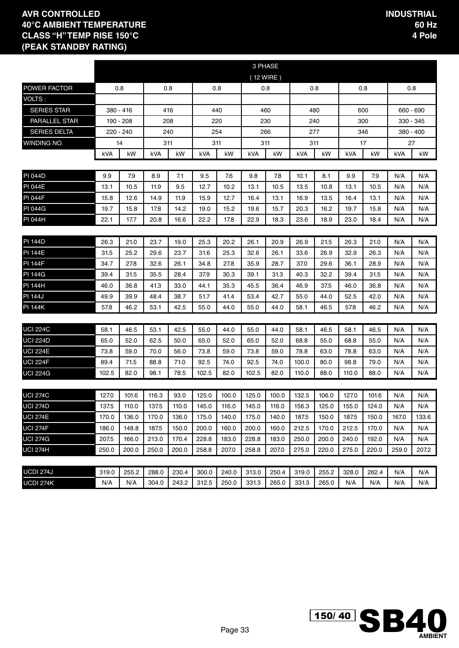|                      |       |           |       |       |            |       |           | 3 PHASE |       |       |       |       |             |       |
|----------------------|-------|-----------|-------|-------|------------|-------|-----------|---------|-------|-------|-------|-------|-------------|-------|
|                      |       |           |       |       |            |       | (12 WIRE) |         |       |       |       |       |             |       |
| POWER FACTOR         |       | 0.8       |       | 0.8   |            | 0.8   |           | 0.8     |       | 0.8   |       | 0.8   |             | 0.8   |
| VOLTS :              |       |           |       |       |            |       |           |         |       |       |       |       |             |       |
| <b>SERIES STAR</b>   |       | 380 - 416 |       | 416   |            | 440   |           | 460     |       | 480   |       | 600   | 660 - 690   |       |
| <b>PARALLEL STAR</b> |       | 190 - 208 |       | 208   |            | 220   |           | 230     |       | 240   |       | 300   | 330 - 345   |       |
| <b>SERIES DELTA</b>  |       | 220 - 240 |       | 240   |            | 254   |           | 266     |       | 277   |       | 346   | $380 - 400$ |       |
| WINDING NO.          |       | 14        |       | 311   |            | 311   |           | 311     |       | 311   |       | 17    | 27          |       |
|                      | kVA   | kW        | kVA   | kW    | <b>kVA</b> | kW    | kVA       | kW      | kVA   | kW    | kVA   | kW    | kVA         | kW    |
|                      |       |           |       |       |            |       |           |         |       |       |       |       |             |       |
| <b>PI 044D</b>       | 9.9   | 7.9       | 8.9   | 7.1   | 9.5        | 7.6   | 9.8       | 7.8     | 10.1  | 8.1   | 9.9   | 7.9   | N/A         | N/A   |
| <b>PI 044E</b>       | 13.1  | 10.5      | 11.9  | 9.5   | 12.7       | 10.2  | 13.1      | 10.5    | 13.5  | 10.8  | 13.1  | 10.5  | N/A         | N/A   |
| <b>PI 044F</b>       | 15.8  | 12.6      | 14.9  | 11.9  | 15.9       | 12.7  | 16.4      | 13.1    | 16.9  | 13.5  | 16.4  | 13.1  | N/A         | N/A   |
| <b>PI 044G</b>       | 19.7  | 15.8      | 17.8  | 14.2  | 19.0       | 15.2  | 19.6      | 15.7    | 20.3  | 16.2  | 19.7  | 15.8  | N/A         | N/A   |
| PI 044H              | 22.1  | 17.7      | 20.8  | 16.6  | 22.2       | 17.8  | 22.9      | 18.3    | 23.6  | 18.9  | 23.0  | 18.4  | N/A         | N/A   |
|                      |       |           |       |       |            |       |           |         |       |       |       |       |             |       |
| <b>PI 144D</b>       | 26.3  | 21.0      | 23.7  | 19.0  | 25.3       | 20.2  | 26.1      | 20.9    | 26.9  | 21.5  | 26.3  | 21.0  | N/A         | N/A   |
| <b>PI 144E</b>       | 31.5  | 25.2      | 29.6  | 23.7  | 31.6       | 25.3  | 32.6      | 26.1    | 33.6  | 26.9  | 32.9  | 26.3  | N/A         | N/A   |
| <b>PI 144F</b>       | 34.7  | 27.8      | 32.6  | 26.1  | 34.8       | 27.8  | 35.9      | 28.7    | 37.0  | 29.6  | 36.1  | 28.9  | N/A         | N/A   |
| <b>PI 144G</b>       | 39.4  | 31.5      | 35.5  | 28.4  | 37.9       | 30.3  | 39.1      | 31.3    | 40.3  | 32.2  | 39.4  | 31.5  | N/A         | N/A   |
| <b>PI 144H</b>       | 46.0  | 36.8      | 41.3  | 33.0  | 44.1       | 35.3  | 45.5      | 36.4    | 46.9  | 37.5  | 46.0  | 36.8  | N/A         | N/A   |
| <b>PI 144J</b>       | 49.9  | 39.9      | 48.4  | 38.7  | 51.7       | 41.4  | 53.4      | 42.7    | 55.0  | 44.0  | 52.5  | 42.0  | N/A         | N/A   |
| <b>PI 144K</b>       | 57.8  | 46.2      | 53.1  | 42.5  | 55.0       | 44.0  | 55.0      | 44.0    | 58.1  | 46.5  | 57.8  | 46.2  | N/A         | N/A   |
|                      |       |           |       |       |            |       |           |         |       |       |       |       |             |       |
| <b>UCI 224C</b>      | 58.1  | 46.5      | 53.1  | 42.5  | 55.0       | 44.0  | 55.0      | 44.0    | 58.1  | 46.5  | 58.1  | 46.5  | N/A         | N/A   |
| <b>UCI 224D</b>      | 65.0  | 52.0      | 62.5  | 50.0  | 65.0       | 52.0  | 65.0      | 52.0    | 68.8  | 55.0  | 68.8  | 55.0  | N/A         | N/A   |
| <b>UCI 224E</b>      | 73.8  | 59.0      | 70.0  | 56.0  | 73.8       | 59.0  | 73.8      | 59.0    | 78.8  | 63.0  | 78.8  | 63.0  | N/A         | N/A   |
| <b>UCI 224F</b>      | 89.4  | 71.5      | 88.8  | 71.0  | 92.5       | 74.0  | 92.5      | 74.0    | 100.0 | 80.0  | 98.8  | 79.0  | N/A         | N/A   |
| <b>UCI 224G</b>      | 102.5 | 82.0      | 98.1  | 78.5  | 102.5      | 82.0  | 102.5     | 82.0    | 110.0 | 88.0  | 110.0 | 88.0  | N/A         | N/A   |
|                      |       |           |       |       |            |       |           |         |       |       |       |       |             |       |
| <b>UCI 274C</b>      | 127.0 | 101.6     | 116.3 | 93.0  | 125.0      | 100.0 | 125.0     | 100.0   | 132.5 | 106.0 | 127.0 | 101.6 | N/A         | N/A   |
| <b>UCI 274D</b>      | 137.5 | 110.0     | 137.5 | 110.0 | 145.0      | 116.0 | 145.0     | 116.0   | 156.3 | 125.0 | 155.0 | 124.0 | N/A         | N/A   |
| <b>UCI 274E</b>      | 170.0 | 136.0     | 170.0 | 136.0 | 175.0      | 140.0 | 175.0     | 140.0   | 187.5 | 150.0 | 187.5 | 150.0 | 167.0       | 133.6 |
| <b>UCI 274F</b>      | 186.0 | 148.8     | 187.5 | 150.0 | 200.0      | 160.0 | 200.0     | 160.0   | 212.5 | 170.0 | 212.5 | 170.0 | N/A         | N/A   |
| <b>UCI 274G</b>      | 207.5 | 166.0     | 213.0 | 170.4 | 228.8      | 183.0 | 228.8     | 183.0   | 250.0 | 200.0 | 240.0 | 192.0 | N/A         | N/A   |
| <b>UCI 274H</b>      | 250.0 | 200.0     | 250.0 | 200.0 | 258.8      | 207.0 | 258.8     | 207.0   | 275.0 | 220.0 | 275.0 | 220.0 | 259.0       | 207.2 |
|                      |       |           |       |       |            |       |           |         |       |       |       |       |             |       |
| <b>UCDI 274J</b>     | 319.0 | 255.2     | 288.0 | 230.4 | 300.0      | 240.0 | 313.0     | 250.4   | 319.0 | 255.2 | 328.0 | 262.4 | N/A         | N/A   |
| UCDI 274K            | N/A   | N/A       | 304.0 | 243.2 | 312.5      | 250.0 | 331.3     | 265.0   | 331.3 | 265.0 | N/A   | N/A   | N/A         | N/A   |

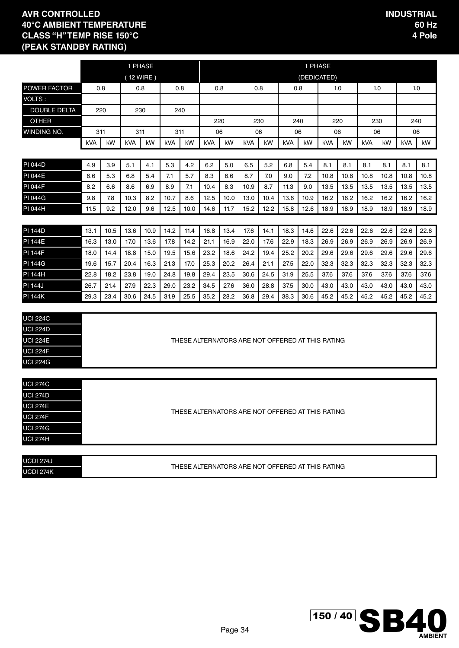|                                    |                                                                                                                                                                                                                                                                              |                                                                                                                              |             | 1 PHASE |            |      |      |      |                                                  |      |      | 1 PHASE     |            |      |      |      |      |      |
|------------------------------------|------------------------------------------------------------------------------------------------------------------------------------------------------------------------------------------------------------------------------------------------------------------------------|------------------------------------------------------------------------------------------------------------------------------|-------------|---------|------------|------|------|------|--------------------------------------------------|------|------|-------------|------------|------|------|------|------|------|
|                                    |                                                                                                                                                                                                                                                                              |                                                                                                                              | $(12$ WIRE) |         |            |      |      |      |                                                  |      |      | (DEDICATED) |            |      |      |      |      |      |
| POWER FACTOR                       |                                                                                                                                                                                                                                                                              | 0.8                                                                                                                          |             | 0.8     |            | 0.8  |      | 0.8  |                                                  | 0.8  |      | 0.8         |            | 1.0  | 1.0  |      | 1.0  |      |
| VOLTS:                             |                                                                                                                                                                                                                                                                              |                                                                                                                              |             |         |            |      |      |      |                                                  |      |      |             |            |      |      |      |      |      |
| <b>DOUBLE DELTA</b>                |                                                                                                                                                                                                                                                                              | 220                                                                                                                          |             | 230     |            | 240  |      |      |                                                  |      |      |             |            |      |      |      |      |      |
| <b>OTHER</b>                       |                                                                                                                                                                                                                                                                              |                                                                                                                              |             |         |            |      |      | 220  |                                                  | 230  |      | 240         |            | 220  | 230  |      | 240  |      |
| WINDING NO.                        |                                                                                                                                                                                                                                                                              | 311                                                                                                                          | 311         |         |            | 311  |      | 06   |                                                  | 06   |      | 06          |            | 06   | 06   |      | 06   |      |
|                                    | kVA                                                                                                                                                                                                                                                                          | kW                                                                                                                           | kVA         | kW      | <b>kVA</b> | kW   | kVA  | kW   | kVA                                              | kW   | kVA  | kW          | <b>kVA</b> | kW   | kVA  | kW   | kVA  | kW   |
|                                    |                                                                                                                                                                                                                                                                              |                                                                                                                              |             |         |            |      |      |      |                                                  |      |      |             |            |      |      |      |      |      |
| <b>PI 044D</b>                     | 4.9                                                                                                                                                                                                                                                                          | 3.9                                                                                                                          | 5.1         | 4.1     | 5.3        | 4.2  | 6.2  | 5.0  | 6.5                                              | 5.2  | 6.8  | 5.4         | 8.1        | 8.1  | 8.1  | 8.1  | 8.1  | 8.1  |
| <b>PI 044E</b>                     | 6.6                                                                                                                                                                                                                                                                          | 5.3                                                                                                                          | 6.8         | 5.4     | 7.1        | 5.7  | 8.3  | 6.6  | 8.7                                              | 7.0  | 9.0  | 7.2         | 10.8       | 10.8 | 10.8 | 10.8 | 10.8 | 10.8 |
| <b>PI 044F</b>                     | 8.2                                                                                                                                                                                                                                                                          | 6.6                                                                                                                          | 8.6         | 6.9     | 8.9        | 7.1  | 10.4 | 8.3  | 10.9                                             | 8.7  | 11.3 | 9.0         | 13.5       | 13.5 | 13.5 | 13.5 | 13.5 | 13.5 |
| <b>PI 044G</b>                     | 9.8                                                                                                                                                                                                                                                                          | 7.8                                                                                                                          | 10.3        | 8.2     | 10.7       | 8.6  | 12.5 | 10.0 | 13.0                                             | 10.4 | 13.6 | 10.9        | 16.2       | 16.2 | 16.2 | 16.2 | 16.2 | 16.2 |
| PI 044H                            | 11.5                                                                                                                                                                                                                                                                         | 9.2                                                                                                                          | 12.0        | 9.6     | 12.5       | 10.0 | 14.6 | 11.7 | 15.2                                             | 12.2 | 15.8 | 12.6        | 18.9       | 18.9 | 18.9 | 18.9 | 18.9 | 18.9 |
|                                    |                                                                                                                                                                                                                                                                              |                                                                                                                              |             |         |            |      |      |      |                                                  |      |      |             |            |      |      |      |      |      |
| <b>PI 144D</b>                     | 13.1                                                                                                                                                                                                                                                                         | 10.5                                                                                                                         | 13.6        | 10.9    | 14.2       | 11.4 | 16.8 | 13.4 | 17.6                                             | 14.1 | 18.3 | 14.6        | 22.6       | 22.6 | 22.6 | 22.6 | 22.6 | 22.6 |
| <b>PI 144E</b>                     | 17.0<br>14.2<br>21.1<br>16.9<br>18.3<br>26.9<br>26.9<br>26.9<br>26.9<br>16.3<br>13.0<br>13.6<br>17.8<br>22.0<br>17.6<br>22.9<br>26.9<br>18.0<br>18.8<br>15.0<br>19.5<br>15.6<br>23.2<br>18.6<br>24.2<br>19.4<br>25.2<br>20.2<br>29.6<br>29.6<br>29.6<br>29.6<br>29.6<br>14.4 |                                                                                                                              |             |         |            |      |      |      |                                                  |      |      |             |            | 26.9 |      |      |      |      |
| <b>PI 144F</b>                     |                                                                                                                                                                                                                                                                              |                                                                                                                              |             |         |            |      |      |      |                                                  |      |      |             |            |      |      | 29.6 |      |      |
| <b>PI 144G</b>                     | 19.6                                                                                                                                                                                                                                                                         | 20.4<br>17.0<br>25.3<br>22.0<br>32.3<br>32.3<br>32.3<br>15.7<br>16.3<br>21.3<br>20.2<br>26.4<br>21.1<br>27.5<br>32.3<br>32.3 |             |         |            |      |      |      |                                                  |      |      |             |            |      |      | 32.3 |      |      |
| <b>PI 144H</b>                     | 22.8                                                                                                                                                                                                                                                                         | 18.2                                                                                                                         | 23.8        | 19.0    | 24.8       | 19.8 | 29.4 | 23.5 | 30.6                                             | 24.5 | 31.9 | 25.5        | 37.6       | 37.6 | 37.6 | 37.6 | 37.6 | 37.6 |
| <b>PI 144J</b>                     | 26.7                                                                                                                                                                                                                                                                         | 21.4                                                                                                                         | 27.9        | 22.3    | 29.0       | 23.2 | 34.5 | 27.6 | 36.0                                             | 28.8 | 37.5 | 30.0        | 43.0       | 43.0 | 43.0 | 43.0 | 43.0 | 43.0 |
| <b>PI 144K</b>                     | 29.3                                                                                                                                                                                                                                                                         | 23.4                                                                                                                         | 30.6        | 24.5    | 31.9       | 25.5 | 35.2 | 28.2 | 36.8                                             | 29.4 | 38.3 | 30.6        | 45.2       | 45.2 | 45.2 | 45.2 | 45.2 | 45.2 |
|                                    |                                                                                                                                                                                                                                                                              |                                                                                                                              |             |         |            |      |      |      |                                                  |      |      |             |            |      |      |      |      |      |
| <b>UCI 224C</b>                    |                                                                                                                                                                                                                                                                              |                                                                                                                              |             |         |            |      |      |      |                                                  |      |      |             |            |      |      |      |      |      |
| <b>UCI 224D</b>                    |                                                                                                                                                                                                                                                                              |                                                                                                                              |             |         |            |      |      |      |                                                  |      |      |             |            |      |      |      |      |      |
| <b>UCI 224E</b>                    |                                                                                                                                                                                                                                                                              |                                                                                                                              |             |         |            |      |      |      | THESE ALTERNATORS ARE NOT OFFERED AT THIS RATING |      |      |             |            |      |      |      |      |      |
| <b>UCI 224F</b>                    |                                                                                                                                                                                                                                                                              |                                                                                                                              |             |         |            |      |      |      |                                                  |      |      |             |            |      |      |      |      |      |
| <b>UCI 224G</b>                    |                                                                                                                                                                                                                                                                              |                                                                                                                              |             |         |            |      |      |      |                                                  |      |      |             |            |      |      |      |      |      |
|                                    |                                                                                                                                                                                                                                                                              |                                                                                                                              |             |         |            |      |      |      |                                                  |      |      |             |            |      |      |      |      |      |
| <b>UCI 274C</b>                    |                                                                                                                                                                                                                                                                              |                                                                                                                              |             |         |            |      |      |      |                                                  |      |      |             |            |      |      |      |      |      |
| <b>UCI 274D</b>                    |                                                                                                                                                                                                                                                                              |                                                                                                                              |             |         |            |      |      |      |                                                  |      |      |             |            |      |      |      |      |      |
| <b>UCI 274E</b>                    |                                                                                                                                                                                                                                                                              |                                                                                                                              |             |         |            |      |      |      | THESE ALTERNATORS ARE NOT OFFERED AT THIS RATING |      |      |             |            |      |      |      |      |      |
| $\frac{1001274F}{\text{UCI }274F}$ |                                                                                                                                                                                                                                                                              |                                                                                                                              |             |         |            |      |      |      |                                                  |      |      |             |            |      |      |      |      |      |
| <b>UCI 274G</b>                    |                                                                                                                                                                                                                                                                              |                                                                                                                              |             |         |            |      |      |      |                                                  |      |      |             |            |      |      |      |      |      |
| <b>UCI 274H</b>                    |                                                                                                                                                                                                                                                                              |                                                                                                                              |             |         |            |      |      |      |                                                  |      |      |             |            |      |      |      |      |      |
|                                    |                                                                                                                                                                                                                                                                              |                                                                                                                              |             |         |            |      |      |      |                                                  |      |      |             |            |      |      |      |      |      |
| <b>UCDI 274J</b>                   |                                                                                                                                                                                                                                                                              |                                                                                                                              |             |         |            |      |      |      | THESE ALTERNATORS ARE NOT OFFERED AT THIS RATING |      |      |             |            |      |      |      |      |      |
| <b>UCDI 274K</b>                   |                                                                                                                                                                                                                                                                              |                                                                                                                              |             |         |            |      |      |      |                                                  |      |      |             |            |      |      |      |      |      |

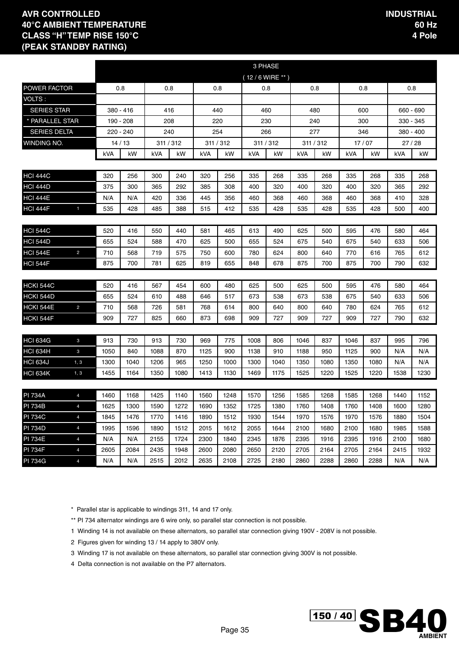|                                  |                                  |              |              |              |              |              |              | 3 PHASE                    |              |              |              |              |              |              |              |
|----------------------------------|----------------------------------|--------------|--------------|--------------|--------------|--------------|--------------|----------------------------|--------------|--------------|--------------|--------------|--------------|--------------|--------------|
|                                  |                                  |              |              |              |              |              |              | $(12/6 \text{ WIRE}^{**})$ |              |              |              |              |              |              |              |
| POWER FACTOR                     |                                  |              | 0.8          | 0.8          |              |              | 0.8          | 0.8                        |              |              | 0.8          | 0.8          |              |              | 0.8          |
| VOLTS:                           |                                  |              |              |              |              |              |              |                            |              |              |              |              |              |              |              |
| <b>SERIES STAR</b>               |                                  |              | 380 - 416    | 416          |              |              | 440          |                            | 460          |              | 480          | 600          |              | 660 - 690    |              |
| * PARALLEL STAR                  |                                  |              | 190 - 208    | 208          |              |              | 220          | 230                        |              |              | 240          | 300          |              |              | 330 - 345    |
| <b>SERIES DELTA</b>              |                                  |              | 220 - 240    | 240          |              | 254          |              | 266                        |              |              | 277          | 346          |              |              | 380 - 400    |
| WINDING NO.                      |                                  |              | 14/13        | 311 / 312    |              |              | 311 / 312    | 311 / 312                  |              |              | 311 / 312    |              | 17/07        |              | 27 / 28      |
|                                  |                                  | kVA          | kW           | kVA          | kW           | kVA          | kW           | kVA                        | kW           | kVA          | kW           | <b>kVA</b>   | kW           | kVA          | kW           |
| <b>HCI 444C</b>                  |                                  | 320          | 256          | 300          | 240          | 320          | 256          | 335                        | 268          | 335          | 268          | 335          | 268          | 335          | 268          |
| <b>HCI 444D</b>                  |                                  | 375          | 300          | 365          | 292          | 385          | 308          | 400                        | 320          | 400          | 320          | 400          | 320          | 365          | 292          |
| <b>HCI 444E</b>                  |                                  | N/A          | N/A          | 420          | 336          | 445          | 356          | 460                        | 368          | 460          | 368          | 460          | 368          | 410          | 328          |
| <b>HCI 444F</b>                  | $\mathbf{1}$                     | 535          | 428          | 485          | 388          | 515          | 412          | 535                        | 428          | 535          | 428          | 535          | 428          | 500          | 400          |
|                                  |                                  |              |              |              |              |              |              |                            |              |              |              |              |              |              |              |
| <b>HCI 544C</b>                  |                                  | 520          | 416          | 550          | 440          | 581          | 465          | 613                        | 490          | 625          | 500          | 595          | 476          | 580          | 464          |
| <b>HCI 544D</b>                  |                                  | 655          | 524          | 588          | 470          | 625          | 500          | 655                        | 524          | 675          | 540          | 675          | 540          | 633          | 506          |
| <b>HCI 544E</b>                  | $\overline{2}$                   | 710          | 568          | 719          | 575          | 750          | 600          | 780                        | 624          | 800          | 640          | 770          | 616          | 765          | 612          |
| <b>HCI 544F</b>                  |                                  | 875          | 700          | 781          | 625          | 819          | 655          | 848                        | 678          | 875          | 700          | 875          | 700          | 790          | 632          |
|                                  |                                  |              |              |              |              |              |              |                            |              |              |              |              |              |              |              |
| <b>HCKI 544C</b>                 |                                  | 520          | 416          | 567          | 454          | 600          | 480          | 625                        | 500          | 625          | 500          | 595          | 476          | 580          | 464          |
| <b>HCKI 544D</b>                 |                                  | 655          | 524          | 610          | 488          | 646          | 517          | 673                        | 538          | 673          | 538          | 675          | 540          | 633          | 506          |
| <b>HCKI 544E</b>                 | $\overline{2}$                   | 710          | 568          | 726          | 581          | 768          | 614          | 800                        | 640          | 800          | 640          | 780          | 624          | 765          | 612          |
| HCKI 544F                        |                                  | 909          | 727          | 825          | 660          | 873          | 698          | 909                        | 727          | 909          | 727          | 909          | 727          | 790          | 632          |
|                                  |                                  |              |              |              |              |              |              |                            |              |              |              |              |              |              |              |
| <b>HCI 634G</b>                  | $\mathbf{3}$                     | 913          | 730          | 913          | 730          | 969          | 775          | 1008                       | 806          | 1046         | 837          | 1046         | 837          | 995          | 796          |
| <b>HCI 634H</b>                  | 3                                | 1050         | 840          | 1088         | 870          | 1125         | 900          | 1138                       | 910          | 1188         | 950          | 1125         | 900          | N/A          | N/A          |
| <b>HCI 634J</b>                  | 1, 3                             | 1300         | 1040         | 1206         | 965          | 1250         | 1000         | 1300                       | 1040         | 1350         | 1080         | 1350         | 1080         | N/A          | N/A          |
| <b>HCI 634K</b>                  | 1, 3                             | 1455         | 1164         | 1350         | 1080         | 1413         | 1130         | 1469                       | 1175         | 1525         | 1220         | 1525         | 1220         | 1538         | 1230         |
|                                  |                                  |              |              |              |              |              |              |                            |              |              |              |              |              |              |              |
| <b>PI 734A</b>                   | $\overline{4}$                   | 1460         | 1168         | 1425         | 1140         | 1560         | 1248         | 1570                       | 1256         | 1585         | 1268         | 1585         | 1268         | 1440         | 1152         |
| <b>PI 734B</b><br><b>PI 734C</b> | $\overline{4}$<br>$\overline{4}$ | 1625<br>1845 | 1300<br>1476 | 1590<br>1770 | 1272<br>1416 | 1690<br>1890 | 1352<br>1512 | 1725<br>1930               | 1380<br>1544 | 1760<br>1970 | 1408<br>1576 | 1760<br>1970 | 1408<br>1576 | 1600<br>1880 | 1280<br>1504 |
| <b>PI 734D</b>                   | $\overline{4}$                   | 1995         | 1596         | 1890         | 1512         | 2015         | 1612         | 2055                       | 1644         | 2100         | 1680         | 2100         | 1680         | 1985         | 1588         |
| <b>PI 734E</b>                   | $\overline{4}$                   | N/A          | N/A          | 2155         | 1724         | 2300         | 1840         | 2345                       | 1876         | 2395         | 1916         | 2395         | 1916         | 2100         | 1680         |
| <b>PI 734F</b>                   | $\overline{4}$                   | 2605         | 2084         | 2435         | 1948         | 2600         | 2080         | 2650                       | 2120         | 2705         | 2164         | 2705         | 2164         | 2415         | 1932         |
| <b>PI 734G</b>                   | $\overline{4}$                   | N/A          | N/A          | 2515         | 2012         | 2635         | 2108         | 2725                       | 2180         | 2860         | 2288         | 2860         | 2288         | N/A          | N/A          |

\* Parallel star is applicable to windings 311, 14 and 17 only.

\*\* PI 734 alternator windings are 6 wire only, so parallel star connection is not possible.

1 Winding 14 is not available on these alternators, so parallel star connection giving 190V - 208V is not possible.

2 Figures given for winding 13 / 14 apply to 380V only.

3 Winding 17 is not available on these alternators, so parallel star connection giving 300V is not possible.

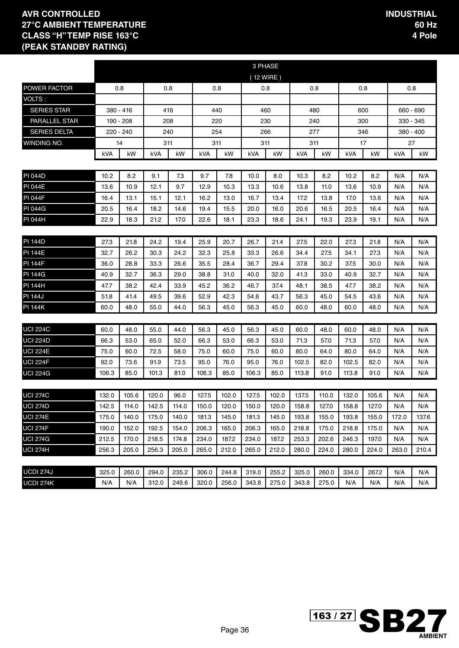|                     |       |           |       |       |       |       | 3 PHASE |           |       |       |       |       |             |       |
|---------------------|-------|-----------|-------|-------|-------|-------|---------|-----------|-------|-------|-------|-------|-------------|-------|
|                     |       |           |       |       |       |       |         | (12 WIRE) |       |       |       |       |             |       |
| POWER FACTOR        |       | 0.8       |       | 0.8   |       | 0.8   |         | 0.8       |       | 0.8   |       | 0.8   |             | 0.8   |
| VOLTS :             |       |           |       |       |       |       |         |           |       |       |       |       |             |       |
| <b>SERIES STAR</b>  |       | 380 - 416 |       | 416   |       | 440   |         | 460       |       | 480   |       | 600   | 660 - 690   |       |
| PARALLEL STAR       |       | 190 - 208 |       | 208   |       | 220   |         | 230       |       | 240   |       | 300   | 330 - 345   |       |
| <b>SERIES DELTA</b> |       | 220 - 240 |       | 240   |       | 254   |         | 266       | 277   |       |       | 346   | $380 - 400$ |       |
| WINDING NO.         |       | 14        |       | 311   |       | 311   | 311     |           |       | 311   |       | 17    | 27          |       |
|                     | kVA   | kW        | kVA   | kW    | kVA   | kW    | kVA     | kW        | kVA   | kW    | kVA   | kW    | kVA         | kW    |
|                     |       |           |       |       |       |       |         |           |       |       |       |       |             |       |
| PI 044D             | 10.2  | 8.2       | 9.1   | 7.3   | 9.7   | 7.8   | 10.0    | 8.0       | 10.3  | 8.2   | 10.2  | 8.2   | N/A         | N/A   |
| <b>PI 044E</b>      | 13.6  | 10.9      | 12.1  | 9.7   | 12.9  | 10.3  | 13.3    | 10.6      | 13.8  | 11.0  | 13.6  | 10.9  | N/A         | N/A   |
| <b>PI 044F</b>      | 16.4  | 13.1      | 15.1  | 12.1  | 16.2  | 13.0  | 16.7    | 13.4      | 17.2  | 13.8  | 17.0  | 13.6  | N/A         | N/A   |
| <b>PI 044G</b>      | 20.5  | 16.4      | 18.2  | 14.6  | 19.4  | 15.5  | 20.0    | 16.0      | 20.6  | 16.5  | 20.5  | 16.4  | N/A         | N/A   |
| PI 044H             | 22.9  | 18.3      | 21.2  | 17.0  | 22.6  | 18.1  | 23.3    | 18.6      | 24.1  | 19.3  | 23.9  | 19.1  | N/A         | N/A   |
|                     |       |           |       |       |       |       |         |           |       |       |       |       |             |       |
| <b>PI 144D</b>      | 27.3  | 21.8      | 24.2  | 19.4  | 25.9  | 20.7  | 26.7    | 21.4      | 27.5  | 22.0  | 27.3  | 21.8  | N/A         | N/A   |
| <b>PI 144E</b>      | 32.7  | 26.2      | 30.3  | 24.2  | 32.3  | 25.8  | 33.3    | 26.6      | 34.4  | 27.5  | 34.1  | 27.3  | N/A         | N/A   |
| <b>PI 144F</b>      | 36.0  | 28.8      | 33.3  | 26.6  | 35.5  | 28.4  | 36.7    | 29.4      | 37.8  | 30.2  | 37.5  | 30.0  | N/A         | N/A   |
| <b>PI 144G</b>      | 40.9  | 32.7      | 36.3  | 29.0  | 38.8  | 31.0  | 40.0    | 32.0      | 41.3  | 33.0  | 40.9  | 32.7  | N/A         | N/A   |
| <b>PI 144H</b>      | 47.7  | 38.2      | 42.4  | 33.9  | 45.2  | 36.2  | 46.7    | 37.4      | 48.1  | 38.5  | 47.7  | 38.2  | N/A         | N/A   |
| <b>PI 144J</b>      | 51.8  | 41.4      | 49.5  | 39.6  | 52.9  | 42.3  | 54.6    | 43.7      | 56.3  | 45.0  | 54.5  | 43.6  | N/A         | N/A   |
| <b>PI 144K</b>      | 60.0  | 48.0      | 55.0  | 44.0  | 56.3  | 45.0  | 56.3    | 45.0      | 60.0  | 48.0  | 60.0  | 48.0  | N/A         | N/A   |
|                     |       |           |       |       |       |       |         |           |       |       |       |       |             |       |
| <b>UCI 224C</b>     | 60.0  | 48.0      | 55.0  | 44.0  | 56.3  | 45.0  | 56.3    | 45.0      | 60.0  | 48.0  | 60.0  | 48.0  | N/A         | N/A   |
| <b>UCI 224D</b>     | 66.3  | 53.0      | 65.0  | 52.0  | 66.3  | 53.0  | 66.3    | 53.0      | 71.3  | 57.0  | 71.3  | 57.0  | N/A         | N/A   |
| <b>UCI 224E</b>     | 75.0  | 60.0      | 72.5  | 58.0  | 75.0  | 60.0  | 75.0    | 60.0      | 80.0  | 64.0  | 80.0  | 64.0  | N/A         | N/A   |
| <b>UCI 224F</b>     | 92.0  | 73.6      | 91.9  | 73.5  | 95.0  | 76.0  | 95.0    | 76.0      | 102.5 | 82.0  | 102.5 | 82.0  | N/A         | N/A   |
| <b>UCI 224G</b>     | 106.3 | 85.0      | 101.3 | 81.0  | 106.3 | 85.0  | 106.3   | 85.0      | 113.8 | 91.0  | 113.8 | 91.0  | N/A         | N/A   |
|                     |       |           |       |       |       |       |         |           |       |       |       |       |             |       |
| <b>UCI 274C</b>     | 132.0 | 105.6     | 120.0 | 96.0  | 127.5 | 102.0 | 127.5   | 102.0     | 137.5 | 110.0 | 132.0 | 105.6 | N/A         | N/A   |
| <b>UCI 274D</b>     | 142.5 | 114.0     | 142.5 | 114.0 | 150.0 | 120.0 | 150.0   | 120.0     | 158.8 | 127.0 | 158.8 | 127.0 | N/A         | N/A   |
| <b>UCI 274E</b>     | 175.0 | 140.0     | 175.0 | 140.0 | 181.3 | 145.0 | 181.3   | 145.0     | 193.8 | 155.0 | 193.8 | 155.0 | 172.0       | 137.6 |
| UCI 274F            | 190.0 | 152.0     | 192.5 | 154.0 | 206.3 | 165.0 | 206.3   | 165.0     | 218.8 | 175.0 | 218.8 | 175.0 | N/A         | N/A   |
| <b>UCI 274G</b>     | 212.5 | 170.0     | 218.5 | 174.8 | 234.0 | 187.2 | 234.0   | 187.2     | 253.3 | 202.6 | 246.3 | 197.0 | N/A         | N/A   |
| <b>UCI 274H</b>     | 256.3 | 205.0     | 256.3 | 205.0 | 265.0 | 212.0 | 265.0   | 212.0     | 280.0 | 224.0 | 280.0 | 224.0 | 263.0       | 210.4 |
|                     |       |           |       |       |       |       |         |           |       |       |       |       |             |       |
| UCDI 274J           | 325.0 | 260.0     | 294.0 | 235.2 | 306.0 | 244.8 | 319.0   | 255.2     | 325.0 | 260.0 | 334.0 | 267.2 | N/A         | N/A   |
| UCDI 274K           | N/A   | N/A       | 312.0 | 249.6 | 320.0 | 256.0 | 343.8   | 275.0     | 343.8 | 275.0 | N/A   | N/A   | N/A         | N/A   |

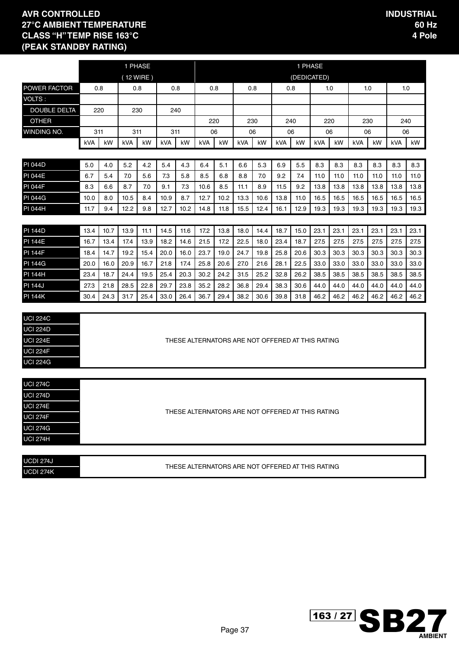|                     |      |                                                                                                                                                                                                                                                                              |           | 1 PHASE |      |      |      |      |      |      |      | 1 PHASE |                                                  |      |      |      |      |      |
|---------------------|------|------------------------------------------------------------------------------------------------------------------------------------------------------------------------------------------------------------------------------------------------------------------------------|-----------|---------|------|------|------|------|------|------|------|---------|--------------------------------------------------|------|------|------|------|------|
|                     |      |                                                                                                                                                                                                                                                                              | (12 WIRE) |         |      |      |      |      |      |      |      |         | (DEDICATED)                                      |      |      |      |      |      |
| POWER FACTOR        |      | 0.8                                                                                                                                                                                                                                                                          |           | 0.8     | 0.8  |      |      | 0.8  | 0.8  |      | 0.8  |         | 1.0                                              |      |      | 1.0  | 1.0  |      |
| VOLTS:              |      |                                                                                                                                                                                                                                                                              |           |         |      |      |      |      |      |      |      |         |                                                  |      |      |      |      |      |
| <b>DOUBLE DELTA</b> |      | 220                                                                                                                                                                                                                                                                          | 230       |         | 240  |      |      |      |      |      |      |         |                                                  |      |      |      |      |      |
| <b>OTHER</b>        |      |                                                                                                                                                                                                                                                                              |           |         |      |      | 220  |      |      | 230  | 240  |         | 220                                              |      | 230  |      | 240  |      |
| WINDING NO.         | 311  |                                                                                                                                                                                                                                                                              | 311       |         | 311  |      | 06   |      | 06   |      | 06   |         | 06                                               |      | 06   |      | 06   |      |
|                     | kVA  | kW                                                                                                                                                                                                                                                                           | kVA       | kW      | kVA  | kW   | kVA  | kW   | kVA  | kW   | kVA  | kW      | kVA                                              | kW   | kVA  | kW   | kVA  | kW   |
|                     |      |                                                                                                                                                                                                                                                                              |           |         |      |      |      |      |      |      |      |         |                                                  |      |      |      |      |      |
| <b>PI 044D</b>      | 5.0  | 4.0                                                                                                                                                                                                                                                                          | 5.2       | 4.2     | 5.4  | 4.3  | 6.4  | 5.1  | 6.6  | 5.3  | 6.9  | 5.5     | 8.3                                              | 8.3  | 8.3  | 8.3  | 8.3  | 8.3  |
| <b>PI 044E</b>      | 6.7  | 5.4                                                                                                                                                                                                                                                                          | 7.0       | 5.6     | 7.3  | 5.8  | 8.5  | 6.8  | 8.8  | 7.0  | 9.2  | 7.4     | 11.0                                             | 11.0 | 11.0 | 11.0 | 11.0 | 11.0 |
| <b>PI 044F</b>      | 8.3  | 6.6                                                                                                                                                                                                                                                                          | 8.7       | 7.0     | 9.1  | 7.3  | 10.6 | 8.5  | 11.1 | 8.9  | 11.5 | 9.2     | 13.8                                             | 13.8 | 13.8 | 13.8 | 13.8 | 13.8 |
| <b>PI 044G</b>      | 10.0 | 8.0                                                                                                                                                                                                                                                                          | 10.5      | 8.4     | 10.9 | 8.7  | 12.7 | 10.2 | 13.3 | 10.6 | 13.8 | 11.0    | 16.5                                             | 16.5 | 16.5 | 16.5 | 16.5 | 16.5 |
| PI 044H             | 11.7 | 9.4                                                                                                                                                                                                                                                                          | 12.2      | 9.8     | 12.7 | 10.2 | 14.8 | 11.8 | 15.5 | 12.4 | 16.1 | 12.9    | 19.3                                             | 19.3 | 19.3 | 19.3 | 19.3 | 19.3 |
|                     |      |                                                                                                                                                                                                                                                                              |           |         |      |      |      |      |      |      |      |         |                                                  |      |      |      |      |      |
| <b>PI 144D</b>      | 13.4 | 10.7<br>13.9<br>14.5<br>17.2<br>13.8<br>14.4<br>18.7<br>15.0<br>23.1<br>23.1<br>23.1<br>23.1<br>11.1<br>11.6<br>18.0<br>23.1<br>23.1<br>17.2<br>18.7<br>13.4<br>17.4<br>13.9<br>18.2<br>14.6<br>21.5<br>22.5<br>18.0<br>23.4<br>27.5<br>27.5<br>27.5<br>27.5<br>27.5<br>27.5 |           |         |      |      |      |      |      |      |      |         |                                                  |      |      |      |      |      |
| <b>PI 144E</b>      | 16.7 | 14.7<br>19.2<br>15.4<br>20.0<br>16.0<br>23.7<br>19.0<br>24.7<br>19.8<br>25.8<br>20.6<br>30.3<br>30.3<br>30.3<br>30.3<br>30.3                                                                                                                                                 |           |         |      |      |      |      |      |      |      |         |                                                  |      |      |      |      |      |
| <b>PI 144F</b>      | 18.4 |                                                                                                                                                                                                                                                                              |           |         |      |      |      |      |      |      |      |         |                                                  |      |      | 30.3 |      |      |
| <b>PI 144G</b>      | 20.0 | 20.9<br>21.8<br>17.4<br>25.8<br>22.5<br>33.0<br>33.0<br>33.0<br>16.0<br>16.7<br>20.6<br>27.0<br>21.6<br>28.1<br>33.0<br>33.0                                                                                                                                                 |           |         |      |      |      |      |      |      |      |         |                                                  |      |      | 33.0 |      |      |
| <b>PI 144H</b>      | 23.4 | 18.7                                                                                                                                                                                                                                                                         | 24.4      | 19.5    | 25.4 | 20.3 | 30.2 | 24.2 | 31.5 | 25.2 | 32.8 | 26.2    | 38.5                                             | 38.5 | 38.5 | 38.5 | 38.5 | 38.5 |
| <b>PI 144J</b>      | 27.3 | 21.8                                                                                                                                                                                                                                                                         | 28.5      | 22.8    | 29.7 | 23.8 | 35.2 | 28.2 | 36.8 | 29.4 | 38.3 | 30.6    | 44.0                                             | 44.0 | 44.0 | 44.0 | 44.0 | 44.0 |
| <b>PI 144K</b>      | 30.4 | 24.3                                                                                                                                                                                                                                                                         | 31.7      | 25.4    | 33.0 | 26.4 | 36.7 | 29.4 | 38.2 | 30.6 | 39.8 | 31.8    | 46.2                                             | 46.2 | 46.2 | 46.2 | 46.2 | 46.2 |
|                     |      |                                                                                                                                                                                                                                                                              |           |         |      |      |      |      |      |      |      |         |                                                  |      |      |      |      |      |
| <b>UCI 224C</b>     |      |                                                                                                                                                                                                                                                                              |           |         |      |      |      |      |      |      |      |         |                                                  |      |      |      |      |      |
| <b>UCI 224D</b>     |      |                                                                                                                                                                                                                                                                              |           |         |      |      |      |      |      |      |      |         |                                                  |      |      |      |      |      |
| <b>UCI 224E</b>     |      |                                                                                                                                                                                                                                                                              |           |         |      |      |      |      |      |      |      |         | THESE ALTERNATORS ARE NOT OFFERED AT THIS RATING |      |      |      |      |      |
| <b>UCI 224F</b>     |      |                                                                                                                                                                                                                                                                              |           |         |      |      |      |      |      |      |      |         |                                                  |      |      |      |      |      |
| <b>UCI 224G</b>     |      |                                                                                                                                                                                                                                                                              |           |         |      |      |      |      |      |      |      |         |                                                  |      |      |      |      |      |
|                     |      |                                                                                                                                                                                                                                                                              |           |         |      |      |      |      |      |      |      |         |                                                  |      |      |      |      |      |
| <b>UCI 274C</b>     |      |                                                                                                                                                                                                                                                                              |           |         |      |      |      |      |      |      |      |         |                                                  |      |      |      |      |      |
| <b>UCI 274D</b>     |      |                                                                                                                                                                                                                                                                              |           |         |      |      |      |      |      |      |      |         |                                                  |      |      |      |      |      |
| <b>UCI 274E</b>     |      |                                                                                                                                                                                                                                                                              |           |         |      |      |      |      |      |      |      |         | THESE ALTERNATORS ARE NOT OFFERED AT THIS RATING |      |      |      |      |      |
| <b>UCI 274F</b>     |      |                                                                                                                                                                                                                                                                              |           |         |      |      |      |      |      |      |      |         |                                                  |      |      |      |      |      |
| <b>UCI 274G</b>     |      |                                                                                                                                                                                                                                                                              |           |         |      |      |      |      |      |      |      |         |                                                  |      |      |      |      |      |
| <b>UCI 274H</b>     |      |                                                                                                                                                                                                                                                                              |           |         |      |      |      |      |      |      |      |         |                                                  |      |      |      |      |      |
|                     |      |                                                                                                                                                                                                                                                                              |           |         |      |      |      |      |      |      |      |         |                                                  |      |      |      |      |      |
| <b>UCDI 274J</b>    |      |                                                                                                                                                                                                                                                                              |           |         |      |      |      |      |      |      |      |         | THESE ALTERNATORS ARE NOT OFFERED AT THIS RATING |      |      |      |      |      |
| <b>UCDI 274K</b>    |      |                                                                                                                                                                                                                                                                              |           |         |      |      |      |      |      |      |      |         |                                                  |      |      |      |      |      |

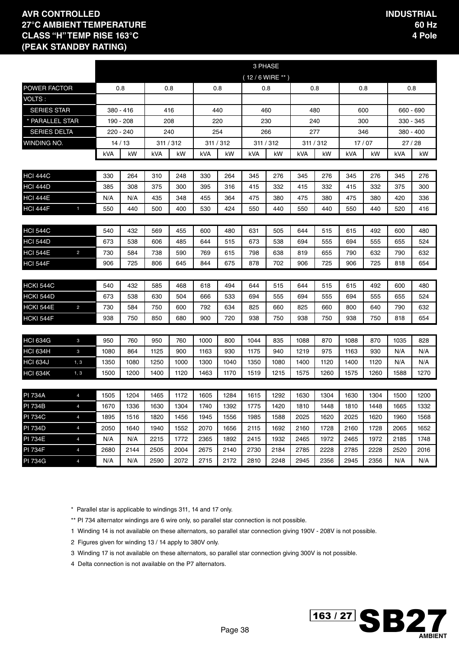|                                    |                |            |             |            |            |            |            |                  | 3 PHASE    |            |            |            |            |            |            |
|------------------------------------|----------------|------------|-------------|------------|------------|------------|------------|------------------|------------|------------|------------|------------|------------|------------|------------|
|                                    |                |            |             |            |            |            |            | $(12/6$ WIRE **) |            |            |            |            |            |            |            |
| <b>POWER FACTOR</b>                |                |            | 0.8         |            | 0.8        |            | 0.8        |                  | 0.8        |            | 0.8        | 0.8        |            |            | 0.8        |
| VOLTS:                             |                |            |             |            |            |            |            |                  |            |            |            |            |            |            |            |
| <b>SERIES STAR</b>                 |                |            | $380 - 416$ |            | 416        |            | 440        |                  | 460        |            | 480        |            | 600        |            | 660 - 690  |
| * PARALLEL STAR                    |                |            | 190 - 208   |            | 208        |            | 220        |                  | 230        |            | 240        | 300        |            |            | 330 - 345  |
| <b>SERIES DELTA</b>                |                |            | 220 - 240   |            | 240        |            | 254        |                  | 266        | 277        |            | 346        |            |            | 380 - 400  |
| <b>WINDING NO.</b>                 |                |            | 14/13       |            | 311 / 312  |            | 311 / 312  |                  | 311 / 312  |            | 311 / 312  |            | 17/07      |            | 27/28      |
|                                    |                | kVA        | kW          | kVA        | kW         | kVA        | kW         | kVA              | kW         | kVA        | kW         | <b>kVA</b> | kW         | <b>kVA</b> | kW         |
|                                    |                |            |             |            |            |            |            |                  |            |            |            |            |            |            |            |
| <b>HCI 444C</b>                    |                | 330        | 264         | 310        | 248        | 330        | 264        | 345              | 276        | 345        | 276        | 345        | 276        | 345        | 276        |
| <b>HCI 444D</b>                    |                | 385        | 308         | 375        | 300        | 395        | 316        | 415              | 332        | 415        | 332        | 415        | 332        | 375        | 300        |
| <b>HCI 444E</b>                    |                | N/A        | N/A         | 435        | 348        | 455        | 364        | 475              | 380        | 475        | 380        | 475        | 380        | 420        | 336        |
| <b>HCI 444F</b>                    | $\mathbf{1}$   | 550        | 440         | 500        | 400        | 530        | 424        | 550              | 440        | 550        | 440        | 550        | 440        | 520        | 416        |
|                                    |                |            |             |            |            |            |            |                  |            |            |            |            |            |            |            |
| <b>HCI 544C</b>                    |                | 540        | 432         | 569        | 455        | 600        | 480        | 631              | 505        | 644        | 515        | 615        | 492        | 600        | 480        |
| <b>HCI 544D</b>                    |                | 673        | 538         | 606        | 485        | 644        | 515        | 673              | 538        | 694        | 555        | 694<br>790 | 555        | 655        | 524        |
| <b>HCI 544E</b><br><b>HCI 544F</b> | $\overline{2}$ | 730<br>906 | 584<br>725  | 738<br>806 | 590<br>645 | 769<br>844 | 615<br>675 | 798<br>878       | 638<br>702 | 819<br>906 | 655<br>725 | 906        | 632<br>725 | 790<br>818 | 632<br>654 |
|                                    |                |            |             |            |            |            |            |                  |            |            |            |            |            |            |            |
| <b>HCKI 544C</b>                   |                | 540        | 432         | 585        | 468        | 618        | 494        | 644              | 515        | 644        | 515        | 615        | 492        | 600        | 480        |
| <b>HCKI 544D</b>                   |                | 673        | 538         | 630        | 504        | 666        | 533        | 694              | 555        | 694        | 555        | 694        | 555        | 655        | 524        |
| <b>HCKI 544E</b>                   | $\overline{2}$ | 730        | 584         | 750        | 600        | 792        | 634        | 825              | 660        | 825        | 660        | 800        | 640        | 790        | 632        |
| HCKI 544F                          |                | 938        | 750         | 850        | 680        | 900        | 720        | 938              | 750        | 938        | 750        | 938        | 750        | 818        | 654        |
|                                    |                |            |             |            |            |            |            |                  |            |            |            |            |            |            |            |
| <b>HCI 634G</b>                    | $\mathbf{3}$   | 950        | 760         | 950        | 760        | 1000       | 800        | 1044             | 835        | 1088       | 870        | 1088       | 870        | 1035       | 828        |
| <b>HCI 634H</b>                    | 3              | 1080       | 864         | 1125       | 900        | 1163       | 930        | 1175             | 940        | 1219       | 975        | 1163       | 930        | N/A        | N/A        |
| <b>HCI 634J</b>                    | 1, 3           | 1350       | 1080        | 1250       | 1000       | 1300       | 1040       | 1350             | 1080       | 1400       | 1120       | 1400       | 1120       | N/A        | N/A        |
| <b>HCI 634K</b>                    | 1, 3           | 1500       | 1200        | 1400       | 1120       | 1463       | 1170       | 1519             | 1215       | 1575       | 1260       | 1575       | 1260       | 1588       | 1270       |
|                                    |                |            |             |            |            |            |            |                  |            |            |            |            |            |            |            |
| <b>PI 734A</b>                     | $\overline{4}$ | 1505       | 1204        | 1465       | 1172       | 1605       | 1284       | 1615             | 1292       | 1630       | 1304       | 1630       | 1304       | 1500       | 1200       |
| <b>PI 734B</b>                     | $\overline{4}$ | 1670       | 1336        | 1630       | 1304       | 1740       | 1392       | 1775             | 1420       | 1810       | 1448       | 1810       | 1448       | 1665       | 1332       |
| <b>PI 734C</b>                     | $\overline{4}$ | 1895       | 1516        | 1820       | 1456       | 1945       | 1556       | 1985             | 1588       | 2025       | 1620       | 2025       | 1620       | 1960       | 1568       |
| <b>PI 734D</b>                     | $\overline{4}$ | 2050       | 1640        | 1940       | 1552       | 2070       | 1656       | 2115             | 1692       | 2160       | 1728       | 2160       | 1728       | 2065       | 1652       |
| <b>PI 734E</b>                     | $\overline{4}$ | N/A        | N/A         | 2215       | 1772       | 2365       | 1892       | 2415             | 1932       | 2465       | 1972       | 2465       | 1972       | 2185       | 1748       |
| <b>PI 734F</b>                     | $\overline{4}$ | 2680       | 2144        | 2505       | 2004       | 2675       | 2140       | 2730             | 2184       | 2785       | 2228       | 2785       | 2228       | 2520       | 2016       |
| <b>PI 734G</b>                     | $\overline{4}$ | N/A        | N/A         | 2590       | 2072       | 2715       | 2172       | 2810             | 2248       | 2945       | 2356       | 2945       | 2356       | N/A        | N/A        |

\* Parallel star is applicable to windings 311, 14 and 17 only.

\*\* PI 734 alternator windings are 6 wire only, so parallel star connection is not possible.

1 Winding 14 is not available on these alternators, so parallel star connection giving 190V - 208V is not possible.

2 Figures given for winding 13 / 14 apply to 380V only.

3 Winding 17 is not available on these alternators, so parallel star connection giving 300V is not possible.

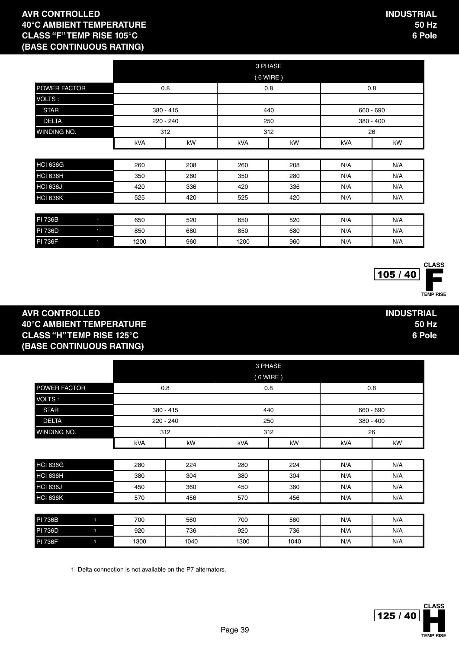|                 |                |      |             |      | 3 PHASE    |     |             |
|-----------------|----------------|------|-------------|------|------------|-----|-------------|
|                 |                |      |             |      | $(6$ WIRE) |     |             |
| POWER FACTOR    |                |      | 0.8         |      | 0.8        |     | 0.8         |
| VOLTS:          |                |      |             |      |            |     |             |
| <b>STAR</b>     |                |      | $380 - 415$ |      | 440        |     | 660 - 690   |
| <b>DELTA</b>    |                |      | 220 - 240   |      | 250        |     | $380 - 400$ |
| WINDING NO.     |                |      | 312         |      | 312        |     | 26          |
|                 |                | kVA  | kW          | kVA  | kW         | kVA | kW          |
|                 |                |      |             |      |            |     |             |
| <b>HCI 636G</b> |                | 260  | 208         | 260  | 208        | N/A | N/A         |
| <b>HCI 636H</b> |                | 350  | 280         | 350  | 280        | N/A | N/A         |
| <b>HCI 636J</b> |                | 420  | 336         | 420  | 336        | N/A | N/A         |
| <b>HCI 636K</b> |                | 525  | 420         | 525  | 420        | N/A | N/A         |
|                 |                |      |             |      |            |     |             |
| <b>PI 736B</b>  | $\blacksquare$ | 650  | 520         | 650  | 520        | N/A | N/A         |
| <b>PI 736D</b>  | $\blacksquare$ | 850  | 680         | 850  | 680        | N/A | N/A         |
| <b>PI 736F</b>  | $\blacksquare$ | 1200 | 960         | 1200 | 960        | N/A | N/A         |

105 / 40

**INDUSTRIAL**

**50 Hz 6 Pole**

# TEMP RISE **CLASS**

#### **AVR CONTROLLED 40°C AMBIENT TEMPERATURE CLASS "H" TEMP RISE 125°C (BASE CONTINUOUS RATING)**

|                     |            |             |     | 3 PHASE    |             |    |  |  |
|---------------------|------------|-------------|-----|------------|-------------|----|--|--|
|                     |            |             |     | $(6$ WIRE) |             |    |  |  |
| <b>POWER FACTOR</b> |            | 0.8         |     | 0.8        | 0.8         |    |  |  |
| VOLTS:              |            |             |     |            |             |    |  |  |
| <b>STAR</b>         |            | $380 - 415$ |     | 440        | 660 - 690   |    |  |  |
| <b>DELTA</b>        |            | $220 - 240$ |     | 250        | $380 - 400$ |    |  |  |
| <b>WINDING NO.</b>  |            | 312         |     | 312        | 26          |    |  |  |
|                     | <b>kVA</b> | kW          | kVA | kW         | <b>kVA</b>  | kW |  |  |

| HCI 636G | 280 | 224 | 280 | 224 | N/A | N/A |
|----------|-----|-----|-----|-----|-----|-----|
| HCI 636H | 380 | 304 | 380 | 304 | N/A | N/A |
| HCI 636J | 450 | 360 | 450 | 360 | N/A | N/A |
| HCI 636K | 570 | 456 | 570 | 456 | N/A | N/A |

| <b>PI 736B</b> | 700  | 560  | 700  | 560  | N/A | N/A |
|----------------|------|------|------|------|-----|-----|
| <b>PI 736D</b> | 920  | 736  | 920  | 736  | N/A | N/A |
| <b>PI 736F</b> | 1300 | 1040 | 1300 | 1040 | N/A | N/A |

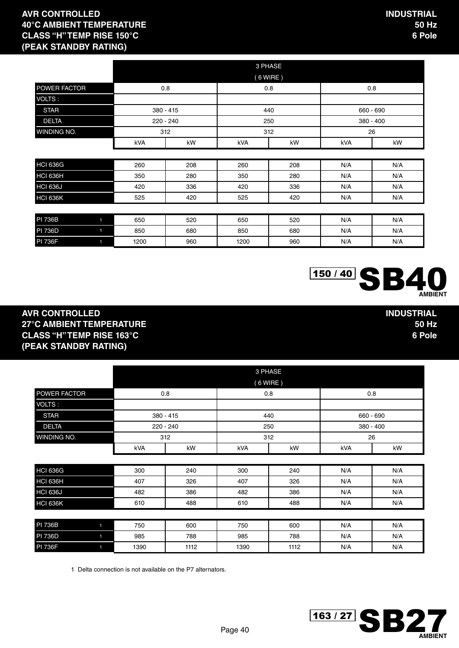**INDUSTRIAL**

 $150 / 40$  SB

**50 Hz 6 Pole**

**AMBIENT**

|                                  |     |           |     | 3 PHASE    |     |             |
|----------------------------------|-----|-----------|-----|------------|-----|-------------|
|                                  |     |           |     | $(6$ WIRE) |     |             |
| POWER FACTOR                     |     | 0.8       |     | 0.8        |     | 0.8         |
| VOLTS:                           |     |           |     |            |     |             |
| <b>STAR</b>                      |     | 380 - 415 |     | 440        |     | 660 - 690   |
| <b>DELTA</b>                     |     | 220 - 240 |     | 250        |     | $380 - 400$ |
| WINDING NO.                      |     | 312       |     | 312        |     | 26          |
|                                  | kVA | kW        | kVA | kW         | kVA | kW          |
|                                  |     |           |     |            |     |             |
| <b>HCI 636G</b>                  | 260 | 208       | 260 | 208        | N/A | N/A         |
| <b>HCI 636H</b>                  | 350 | 280       | 350 | 280        | N/A | N/A         |
| <b>HCI 636J</b>                  | 420 | 336       | 420 | 336        | N/A | N/A         |
| <b>HCI 636K</b>                  | 525 | 420       | 525 | 420        | N/A | N/A         |
|                                  |     |           |     |            |     |             |
| <b>PI 736B</b><br>$\blacksquare$ | 650 | 520       | 650 | 520        | N/A | N/A         |

| <b>PI 736B</b> | 650  | 520 | 650  | 520 | N/A | N/A |
|----------------|------|-----|------|-----|-----|-----|
| <b>PI 736D</b> | 850  | 680 | 850  | 680 | N/A | N/A |
| <b>PI 736F</b> | 1200 | 960 | 1200 | 960 | N/A | N/A |

#### **AVR CONTROLLED 27°C AMBIENT TEMPERATURE CLASS "H" TEMP RISE 163°C (PEAK STANDBY RATING)**

|                 |                | 3 PHASE<br>$(6$ WIRE) |           |     |     |             |     |  |  |  |  |
|-----------------|----------------|-----------------------|-----------|-----|-----|-------------|-----|--|--|--|--|
| POWER FACTOR    |                |                       | 0.8       |     | 0.8 | 0.8         |     |  |  |  |  |
| VOLTS:          |                |                       |           |     |     |             |     |  |  |  |  |
| <b>STAR</b>     |                | 380 - 415             |           |     | 440 | 660 - 690   |     |  |  |  |  |
| <b>DELTA</b>    |                |                       | 220 - 240 |     | 250 | $380 - 400$ |     |  |  |  |  |
| WINDING NO.     |                |                       | 312       |     | 312 |             | 26  |  |  |  |  |
|                 |                | kVA                   | kW        | kVA | kW  | kVA         | kW  |  |  |  |  |
|                 |                |                       |           |     |     |             |     |  |  |  |  |
| <b>HCI 636G</b> |                | 300                   | 240       | 300 | 240 | N/A         | N/A |  |  |  |  |
| HCI 636H        |                | 407                   | 326       | 407 | 326 | N/A         | N/A |  |  |  |  |
| <b>HCI 636J</b> |                | 482                   | 386       | 482 | 386 | N/A         | N/A |  |  |  |  |
| <b>HCI 636K</b> |                | 610                   | 488       | 610 | 488 | N/A         | N/A |  |  |  |  |
|                 |                |                       |           |     |     |             |     |  |  |  |  |
| <b>PI 736B</b>  | $\blacksquare$ | 750                   | 600       | 750 | 600 | N/A         | N/A |  |  |  |  |
| <b>PI 736D</b>  | $\blacksquare$ | 985                   | 788       | 985 | 788 | N/A         | N/A |  |  |  |  |
|                 |                |                       |           |     |     |             |     |  |  |  |  |

PI 736F 1 1390 | 1112 | 1390 | 1112 | N/A | N/A

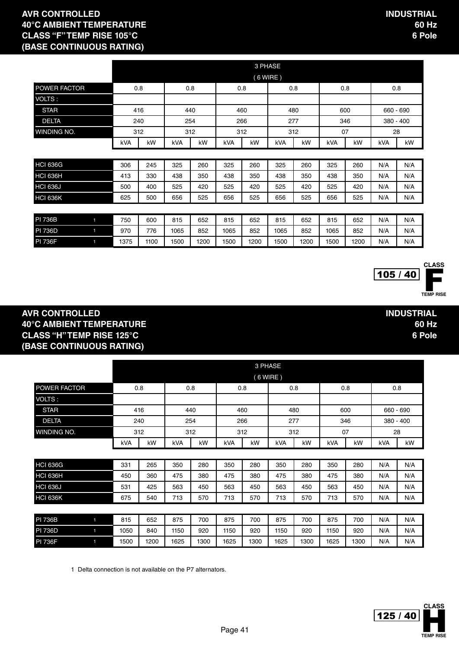|                 |   |      |      |      |      |      |      | 3 PHASE    |      |      |      |     |             |
|-----------------|---|------|------|------|------|------|------|------------|------|------|------|-----|-------------|
|                 |   |      |      |      |      |      |      | $(6$ WIRE) |      |      |      |     |             |
| POWER FACTOR    |   |      | 0.8  |      | 0.8  | 0.8  |      |            | 0.8  |      | 0.8  | 0.8 |             |
| VOLTS:          |   |      |      |      |      |      |      |            |      |      |      |     |             |
| <b>STAR</b>     |   |      | 416  |      | 440  |      | 460  |            | 480  |      | 600  |     | 660 - 690   |
| <b>DELTA</b>    |   |      | 240  |      | 254  | 266  |      |            | 277  |      | 346  |     | $380 - 400$ |
| WINDING NO.     |   |      | 312  |      | 312  | 312  |      |            | 312  |      | 07   |     | 28          |
|                 |   | kVA  | kW   | kVA  | kW   | kVA  | kW   | kVA        | kW   | kVA  | kW   | kVA | kW          |
|                 |   |      |      |      |      |      |      |            |      |      |      |     |             |
| <b>HCI 636G</b> |   | 306  | 245  | 325  | 260  | 325  | 260  | 325        | 260  | 325  | 260  | N/A | N/A         |
| <b>HCI 636H</b> |   | 413  | 330  | 438  | 350  | 438  | 350  | 438        | 350  | 438  | 350  | N/A | N/A         |
| <b>HCI 636J</b> |   | 500  | 400  | 525  | 420  | 525  | 420  | 525        | 420  | 525  | 420  | N/A | N/A         |
| <b>HCI 636K</b> |   | 625  | 500  | 656  | 525  | 656  | 525  | 656        | 525  | 656  | 525  | N/A | N/A         |
|                 |   |      |      |      |      |      |      |            |      |      |      |     |             |
| <b>PI 736B</b>  | 1 | 750  | 600  | 815  | 652  | 815  | 652  | 815        | 652  | 815  | 652  | N/A | N/A         |
| <b>PI 736D</b>  | 1 | 970  | 776  | 1065 | 852  | 1065 | 852  | 1065       | 852  | 1065 | 852  | N/A | N/A         |
| <b>PI 736F</b>  |   | 1375 | 1100 | 1500 | 1200 | 1500 | 1200 | 1500       | 1200 | 1500 | 1200 | N/A | N/A         |



**INDUSTRIAL**

**60 Hz 6 Pole**

### TEMP RISE **CLASS**

#### **AVR CONTROLLED 40°C AMBIENT TEMPERATURE CLASS "H" TEMP RISE 125°C (BASE CONTINUOUS RATING)**

|                     |   | 3 PHASE |     |            |     |            |     |            |     |            |     |     |             |
|---------------------|---|---------|-----|------------|-----|------------|-----|------------|-----|------------|-----|-----|-------------|
|                     |   |         |     |            |     |            |     | (6 WIRE)   |     |            |     |     |             |
| <b>POWER FACTOR</b> |   |         | 0.8 |            | 0.8 |            | 0.8 |            | 0.8 |            | 0.8 |     | 0.8         |
| VOLTS:              |   |         |     |            |     |            |     |            |     |            |     |     |             |
| <b>STAR</b>         |   |         | 416 | 440        |     |            | 460 |            | 480 |            | 600 |     | 660 - 690   |
| <b>DELTA</b>        |   |         | 240 |            | 254 |            | 266 |            | 277 |            | 346 |     | $380 - 400$ |
| <b>WINDING NO.</b>  |   |         | 312 | 312        |     |            | 312 |            | 312 |            | 07  |     | 28          |
|                     |   | kVA     | kW  | <b>kVA</b> | kW  | <b>kVA</b> | kW  | <b>kVA</b> | kW  | <b>kVA</b> | kW  | kVA | kW          |
|                     |   |         |     |            |     |            |     |            |     |            |     |     |             |
| HCI 636G            |   | 331     | 265 | 350        | 280 | 350        | 280 | 350        | 280 | 350        | 280 | N/A | N/A         |
| HCI 636H            |   | 450     | 360 | 475        | 380 | 475        | 380 | 475        | 380 | 475        | 380 | N/A | N/A         |
| <b>HCI 636J</b>     |   | 531     | 425 | 563        | 450 | 563        | 450 | 563        | 450 | 563        | 450 | N/A | N/A         |
| HCI 636K            |   | 675     | 540 | 713        | 570 | 713        | 570 | 713        | 570 | 713        | 570 | N/A | N/A         |
|                     |   |         |     |            |     |            |     |            |     |            |     |     |             |
| <b>PI 736B</b>      | 1 | 815     | 652 | 875        | 700 | 875        | 700 | 875        | 700 | 875        | 700 | N/A | N/A         |
| <b>PI 736D</b>      |   | 1050    | 840 | 1150       | 920 | 1150       | 920 | 1150       | 920 | 1150       | 920 | N/A | N/A         |

PI 736F 1 1500 1200 1625 1300 1625 1300 1625 1300 1625 1300 N/A N/A

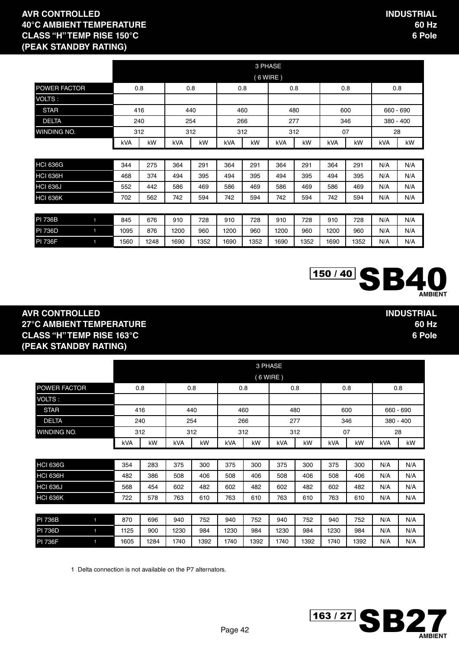|                 |                      |                          |               |         |               |         | 3 PHASE       |         |               |         |          |             |
|-----------------|----------------------|--------------------------|---------------|---------|---------------|---------|---------------|---------|---------------|---------|----------|-------------|
|                 |                      |                          |               |         |               |         | $(6$ WIRE)    |         |               |         |          |             |
| POWER FACTOR    |                      | 0.8                      |               | 0.8     |               | 0.8     |               | 0.8     |               | 0.8     |          | 0.8         |
| VOLTS:          |                      |                          |               |         |               |         |               |         |               |         |          |             |
| <b>STAR</b>     |                      | 416<br>440<br>240<br>254 |               |         |               | 460     |               | 480     | 600           |         |          | 660 - 690   |
| <b>DELTA</b>    |                      |                          |               |         |               | 266     |               | 277     |               | 346     |          | $380 - 400$ |
| WINDING NO.     |                      | 312                      |               | 312     |               | 312     |               | 312     |               | 07      |          | 28          |
|                 | kVA                  | kW                       | kVA           | kW      | kVA           | kW      | kVA           | kW      | kVA           | kW      | kVA      | kW          |
|                 |                      |                          |               |         |               |         |               |         |               |         |          |             |
| <b>HCI 636G</b> | 344                  | 275                      | 364           | 291     | 364           | 291     | 364           | 291     | 364           | 291     | N/A      | N/A         |
| <b>HCI 636H</b> | 468                  | 374                      | 494           | 395     | 494           | 395     | 494           | 395     | 494           | 395     | N/A      | N/A         |
| <b>HCI 636J</b> | 552                  | 442                      | 586           | 469     | 586           | 469     | 586           | 469     | 586           | 469     | N/A      | N/A         |
| <b>HCI 636K</b> | 702                  | 562                      | 742           | 594     | 742           | 594     | 742           | 594     | 742           | 594     | N/A      | N/A         |
|                 |                      |                          |               |         |               |         |               |         |               |         |          |             |
| F <sub>1</sub>  | $\sim$ $\sim$ $\sim$ | $- - -$                  | $\sim$ $\sim$ | $- - -$ | $\sim$ $\sim$ | $- - -$ | $\sim$ $\sim$ | $- - -$ | $\sim$ $\sim$ | $- - -$ | $\cdots$ | $\cdots$    |

| PI 736B        | 845  | 676 | 910  | 728 | 910  | 728  | 910  | 728 | 910  | 728 | N/A | N/A |
|----------------|------|-----|------|-----|------|------|------|-----|------|-----|-----|-----|
| PI 736D        | 1095 | 876 | 200  | 960 | 1200 | 960  | 1200 | 960 | 1200 | 960 | N/A | N/A |
| <b>PI 736F</b> | 560  | 248 | 1690 | 352 | 1690 | 1352 | 1690 | 352 | 1690 | 352 | N/A | N/A |



**INDUSTRIAL**

**60 Hz 6 Pole**

#### **AVR CONTROLLED 27°C AMBIENT TEMPERATURE CLASS "H" TEMP RISE 163°C (PEAK STANDBY RATING)**

|                                  | 3 PHASE |     |                         |     |            |     |           |     |     |           |     |             |
|----------------------------------|---------|-----|-------------------------|-----|------------|-----|-----------|-----|-----|-----------|-----|-------------|
|                                  |         |     |                         |     |            |     | (6 WIRE ) |     |     |           |     |             |
| <b>POWER FACTOR</b>              |         | 0.8 |                         | 0.8 |            | 0.8 |           | 0.8 |     | 0.8       |     | 0.8         |
| VOLTS:                           |         |     |                         |     |            |     |           |     |     |           |     |             |
| <b>STAR</b>                      |         | 416 |                         | 440 | 460<br>480 |     |           | 600 |     | 660 - 690 |     |             |
| <b>DELTA</b>                     |         | 240 | 254                     |     |            | 266 |           | 277 |     | 346       |     | $380 - 400$ |
| <b>WINDING NO.</b>               |         | 312 | 07<br>312<br>312<br>312 |     |            |     | 28        |     |     |           |     |             |
|                                  | kVA     | kW  | kVA                     | kW  | kVA        | kW  | kVA       | kW  | kVA | kW        | kVA | kW          |
|                                  |         |     |                         |     |            |     |           |     |     |           |     |             |
| HCI 636G                         | 354     | 283 | 375                     | 300 | 375        | 300 | 375       | 300 | 375 | 300       | N/A | N/A         |
| HCI 636H                         | 482     | 386 | 508                     | 406 | 508        | 406 | 508       | 406 | 508 | 406       | N/A | N/A         |
| <b>HCI 636J</b>                  | 568     | 454 | 602                     | 482 | 602        | 482 | 602       | 482 | 602 | 482       | N/A | N/A         |
| HCI 636K                         | 722     | 578 | 763                     | 610 | 763        | 610 | 763       | 610 | 763 | 610       | N/A | N/A         |
|                                  |         |     |                         |     |            |     |           |     |     |           |     |             |
| <b>PI 736B</b><br>$\blacksquare$ | 870     | 696 | 940                     | 752 | 940        | 752 | 940       | 752 | 940 | 752       | N/A | N/A         |

PI 736D 1 1125 | 900 | 1230 | 984 | 1230 | 984 | 1230 | 984 | 1230 | 984 | N/A | N/A PI 736F 1605 | 1284 | 1740 | 1392 | 1740 | 1392 | 1740 | 1740 | 1392 | N/A | N/A

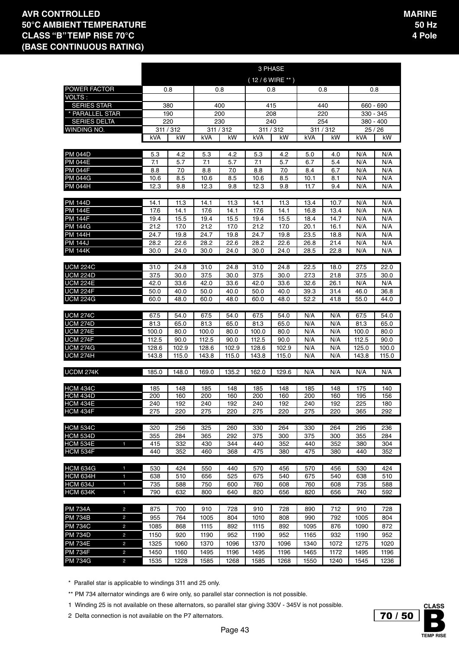|                                                    |                |                 |                |                 |                  | 3 PHASE      |              |              |                |              |
|----------------------------------------------------|----------------|-----------------|----------------|-----------------|------------------|--------------|--------------|--------------|----------------|--------------|
|                                                    |                |                 |                |                 | $(12/6$ WIRE **) |              |              |              |                |              |
| POWER FACTOR                                       |                | 0.8             | 0.8            |                 | 0.8              |              |              | 0.8          | 0.8            |              |
| <b>VOLTS:</b>                                      |                |                 |                |                 |                  |              |              |              |                |              |
| <b>SERIES STAR</b>                                 |                | 380             | 400            |                 | 415              |              |              | 440          | 660 - 690      |              |
| * PARALLEL STAR                                    |                | 190             | 200            |                 | 208              |              |              | 220          |                | 330 - 345    |
| <b>SERIES DELTA</b>                                |                | 220             | 230            |                 | 240              |              |              | 254          |                | 380 - 400    |
| WINDING NO.                                        |                | 311 / 312<br>kW |                | 311 / 312<br>kW | 311 / 312        | kW           |              | 311 / 312    | 25/26<br>kVA   | kW           |
|                                                    | kVA            |                 | kVA            |                 | kVA              |              | kVA          | kW           |                |              |
| PM 044D                                            | 5.3            | 4.2             | 5.3            | 4.2             | 5.3              | 4.2          | 5.0          | 4.0          | N/A            | N/A          |
| <b>PM 044E</b>                                     | 7.1            | 5.7             | 7.1            | 5.7             | 7.1              | 5.7          | 6.7          | 5.4          | N/A            | N/A          |
| <b>PM 044F</b>                                     | 8.8            | 7.0             | 8.8            | 7.0             | 8.8              | 7.0          | 8.4          | 6.7          | N/A            | N/A          |
| PM 044G                                            | 10.6           | 8.5             | 10.6           | 8.5             | 10.6             | 8.5          | 10.1         | 8.1          | N/A            | N/A          |
| <b>PM 044H</b>                                     | 12.3           | 9.8             | 12.3           | 9.8             | 12.3             | 9.8          | 11.7         | 9.4          | N/A            | N/A          |
| PM 144D                                            | 14.1           | 11.3            | 14.1           | 11.3            | 14.1             | 11.3         | 13.4         | 10.7         | N/A            | N/A          |
| PM 144E                                            | 17.6           | 14.1            | 17.6           | 14.1            | 17.6             | 14.1         | 16.8         | 13.4         | N/A            | N/A          |
| <b>PM 144F</b>                                     | 19.4           | 15.5            | 19.4           | 15.5            | 19.4             | 15.5         | 18.4         | 14.7         | N/A            | N/A          |
| PM 144G                                            | 21.2           | 17.0            | 21.2           | 17.0            | 21.2             | 17.0         | 20.1         | 16.1         | N/A            | N/A          |
| <b>PM 144H</b>                                     | 24.7           | 19.8            | 24.7           | 19.8            | 24.7             | 19.8         | 23.5         | 18.8         | N/A            | N/A          |
| <b>PM 144J</b>                                     | 28.2           | 22.6            | 28.2           | 22.6            | 28.2             | 22.6         | 26.8         | 21.4         | N/A            | N/A          |
| <b>PM 144K</b>                                     | 30.0           | 24.0            | 30.0           | 24.0            | 30.0             | 24.0         | 28.5         | 22.8         | N/A            | N/A          |
|                                                    |                |                 |                |                 |                  |              |              |              |                |              |
| <b>UCM 224C</b><br><b>UCM 224D</b>                 | 31.0<br>37.5   | 24.8<br>30.0    | 31.0<br>37.5   | 24.8<br>30.0    | 31.0<br>37.5     | 24.8<br>30.0 | 22.5<br>27.3 | 18.0<br>21.8 | 27.5<br>37.5   | 22.0<br>30.0 |
| <b>UCM 224E</b>                                    | 42.0           | 33.6            | 42.0           | 33.6            | 42.0             | 33.6         | 32.6         | 26.1         | N/A            | N/A          |
| <b>UCM 224F</b>                                    | 50.0           | 40.0            | 50.0           | 40.0            | 50.0             | 40.0         | 39.3         | 31.4         | 46.0           | 36.8         |
| UCM 224G                                           | 60.0           | 48.0            | 60.0           | 48.0            | 60.0             | 48.0         | 52.2         | 41.8         | 55.0           | 44.0         |
|                                                    |                |                 |                |                 |                  |              |              |              |                |              |
| <b>UCM 274C</b>                                    | 67.5           | 54.0            | 67.5           | 54.0            | 67.5             | 54.0         | N/A          | N/A          | 67.5           | 54.0         |
| <b>UCM 274D</b>                                    | 81.3           | 65.0            | 81.3           | 65.0            | 81.3             | 65.0         | N/A          | N/A          | 81.3           | 65.0         |
| <b>UCM 274E</b><br><b>UCM 274F</b>                 | 100.0<br>112.5 | 80.0<br>90.0    | 100.0<br>112.5 | 80.0<br>90.0    | 100.0<br>112.5   | 80.0<br>90.0 | N/A<br>N/A   | N/A<br>N/A   | 100.0<br>112.5 | 80.0<br>90.0 |
| <b>UCM 274G</b>                                    | 128.6          | 102.9           | 128.6          | 102.9           | 128.6            | 102.9        | N/A          | N/A          | 125.0          | 100.0        |
| <b>UCM 274H</b>                                    | 143.8          | 115.0           | 143.8          | 115.0           | 143.8            | 115.0        | N/A          | N/A          | 143.8          | 115.0        |
|                                                    |                |                 |                |                 |                  |              |              |              |                |              |
| UCDM 274K                                          | 185.0          | 148.0           | 169.0          | 135.2           | 162.0            | 129.6        | N/A          | N/A          | N/A            | N/A          |
|                                                    |                |                 |                |                 |                  |              |              |              |                |              |
| <b>HCM 434C</b><br><b>HCM 434D</b>                 | 185<br>200     | 148<br>160      | 185<br>200     | 148<br>160      | 185<br>200       | 148<br>160   | 185<br>200   | 148<br>160   | 175<br>195     | 140<br>156   |
| <b>HCM 434E</b>                                    | 240            | 192             | 240            | 192             | 240              | 192          | 240          | 192          | 225            | 180          |
| HCM 434F                                           | 275            | 220             | 275            | 220             | 275              | 220          | 275          | 220          | 365            | 292          |
|                                                    |                |                 |                |                 |                  |              |              |              |                |              |
| <b>HCM 534C</b>                                    | 320            | 256             | 325            | 260             | 330              | 264          | 330          | 264          | 295            | 236          |
| <b>HCM 534D</b>                                    | 355            | 284             | 365            | 292             | 375              | 300          | 375          | 300          | 355            | 284          |
| <b>HCM 534E</b><br>$\blacksquare$                  | 415            | 332             | 430            | 344             | 440              | 352          | 440          | 352          | 380            | 304          |
| <b>HCM 534F</b>                                    | 440            | 352             | 460            | 368             | 475              | 380          | 475          | 380          | 440            | 352          |
| <b>HCM 634G</b><br>$\mathbf{1}$                    | 530            | 424             | 550            | 440             | 570              | 456          | 570          | 456          | 530            | 424          |
| <b>HCM 634H</b><br>$\mathbf{1}$                    | 638            | 510             | 656            | 525             | 675              | 540          | 675          | 540          | 638            | 510          |
| <b>HCM 634J</b><br>1                               | 735            | 588             | 750            | 600             | 760              | 608          | 760          | 608          | 735            | 588          |
| <b>HCM 634K</b><br>1                               | 790            | 632             | 800            | 640             | 820              | 656          | 820          | 656          | 740            | 592          |
|                                                    |                |                 |                |                 |                  |              |              |              |                |              |
| <b>PM 734A</b><br>$\overline{c}$                   | 875            | 700             | 910            | 728             | 910              | 728          | 890          | 712          | 910            | 728          |
| PM 734B<br>$\overline{c}$                          | 955            | 764             | 1005           | 804             | 1010             | 808          | 990          | 792          | 1005           | 804          |
| PM 734C<br>$\overline{c}$                          | 1085           | 868             | 1115           | 892             | 1115             | 892          | 1095         | 876          | 1090           | 872          |
| <b>PM 734D</b><br>$\overline{c}$                   | 1150           | 920             | 1190           | 952             | 1190             | 952          | 1165         | 932          | 1190           | 952          |
| <b>PM 734E</b><br>$\overline{c}$<br>PM 734F        | 1325<br>1450   | 1060<br>1160    | 1370<br>1495   | 1096<br>1196    | 1370<br>1495     | 1096         | 1340         | 1072<br>1172 | 1275<br>1495   | 1020<br>1196 |
| $\overline{c}$<br><b>PM 734G</b><br>$\overline{c}$ | 1535           | 1228            | 1585           | 1268            | 1585             | 1196<br>1268 | 1465<br>1550 | 1240         | 1545           | 1236         |
|                                                    |                |                 |                |                 |                  |              |              |              |                |              |

\* Parallel star is applicable to windings 311 and 25 only.

\*\* PM 734 alternator windings are 6 wire only, so parallel star connection is not possible.

1 Winding 25 is not available on these alternators, so parallel star giving 330V - 345V is not possible.

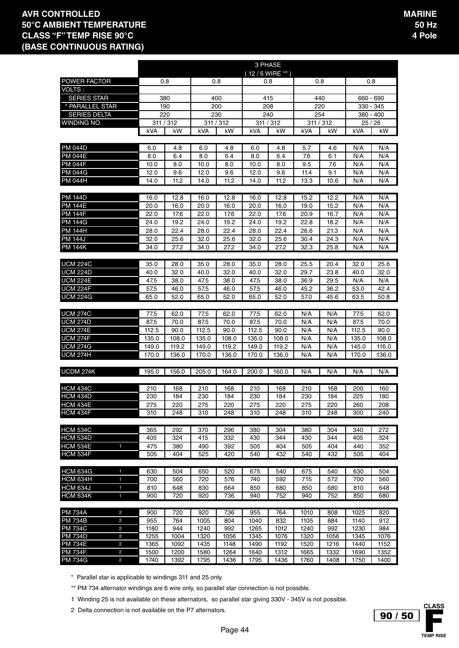|                                    |       |           |           |       |       | 3 PHASE        |      |           |       |             |
|------------------------------------|-------|-----------|-----------|-------|-------|----------------|------|-----------|-------|-------------|
|                                    |       |           |           |       |       | 12/6 WIRE ** ) |      |           |       |             |
| POWER FACTOR                       |       | 0.8       |           | 0.8   |       | 0.8            |      | 0.8       |       | 0.8         |
| <b>VOLTS:</b>                      |       |           |           |       |       |                |      |           |       |             |
| <b>SERIES STAR</b>                 |       | 380       |           | 400   |       | 415            |      | 440       |       | 660 - 690   |
| PARALLEL STAR                      |       | 190       |           | 200   |       | 208            |      | 220       |       | 330 - 345   |
| <b>SERIES DELTA</b>                |       | 220       |           | 230   |       | 240            |      | 254       |       | $380 - 400$ |
| WINDING NO.                        |       | 311 / 312 | 311 / 312 |       |       | 311 / 312      |      | 311 / 312 |       | 25/26       |
|                                    | kVA   | kW        | kVA       | kW    | kVA   | kW             | kVA  | kW        | kVA   | kW          |
|                                    |       |           |           |       |       |                |      |           |       |             |
| <b>PM 044D</b>                     | 6.0   | 4.8       | 6.0       | 4.8   | 6.0   | 4.8            | 5.7  | 4.6       | N/A   | N/A         |
| <b>PM 044E</b>                     | 8.0   | 6.4       | 8.0       | 6.4   | 8.0   | 6.4            | 7.6  | 6.1       | N/A   | N/A         |
| <b>PM 044F</b>                     | 10.0  | 8.0       | 10.0      | 8.0   | 10.0  | 8.0            | 9.5  | 7.6       | N/A   | N/A         |
| <b>PM 044G</b>                     | 12.0  | 9.6       | 12.0      | 9.6   | 12.0  | 9.6            | 11.4 | 9.1       | N/A   | N/A         |
| <b>PM 044H</b>                     | 14.0  | 11.2      | 14.0      | 11.2  | 14.0  | 11.2           | 13.3 | 10.6      | N/A   | N/A         |
|                                    |       |           |           |       |       |                |      |           |       |             |
| PM 144D                            | 16.0  | 12.8      | 16.0      | 12.8  | 16.0  | 12.8           | 15.2 | 12.2      | N/A   | N/A         |
| <b>PM 144E</b>                     | 20.0  | 16.0      | 20.0      | 16.0  | 20.0  | 16.0           | 19.0 | 15.2      | N/A   | N/A         |
| <b>PM 144F</b>                     | 22.0  | 17.6      | 22.0      | 17.6  | 22.0  | 17.6           | 20.9 | 16.7      | N/A   | N/A         |
| PM 144G                            | 24.0  | 19.2      | 24.0      | 19.2  | 24.0  | 19.2           | 22.8 | 18.2      | N/A   | N/A         |
| PM 144H                            | 28.0  | 22.4      | 28.0      | 22.4  | 28.0  | 22.4           | 26.6 | 21.3      | N/A   | N/A         |
| <b>PM 144J</b>                     | 32.0  | 25.6      | 32.0      | 25.6  | 32.0  | 25.6           | 30.4 | 24.3      | N/A   | N/A         |
| <b>PM 144K</b>                     | 34.0  | 27.2      | 34.0      | 27.2  | 34.0  | 27.2           | 32.3 | 25.8      | N/A   | N/A         |
|                                    |       |           |           |       |       |                |      |           |       |             |
| <b>UCM 224C</b>                    | 35.0  | 28.0      | 35.0      | 28.0  | 35.0  | 28.0           | 25.5 | 20.4      | 32.0  | 25.6        |
| <b>UCM 224D</b>                    | 40.0  | 32.0      | 40.0      | 32.0  | 40.0  | 32.0           | 29.7 | 23.8      | 40.0  | 32.0        |
| <b>UCM 224E</b>                    | 47.5  | 38.0      | 47.5      | 38.0  | 47.5  | 38.0           | 36.9 | 29.5      | N/A   | N/A         |
| <b>UCM 224F</b><br><b>UCM 224G</b> | 57.5  | 46.0      | 57.5      | 46.0  | 57.5  | 46.0           | 45.2 | 36.2      | 53.0  | 42.4        |
|                                    | 65.0  | 52.0      | 65.0      | 52.0  | 65.0  | 52.0           | 57.0 | 45.6      | 63.5  | 50.8        |
| <b>UCM 274C</b>                    | 77.5  | 62.0      | 77.5      | 62.0  | 77.5  | 62.0           | N/A  | N/A       | 77.5  | 62.0        |
| <b>UCM 274D</b>                    | 87.5  | 70.0      | 87.5      | 70.0  | 87.5  | 70.0           | N/A  | N/A       | 87.5  | 70.0        |
| <b>UCM 274E</b>                    | 112.5 | 90.0      | 112.5     | 90.0  | 112.5 | 90.0           | N/A  | N/A       | 112.5 | 90.0        |
| <b>UCM 274F</b>                    | 135.0 | 108.0     | 135.0     | 108.0 | 135.0 | 108.0          | N/A  | N/A       | 135.0 | 108.0       |
| <b>UCM 274G</b>                    | 149.0 | 119.2     | 149.0     | 119.2 | 149.0 | 119.2          | N/A  | N/A       | 145.0 | 116.0       |
| <b>UCM 274H</b>                    | 170.0 | 136.0     | 170.0     | 136.0 | 170.0 | 136.0          | N/A  | N/A       | 170.0 | 136.0       |
|                                    |       |           |           |       |       |                |      |           |       |             |
| UCDM 274K                          | 195.0 | 156.0     | 205.0     | 164.0 | 200.0 | 160.0          | N/A  | N/A       | N/A   | N/A         |
|                                    |       |           |           |       |       |                |      |           |       |             |
| <b>HCM 434C</b>                    | 210   | 168       | 210       | 168   | 210   | 168            | 210  | 168       | 200   | 160         |
| <b>HCM 434D</b>                    | 230   | 184       | 230       | 184   | 230   | 184            | 230  | 184       | 225   | 180         |
| <b>HCM 434E</b>                    | 275   | 220       | 275       | 220   | 275   | 220            | 275  | 220       | 260   | 208         |
| HCM 434F                           | 310   | 248       | 310       | 248   | 310   | 248            | 310  | 248       | 300   | 240         |
|                                    |       |           |           |       |       |                |      |           |       |             |
| <b>HCM 534C</b>                    | 365   | 292       | 370       | 296   | 380   | 304            | 380  | 304       | 340   | 272         |
| <b>HCM 534D</b>                    | 405   | 324       | 415       | 332   | 430   | 344            | 430  | 344       | 405   | 324         |
| <b>HCM 534E</b><br>$\mathbf{1}$    | 475   | 380       | 490       | 392   | 505   | 404            | 505  | 404       | 440   | 352         |
| <b>HCM 534F</b>                    | 505   | 404       | 525       | 420   | 540   | 432            | 540  | 432       | 505   | 404         |
|                                    |       |           |           |       |       |                |      |           |       |             |
| <b>HCM 634G</b><br>$\mathbf{1}$    | 630   | 504       | 650       | 520   | 675   | 540            | 675  | 540       | 630   | 504         |
| <b>HCM 634H</b><br>$\mathbf{1}$    | 700   | 560       | 720       | 576   | 740   | 592            | 715  | 572       | 700   | 560         |
| <b>HCM 634J</b><br>1               | 810   | 648       | 830       | 664   | 850   | 680            | 850  | 680       | 810   | 648         |
| <b>HCM 634K</b><br>$\mathbf 1$     | 900   | 720       | 920       | 736   | 940   | 752            | 940  | 752       | 850   | 680         |
| <b>PM 734A</b><br>$\overline{2}$   | 900   | 720       | 920       | 736   | 955   | 764            | 1010 | 808       | 1025  | 820         |
| <b>PM 734B</b><br>2                | 955   | 764       | 1005      | 804   | 1040  | 832            | 1105 | 884       | 1140  | 912         |
| <b>PM 734C</b><br>$\overline{c}$   | 1180  | 944       | 1240      | 992   | 1265  | 1012           | 1240 | 992       | 1230  | 984         |
| <b>PM 734D</b><br>$\overline{c}$   | 1255  | 1004      | 1320      | 1056  | 1345  | 1076           | 1320 | 1056      | 1345  | 1076        |
| <b>PM 734E</b><br>$\overline{c}$   | 1365  | 1092      | 1435      | 1148  | 1490  | 1192           | 1520 | 1216      | 1440  | 1152        |
| <b>PM 734F</b><br>$\overline{c}$   | 1500  | 1200      | 1580      | 1264  | 1640  | 1312           | 1665 | 1332      | 1690  | 1352        |
| <b>PM 734G</b><br>$\overline{2}$   | 1740  | 1392      | 1795      | 1436  | 1795  | 1436           | 1760 | 1408      | 1750  | 1400        |

\* Parallel star is applicable to windings 311 and 25 only.

\*\* PM 734 alternator windings are 6 wire only, so parallel star connection is not possible.

1 Winding 25 is not available on these alternators, so parallel star giving 330V - 345V is not possible.

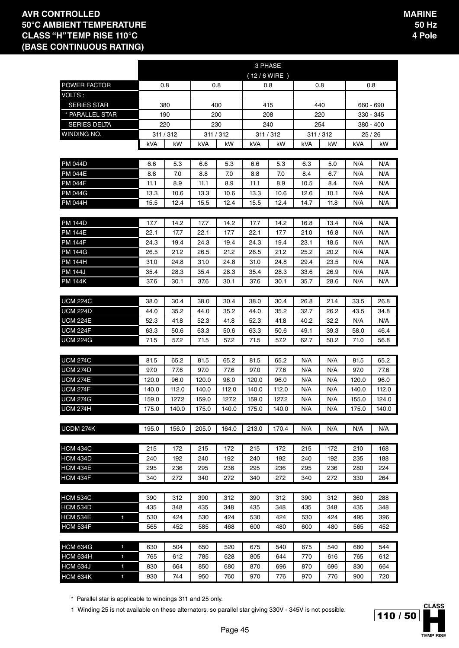|                                    |            |            |            |            | 3 PHASE     |            |            |            |            |            |
|------------------------------------|------------|------------|------------|------------|-------------|------------|------------|------------|------------|------------|
|                                    |            |            |            |            | (12/6 WIRE) |            |            |            |            |            |
| POWER FACTOR                       | 0.8        |            |            | 0.8        | 0.8         |            | 0.8        |            |            | 0.8        |
| VOLTS :                            |            |            |            |            |             |            |            |            |            |            |
| <b>SERIES STAR</b>                 |            | 380        |            | 400        | 415         |            | 440        |            |            | 660 - 690  |
| * PARALLEL STAR                    |            | 190        |            | 200        | 208         |            | 220        |            |            | 330 - 345  |
| <b>SERIES DELTA</b>                | 220        |            |            | 230        | 240         |            | 254        |            |            | 380 - 400  |
| WINDING NO.                        | 311 / 312  |            |            | 311 / 312  | 311 / 312   |            | 311 / 312  |            |            | 25/26      |
|                                    | kVA        | kW         | kVA        | kW         | kVA         | kW         | kVA        | kW         | kVA        | kW         |
|                                    |            |            |            |            |             |            |            |            |            |            |
| <b>PM 044D</b>                     | 6.6        | 5.3        | 6.6        | 5.3        | 6.6         | 5.3        | 6.3        | 5.0        | N/A        | N/A        |
| PM 044E                            | 8.8        | 7.0        | 8.8        | 7.0        | 8.8         | 7.0        | 8.4        | 6.7        | N/A        | N/A        |
| PM 044F                            | 11.1       | 8.9        | 11.1       | 8.9        | 11.1        | 8.9        | 10.5       | 8.4        | N/A        | N/A        |
| <b>PM 044G</b>                     | 13.3       | 10.6       | 13.3       | 10.6       | 13.3        | 10.6       | 12.6       | 10.1       | N/A        | N/A        |
| <b>PM 044H</b>                     | 15.5       | 12.4       | 15.5       | 12.4       | 15.5        | 12.4       | 14.7       | 11.8       | N/A        | N/A        |
|                                    |            |            |            |            |             |            |            |            |            |            |
| <b>PM 144D</b>                     | 17.7       | 14.2       | 17.7       | 14.2       | 17.7        | 14.2       | 16.8       | 13.4       | N/A        | N/A        |
| <b>PM 144E</b>                     | 22.1       | 17.7       | 22.1       | 17.7       | 22.1        | 17.7       | 21.0       | 16.8       | N/A        | N/A        |
| <b>PM 144F</b>                     | 24.3       | 19.4       | 24.3       | 19.4       | 24.3        | 19.4       | 23.1       | 18.5       | N/A        | N/A        |
| PM 144G                            | 26.5       | 21.2       | 26.5       | 21.2       | 26.5        | 21.2       | 25.2       | 20.2       | N/A        | N/A        |
| PM 144H                            | 31.0       | 24.8       | 31.0       | 24.8       | 31.0        | 24.8       | 29.4       | 23.5       | N/A        | N/A        |
| <b>PM 144J</b>                     | 35.4       | 28.3       | 35.4       | 28.3       | 35.4        | 28.3       | 33.6       | 26.9       | N/A        | N/A        |
| <b>PM 144K</b>                     | 37.6       | 30.1       | 37.6       | 30.1       | 37.6        | 30.1       | 35.7       | 28.6       | N/A        | N/A        |
|                                    |            |            |            |            |             |            |            |            |            |            |
| <b>UCM 224C</b>                    | 38.0       | 30.4       | 38.0       | 30.4       | 38.0        | 30.4       | 26.8       | 21.4       | 33.5       | 26.8       |
| <b>UCM 224D</b>                    | 44.0       | 35.2       | 44.0       | 35.2       | 44.0        | 35.2       | 32.7       | 26.2       | 43.5       | 34.8       |
| <b>UCM 224E</b>                    | 52.3       | 41.8       | 52.3       | 41.8       | 52.3        | 41.8       | 40.2       | 32.2       | N/A        | N/A        |
| <b>UCM 224F</b>                    | 63.3       | 50.6       | 63.3       | 50.6       | 63.3        | 50.6       | 49.1       | 39.3       | 58.0       | 46.4       |
| <b>UCM 224G</b>                    | 71.5       | 57.2       | 71.5       | 57.2       | 71.5        | 57.2       | 62.7       | 50.2       | 71.0       | 56.8       |
|                                    |            |            |            |            |             |            |            |            |            |            |
| <b>UCM 274C</b>                    | 81.5       | 65.2       | 81.5       | 65.2       | 81.5        | 65.2       | N/A        | N/A        | 81.5       | 65.2       |
| <b>UCM 274D</b>                    | 97.0       | 77.6       | 97.0       | 77.6       | 97.0        | 77.6       | N/A        | N/A        | 97.0       | 77.6       |
| <b>UCM 274E</b>                    | 120.0      | 96.0       | 120.0      | 96.0       | 120.0       | 96.0       | N/A        | N/A        | 120.0      | 96.0       |
| <b>UCM 274F</b>                    | 140.0      | 112.0      | 140.0      | 112.0      | 140.0       | 112.0      | N/A        | N/A        | 140.0      | 112.0      |
| <b>UCM 274G</b>                    | 159.0      | 127.2      | 159.0      | 127.2      | 159.0       | 127.2      | N/A        | N/A        | 155.0      | 124.0      |
| <b>UCM 274H</b>                    | 175.0      | 140.0      | 175.0      | 140.0      | 175.0       | 140.0      | N/A        | N/A        | 175.0      | 140.0      |
|                                    |            |            |            |            |             |            |            |            |            |            |
| UCDM 274K                          | 195.0      | 156.0      | 205.0      | 164.0      | 213.0       | 170.4      | N/A        | N/A        | N/A        | N/A        |
|                                    |            |            |            |            |             |            |            |            |            |            |
| HCM 434C                           | 215        | 172        | 215        | 172        | 215         | 172        | 215        | 172        | 210        | 168        |
| <b>HCM 434D</b>                    | 240        | 192        | 240        | 192        | 240         | 192        | 240        | 192        | 235        | 188        |
| <b>HCM 434E</b><br><b>HCM 434F</b> | 295        | 236        | 295        | 236        | 295         | 236        | 295        | 236        | 280        | 224        |
|                                    | 340        | 272        | 340        | 272        | 340         | 272        | 340        | 272        | 330        | 264        |
|                                    |            |            |            |            |             |            |            |            |            |            |
| <b>HCM 534C</b><br><b>HCM 534D</b> | 390<br>435 | 312<br>348 | 390<br>435 | 312        | 390<br>435  | 312<br>348 | 390<br>435 | 312        | 360<br>435 | 288<br>348 |
| <b>HCM 534E</b>                    |            |            |            | 348        |             |            |            | 348        |            |            |
| $\mathbf{1}$<br><b>HCM 534F</b>    | 530<br>565 | 424<br>452 | 530<br>585 | 424<br>468 | 530<br>600  | 424<br>480 | 530<br>600 | 424<br>480 | 495<br>565 | 396<br>452 |
|                                    |            |            |            |            |             |            |            |            |            |            |
| <b>HCM 634G</b><br>1               | 630        | 504        | 650        | 520        | 675         | 540        | 675        | 540        | 680        | 544        |
| <b>HCM 634H</b>                    |            |            |            |            |             |            |            |            | 765        |            |
| 1<br><b>HCM 634J</b><br>1          | 765<br>830 | 612<br>664 | 785<br>850 | 628<br>680 | 805<br>870  | 644<br>696 | 770<br>870 | 616<br>696 | 830        | 612<br>664 |
| <b>HCM 634K</b><br>1               | 930        | 744        | 950        | 760        | 970         | 776        | 970        | 776        | 900        | 720        |

\* Parallel star is applicable to windings 311 and 25 only.

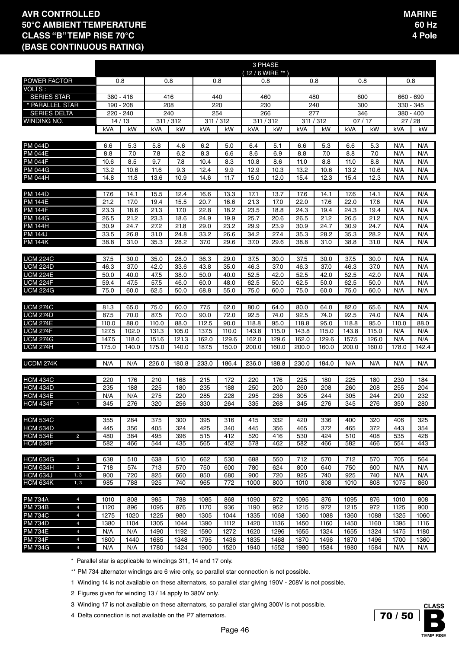|                                  |                                  |                |                |                |                |                |                | 3 PHASE        |                |                |              |                |                |              |              |
|----------------------------------|----------------------------------|----------------|----------------|----------------|----------------|----------------|----------------|----------------|----------------|----------------|--------------|----------------|----------------|--------------|--------------|
| <b>POWER FACTOR</b>              |                                  |                | 0.8            |                | 0.8            | 0.8            |                | (12/6 WIRE **) | 0.8            | 0.8            |              | 0.8            |                | 0.8          |              |
| VOLTS:                           |                                  |                |                |                |                |                |                |                |                |                |              |                |                |              |              |
| <b>SERIES STAR</b>               |                                  |                | 380 - 416      |                | 416            | 440            |                |                | 460            | 480            |              | 600            |                | 660 - 690    |              |
| * PARALLEL STAR                  |                                  |                | 190 - 208      |                | 208            | 220            |                | 230            |                | 240            |              | 300            |                | 330 - 345    |              |
| <b>SERIES DELTA</b>              |                                  |                | 220 - 240      |                | 240            | 254            |                | 266            |                | 277            |              | 346            |                | 380 - 400    |              |
| <b>WINDING NO.</b>               |                                  |                | 14/13          | 311 / 312      |                | 311 / 312      |                | 311 / 312      |                | 311 / 312      |              | 07/17          |                | 27/28        |              |
|                                  |                                  | kVA            | kW             | kVA            | kW             | kVA            | kW             | kVA            | kW             | kVA            | kW           | kVA            | kW             | kVA          | kW           |
|                                  |                                  |                |                |                |                |                |                |                |                |                |              |                |                |              |              |
| <b>PM 044D</b>                   |                                  | 6.6            | 5.3            | 5.8            | 4.6            | 6.2            | 5.0            | 6.4            | 5.1            | 6.6            | 5.3          | 6.6            | 5.3            | N/A          | N/A          |
| <b>PM 044E</b>                   |                                  | 8.8            | 7.0            | 7.8            | 6.2            | 8.3            | 6.6            | 8.6            | 6.9            | 8.8            | 7.0          | 8.8            | 7.0            | N/A          | N/A          |
| <b>PM 044F</b>                   |                                  | 10.6           | 8.5            | 9.7            | 7.8            | 10.4           | 8.3            | 10.8           | 8.6            | 11.0           | 8.8          | 11.0           | 8.8            | N/A          | N/A          |
| <b>PM 044G</b>                   |                                  | 13.2           | 10.6           | 11.6           | 9.3            | 12.4           | 9.9            | 12.9           | 10.3           | 13.2           | 10.6         | 13.2           | 10.6           | N/A          | N/A          |
| <b>PM 044H</b>                   |                                  | 14.8           | 11.8           | 13.6           | 10.9           | 14.6           | 11.7           | 15.0           | 12.0           | 15.4           | 12.3         | 15.4           | 12.3           | N/A          | N/A          |
|                                  |                                  |                |                |                |                |                |                |                |                |                |              |                |                |              |              |
| <b>PM 144D</b>                   |                                  | 17.6           | 14.1           | 15.5           | 12.4           | 16.6           | 13.3           | 17.1           | 13.7           | 17.6           | 14.1         | 17.6           | 14.1           | N/A          | N/A          |
| <b>PM 144E</b>                   |                                  | 21.2           | 17.0           | 19.4           | 15.5           | 20.7           | 16.6           | 21.3           | 17.0           | 22.0           | 17.6         | 22.0           | 17.6           | N/A          | N/A          |
| <b>PM 144F</b>                   |                                  | 23.3           | 18.6           | 21.3           | 17.0           | 22.8           | 18.2           | 23.5           | 18.8           | 24.3           | 19.4         | 24.3           | 19.4           | N/A          | N/A          |
| <b>PM 144G</b>                   |                                  | 26.5           | 21.2           | 23.3           | 18.6           | 24.9           | 19.9           | 25.7           | 20.6           | 26.5           | 21.2         | 26.5           | 21.2           | N/A          | N/A          |
| <b>PM 144H</b>                   |                                  | 30.9           | 24.7           | 27.2           | 21.8           | 29.0           | 23.2           | 29.9           | 23.9           | 30.9           | 24.7         | 30.9           | 24.7           | N/A          | N/A          |
| <b>PM 144J</b>                   |                                  | 33.5           | 26.8           | 31.0           | 24.8           | 33.2           | 26.6           | 34.2           | 27.4           | 35.3           | 28.2         | 35.3           | 28.2           | N/A          | N/A          |
| <b>PM 144K</b>                   |                                  | 38.8           | 31.0           | 35.3           | 28.2           | 37.0           | 29.6           | 37.0           | 29.6           | 38.8           | 31.0         | 38.8           | 31.0           | N/A          | N/A          |
|                                  |                                  |                |                |                |                |                |                |                |                |                |              |                |                |              |              |
| <b>UCM 224C</b>                  |                                  | 37.5           | 30.0           | 35.0           | 28.0           | 36.3           | 29.0           | 37.5           | 30.0           | 37.5           | 30.0         | 37.5           | 30.0           | N/A          | N/A          |
| <b>UCM 224D</b>                  |                                  | 46.3           | 37.0           | 42.0           | 33.6           | 43.8           | 35.0           | 46.3           | 37.0           | 46.3           | 37.0         | 46.3           | 37.0           | N/A          | N/A          |
| <b>UCM 224E</b>                  |                                  | 50.0           | 40.0           | 47.5           | 38.0           | 50.0           | 40.0           | 52.5           | 42.0           | 52.5           | 42.0         | 52.5           | 42.0           | N/A          | N/A          |
| <b>UCM 224F</b>                  |                                  | 59.4           | 47.5           | 57.5           | 46.0           | 60.0           | 48.0           | 62.5           | 50.0           | 62.5           | 50.0         | 62.5           | 50.0           | N/A          | N/A          |
| <b>UCM 224G</b>                  |                                  | 75.0           | 60.0           | 62.5           | 50.0           | 68.8           | 55.0           | 75.0           | 60.0           | 75.0           | 60.0         | 75.0           | 60.0           | N/A          | N/A          |
|                                  |                                  |                |                |                |                |                |                |                |                |                |              |                |                |              |              |
| <b>UCM 274C</b>                  |                                  | 81.3           | 65.0           | 75.0           | 60.0           | 77.5           | 62.0           | 80.0           | 64.0           | 80.0           | 64.0         | 82.0           | 65.6           | N/A          | N/A          |
| <b>UCM 274D</b>                  |                                  | 87.5           | 70.0           | 87.5           | 70.0           | 90.0           | 72.0           | 92.5           | 74.0           | 92.5           | 74.0         | 92.5           | 74.0           | N/A          | N/A          |
| <b>UCM 274E</b>                  |                                  | 110.0          | 88.0           | 110.0          | 88.0           | 112.5          | 90.0           | 118.8          | 95.0           | 118.8          | 95.0         | 118.8          | 95.0           | 110.0        | 88.0         |
| <b>UCM 274F</b>                  |                                  | 127.5          | 102.0          | 131.3          | 105.0          | 137.5          | 110.0          | 143.8          | 115.0          | 143.8          | 115.0        | 143.8          | 115.0          | N/A          | N/A          |
| <b>UCM 274G</b><br>UCM 274H      |                                  | 147.5<br>175.0 | 118.0<br>140.0 | 151.6<br>175.0 | 121.3<br>140.0 | 162.0<br>187.5 | 129.6<br>150.0 | 162.0<br>200.0 | 129.6<br>160.0 | 162.0<br>200.0 | 129.6        | 157.5<br>200.0 | 126.0<br>160.0 | N/A<br>178.0 | N/A<br>142.4 |
|                                  |                                  |                |                |                |                |                |                |                |                |                | 160.0        |                |                |              |              |
| UCDM 274K                        |                                  | N/A            | N/A            | 226.0          | 180.8          | 233.0          | 186.4          | 236.0          | 188.8          | 230.0          | 184.0        | N/A            | N/A            | N/A          | N/A          |
|                                  |                                  |                |                |                |                |                |                |                |                |                |              |                |                |              |              |
| <b>HCM 434C</b>                  |                                  | 220            | 176            | 210            | 168            | 215            | 172            | 220            | 176            | 225            | 180          | 225            | 180            | 230          | 184          |
| <b>HCM 434D</b>                  |                                  | 235            | 188            | 225            | 180            | 235            | 188            | 250            | 200            | 260            | 208          | 260            | 208            | 255          | 204          |
| <b>HCM 434E</b>                  |                                  | N/A            | N/A            | 275            | 220            | 285            | 228            | 295            | 236            | 305            | 244          | 305            | 244            | 290          | 232          |
| HCM 434F                         |                                  | 345            | 276            | 320            | 256            | 330            | 264            | 335            | 268            | 345            | 276          | 345            | 276            | 350          | 280          |
|                                  |                                  |                |                |                |                |                |                |                |                |                |              |                |                |              |              |
| <b>HCM 534C</b>                  |                                  | 355            | 284            | 375            | 300            | 395            | 316            | 415            | 332            | 420            | 336          | 400            | 320            | 406          | 325          |
| HCM 534D                         |                                  | 445            | 356            | 405            | 324            | 425            | 340            | 445            | 356            | 465            | 372          | 465            | 372            | 443          | 354          |
| <b>HCM 534E</b>                  | $\overline{2}$                   | 480            | 384            | 495            | 396            | 515            | 412            | 520            | 416            | 530            | 424          | 510            | 408            | 535          | 428          |
| HCM 534F                         |                                  | 582            | 466            | 544            | 435            | 565            | 452            | 578            | 462            | 582            | 466          | 582            | 466            | 554          | 443          |
|                                  |                                  |                |                |                |                |                |                |                |                |                |              |                |                |              |              |
| <b>HCM 634G</b>                  | 3                                | 638            | 510            | 638            | 510            | 662            | 530            | 688            | 550            | 712            | 570          | 712            | 570            | 705          | 564          |
| HCM 634H                         | $\mathbf{3}$                     | 718            | 574            | 713            | 570            | 750            | 600            | 780            | 624            | 800            | 640          | 750            | 600            | N/A          | N/A          |
| HCM 634J                         | 1, 3                             | 900            | 720            | 825            | 660            | 850            | 680            | 900            | 720            | 925            | 740          | 925            | 740            | N/A          | N/A          |
| HCM 634K                         | 1, 3                             | 985            | 788            | 925            | 740            | 965            | 772            | 1000           | 800            | 1010           | 808          | 1010           | 808            | 1075         | 860          |
|                                  |                                  |                |                |                |                |                |                |                |                |                |              |                |                |              |              |
| <b>PM 734A</b><br><b>PM 734B</b> | $\overline{4}$<br>$\overline{4}$ | 1010           | 808            | 985            | 788            | 1085           | 868            | 1090           | 872            | 1095           | 876          | 1095           | 876            | 1010         | 808          |
|                                  | $\overline{4}$                   | 1120           | 896            | 1095           | 876            | 1170           | 936            | 1190           | 952            | 1215           | 972          | 1215           | 972            | 1125         | 900          |
| <b>PM 734C</b><br><b>PM 734D</b> | $\overline{4}$                   | 1275<br>1380   | 1020<br>1104   | 1225<br>1305   | 980<br>1044    | 1305           | 1044<br>1112   | 1335<br>1420   | 1068<br>1136   | 1360<br>1450   | 1088         | 1360<br>1450   | 1088<br>1160   | 1325         | 1060         |
| <b>PM 734E</b>                   | $\overline{4}$                   | N/A            | N/A            | 1490           | 1192           | 1390<br>1590   | 1272           | 1620           | 1296           | 1655           | 1160<br>1324 | 1655           | 1324           | 1395<br>1475 | 1116<br>1180 |
| <b>PM 734F</b>                   | $\overline{4}$                   | 1800           | 1440           | 1685           | 1348           | 1795           | 1436           | 1835           | 1468           | 1870           | 1496         | 1870           | 1496           | 1700         | 1360         |
| <b>PM 734G</b>                   | $\overline{4}$                   | N/A            | N/A            | 1780           | 1424           | 1900           | 1520           | 1940           | 1552           | 1980           | 1584         | 1980           | 1584           | N/A          | N/A          |
|                                  |                                  |                |                |                |                |                |                |                |                |                |              |                |                |              |              |

\* Parallel star is applicable to windings 311, 14 and 17 only.

\*\* PM 734 alternator windings are 6 wire only, so parallel star connection is not possible.

1 Winding 14 is not available on these alternators, so parallel star giving 190V - 208V is not possible.

2 Figures given for winding 13 / 14 apply to 380V only.

3 Winding 17 is not available on these alternators, so parallel star giving 300V is not possible.

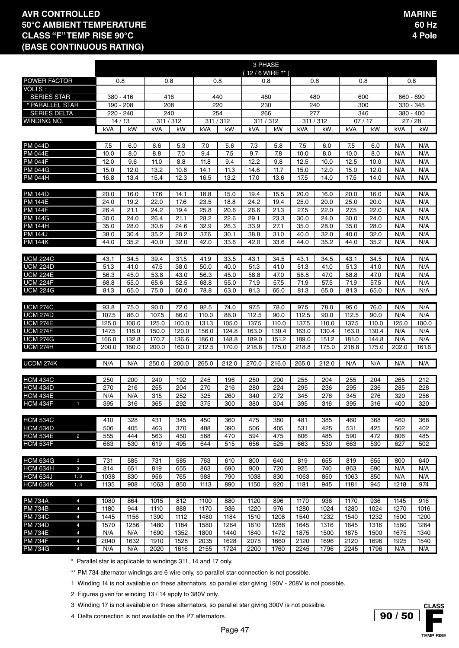|                                               |                                                    |                |              |                |                |                | 3 PHASE      |                |              |                |                |                |              |              |
|-----------------------------------------------|----------------------------------------------------|----------------|--------------|----------------|----------------|----------------|--------------|----------------|--------------|----------------|----------------|----------------|--------------|--------------|
|                                               | (12/6 WIRE ** )<br>0.8<br>0.8<br>0.8<br>0.8<br>0.8 |                |              |                |                |                |              |                |              |                |                |                |              |              |
| <b>POWER FACTOR</b><br>VOLTS:                 |                                                    |                |              |                |                |                |              |                |              |                | 0.8            |                |              | 0.8          |
| <b>SERIES STAR</b>                            |                                                    | 380 - 416      |              | 416            |                | 440            |              | 460            | 480          |                | 600            |                |              | 660 - 690    |
| * PARALLEL STAR                               |                                                    | 190 - 208      |              | 208            | 220            |                | 230          |                | 240          |                | 300            |                |              | 330 - 345    |
| <b>SERIES DELTA</b>                           |                                                    | 220 - 240      |              | 240            | 254            |                | 266          |                | 277          |                | 346            |                |              | $380 - 400$  |
| <b>WINDING NO.</b>                            |                                                    | 14/13          |              | 311 / 312      | 311 / 312      |                | 311 / 312    |                | 311 / 312    |                | 07/17          |                | 27/28        |              |
|                                               | kVA                                                | kW             | kVA          | kW             | kVA            | kW             | kVA          | kW             | kVA          | kW             | kVA            | kW             | kVA          | kW           |
|                                               |                                                    |                |              |                |                |                |              |                |              |                |                |                |              |              |
| <b>PM 044D</b>                                | 7.5                                                | 6.0            | 6.6          | 5.3            | 7.0            | 5.6            | 7.3          | 5.8            | 7.5          | 6.0            | 7.5            | 6.0            | N/A          | N/A          |
| <b>PM 044E</b>                                | 10.0                                               | 8.0            | 8.8          | 7.0            | 9.4            | 7.5            | 9.7          | 7.8            | 10.0         | 8.0            | 10.0           | 8.0            | N/A          | N/A          |
| <b>PM 044F</b>                                | 12.0                                               | 9.6            | 11.0         | 8.8            | 11.8           | 9.4            | 12.2         | 9.8            | 12.5         | 10.0           | 12.5           | 10.0           | N/A          | N/A          |
| <b>PM 044G</b>                                | 15.0                                               | 12.0           | 13.2         | 10.6           | 14.1           | 11.3           | 14.6         | 11.7           | 15.0         | 12.0           | 15.0           | 12.0           | N/A          | N/A          |
| <b>PM 044H</b>                                | 16.8                                               | 13.4           | 15.4         | 12.3           | 16.5           | 13.2           | 17.0         | 13.6           | 17.5         | 14.0           | 17.5           | 14.0           | N/A          | N/A          |
|                                               |                                                    |                |              |                |                |                |              |                |              |                |                |                |              |              |
| <b>PM 144D</b>                                | 20.0                                               | 16.0           | 17.6         | 14.1           | 18.8           | 15.0           | 19.4         | 15.5           | 20.0         | 16.0           | 20.0           | 16.0           | N/A          | N/A          |
| <b>PM 144E</b>                                | 24.0                                               | 19.2           | 22.0         | 17.6           | 23.5           | 18.8           | 24.2         | 19.4           | 25.0         | 20.0           | 25.0           | 20.0           | N/A          | N/A          |
| <b>PM 144F</b>                                | 26.4                                               | 21.1           | 24.2         | 19.4           | 25.8           | 20.6           | 26.6         | 21.3           | 27.5         | 22.0           | 27.5           | 22.0           | N/A          | N/A          |
| <b>PM 144G</b>                                | 30.0                                               | 24.0           | 26.4         | 21.1           | 28.2           | 22.6           | 29.1         | 23.3           | 30.0         | 24.0           | 30.0           | 24.0           | N/A          | N/A          |
| <b>PM 144H</b><br><b>PM 144J</b>              | 35.0                                               | 28.0           | 30.8         | 24.6           | 32.9           | 26.3           | 33.9         | 27.1           | 35.0         | 28.0           | 35.0           | 28.0           | N/A          | N/A          |
| <b>PM 144K</b>                                | 38.0<br>44.0                                       | 30.4<br>35.2   | 35.2<br>40.0 | 28.2<br>32.0   | 37.6<br>42.0   | 30.1<br>33.6   | 38.8<br>42.0 | 31.0<br>33.6   | 40.0<br>44.0 | 32.0<br>35.2   | 40.0<br>44.0   | 32.0<br>35.2   | N/A<br>N/A   | N/A<br>N/A   |
|                                               |                                                    |                |              |                |                |                |              |                |              |                |                |                |              |              |
| <b>UCM 224C</b>                               | 43.1                                               | 34.5           | 39.4         | 31.5           | 41.9           | 33.5           | 43.1         | 34.5           | 43.1         | 34.5           | 43.1           | 34.5           | N/A          | N/A          |
| <b>UCM 224D</b>                               | 51.3                                               | 41.0           | 47.5         | 38.0           | 50.0           | 40.0           | 51.3         | 41.0           | 51.3         | 41.0           | 51.3           | 41.0           | N/A          | N/A          |
| <b>UCM 224E</b>                               | 56.3                                               | 45.0           | 53.8         | 43.0           | 56.3           | 45.0           | 58.8         | 47.0           | 58.8         | 47.0           | 58.8           | 47.0           | N/A          | N/A          |
| <b>UCM 224F</b>                               | 68.8                                               | 55.0           | 65.6         | 52.5           | 68.8           | 55.0           | 71.9         | 57.5           | 71.9         | 57.5           | 71.9           | 57.5           | N/A          | N/A          |
| <b>UCM 224G</b>                               | 81.3                                               | 65.0           | 75.0         | 60.0           | 78.8           | 63.0           | 81.3         | 65.0           | 81.3         | 65.0           | 81.3           | 65.0           | N/A          | N/A          |
|                                               |                                                    |                |              |                |                |                |              |                |              |                |                |                |              |              |
| <b>UCM 274C</b>                               | 93.8                                               | 75.0           | 90.0         | 72.0           | 92.5           | 74.0           | 97.5         | 78.0           | 97.5         | 78.0           | 95.0           | 76.0           | N/A          | N/A          |
| <b>UCM 274D</b>                               | 107.5                                              | 86.0           | 107.5        | 86.0           | 110.0          | 88.0           | 112.5        | 90.0           | 112.5        | 90.0           | 112.5          | 90.0           | N/A          | N/A          |
| <b>UCM 274E</b>                               | 125.0                                              | 100.0          | 125.0        | 100.0          | 131.3          | 105.0          | 137.5        | 110.0          | 137.5        | 110.0          | 137.5          | 110.0          | 125.0        | 100.0        |
| <b>UCM 274F</b>                               | 147.5                                              | 118.0          | 150.0        | 120.0          | 156.0          | 124.8          | 163.0        | 130.4          | 163.0        | 130.4          | 163.0          | 130.4          | N/A          | N/A          |
| <b>UCM 274G</b><br>UCM 274H                   | 166.0<br>200.0                                     | 132.8<br>160.0 | 170.7        | 136.6<br>160.0 | 186.0<br>212.5 | 148.8<br>170.0 | 189.0        | 151.2<br>175.0 | 189.0        | 151.2<br>175.0 | 181.0<br>218.8 | 144.8<br>175.0 | N/A<br>202.0 | N/A<br>161.6 |
|                                               |                                                    |                | 200.0        |                |                |                | 218.8        |                | 218.8        |                |                |                |              |              |
| UCDM 274K                                     | N/A                                                | N/A            | 250.0        | 200.0          | 265.0          | 212.0          | 270.0        | 216.0          | 265.0        | 212.0          | N/A            | N/A            | N/A          | N/A          |
|                                               |                                                    |                |              |                |                |                |              |                |              |                |                |                |              |              |
| <b>HCM 434C</b>                               | 250                                                | 200            | 240          | 192            | 245            | 196            | 250          | 200            | 255          | 204            | 255            | 204            | 265          | 212          |
| <b>HCM 434D</b>                               | 270                                                | 216            | 255          | 204            | 270            | 216            | 280          | 224            | 295          | 236            | 295            | 236            | 285          | 228          |
| <b>HCM 434E</b>                               | N/A                                                | N/A            | 315          | 252            | 325            | 260            | 340          | 272            | 345          | 276            | 345            | 276            | 320          | 256          |
| HCM 434F                                      | 395                                                | 316            | 365          | 292            | 375            | 300            | 380          | 304            | 395          | 316            | 395            | 316            | 400          | 320          |
|                                               |                                                    |                |              |                |                |                |              |                |              |                |                |                |              |              |
| <b>HCM 534C</b>                               | 410                                                | 328            | 431          | 345            | 450            | 360            | 475          | 380            | 481          | 385            | 460            | 368            | 460          | 368          |
| HCM 534D<br><b>HCM 534E</b><br>$\overline{c}$ | 506<br>555                                         | 405            | 463<br>563   | 370            | 488            | 390            | 506          | 405            | 531          | 425            | 531            | 425            | 502          | 402          |
| HCM 534F                                      | 663                                                | 444<br>530     | 619          | 450<br>495     | 588<br>644     | 470<br>515     | 594<br>656   | 475<br>525     | 606<br>663   | 485<br>530     | 590<br>663     | 472<br>530     | 606<br>627   | 485<br>502   |
|                                               |                                                    |                |              |                |                |                |              |                |              |                |                |                |              |              |
| <b>HCM 634G</b><br>3                          | 731                                                | 585            | 731          | 585            | 763            | 610            | 800          | 640            | 819          | 655            | 819            | 655            | 800          | 640          |
| <b>HCM 634H</b><br>3                          | 814                                                | 651            | 819          | 655            | 863            | 690            | 900          | 720            | 925          | 740            | 863            | 690            | N/A          | N/A          |
| HCM 634J<br>1, 3                              | 1038                                               | 830            | 956          | 765            | 988            | 790            | 1038         | 830            | 1063         | 850            | 1063           | 850            | N/A          | N/A          |
| HCM 634K<br>1, 3                              | 1135                                               | 908            | 1063         | 850            | 1113           | 890            | 1150         | 920            | 1181         | 945            | 1181           | 945            | 1218         | 974          |
|                                               |                                                    |                |              |                |                |                |              |                |              |                |                |                |              |              |
| <b>PM 734A</b><br>$\overline{4}$              | 1080                                               | 864            | 1015         | 812            | 1100           | 880            | 1120         | 896            | 1170         | 936            | 1170           | 936            | 1145         | 916          |
| <b>PM 734B</b><br>$\overline{4}$              | 1180                                               | 944            | 1110         | 888            | 1170           | 936            | 1220         | 976            | 1280         | 1024           | 1280           | 1024           | 1270         | 1016         |
| <b>PM 734C</b><br>$\overline{4}$              | 1445                                               | 1156           | 1390         | 1112           | 1480           | 1184           | 1510         | 1208           | 1540         | 1232           | 1540           | 1232           | 1500         | 1200         |
| <b>PM 734D</b><br>4                           | 1570                                               | 1256           | 1480         | 1184           | 1580           | 1264           | 1610         | 1288           | 1645         | 1316           | 1645           | 1316           | 1580         | 1264         |
| <b>PM 734E</b><br>$\overline{4}$              | N/A                                                | N/A            | 1690         | 1352           | 1800           | 1440           | 1840         | 1472           | 1875         | 1500           | 1875           | 1500           | 1675         | 1340         |
| <b>PM 734F</b><br>$\overline{4}$              | 2040                                               | 1632           | 1910         | 1528           | 2035           | 1628           | 2075         | 1660           | 2120         | 1696           | 2120           | 1696           | 1925         | 1540         |
| <b>PM 734G</b><br>$\overline{4}$              | N/A                                                | N/A            | 2020         | 1616           | 2155           | 1724           | 2200         | 1760           | 2245         | 1796           | 2245           | 1796           | N/A          | N/A          |

\* Parallel star is applicable to windings 311, 14 and 17 only.

\*\* PM 734 alternator windings are 6 wire only, so parallel star connection is not possible.

1 Winding 14 is not available on these alternators, so parallel star giving 190V - 208V is not possible.

2 Figures given for winding 13 / 14 apply to 380V only.

3 Winding 17 is not available on these alternators, so parallel star giving 300V is not possible.

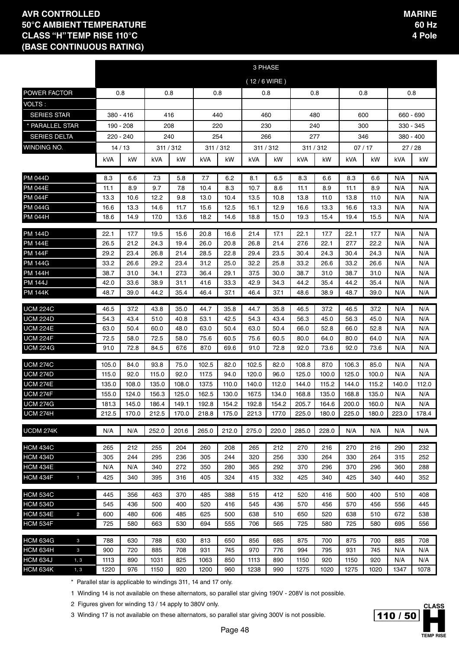|                                    |                |                |                |                |                |                | 3 PHASE        |                |                |                |                |                |              |              |
|------------------------------------|----------------|----------------|----------------|----------------|----------------|----------------|----------------|----------------|----------------|----------------|----------------|----------------|--------------|--------------|
|                                    |                |                |                |                |                |                | (12/6 WIRE)    |                |                |                |                |                |              |              |
| POWER FACTOR                       | 0.8            |                | 0.8            |                | 0.8            |                |                | 0.8            |                | 0.8            | 0.8            |                |              | 0.8          |
| VOLTS:                             |                |                |                |                |                |                |                |                |                |                |                |                |              |              |
| <b>SERIES STAR</b>                 |                | 380 - 416      | 416            |                | 440            |                |                | 460            |                | 480            | 600            |                | 660 - 690    |              |
| * PARALLEL STAR                    |                | 190 - 208      | 208            |                | 220            |                | 230            |                |                | 240            | 300            |                | 330 - 345    |              |
| <b>SERIES DELTA</b>                |                | 220 - 240      | 240            |                | 254            |                |                | 266            |                | 277            | 346            |                | $380 - 400$  |              |
| WINDING NO.                        |                | 14/13          | 311 / 312      |                | 311 / 312      |                | 311 / 312      |                |                | 311 / 312      | 07/17          |                | 27/28        |              |
|                                    | kVA            | kW             | kVA            | kW             | kVA            | kW             | kVA            | kW             | kVA            | kW             | kVA            | kW             | kVA          | kW           |
| PM 044D                            | 8.3            | 6.6            | 7.3            | 5.8            | 7.7            | 6.2            | 8.1            | 6.5            | 8.3            | 6.6            | 8.3            | 6.6            | N/A          | N/A          |
| PM 044E                            | 11.1           | 8.9            | 9.7            | 7.8            | 10.4           | 8.3            | 10.7           | 8.6            | 11.1           | 8.9            | 11.1           | 8.9            | N/A          | N/A          |
| <b>PM 044F</b>                     | 13.3           | 10.6           | 12.2           | 9.8            | 13.0           | 10.4           | 13.5           | 10.8           | 13.8           | 11.0           | 13.8           | 11.0           | N/A          | N/A          |
| <b>PM 044G</b>                     | 16.6           | 13.3           | 14.6           | 11.7           | 15.6           | 12.5           | 16.1           | 12.9           | 16.6           | 13.3           | 16.6           | 13.3           | N/A          | N/A          |
| <b>PM 044H</b>                     | 18.6           | 14.9           | 17.0           | 13.6           | 18.2           | 14.6           | 18.8           | 15.0           | 19.3           | 15.4           | 19.4           | 15.5           | N/A          | N/A          |
| PM 144D                            | 22.1           | 17.7           | 19.5           | 15.6           | 20.8           | 16.6           | 21.4           | 17.1           | 22.1           | 17.7           | 22.1           | 17.7           | N/A          | N/A          |
| PM 144E                            | 26.5           | 21.2           | 24.3           | 19.4           | 26.0           | 20.8           | 26.8           | 21.4           | 27.6           | 22.1           | 27.7           | 22.2           | N/A          | N/A          |
| <b>PM 144F</b>                     | 29.2           | 23.4           | 26.8           | 21.4           | 28.5           | 22.8           | 29.4           | 23.5           | 30.4           | 24.3           | 30.4           | 24.3           | N/A          | N/A          |
| PM 144G                            | 33.2           | 26.6           | 29.2           | 23.4           | 31.2           | 25.0           | 32.2           | 25.8           | 33.2           | 26.6           | 33.2           | 26.6           | N/A          | N/A          |
| PM 144H                            | 38.7           | 31.0           | 34.1           | 27.3           | 36.4           | 29.1           | 37.5           | 30.0           | 38.7           | 31.0           | 38.7<br>44.2   | 31.0           | N/A          | N/A          |
| <b>PM 144J</b><br><b>PM 144K</b>   | 42.0<br>48.7   | 33.6<br>39.0   | 38.9<br>44.2   | 31.1<br>35.4   | 41.6<br>46.4   | 33.3<br>37.1   | 42.9<br>46.4   | 34.3<br>37.1   | 44.2<br>48.6   | 35.4<br>38.9   | 48.7           | 35.4<br>39.0   | N/A<br>N/A   | N/A<br>N/A   |
|                                    |                |                |                |                |                |                |                |                |                |                |                |                |              |              |
| <b>UCM 224C</b>                    | 46.5           | 37.2           | 43.8           | 35.0           | 44.7           | 35.8           | 44.7           | 35.8           | 46.5           | 37.2           | 46.5           | 37.2           | N/A          | N/A          |
| <b>UCM 224D</b>                    | 54.3           | 43.4           | 51.0           | 40.8           | 53.1           | 42.5           | 54.3           | 43.4           | 56.3           | 45.0           | 56.3           | 45.0           | N/A          | N/A          |
| <b>UCM 224E</b><br><b>UCM 224F</b> | 63.0<br>72.5   | 50.4<br>58.0   | 60.0<br>72.5   | 48.0<br>58.0   | 63.0<br>75.6   | 50.4<br>60.5   | 63.0<br>75.6   | 50.4<br>60.5   | 66.0<br>80.0   | 52.8<br>64.0   | 66.0<br>80.0   | 52.8<br>64.0   | N/A<br>N/A   | N/A<br>N/A   |
| <b>UCM 224G</b>                    | 91.0           | 72.8           | 84.5           | 67.6           | 87.0           | 69.6           | 91.0           | 72.8           | 92.0           | 73.6           | 92.0           | 73.6           | N/A          | N/A          |
|                                    |                |                |                |                |                |                |                |                |                |                |                |                |              |              |
| <b>UCM 274C</b>                    | 105.0          | 84.0           | 93.8           | 75.0           | 102.5          | 82.0           | 102.5          | 82.0           | 108.8          | 87.0           | 106.3          | 85.0           | N/A          | N/A          |
| <b>UCM 274D</b><br><b>UCM 274E</b> | 115.0          | 92.0           | 115.0          | 92.0           | 117.5          | 94.0           | 120.0          | 96.0           | 125.0          | 100.0<br>115.2 | 125.0          | 100.0          | N/A          | N/A          |
| <b>UCM 274F</b>                    | 135.0<br>155.0 | 108.0<br>124.0 | 135.0<br>156.3 | 108.0<br>125.0 | 137.5<br>162.5 | 110.0<br>130.0 | 140.0<br>167.5 | 112.0<br>134.0 | 144.0<br>168.8 | 135.0          | 144.0<br>168.8 | 115.2<br>135.0 | 140.0<br>N/A | 112.0<br>N/A |
| <b>ILCM 274G</b>                   | 181.3          | 145.0          | 186.4          | 149.1          | 192.8          | 154.2          | 192.8          | 154.2          | 205.7          | 164.6          | 200.0          | 160.0          | N/A          | N/A          |
| <b>UCM 274H</b>                    | 212.5          | 170.0          | 212.5          | 170.0          | 218.8          | 175.0          | 221.3          | 177.0          | 225.0          | 180.0          | 225.0          | 180.0          | 223.0        | 178.4        |
| UCDM 274K                          | N/A            | N/A            | 252.0          | 201.6          | 265.0          | 212.0          | 275.0          | 220.0          | 285.0          | 228.0          | N/A            | N/A            | N/A          | N/A          |
| <b>HCM 434C</b>                    | 265            | 212            | 255            | 204            | 260            | 208            | 265            | 212            | 270            | 216            | 270            | 216            | 290          | 232          |
| <b>HCM 434D</b>                    | 305            | 244            | 295            | 236            | 305            | 244            | 320            | 256            | 330            | 264            | 330            | 264            | 315          | 252          |
| <b>HCM 434E</b>                    | N/A            | N/A            | 340            | 272            | 350            | 280            | 365            | 292            | 370            | 296            | 370            | 296            | 360          | 288          |
| <b>HCM 434F</b><br>1               | 425            | 340            | 395            | 316            | 405            | 324            | 415            | 332            | 425            | 340            | 425            | 340            | 440          | 352          |
| <b>HCM 534C</b>                    | 445            | 356            | 463            | 370            | 485            | 388            | 515            | 412            | 520            | 416            | 500            | 400            | 510          | 408          |
| <b>HCM 534D</b>                    | 545            | 436            | 500            | 400            | 520            | 416            | 545            | 436            | 570            | 456            | 570            | 456            | 556          | 445          |
| <b>HCM 534E</b><br>$\overline{2}$  | 600            | 480            | 606            | 485            | 625            | 500            | 638            | 510            | 650            | 520            | 638            | 510            | 672          | 538          |
| <b>HCM 534F</b>                    | 725            | 580            | 663            | 530            | 694            | 555            | 706            | 565            | 725            | 580            | 725            | 580            | 695          | 556          |
| <b>HCM 634G</b><br>$\mathbf{3}$    | 788            | 630            | 788            | 630            | 813            | 650            | 856            | 685            | 875            | 700            | 875            | 700            | 885          | 708          |
| <b>HCM 634H</b><br>$\mathbf{3}$    | 900            | 720            | 885            | 708            | 931            | 745            | 970            | 776            | 994            | 795            | 931            | 745            | N/A          | N/A          |
| <b>HCM 634J</b><br>1, 3            | 1113           | 890            | 1031           | 825            | 1063           | 850            | 1113           | 890            | 1150           | 920            | 1150           | 920            | N/A          | N/A          |
| <b>HCM 634K</b><br>1, 3            | 1220           | 976            | 1150           | 920            | 1200           | 960            | 1238           | 990            | 1275           | 1020           | 1275           | 1020           | 1347         | 1078         |

\* Parallel star is applicable to windings 311, 14 and 17 only.

1 Winding 14 is not available on these alternators, so parallel star giving 190V - 208V is not possible.

2 Figures given for winding 13 / 14 apply to 380V only.

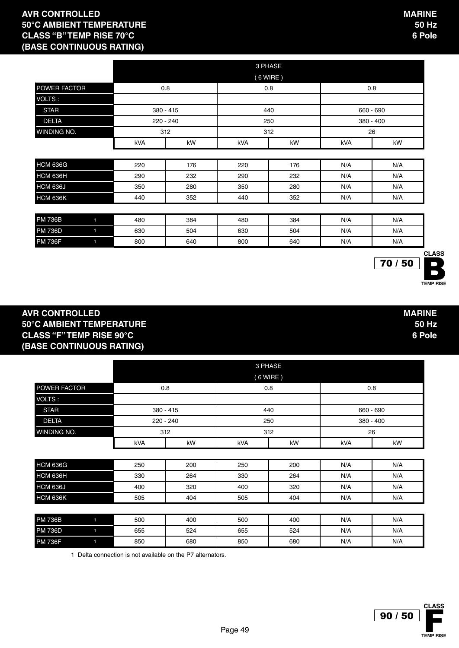|                             |              |     |           |     | 3 PHASE    |     |             |
|-----------------------------|--------------|-----|-----------|-----|------------|-----|-------------|
| <b>STAR</b><br><b>DELTA</b> |              |     |           |     | $(6$ WIRE) |     |             |
| POWER FACTOR                |              |     | 0.8       |     | 0.8        |     | 0.8         |
| <b>VOLTS:</b>               |              |     |           |     |            |     |             |
|                             |              |     | 380 - 415 |     | 440        |     | 660 - 690   |
|                             |              |     | 220 - 240 |     | 250        |     | $380 - 400$ |
| WINDING NO.                 |              |     | 312       |     | 312        |     | 26          |
|                             |              | kVA | kW        | kVA | kW         | kVA | kW          |
|                             |              |     |           |     |            |     |             |
| <b>HCM 636G</b>             |              | 220 | 176       | 220 | 176        | N/A | N/A         |
| <b>HCM 636H</b>             |              | 290 | 232       | 290 | 232        | N/A | N/A         |
| <b>HCM 636J</b>             |              | 350 | 280       | 350 | 280        | N/A | N/A         |
| <b>HCM 636K</b>             |              | 440 | 352       | 440 | 352        | N/A | N/A         |
|                             |              |     |           |     |            |     |             |
| <b>PM 736B</b>              | $\mathbf{1}$ | 480 | 384       | 480 | 384        | N/A | N/A         |
| <b>PM 736D</b>              | $\mathbf{1}$ | 630 | 504       | 630 | 504        | N/A | N/A         |
| <b>PM 736F</b>              | $\mathbf{1}$ | 800 | 640       | 800 | 640        | N/A | N/A         |

#### **AVR CONTROLLED 50°C AMBIENT TEMPERATURE CLASS "F" TEMP RISE 90°C (BASE CONTINUOUS RATING)**

 $70/50$ 

**TEMP RISE** 

**CLASS**

|                     |             |     |     | 3 PHASE  |            |             |  |
|---------------------|-------------|-----|-----|----------|------------|-------------|--|
|                     |             |     |     | (6 WIRE) |            |             |  |
| <b>POWER FACTOR</b> | 0.8         |     |     | 0.8      |            | 0.8         |  |
| <b>VOLTS:</b>       |             |     |     |          |            |             |  |
| <b>STAR</b>         | $380 - 415$ |     |     | 440      | 660 - 690  |             |  |
| <b>DELTA</b>        | $220 - 240$ |     |     | 250      |            | $380 - 400$ |  |
| <b>WINDING NO.</b>  | 312         |     |     | 312      | 26         |             |  |
|                     | kVA         | kW  | kVA | kW       | kVA        | kW          |  |
|                     |             |     |     |          |            |             |  |
| <b>HCM 636G</b>     | 250         | 200 | 250 | 200      | N/A        | N/A         |  |
| <b>HCM 636H</b>     | 330         | 264 | 330 | 264      | N/A        | N/A         |  |
| <b>HCM 636J</b>     | 400         | 320 | 400 | 320      | N/A        | N/A         |  |
| <b>HCM 636K</b>     | 505         | 404 | 505 | 404      | N/A<br>N/A |             |  |

| <b>PM 736B</b> | 500 | 400 | 500 | 400 | N/A | N/A |
|----------------|-----|-----|-----|-----|-----|-----|
| <b>PM 736D</b> | 655 | 524 | 655 | 524 | N/A | N/A |
| <b>PM 736F</b> | 850 | 680 | 850 | 680 | N/A | N/A |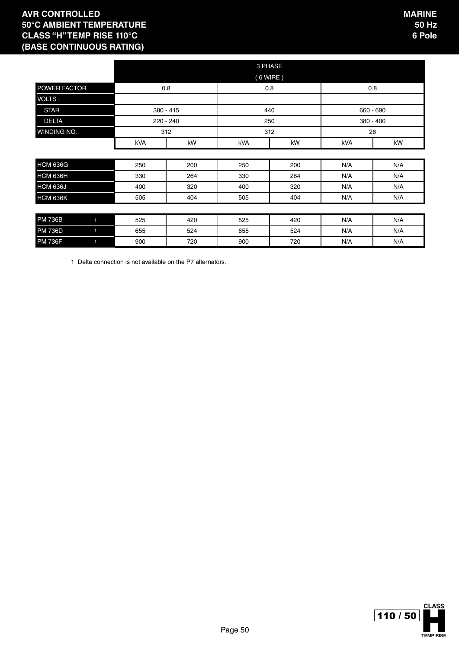|                     |                |           |           | 3 PHASE    |     |           |     |
|---------------------|----------------|-----------|-----------|------------|-----|-----------|-----|
|                     |                |           |           | $(6$ WIRE) |     |           |     |
| <b>POWER FACTOR</b> |                |           | 0.8       | 0.8        |     | 0.8       |     |
| <b>VOLTS:</b>       |                |           |           |            |     |           |     |
| <b>STAR</b>         |                | 380 - 415 |           | 440        |     | 660 - 690 |     |
| <b>DELTA</b>        |                |           | 220 - 240 | 250        |     | 380 - 400 |     |
| WINDING NO.         |                |           | 312       | 312        |     | 26        |     |
|                     |                | kVA       | kW        | kVA        | kW  | kVA       | kW  |
|                     |                |           |           |            |     |           |     |
| <b>HCM 636G</b>     |                | 250       | 200       | 250        | 200 | N/A       | N/A |
| <b>HCM 636H</b>     |                | 330       | 264       | 330        | 264 | N/A       | N/A |
| <b>HCM 636J</b>     |                | 400       | 320       | 400        | 320 | N/A       | N/A |
| <b>HCM 636K</b>     |                | 505       | 404       | 505        | 404 | N/A       | N/A |
|                     |                |           |           |            |     |           |     |
| <b>PM 736B</b>      | $\blacksquare$ | 525       | 420       | 525        | 420 | N/A       | N/A |
| <b>PM 736D</b>      | $\blacksquare$ | 655       | 524       | 655        | 524 | N/A       | N/A |
| <b>PM 736F</b>      | $\blacksquare$ | 900       | 720       | 900        | 720 | N/A       | N/A |

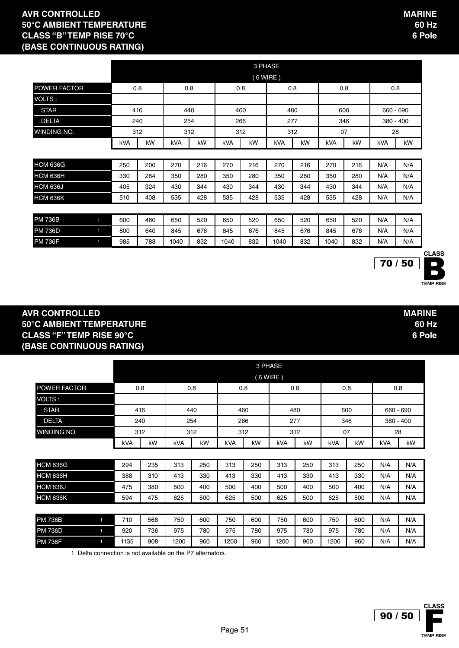|                                  |     |     |      |     |      |     | 3 PHASE    |     |      |     |           |           |
|----------------------------------|-----|-----|------|-----|------|-----|------------|-----|------|-----|-----------|-----------|
|                                  |     |     |      |     |      |     | $(6$ WIRE) |     |      |     |           |           |
| POWER FACTOR                     |     | 0.8 | 0.8  |     | 0.8  |     |            | 0.8 |      | 0.8 | 0.8       |           |
| VOLTS:                           |     |     |      |     |      |     |            |     |      |     |           |           |
| <b>STAR</b>                      |     | 416 |      | 440 |      | 460 |            | 480 |      | 600 | 660 - 690 |           |
| <b>DELTA</b>                     |     | 240 |      | 254 |      | 266 | 277        |     |      | 346 |           | 380 - 400 |
| <b>WINDING NO.</b>               |     | 312 |      | 312 |      | 312 |            | 312 | 07   |     | 28        |           |
|                                  | kVA | kW  | kVA  | kW  | kVA  | kW  | kVA        | kW  | kVA  | kW  | kVA       | kW        |
|                                  |     |     |      |     |      |     |            |     |      |     |           |           |
| <b>HCM 636G</b>                  | 250 | 200 | 270  | 216 | 270  | 216 | 270        | 216 | 270  | 216 | N/A       | N/A       |
| HCM 636H                         | 330 | 264 | 350  | 280 | 350  | 280 | 350        | 280 | 350  | 280 | N/A       | N/A       |
| <b>HCM 636J</b>                  | 405 | 324 | 430  | 344 | 430  | 344 | 430        | 344 | 430  | 344 | N/A       | N/A       |
| <b>HCM 636K</b>                  | 510 | 408 | 535  | 428 | 535  | 428 | 535        | 428 | 535  | 428 | N/A       | N/A       |
|                                  |     |     |      |     |      |     |            |     |      |     |           |           |
| <b>PM 736B</b><br>$\blacksquare$ | 600 | 480 | 650  | 520 | 650  | 520 | 650        | 520 | 650  | 520 | N/A       | N/A       |
| <b>PM 736D</b><br>$\blacksquare$ | 800 | 640 | 845  | 676 | 845  | 676 | 845        | 676 | 845  | 676 | N/A       | N/A       |
| <b>PM 736F</b><br>1              | 985 | 788 | 1040 | 832 | 1040 | 832 | 1040       | 832 | 1040 | 832 | N/A       | N/A       |

#### **AVR CONTROLLED 50°C AMBIENT TEMPERATURE CLASS "F" TEMP RISE 90°C (BASE CONTINUOUS RATING)**

|                     |                         |      |     |            |     |            |     | 3 PHASE    |     |      |     |             |           |  |
|---------------------|-------------------------|------|-----|------------|-----|------------|-----|------------|-----|------|-----|-------------|-----------|--|
|                     |                         |      |     |            |     |            |     | $(6$ WIRE) |     |      |     |             |           |  |
| <b>POWER FACTOR</b> |                         | 0.8  |     |            | 0.8 |            | 0.8 |            | 0.8 |      | 0.8 |             | 0.8       |  |
| VOLTS:              |                         |      |     |            |     |            |     |            |     |      |     |             |           |  |
| <b>STAR</b>         |                         |      | 416 |            | 440 |            | 460 |            | 480 |      | 600 |             | 660 - 690 |  |
| <b>DELTA</b>        |                         |      | 240 |            | 254 |            | 266 |            | 277 | 346  |     | $380 - 400$ |           |  |
| WINDING NO.         | 312<br>kW<br><b>kVA</b> |      |     |            | 312 |            | 312 |            | 312 |      | 07  |             | 28        |  |
|                     |                         |      |     | <b>kVA</b> | kW  | <b>kVA</b> | kW  | <b>kVA</b> | kW  | kVA  | kW  | <b>kVA</b>  | kW        |  |
|                     |                         |      |     |            |     |            |     |            |     |      |     |             |           |  |
| HCM 636G            |                         | 294  | 235 | 313        | 250 | 313        | 250 | 313        | 250 | 313  | 250 | N/A         | N/A       |  |
| HCM 636H            |                         | 388  | 310 | 413        | 330 | 413        | 330 | 413        | 330 | 413  | 330 | N/A         | N/A       |  |
| <b>HCM 636J</b>     |                         | 475  | 380 | 500        | 400 | 500        | 400 | 500        | 400 | 500  | 400 | N/A         | N/A       |  |
| <b>HCM 636K</b>     |                         | 594  | 475 | 625        | 500 | 625        | 500 | 625        | 500 | 625  | 500 | N/A         | N/A       |  |
|                     |                         |      |     |            |     |            |     |            |     |      |     |             |           |  |
| <b>PM 736B</b>      | $\blacksquare$          | 710  | 568 | 750        | 600 | 750        | 600 | 750        | 600 | 750  | 600 | N/A         | N/A       |  |
| <b>PM 736D</b>      | $\blacksquare$          | 920  | 736 | 975        | 780 | 975        | 780 | 975        | 780 | 975  | 780 | N/A         | N/A       |  |
| <b>PM 736F</b>      | 1                       | 1135 | 908 | 1200       | 960 | 1200       | 960 | 1200       | 960 | 1200 | 960 | N/A         | N/A       |  |

1 Delta connection is not available on the P7 alternators.





**MARINE 60 Hz 6 Pole**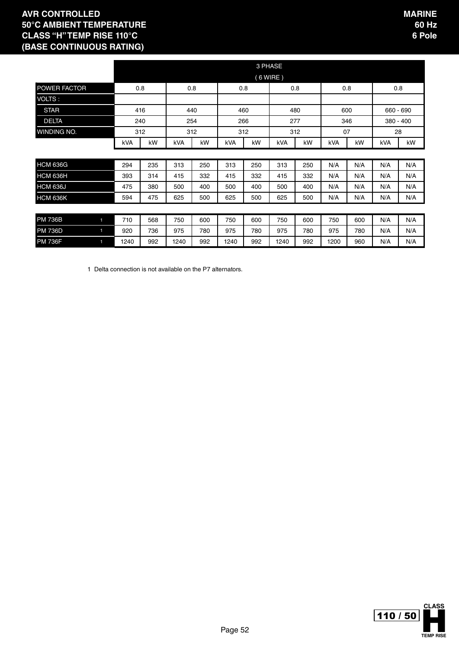|                     | 3 PHASE |     |      |     |      |     |            |     |      |     |             |     |
|---------------------|---------|-----|------|-----|------|-----|------------|-----|------|-----|-------------|-----|
|                     |         |     |      |     |      |     | $(6$ WIRE) |     |      |     |             |     |
| <b>POWER FACTOR</b> |         | 0.8 | 0.8  |     | 0.8  |     |            | 0.8 |      | 0.8 | 0.8         |     |
| VOLTS:              |         |     |      |     |      |     |            |     |      |     |             |     |
| <b>STAR</b>         |         | 416 |      | 440 | 460  |     | 480        |     | 600  |     | 660 - 690   |     |
| <b>DELTA</b>        |         | 240 |      | 254 |      | 266 | 277        |     | 346  |     | $380 - 400$ |     |
| WINDING NO.         |         | 312 | 312  |     |      | 312 | 312        |     | 07   |     | 28          |     |
|                     | kVA     | kW  | kVA  | kW  | kVA  | kW  | kVA        | kW  | kVA  | kW  | kVA         | kW  |
|                     |         |     |      |     |      |     |            |     |      |     |             |     |
| <b>HCM 636G</b>     | 294     | 235 | 313  | 250 | 313  | 250 | 313        | 250 | N/A  | N/A | N/A         | N/A |
| <b>HCM 636H</b>     | 393     | 314 | 415  | 332 | 415  | 332 | 415        | 332 | N/A  | N/A | N/A         | N/A |
| <b>HCM 636J</b>     | 475     | 380 | 500  | 400 | 500  | 400 | 500        | 400 | N/A  | N/A | N/A         | N/A |
| <b>HCM 636K</b>     | 594     | 475 | 625  | 500 | 625  | 500 | 625        | 500 | N/A  | N/A | N/A         | N/A |
|                     |         |     |      |     |      |     |            |     |      |     |             |     |
| <b>PM 736B</b><br>1 | 710     | 568 | 750  | 600 | 750  | 600 | 750        | 600 | 750  | 600 | N/A         | N/A |
| <b>PM 736D</b><br>1 | 920     | 736 | 975  | 780 | 975  | 780 | 975        | 780 | 975  | 780 | N/A         | N/A |
| <b>PM 736F</b>      | 1240    | 992 | 1240 | 992 | 1240 | 992 | 1240       | 992 | 1200 | 960 | N/A         | N/A |

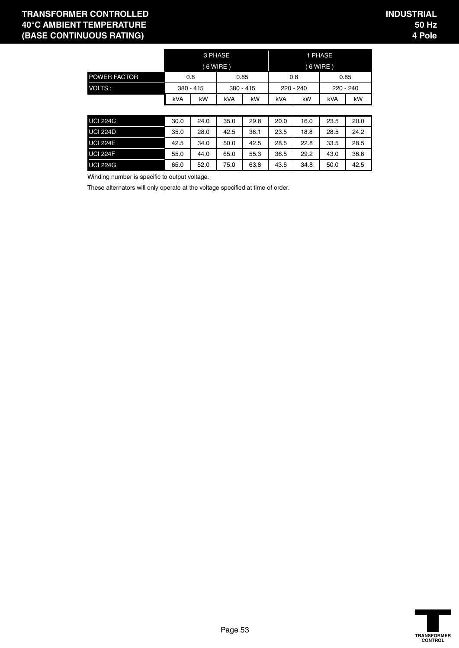#### **TRANSFORMER CONTROLLED 40°C AMBIENT TEMPERATURE (BASE CONTINUOUS RATING)**

|                     |            |           | 3 PHASE   |      |             |    | 1 PHASE     |    |
|---------------------|------------|-----------|-----------|------|-------------|----|-------------|----|
|                     | $(6$ WIRE) |           |           |      |             |    | $(6$ WIRE)  |    |
| <b>POWER FACTOR</b> | 0.8        |           |           | 0.85 | 0.8         |    | 0.85        |    |
| VOLTS:              |            | 380 - 415 | 380 - 415 |      | $220 - 240$ |    | $220 - 240$ |    |
|                     | kVA        | kW        | kVA       | kW   | <b>kVA</b>  | kW | kVA         | kW |

| <b>UCI 224C</b> | 30.0 | 24.0 | 35.0 | 29.8 | 20.0 | 16.0 | 23.5 | 20.0 |
|-----------------|------|------|------|------|------|------|------|------|
| <b>UCI 224D</b> | 35.0 | 28.0 | 42.5 | 36.1 | 23.5 | 18.8 | 28.5 | 24.2 |
| <b>UCI 224E</b> | 42.5 | 34.0 | 50.0 | 42.5 | 28.5 | 22.8 | 33.5 | 28.5 |
| <b>UCI 224F</b> | 55.0 | 44.0 | 65.0 | 55.3 | 36.5 | 29.2 | 43.0 | 36.6 |
| <b>UCI 224G</b> | 65.0 | 52.0 | 75.0 | 63.8 | 43.5 | 34.8 | 50.0 | 42.5 |

Winding number is specific to output voltage.

These alternators will only operate at the voltage specified at time of order.

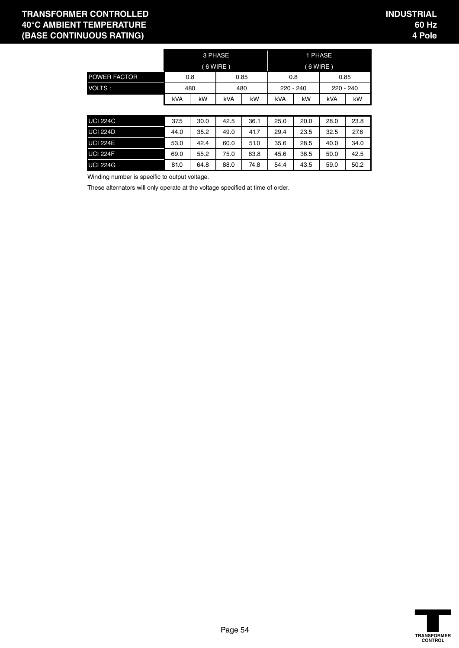#### **TRANSFORMER CONTROLLED 40°C AMBIENT TEMPERATURE (BASE CONTINUOUS RATING)**

|                     |            |     | 3 PHASE |      |     |             | 1 PHASE     |      |
|---------------------|------------|-----|---------|------|-----|-------------|-------------|------|
|                     | $(6$ WIRE) |     |         |      |     | $(6$ WIRE)  |             |      |
| <b>POWER FACTOR</b> |            | 0.8 |         | 0.85 |     | 0.8         |             | 0.85 |
| VOLTS:              |            | 480 |         | 480  |     | $220 - 240$ | $220 - 240$ |      |
|                     | kVA        | kW  | kVA     | kW   | kVA | kW          | kVA         | kW   |

| <b>UCI 224C</b> | 37.5 | 30.0 | 42.5 | 36.1 | 25.0 | 20.0 | 28.0 | 23.8 |
|-----------------|------|------|------|------|------|------|------|------|
| <b>UCI 224D</b> | 44.0 | 35.2 | 49.0 | 41.7 | 29.4 | 23.5 | 32.5 | 27.6 |
| <b>UCI 224E</b> | 53.0 | 42.4 | 60.0 | 51.0 | 35.6 | 28.5 | 40.0 | 34.0 |
| <b>UCI 224F</b> | 69.0 | 55.2 | 75.0 | 63.8 | 45.6 | 36.5 | 50.0 | 42.5 |
| <b>UCI 224G</b> | 81.0 | 64.8 | 88.0 | 74.8 | 54.4 | 43.5 | 59.0 | 50.2 |

Winding number is specific to output voltage.

These alternators will only operate at the voltage specified at time of order.

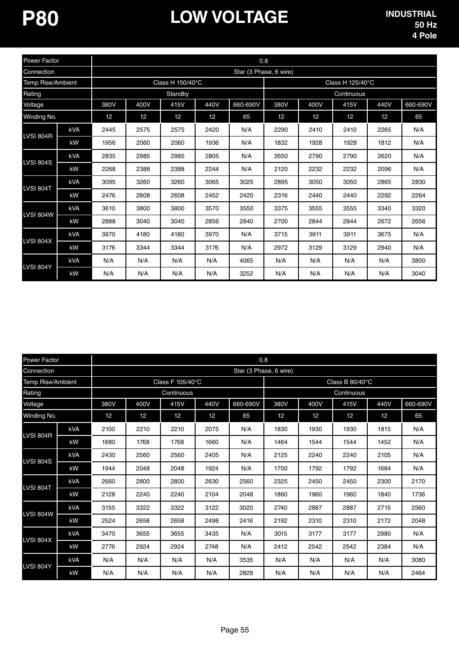| Power Factor      |            |                 |      |                  |      | 0.8                    |      |      |                  |      |          |
|-------------------|------------|-----------------|------|------------------|------|------------------------|------|------|------------------|------|----------|
| Connection        |            |                 |      |                  |      | Star (3 Phase, 6 wire) |      |      |                  |      |          |
| Temp Rise/Ambient |            |                 |      | Class H 150/40°C |      |                        |      |      | Class H 125/40°C |      |          |
| Rating            |            |                 |      | Standby          |      |                        |      |      | Continuous       |      |          |
| Voltage           |            | 380V            | 400V | 415V             | 440V | 660-690V               | 380V | 400V | 415V             | 440V | 660-690V |
| Winding No.       |            | 12 <sup>°</sup> | 12   | 12               | 12   | 65                     | 12   | 12   | 12               | 12   | 65       |
| <b>LVSI 804R</b>  | kVA        | 2445            | 2575 | 2575             | 2420 | N/A                    | 2290 | 2410 | 2410             | 2265 | N/A      |
|                   | kW         | 1956            | 2060 | 2060             | 1936 | N/A                    | 1832 | 1928 | 1928             | 1812 | N/A      |
|                   | kVA        | 2835            | 2985 | 2985             | 2805 | N/A                    | 2650 | 2790 | 2790             | 2620 | N/A      |
| <b>LVSI 804S</b>  | kW         | 2268            | 2388 | 2388             | 2244 | N/A                    | 2120 | 2232 | 2232             | 2096 | N/A      |
| <b>LVSI 804T</b>  | kVA        | 3095            | 3260 | 3260             | 3065 | 3025                   | 2895 | 3050 | 3050             | 2865 | 2830     |
|                   | kW         | 2476            | 2608 | 2608             | 2452 | 2420                   | 2316 | 2440 | 2440             | 2292 | 2264     |
| <b>LVSI 804W</b>  | <b>kVA</b> | 3610            | 3800 | 3800             | 3570 | 3550                   | 3375 | 3555 | 3555             | 3340 | 3320     |
|                   | kW         | 2888            | 3040 | 3040             | 2856 | 2840                   | 2700 | 2844 | 2844             | 2672 | 2656     |
| <b>LVSI 804X</b>  | kVA        | 3970            | 4180 | 4180             | 3970 | N/A                    | 3715 | 3911 | 3911             | 3675 | N/A      |
|                   | kW         | 3176            | 3344 | 3344             | 3176 | N/A                    | 2972 | 3129 | 3129             | 2940 | N/A      |
| <b>LVSI 804Y</b>  | kVA        | N/A             | N/A  | N/A              | N/A  | 4065                   | N/A  | N/A  | N/A              | N/A  | 3800     |
|                   | kW         | N/A             | N/A  | N/A              | N/A  | 3252                   | N/A  | N/A  | N/A              | N/A  | 3040     |

| <b>Power Factor</b> |            |      |                 |                  |      | 0.8                    |      |      |                 |                 |          |
|---------------------|------------|------|-----------------|------------------|------|------------------------|------|------|-----------------|-----------------|----------|
| Connection          |            |      |                 |                  |      | Star (3 Phase, 6 wire) |      |      |                 |                 |          |
| Temp Rise/Ambient   |            |      |                 | Class F 105/40°C |      |                        |      |      | Class B 80/40°C |                 |          |
| Rating              |            |      |                 | Continuous       |      |                        |      |      | Continuous      |                 |          |
| Voltage             |            | 380V | 400V            | 415V             | 440V | 660-690V               | 380V | 400V | 415V            | 440V            | 660-690V |
| Winding No.         |            | 12   | 12 <sup>°</sup> | 12               | 12   | 65                     | 12   | 12   | 12              | 12 <sup>°</sup> | 65       |
| LVSI 804R           | kVA        | 2100 | 2210            | 2210             | 2075 | N/A                    | 1830 | 1930 | 1930            | 1815            | N/A      |
|                     | kW         | 1680 | 1768            | 1768             | 1660 | N/A                    | 1464 | 1544 | 1544            | 1452            | N/A      |
| <b>LVSI 804S</b>    | kVA        | 2430 | 2560            | 2560             | 2405 | N/A                    | 2125 | 2240 | 2240            | 2105            | N/A      |
|                     | kW         | 1944 | 2048            | 2048             | 1924 | N/A                    | 1700 | 1792 | 1792            | 1684            | N/A      |
| <b>LVSI 804T</b>    | kVA        | 2660 | 2800            | 2800             | 2630 | 2560                   | 2325 | 2450 | 2450            | 2300            | 2170     |
|                     | kW         | 2128 | 2240            | 2240             | 2104 | 2048                   | 1860 | 1960 | 1960            | 1840            | 1736     |
| <b>LVSI 804W</b>    | kVA        | 3155 | 3322            | 3322             | 3122 | 3020                   | 2740 | 2887 | 2887            | 2715            | 2560     |
|                     | kW         | 2524 | 2658            | 2658             | 2498 | 2416                   | 2192 | 2310 | 2310            | 2172            | 2048     |
| <b>LVSI 804X</b>    | <b>kVA</b> | 3470 | 3655            | 3655             | 3435 | N/A                    | 3015 | 3177 | 3177            | 2980            | N/A      |
|                     | kW         | 2776 | 2924            | 2924             | 2748 | N/A                    | 2412 | 2542 | 2542            | 2384            | N/A      |
| <b>LVSI 804Y</b>    | kVA        | N/A  | N/A             | N/A              | N/A  | 3535                   | N/A  | N/A  | N/A             | N/A             | 3080     |
|                     | kW         | N/A  | N/A             | N/A              | N/A  | 2828                   | N/A  | N/A  | N/A             | N/A             | 2464     |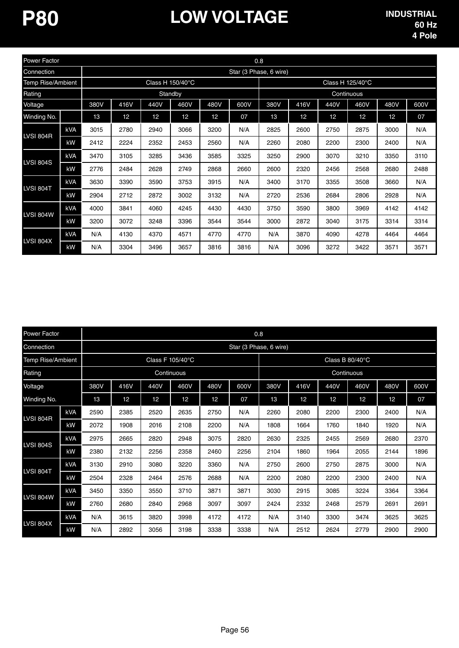| Power Factor      |            |      |                 |                 |                  |      | 0.8                    |      |      |      |                  |                 |      |
|-------------------|------------|------|-----------------|-----------------|------------------|------|------------------------|------|------|------|------------------|-----------------|------|
| Connection        |            |      |                 |                 |                  |      | Star (3 Phase, 6 wire) |      |      |      |                  |                 |      |
| Temp Rise/Ambient |            |      |                 |                 | Class H 150/40°C |      |                        |      |      |      | Class H 125/40°C |                 |      |
| Rating            |            |      |                 |                 | Standby          |      |                        |      |      |      | Continuous       |                 |      |
| Voltage           |            | 380V | 416V            | 440V            | 460V             | 480V | 600V                   | 380V | 416V | 440V | 460V             | 480V            | 600V |
| Winding No.       |            | 13   | 12 <sup>2</sup> | 12 <sup>°</sup> | 12 <sup>°</sup>  | 12   | 07                     | 13   | 12   | 12   | 12               | 12 <sup>2</sup> | 07   |
|                   | <b>kVA</b> | 3015 | 2780            | 2940            | 3066             | 3200 | N/A                    | 2825 | 2600 | 2750 | 2875             | 3000            | N/A  |
| LVSI 804R         | kW         | 2412 | 2224            | 2352            | 2453             | 2560 | N/A                    | 2260 | 2080 | 2200 | 2300             | 2400            | N/A  |
|                   | <b>kVA</b> | 3470 | 3105            | 3285            | 3436             | 3585 | 3325                   | 3250 | 2900 | 3070 | 3210             | 3350            | 3110 |
| <b>LVSI 804S</b>  | kW         | 2776 | 2484            | 2628            | 2749             | 2868 | 2660                   | 2600 | 2320 | 2456 | 2568             | 2680            | 2488 |
|                   | <b>kVA</b> | 3630 | 3390            | 3590            | 3753             | 3915 | N/A                    | 3400 | 3170 | 3355 | 3508             | 3660            | N/A  |
| <b>LVSI 804T</b>  | kW         | 2904 | 2712            | 2872            | 3002             | 3132 | N/A                    | 2720 | 2536 | 2684 | 2806             | 2928            | N/A  |
| <b>LVSI 804W</b>  | <b>kVA</b> | 4000 | 3841            | 4060            | 4245             | 4430 | 4430                   | 3750 | 3590 | 3800 | 3969             | 4142            | 4142 |
|                   | kW         | 3200 | 3072            | 3248            | 3396             | 3544 | 3544                   | 3000 | 2872 | 3040 | 3175             | 3314            | 3314 |
| <b>LVSI 804X</b>  | <b>kVA</b> | N/A  | 4130            | 4370            | 4571             | 4770 | 4770                   | N/A  | 3870 | 4090 | 4278             | 4464            | 4464 |
|                   | kW         | N/A  | 3304            | 3496            | 3657             | 3816 | 3816                   | N/A  | 3096 | 3272 | 3422             | 3571            | 3571 |

| <b>Power Factor</b>      |            |      |                 |                 |                  |                 | 0.8                    |      |                 |                 |      |                 |      |
|--------------------------|------------|------|-----------------|-----------------|------------------|-----------------|------------------------|------|-----------------|-----------------|------|-----------------|------|
| Connection               |            |      |                 |                 |                  |                 | Star (3 Phase, 6 wire) |      |                 |                 |      |                 |      |
| <b>Temp Rise/Ambient</b> |            |      |                 |                 | Class F 105/40°C |                 |                        |      |                 | Class B 80/40°C |      |                 |      |
| Rating                   |            |      | Continuous      |                 |                  |                 |                        |      |                 | Continuous      |      |                 |      |
| Voltage                  |            | 380V | 416V            | 440V            | 460V             | 480V            | 600V                   | 380V | 416V            | 440V            | 460V | 480V            | 600V |
| Winding No.              |            | 13   | 12 <sup>°</sup> | 12 <sup>°</sup> | 12               | 12 <sup>2</sup> | 07                     | 13   | 12 <sup>2</sup> | 12              | 12   | 12 <sup>°</sup> | 07   |
|                          | kVA        | 2590 | 2385            | 2520            | 2635             | 2750            | N/A                    | 2260 | 2080            | 2200            | 2300 | 2400            | N/A  |
| <b>LVSI 804R</b>         | kW         | 2072 | 1908            | 2016            | 2108             | 2200            | N/A                    | 1808 | 1664            | 1760            | 1840 | 1920            | N/A  |
|                          | kVA        | 2975 | 2665            | 2820            | 2948             | 3075            | 2820                   | 2630 | 2325            | 2455            | 2569 | 2680            | 2370 |
| <b>LVSI 804S</b>         | kW         | 2380 | 2132            | 2256            | 2358             | 2460            | 2256                   | 2104 | 1860            | 1964            | 2055 | 2144            | 1896 |
|                          | <b>kVA</b> | 3130 | 2910            | 3080            | 3220             | 3360            | N/A                    | 2750 | 2600            | 2750            | 2875 | 3000            | N/A  |
| <b>LVSI 804T</b>         | kW         | 2504 | 2328            | 2464            | 2576             | 2688            | N/A                    | 2200 | 2080            | 2200            | 2300 | 2400            | N/A  |
|                          | kVA        | 3450 | 3350            | 3550            | 3710             | 3871            | 3871                   | 3030 | 2915            | 3085            | 3224 | 3364            | 3364 |
| <b>LVSI 804W</b>         | kW         | 2760 | 2680            | 2840            | 2968             | 3097            | 3097                   | 2424 | 2332            | 2468            | 2579 | 2691            | 2691 |
|                          | <b>kVA</b> | N/A  | 3615            | 3820            | 3998             | 4172            | 4172                   | N/A  | 3140            | 3300            | 3474 | 3625            | 3625 |
| <b>LVSI 804X</b>         | kW         | N/A  | 2892            | 3056            | 3198             | 3338            | 3338                   | N/A  | 2512            | 2624            | 2779 | 2900            | 2900 |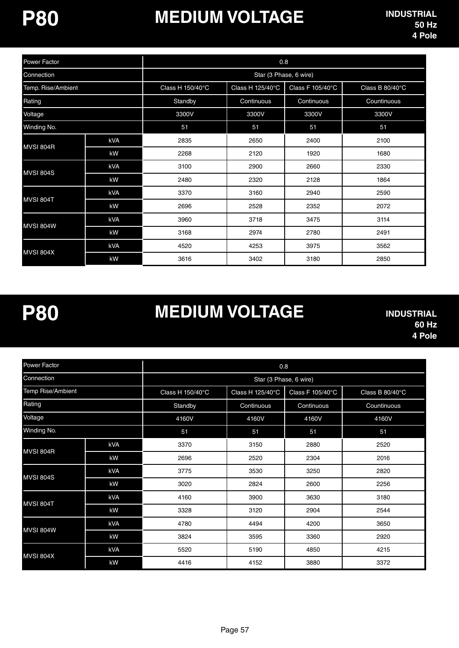# **MEDIUM VOLTAGE**

| Power Factor       |     |                            | 0.8                    |                  |                 |
|--------------------|-----|----------------------------|------------------------|------------------|-----------------|
| Connection         |     |                            | Star (3 Phase, 6 wire) |                  |                 |
| Temp. Rise/Ambient |     | Class H $150/40^{\circ}$ C | Class H 125/40°C       | Class F 105/40°C | Class B 80/40°C |
| Rating             |     | Standby                    | Continuous             | Continuous       | Countinuous     |
| Voltage            |     | 3300V                      | 3300V                  | 3300V            | 3300V           |
| Winding No.        |     | 51                         | 51                     | 51               | 51              |
| MVSI 804R          | kVA | 2835                       | 2650                   | 2400             | 2100            |
|                    | kW  | 2268                       | 2120                   | 1920             | 1680            |
| <b>MVSI 804S</b>   | kVA | 3100                       | 2900                   | 2660             | 2330            |
|                    | kW  | 2480                       | 2320                   | 2128             | 1864            |
|                    | kVA | 3370                       | 3160                   | 2940             | 2590            |
| MVSI 804T          | kW  | 2696                       | 2528                   | 2352             | 2072            |
|                    | kVA | 3960                       | 3718                   | 3475             | 3114            |
| MVSI 804W          | kW  | 3168                       | 2974                   | 2780             | 2491            |
| MVSI 804X          | kVA | 4520                       | 4253                   | 3975             | 3562            |
|                    | kW  | 3616                       | 3402                   | 3180             | 2850            |

**P80**

## **MEDIUM VOLTAGE**

| Power Factor      |     | 0.8              |                        |                  |                 |  |  |  |  |
|-------------------|-----|------------------|------------------------|------------------|-----------------|--|--|--|--|
| Connection        |     |                  | Star (3 Phase, 6 wire) |                  |                 |  |  |  |  |
| Temp Rise/Ambient |     | Class H 150/40°C | Class H 125/40°C       | Class F 105/40°C | Class B 80/40°C |  |  |  |  |
| Rating            |     | Standby          | Continuous             | Continuous       | Countinuous     |  |  |  |  |
| Voltage           |     | 4160V            | 4160V                  | 4160V            | 4160V           |  |  |  |  |
| Winding No.       |     | 51               | 51                     | 51               | 51              |  |  |  |  |
|                   | kVA | 3370             | 3150                   | 2880             | 2520            |  |  |  |  |
| MVSI 804R         | kW  | 2696             | 2520                   | 2304             | 2016            |  |  |  |  |
| MVSI 804S         | kVA | 3775             | 3530                   | 3250             | 2820            |  |  |  |  |
|                   | kW  | 3020             | 2824                   | 2600             | 2256            |  |  |  |  |
| MVSI 804T         | kVA | 4160             | 3900                   | 3630             | 3180            |  |  |  |  |
|                   | kW  | 3328             | 3120                   | 2904             | 2544            |  |  |  |  |
| MVSI 804W         | kVA | 4780             | 4494                   | 4200             | 3650            |  |  |  |  |
|                   | kW  | 3824             | 3595                   | 3360             | 2920            |  |  |  |  |
| MVSI 804X         | kVA | 5520             | 5190                   | 4850             | 4215            |  |  |  |  |
|                   | kW  | 4416             | 4152                   | 3880             | 3372            |  |  |  |  |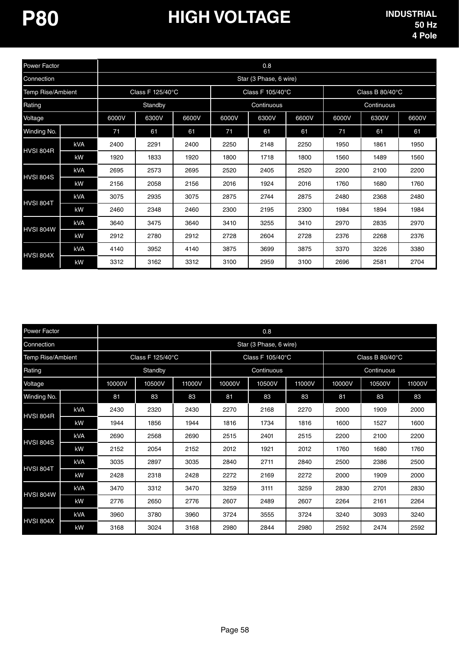| Power Factor             |            |       |                  |       |       | 0.8                              |      |      |                 |       |
|--------------------------|------------|-------|------------------|-------|-------|----------------------------------|------|------|-----------------|-------|
| Connection               |            |       |                  |       |       | Star (3 Phase, 6 wire)           |      |      |                 |       |
| <b>Temp Rise/Ambient</b> |            |       | Class F 125/40°C |       |       | Class F 105/40°C                 |      |      | Class B 80/40°C |       |
| Rating                   |            |       | Standby          |       |       | Continuous                       |      |      | Continuous      |       |
| Voltage                  |            | 6000V | 6300V            | 6600V | 6000V | 6300V<br>6600V<br>6000V<br>6300V |      |      |                 | 6600V |
| Winding No.              |            | 71    | 61               | 61    | 71    | 61                               | 61   | 71   | 61              | 61    |
|                          | kVA        | 2400  | 2291             | 2400  | 2250  | 2148                             | 2250 | 1950 | 1861            | 1950  |
| HVSI 804R                | kW         | 1920  | 1833             | 1920  | 1800  | 1718                             | 1800 | 1560 | 1489            | 1560  |
|                          | <b>kVA</b> | 2695  | 2573             | 2695  | 2520  | 2405                             | 2520 | 2200 | 2100            | 2200  |
| HVSI 804S                | kW         | 2156  | 2058             | 2156  | 2016  | 1924                             | 2016 | 1760 | 1680            | 1760  |
| HVSI 804T                | <b>kVA</b> | 3075  | 2935             | 3075  | 2875  | 2744                             | 2875 | 2480 | 2368            | 2480  |
|                          | kW         | 2460  | 2348             | 2460  | 2300  | 2195                             | 2300 | 1984 | 1894            | 1984  |
|                          | <b>kVA</b> | 3640  | 3475             | 3640  | 3410  | 3255                             | 3410 | 2970 | 2835            | 2970  |
| HVSI 804W                | kW         | 2912  | 2780             | 2912  | 2728  | 2604                             | 2728 | 2376 | 2268            | 2376  |
| HVSI 804X                | kVA        | 4140  | 3952             | 4140  | 3875  | 3699                             | 3875 | 3370 | 3226            | 3380  |
|                          | kW         | 3312  | 3162             | 3312  | 3100  | 2959                             | 3100 | 2696 | 2581            | 2704  |

| Power Factor             |            | 0.8                    |        |        |                  |        |        |                           |        |        |  |
|--------------------------|------------|------------------------|--------|--------|------------------|--------|--------|---------------------------|--------|--------|--|
| Connection               |            | Star (3 Phase, 6 wire) |        |        |                  |        |        |                           |        |        |  |
| <b>Temp Rise/Ambient</b> |            | Class F 125/40°C       |        |        | Class F 105/40°C |        |        | Class B $80/40^{\circ}$ C |        |        |  |
| Rating                   |            | Standby                |        |        | Continuous       |        |        | Continuous                |        |        |  |
| Voltage                  |            | 10000V                 | 10500V | 11000V | 10000V           | 10500V | 11000V | 10000V                    | 10500V | 11000V |  |
| Winding No.              |            | 81                     | 83     | 83     | 81               | 83     | 83     | 81                        | 83     | 83     |  |
| HVSI 804R                | <b>kVA</b> | 2430                   | 2320   | 2430   | 2270             | 2168   | 2270   | 2000                      | 1909   | 2000   |  |
|                          | kW         | 1944                   | 1856   | 1944   | 1816             | 1734   | 1816   | 1600                      | 1527   | 1600   |  |
| <b>HVSI 804S</b>         | kVA        | 2690                   | 2568   | 2690   | 2515             | 2401   | 2515   | 2200                      | 2100   | 2200   |  |
|                          | kW         | 2152                   | 2054   | 2152   | 2012             | 1921   | 2012   | 1760                      | 1680   | 1760   |  |
| HVSI 804T                | kVA        | 3035                   | 2897   | 3035   | 2840             | 2711   | 2840   | 2500                      | 2386   | 2500   |  |
|                          | kW         | 2428                   | 2318   | 2428   | 2272             | 2169   | 2272   | 2000                      | 1909   | 2000   |  |
| HVSI 804W                | kVA        | 3470                   | 3312   | 3470   | 3259             | 3111   | 3259   | 2830                      | 2701   | 2830   |  |
|                          | kW         | 2776                   | 2650   | 2776   | 2607             | 2489   | 2607   | 2264                      | 2161   | 2264   |  |
| <b>HVSI 804X</b>         | <b>kVA</b> | 3960                   | 3780   | 3960   | 3724             | 3555   | 3724   | 3240                      | 3093   | 3240   |  |
|                          | kW         | 3168                   | 3024   | 3168   | 2980             | 2844   | 2980   | 2592                      | 2474   | 2592   |  |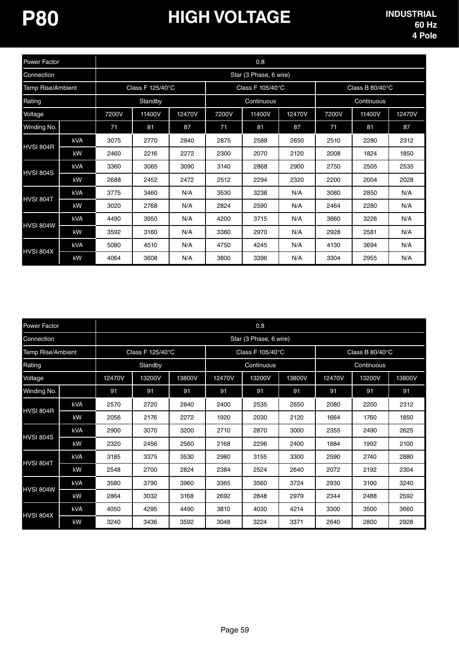# **P80 HIGH VOLTAGE**

| Power Factor             |            | 0.8                    |        |        |                  |        |        |                 |        |        |  |
|--------------------------|------------|------------------------|--------|--------|------------------|--------|--------|-----------------|--------|--------|--|
| Connection               |            | Star (3 Phase, 6 wire) |        |        |                  |        |        |                 |        |        |  |
| <b>Temp Rise/Ambient</b> |            | Class F 125/40°C       |        |        | Class F 105/40°C |        |        | Class B 80/40°C |        |        |  |
| Rating                   |            | Standby                |        |        | Continuous       |        |        | Continuous      |        |        |  |
| Voltage                  |            | 7200V                  | 11400V | 12470V | 7200V            | 11400V | 12470V | 7200V           | 11400V | 12470V |  |
| Winding No.              |            | 71                     | 81     | 87     | 71               | 81     | 87     | 71              | 81     | 87     |  |
| HVSI 804R                | kVA        | 3075                   | 2770   | 2840   | 2875             | 2588   | 2650   | 2510            | 2280   | 2312   |  |
|                          | kW         | 2460                   | 2216   | 2272   | 2300             | 2070   | 2120   | 2008            | 1824   | 1850   |  |
| HVSI 804S                | <b>kVA</b> | 3360                   | 3065   | 3090   | 3140             | 2868   | 2900   | 2750            | 2505   | 2535   |  |
|                          | kW         | 2688                   | 2452   | 2472   | 2512             | 2294   | 2320   | 2200            | 2004   | 2028   |  |
| HVSI 804T                | <b>kVA</b> | 3775                   | 3460   | N/A    | 3530             | 3238   | N/A    | 3080            | 2850   | N/A    |  |
|                          | kW         | 3020                   | 2768   | N/A    | 2824             | 2590   | N/A    | 2464            | 2280   | N/A    |  |
| HVSI 804W                | <b>kVA</b> | 4490                   | 3950   | N/A    | 4200             | 3715   | N/A    | 3660            | 3226   | N/A    |  |
|                          | kW         | 3592                   | 3160   | N/A    | 3360             | 2970   | N/A    | 2928            | 2581   | N/A    |  |
| HVSI 804X                | <b>kVA</b> | 5080                   | 4510   | N/A    | 4750             | 4245   | N/A    | 4130            | 3694   | N/A    |  |
|                          | kW         | 4064                   | 3608   | N/A    | 3800             | 3396   | N/A    | 3304            | 2955   | N/A    |  |

| Power Factor      |            | 0.8                    |        |        |                  |        |        |                 |        |        |  |
|-------------------|------------|------------------------|--------|--------|------------------|--------|--------|-----------------|--------|--------|--|
| Connection        |            | Star (3 Phase, 6 wire) |        |        |                  |        |        |                 |        |        |  |
| Temp Rise/Ambient |            | Class F 125/40°C       |        |        | Class F 105/40°C |        |        | Class B 80/40°C |        |        |  |
| Rating            |            | Standby                |        |        | Continuous       |        |        | Continuous      |        |        |  |
| Voltage           |            | 12470V                 | 13200V | 13800V | 12470V           | 13200V | 13800V | 12470V          | 13200V | 13800V |  |
| Winding No.       |            | 91                     | 91     | 91     | 91               | 91     | 91     | 91              | 91     | 91     |  |
| HVSI 804R         | <b>kVA</b> | 2570                   | 2720   | 2840   | 2400             | 2535   | 2650   | 2080            | 2200   | 2312   |  |
|                   | kW         | 2056                   | 2176   | 2272   | 1920             | 2030   | 2120   | 1664            | 1760   | 1850   |  |
| <b>HVSI 804S</b>  | kVA        | 2900                   | 3070   | 3200   | 2710             | 2870   | 3000   | 2355            | 2490   | 2625   |  |
|                   | kW         | 2320                   | 2456   | 2560   | 2168             | 2296   | 2400   | 1884            | 1992   | 2100   |  |
| <b>HVSI 804T</b>  | kVA        | 3185                   | 3375   | 3530   | 2980             | 3155   | 3300   | 2590            | 2740   | 2880   |  |
|                   | kW         | 2548                   | 2700   | 2824   | 2384             | 2524   | 2640   | 2072            | 2192   | 2304   |  |
| HVSI 804W         | <b>kVA</b> | 3580                   | 3790   | 3960   | 3365             | 3560   | 3724   | 2930            | 3100   | 3240   |  |
|                   | kW         | 2864                   | 3032   | 3168   | 2692             | 2848   | 2979   | 2344            | 2488   | 2592   |  |
| HVSI 804X         | kVA        | 4050                   | 4295   | 4490   | 3810             | 4030   | 4214   | 3300            | 3500   | 3660   |  |
|                   | kW         | 3240                   | 3436   | 3592   | 3048             | 3224   | 3371   | 2640            | 2800   | 2928   |  |